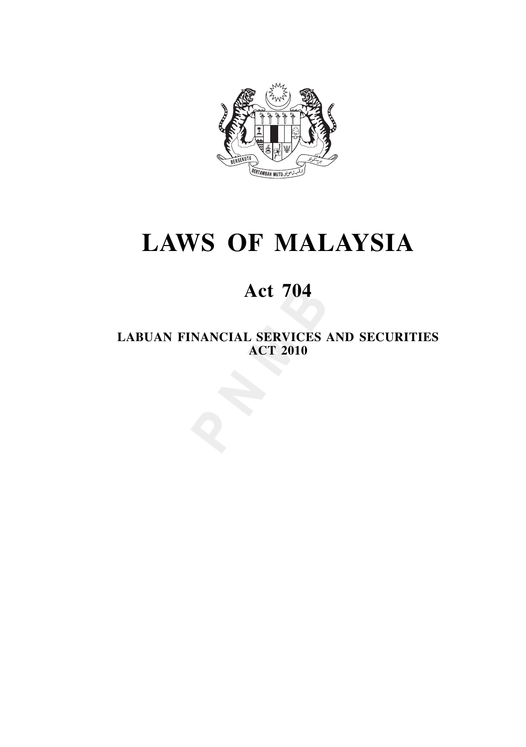

# **LAWS OF MALAYSIA**

# **Act 704**

**LABUAN FINANCIAL SERVICES AND SECURITIES ACT 2010**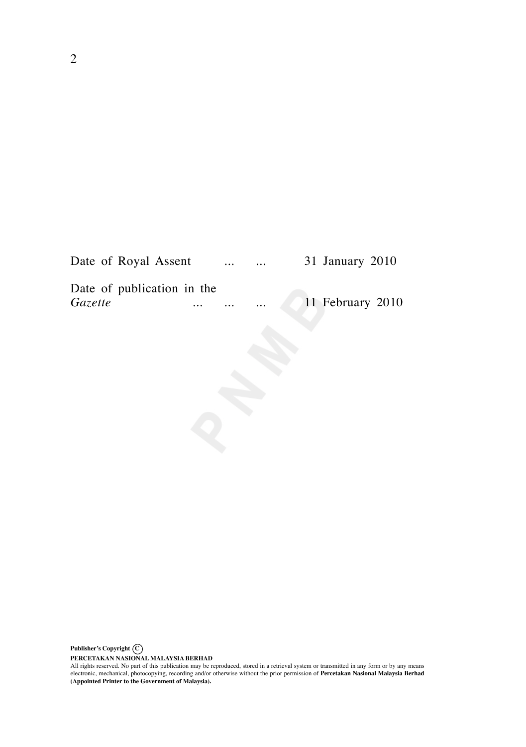| Date of Royal Assent       |          | $\cdots$ | $\cdots$ | 31 January 2010  |
|----------------------------|----------|----------|----------|------------------|
| Date of publication in the |          |          |          |                  |
| <i>Gazette</i>             | $\cdots$ | $\cdots$ | $\cdots$ | 11 February 2010 |

PERCETAKAN NASIONAL MALAYSIA BERHAD<br>All rights reserved. No part of this publication may be reproduced, stored in a retrieval system or transmitted in any form or by any means<br>electronic, mechanical, photocopying, recordin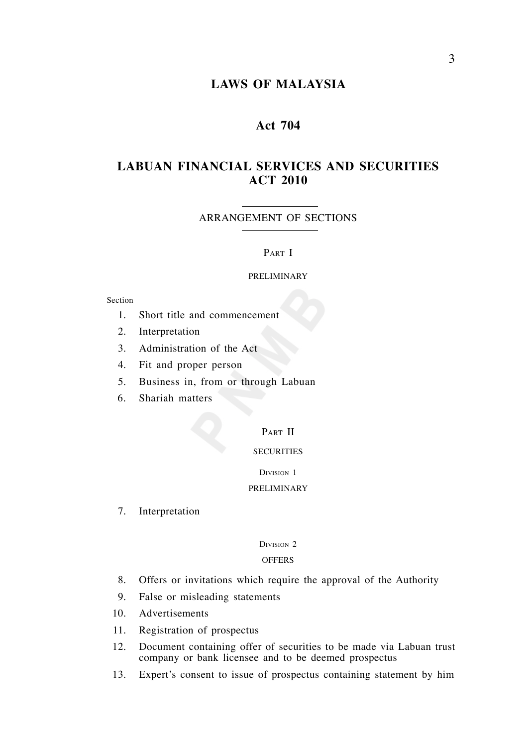# **LAWS OF MALAYSIA**

# **Act 704**

# **LABUAN FINANCIAL SERVICES AND SECURITIES ACT 2010**

ARRANGEMENT OF SECTIONS

## PART I

#### PRELIMINARY

#### Section

- 1. Short title and commencement
- 2. Interpretation
- 3. Administration of the Act
- 4. Fit and proper person
- 5. Business in, from or through Labuan
- 6. Shariah matters

# PART II

# **SECURITIES**

## DIVISION 1

# PRELIMINARY

7. Interpretation

# DIVISION 2

## **OFFERS**

- 8. Offers or invitations which require the approval of the Authority
- 9. False or misleading statements
- 10. Advertisements
- 11. Registration of prospectus
- 12. Document containing offer of securities to be made via Labuan trust company or bank licensee and to be deemed prospectus
- 13. Expert's consent to issue of prospectus containing statement by him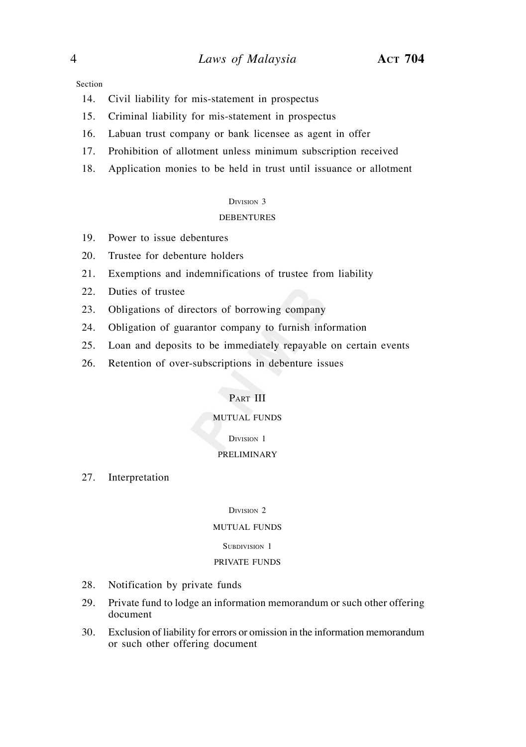Section

- 14. Civil liability for mis-statement in prospectus
- 15. Criminal liability for mis-statement in prospectus
- 16. Labuan trust company or bank licensee as agent in offer
- 17. Prohibition of allotment unless minimum subscription received
- 18. Application monies to be held in trust until issuance or allotment

#### DIVISION 3

## DEBENTURES

- 19. Power to issue debentures
- 20. Trustee for debenture holders
- 21. Exemptions and indemnifications of trustee from liability
- 22. Duties of trustee
- 23. Obligations of directors of borrowing company
- 24. Obligation of guarantor company to furnish information
- 25. Loan and deposits to be immediately repayable on certain events
- 26. Retention of over-subscriptions in debenture issues

# PART III

# MUTUAL FUNDS

#### DIVISION 1

# PRELIMINARY

27. Interpretation

DIVISION<sub>2</sub>

# MUTUAL FUNDS

# SUBDIVISION 1

## PRIVATE FUNDS

- 28. Notification by private funds
- 29. Private fund to lodge an information memorandum or such other offering document
- 30. Exclusion of liability for errors or omission in the information memorandum or such other offering document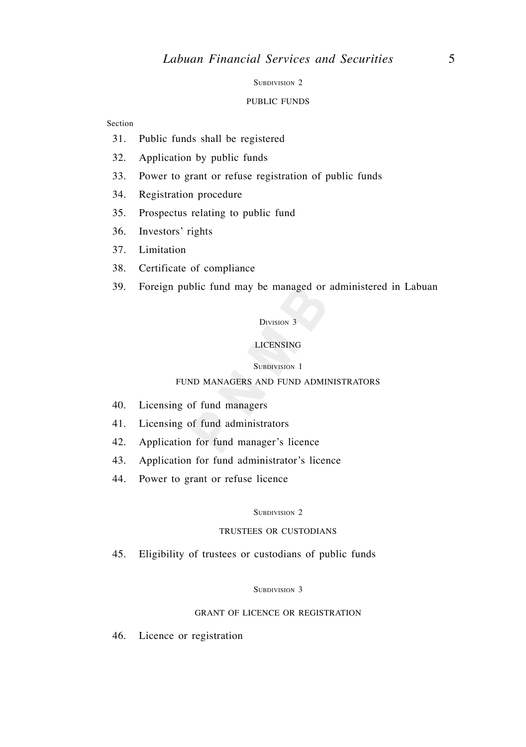#### SUBDIVISION 2

#### PUBLIC FUNDS

## Section

- 31. Public funds shall be registered
- 32. Application by public funds
- 33. Power to grant or refuse registration of public funds
- 34. Registration procedure
- 35. Prospectus relating to public fund
- 36. Investors' rights
- 37. Limitation
- 38. Certificate of compliance
- 39. Foreign public fund may be managed or administered in Labuan

### DIVISION 3

# LICENSING

#### SUBDIVISION 1

# FUND MANAGERS AND FUND ADMINISTRATORS

- 40. Licensing of fund managers
- 41. Licensing of fund administrators
- 42. Application for fund manager's licence
- 43. Application for fund administrator's licence
- 44. Power to grant or refuse licence

#### SUBDIVISION 2

## TRUSTEES OR CUSTODIANS

45. Eligibility of trustees or custodians of public funds

#### SUBDIVISION 3

# GRANT OF LICENCE OR REGISTRATION

46. Licence or registration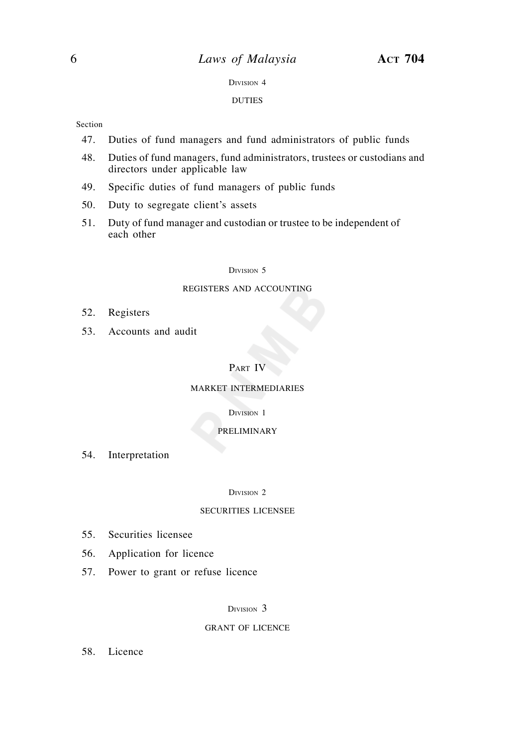#### DIVISION 4

#### DUTIES

## Section

- 47. Duties of fund managers and fund administrators of public funds
- 48. Duties of fund managers, fund administrators, trustees or custodians and directors under applicable law
- 49. Specific duties of fund managers of public funds
- 50. Duty to segregate client's assets
- 51. Duty of fund manager and custodian or trustee to be independent of each other

#### DIVISION 5

## REGISTERS AND ACCOUNTING

- 52. Registers
- 53. Accounts and audit

# PART IV

### MARKET INTERMEDIARIES

#### DIVISION 1

#### PRELIMINARY

54. Interpretation

#### DIVISION 2

## SECURITIES LICENSEE

- 55. Securities licensee
- 56. Application for licence
- 57. Power to grant or refuse licence

# DIVISION<sub>3</sub>

#### GRANT OF LICENCE

58. Licence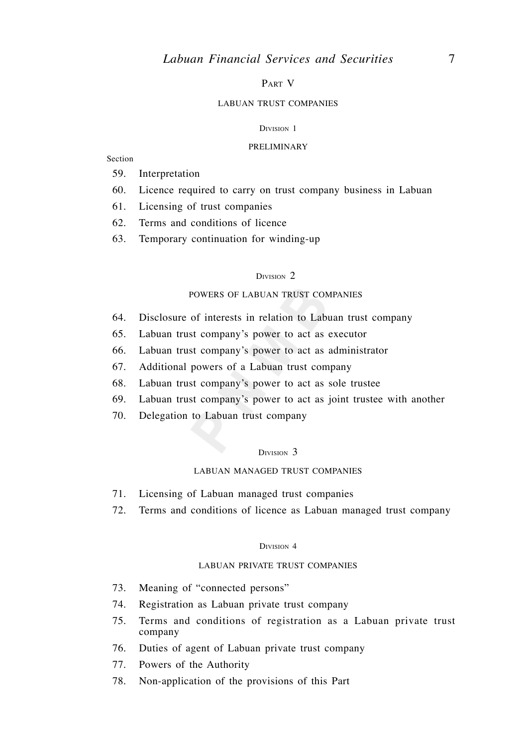# PART V

## LABUAN TRUST COMPANIES

#### DIVISION 1

#### PRELIMINARY

Section

- 59. Interpretation
- 60. Licence required to carry on trust company business in Labuan
- 61. Licensing of trust companies
- 62. Terms and conditions of licence
- 63. Temporary continuation for winding-up

#### DIVISION 2

# POWERS OF LABUAN TRUST COMPANIES

- 64. Disclosure of interests in relation to Labuan trust company
- 65. Labuan trust company's power to act as executor
- 66. Labuan trust company's power to act as administrator
- 67. Additional powers of a Labuan trust company
- 68. Labuan trust company's power to act as sole trustee
- 69. Labuan trust company's power to act as joint trustee with another
- 70. Delegation to Labuan trust company

## DIVISION<sub>3</sub>

# LABUAN MANAGED TRUST COMPANIES

- 71. Licensing of Labuan managed trust companies
- 72. Terms and conditions of licence as Labuan managed trust company

#### DIVISION 4

## LABUAN PRIVATE TRUST COMPANIES

- 73. Meaning of "connected persons"
- 74. Registration as Labuan private trust company
- 75. Terms and conditions of registration as a Labuan private trust company
- 76. Duties of agent of Labuan private trust company
- 77. Powers of the Authority
- 78. Non-application of the provisions of this Part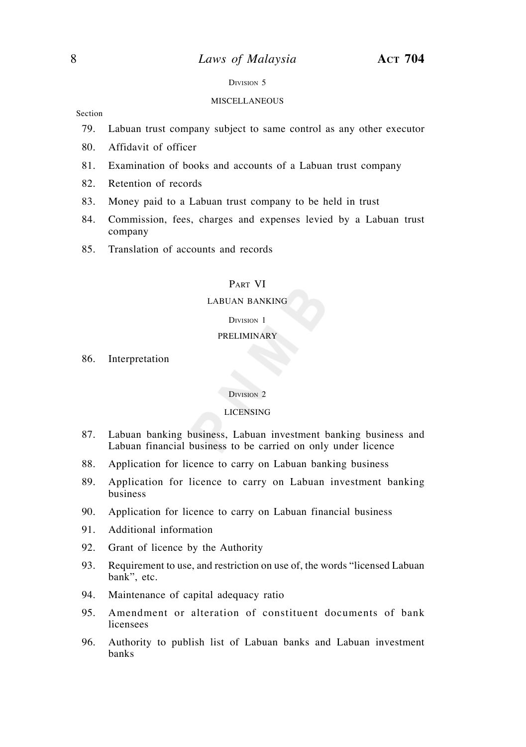# 8 *Laws of Malaysia* **ACT 704**

#### DIVISION 5

## MISCELLANEOUS

Section

- 79. Labuan trust company subject to same control as any other executor
- 80. Affidavit of officer
- 81. Examination of books and accounts of a Labuan trust company
- 82. Retention of records
- 83. Money paid to a Labuan trust company to be held in trust
- 84. Commission, fees, charges and expenses levied by a Labuan trust company
- 85. Translation of accounts and records

# PART VI

## LABUAN BANKING

#### DIVISION 1

## PRELIMINARY

86. Interpretation

#### DIVISION 2

#### LICENSING

- 87. Labuan banking business, Labuan investment banking business and Labuan financial business to be carried on only under licence
- 88. Application for licence to carry on Labuan banking business
- 89. Application for licence to carry on Labuan investment banking business
- 90. Application for licence to carry on Labuan financial business
- 91. Additional information
- 92. Grant of licence by the Authority
- 93. Requirement to use, and restriction on use of, the words "licensed Labuan bank", etc.
- 94. Maintenance of capital adequacy ratio
- 95. Amendment or alteration of constituent documents of bank licensees
- 96. Authority to publish list of Labuan banks and Labuan investment banks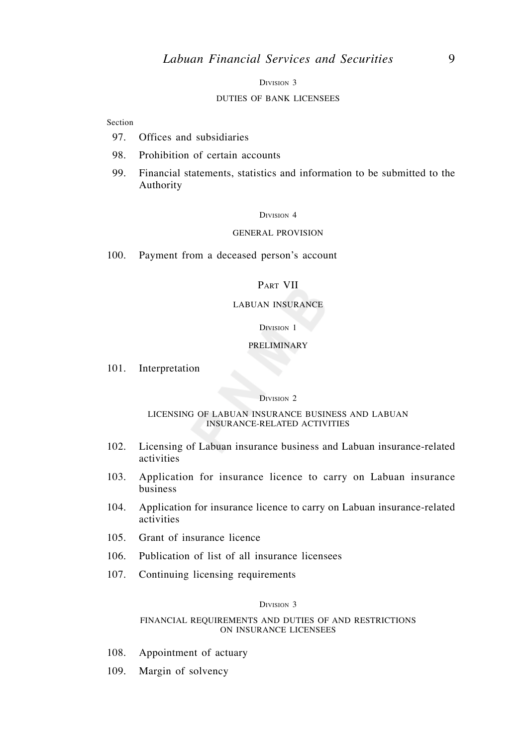DIVISION 3

## DUTIES OF BANK LICENSEES

Section

- 97. Offices and subsidiaries
- 98. Prohibition of certain accounts
- 99. Financial statements, statistics and information to be submitted to the Authority

#### DIVISION 4

#### GENERAL PROVISION

100. Payment from a deceased person's account

# PART VII

#### LABUAN INSURANCE

## DIVISION 1

#### PRELIMINARY

101. Interpretation

#### DIVISION 2

#### LICENSING OF LABUAN INSURANCE BUSINESS AND LABUAN INSURANCE-RELATED ACTIVITIES

- 102. Licensing of Labuan insurance business and Labuan insurance-related activities
- 103. Application for insurance licence to carry on Labuan insurance business
- 104. Application for insurance licence to carry on Labuan insurance-related activities
- 105. Grant of insurance licence
- 106. Publication of list of all insurance licensees
- 107. Continuing licensing requirements

## DIVISION 3

#### FINANCIAL REQUIREMENTS AND DUTIES OF AND RESTRICTIONS ON INSURANCE LICENSEES

- 108. Appointment of actuary
- 109. Margin of solvency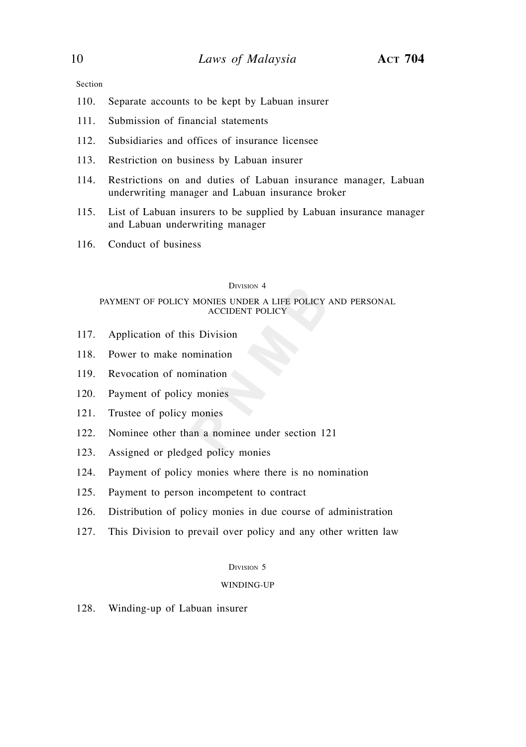Section

- 110. Separate accounts to be kept by Labuan insurer
- 111. Submission of financial statements
- 112. Subsidiaries and offices of insurance licensee
- 113. Restriction on business by Labuan insurer
- 114. Restrictions on and duties of Labuan insurance manager, Labuan underwriting manager and Labuan insurance broker
- 115. List of Labuan insurers to be supplied by Labuan insurance manager and Labuan underwriting manager
- 116. Conduct of business

#### DIVISION 4

#### PAYMENT OF POLICY MONIES UNDER A LIFE POLICY AND PERSONAL ACCIDENT POLICY

- 117. Application of this Division
- 118. Power to make nomination
- 119. Revocation of nomination
- 120. Payment of policy monies
- 121. Trustee of policy monies
- 122. Nominee other than a nominee under section 121
- 123. Assigned or pledged policy monies
- 124. Payment of policy monies where there is no nomination
- 125. Payment to person incompetent to contract
- 126. Distribution of policy monies in due course of administration
- 127. This Division to prevail over policy and any other written law

## DIVISION 5

#### WINDING-UP

128. Winding-up of Labuan insurer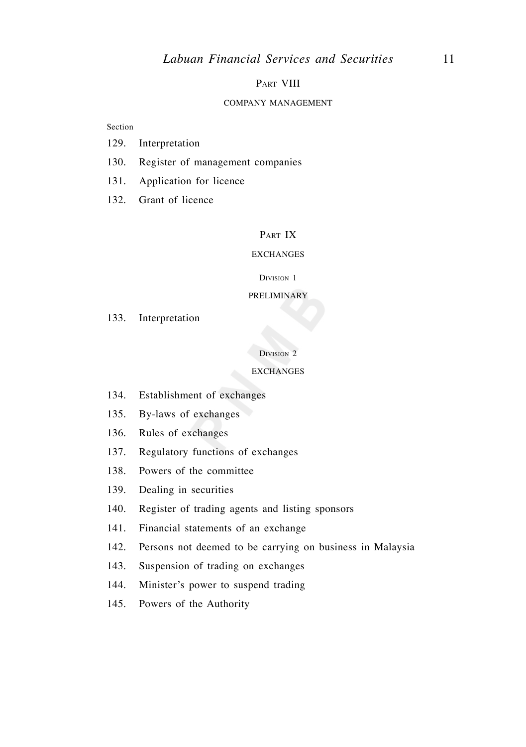## PART VIII

#### COMPANY MANAGEMENT

## Section

- 129. Interpretation
- 130. Register of management companies
- 131. Application for licence
- 132. Grant of licence

# PART IX

#### EXCHANGES

#### DIVISION 1

## PRELIMINARY

133. Interpretation

## DIVISION 2

#### **EXCHANGES**

- 134. Establishment of exchanges
- 135. By-laws of exchanges
- 136. Rules of exchanges
- 137. Regulatory functions of exchanges
- 138. Powers of the committee
- 139. Dealing in securities
- 140. Register of trading agents and listing sponsors
- 141. Financial statements of an exchange
- 142. Persons not deemed to be carrying on business in Malaysia
- 143. Suspension of trading on exchanges
- 144. Minister's power to suspend trading
- 145. Powers of the Authority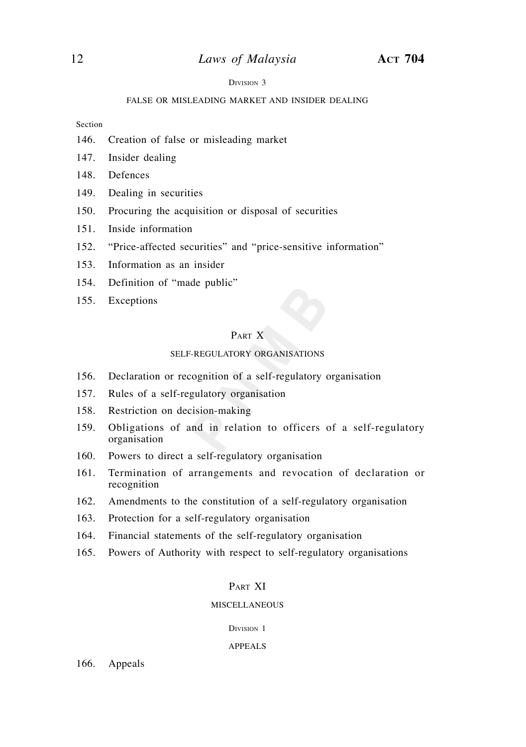#### DIVISION 3

#### FALSE OR MISLEADING MARKET AND INSIDER DEALING

Section

- 146. Creation of false or misleading market
- 147. Insider dealing
- 148. Defences
- 149. Dealing in securities
- 150. Procuring the acquisition or disposal of securities
- 151. Inside information
- 152. "Price-affected securities" and "price-sensitive information"
- 153. Information as an insider
- 154. Definition of "made public"
- 155. Exceptions

# PART X

## SELF-REGULATORY ORGANISATIONS

- 156. Declaration or recognition of a self-regulatory organisation
- 157. Rules of a self-regulatory organisation
- 158. Restriction on decision-making
- 159. Obligations of and in relation to officers of a self-regulatory organisation
- 160. Powers to direct a self-regulatory organisation
- 161. Termination of arrangements and revocation of declaration or recognition
- 162. Amendments to the constitution of a self-regulatory organisation
- 163. Protection for a self-regulatory organisation
- 164. Financial statements of the self-regulatory organisation
- 165. Powers of Authority with respect to self-regulatory organisations

# PAPT XI

## MISCELLANEOUS

DIVISION 1

#### APPEALS

166. Appeals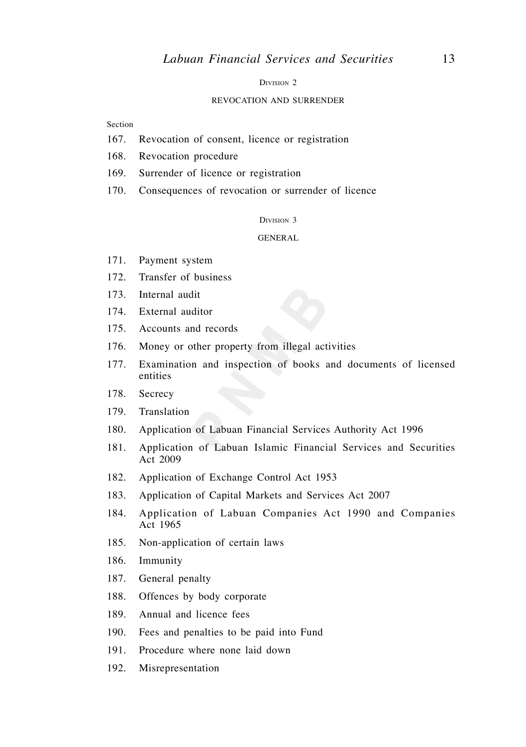DIVISION<sub>2</sub>

#### REVOCATION AND SURRENDER

Section

- 167. Revocation of consent, licence or registration
- 168. Revocation procedure
- 169. Surrender of licence or registration
- 170. Consequences of revocation or surrender of licence

DIVISION 3

GENERAL

- 171. Payment system
- 172. Transfer of business
- 173. Internal audit
- 174. External auditor
- 175. Accounts and records
- 176. Money or other property from illegal activities
- 177. Examination and inspection of books and documents of licensed entities
- 178. Secrecy
- 179. Translation
- 180. Application of Labuan Financial Services Authority Act 1996
- 181. Application of Labuan Islamic Financial Services and Securities Act 2009
- 182. Application of Exchange Control Act 1953
- 183. Application of Capital Markets and Services Act 2007
- 184. Application of Labuan Companies Act 1990 and Companies Act 1965
- 185. Non-application of certain laws
- 186. Immunity
- 187. General penalty
- 188. Offences by body corporate
- 189. Annual and licence fees
- 190. Fees and penalties to be paid into Fund
- 191. Procedure where none laid down
- 192. Misrepresentation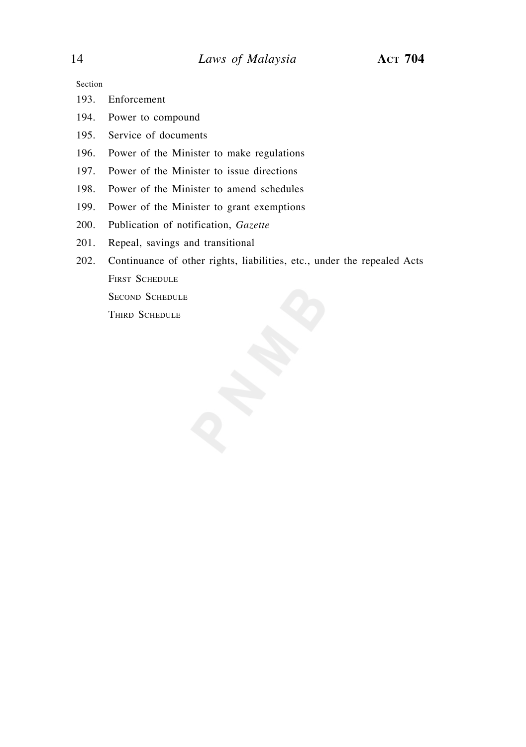Section

- 193. Enforcement
- 194. Power to compound
- 195. Service of documents
- 196. Power of the Minister to make regulations
- 197. Power of the Minister to issue directions
- 198. Power of the Minister to amend schedules
- 199. Power of the Minister to grant exemptions
- 200. Publication of notification, *Gazette*
- 201. Repeal, savings and transitional
- 202. Continuance of other rights, liabilities, etc., under the repealed Acts FIRST SCHEDULE SECOND SCHEDULE THIRD SCHEDULE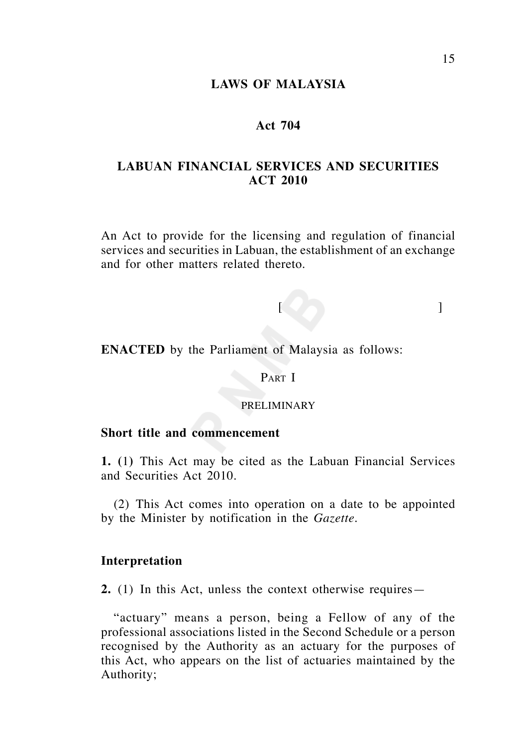# **LAWS OF MALAYSIA**

# **Act 704**

# **LABUAN FINANCIAL SERVICES AND SECURITIES ACT 2010**

An Act to provide for the licensing and regulation of financial services and securities in Labuan, the establishment of an exchange and for other matters related thereto.

[ ]

**ENACTED** by the Parliament of Malaysia as follows:

# PART I

# PRELIMINARY

# **Short title and commencement**

**1. (**1**)** This Act may be cited as the Labuan Financial Services and Securities Act 2010.

 (2) This Act comes into operation on a date to be appointed by the Minister by notification in the *Gazette*.

# **Interpretation**

**2.** (1) In this Act, unless the context otherwise requires—

 "actuary" means a person, being a Fellow of any of the professional associations listed in the Second Schedule or a person recognised by the Authority as an actuary for the purposes of this Act, who appears on the list of actuaries maintained by the Authority;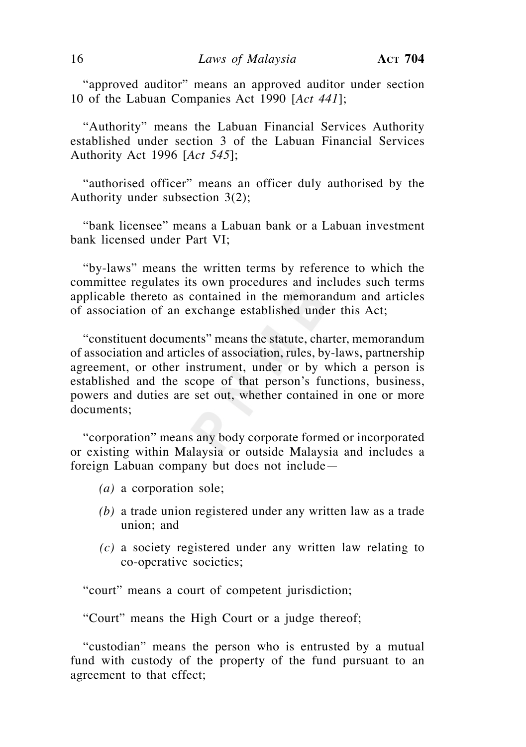"approved auditor" means an approved auditor under section 10 of the Labuan Companies Act 1990 [*Act 441*];

 "Authority" means the Labuan Financial Services Authority established under section 3 of the Labuan Financial Services Authority Act 1996 [*Act 545*];

 "authorised officer" means an officer duly authorised by the Authority under subsection 3(2);

 "bank licensee" means a Labuan bank or a Labuan investment bank licensed under Part VI;

 "by-laws" means the written terms by reference to which the committee regulates its own procedures and includes such terms applicable thereto as contained in the memorandum and articles of association of an exchange established under this Act;

 "constituent documents" means the statute, charter, memorandum of association and articles of association, rules, by-laws, partnership agreement, or other instrument, under or by which a person is established and the scope of that person's functions, business, powers and duties are set out, whether contained in one or more documents;

 "corporation" means any body corporate formed or incorporated or existing within Malaysia or outside Malaysia and includes a foreign Labuan company but does not include—

- *(a)* a corporation sole;
- *(b)* a trade union registered under any written law as a trade union; and
- *(c)* a society registered under any written law relating to co-operative societies;

"court" means a court of competent jurisdiction;

"Court" means the High Court or a judge thereof;

 "custodian" means the person who is entrusted by a mutual fund with custody of the property of the fund pursuant to an agreement to that effect;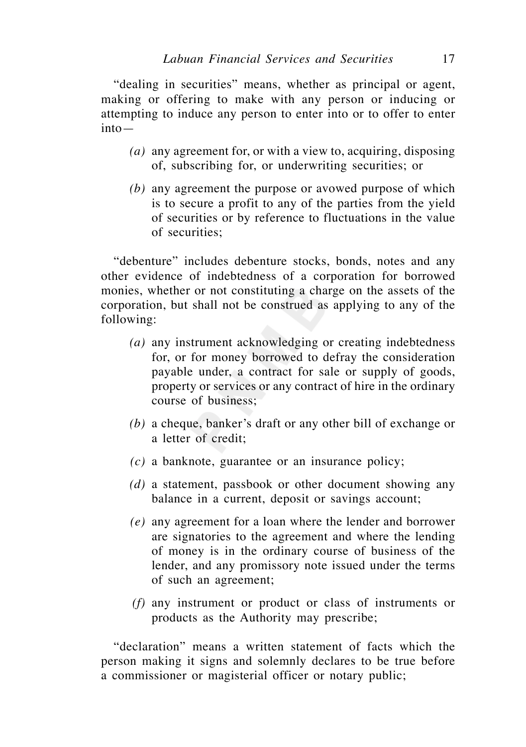"dealing in securities" means, whether as principal or agent, making or offering to make with any person or inducing or attempting to induce any person to enter into or to offer to enter into—

- *(a)* any agreement for, or with a view to, acquiring, disposing of, subscribing for, or underwriting securities; or
- *(b)* any agreement the purpose or avowed purpose of which is to secure a profit to any of the parties from the yield of securities or by reference to fluctuations in the value of securities;

 "debenture" includes debenture stocks, bonds, notes and any other evidence of indebtedness of a corporation for borrowed monies, whether or not constituting a charge on the assets of the corporation, but shall not be construed as applying to any of the following:

- *(a)* any instrument acknowledging or creating indebtedness for, or for money borrowed to defray the consideration payable under, a contract for sale or supply of goods, property or services or any contract of hire in the ordinary course of business;
- *(b)* a cheque, banker's draft or any other bill of exchange or a letter of credit;
- *(c)* a banknote, guarantee or an insurance policy;
- *(d)* a statement, passbook or other document showing any balance in a current, deposit or savings account;
- *(e)* any agreement for a loan where the lender and borrower are signatories to the agreement and where the lending of money is in the ordinary course of business of the lender, and any promissory note issued under the terms of such an agreement;
- *(f)* any instrument or product or class of instruments or products as the Authority may prescribe;

 "declaration" means a written statement of facts which the person making it signs and solemnly declares to be true before a commissioner or magisterial officer or notary public;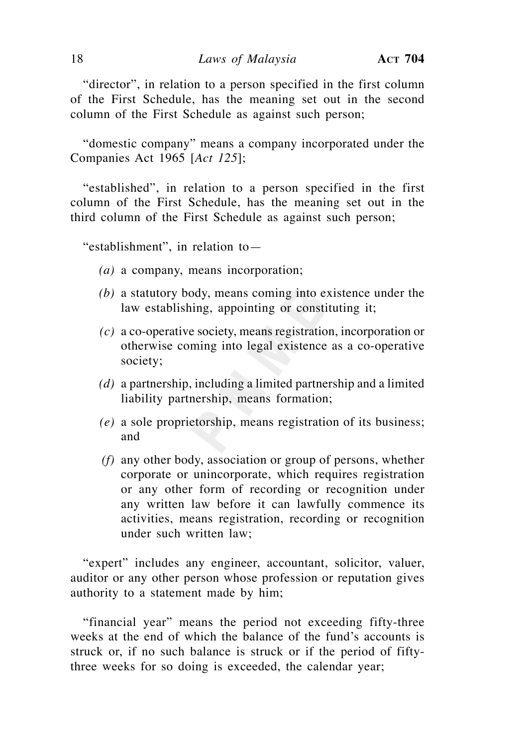"director", in relation to a person specified in the first column of the First Schedule, has the meaning set out in the second column of the First Schedule as against such person;

 "domestic company" means a company incorporated under the Companies Act 1965 [*Act 125*];

 "established", in relation to a person specified in the first column of the First Schedule, has the meaning set out in the third column of the First Schedule as against such person;

"establishment", in relation to—

- *(a)* a company, means incorporation;
- *(b)* a statutory body, means coming into existence under the law establishing, appointing or constituting it;
- *(c)* a co-operative society, means registration, incorporation or otherwise coming into legal existence as a co-operative society;
- *(d)* a partnership, including a limited partnership and a limited liability partnership, means formation;
- *(e)* a sole proprietorship, means registration of its business; and
- *(f)* any other body, association or group of persons, whether corporate or unincorporate, which requires registration or any other form of recording or recognition under any written law before it can lawfully commence its activities, means registration, recording or recognition under such written law;

 "expert" includes any engineer, accountant, solicitor, valuer, auditor or any other person whose profession or reputation gives authority to a statement made by him;

 "financial year" means the period not exceeding fifty-three weeks at the end of which the balance of the fund's accounts is struck or, if no such balance is struck or if the period of fiftythree weeks for so doing is exceeded, the calendar year;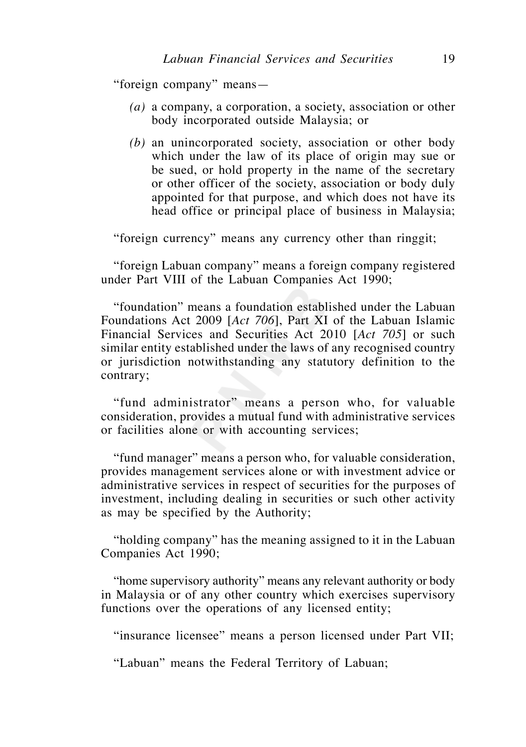"foreign company" means—

- *(a)* a company, a corporation, a society, association or other body incorporated outside Malaysia; or
- *(b)* an unincorporated society, association or other body which under the law of its place of origin may sue or be sued, or hold property in the name of the secretary or other officer of the society, association or body duly appointed for that purpose, and which does not have its head office or principal place of business in Malaysia;

"foreign currency" means any currency other than ringgit;

 "foreign Labuan company" means a foreign company registered under Part VIII of the Labuan Companies Act 1990;

 "foundation" means a foundation established under the Labuan Foundations Act 2009 [*Act 706*], Part XI of the Labuan Islamic Financial Services and Securities Act 2010 [*Act 705*] or such similar entity established under the laws of any recognised country or jurisdiction notwithstanding any statutory definition to the contrary;

 "fund administrator" means a person who, for valuable consideration, provides a mutual fund with administrative services or facilities alone or with accounting services;

 "fund manager" means a person who, for valuable consideration, provides management services alone or with investment advice or administrative services in respect of securities for the purposes of investment, including dealing in securities or such other activity as may be specified by the Authority;

 "holding company" has the meaning assigned to it in the Labuan Companies Act 1990;

 "home supervisory authority" means any relevant authority or body in Malaysia or of any other country which exercises supervisory functions over the operations of any licensed entity;

"insurance licensee" means a person licensed under Part VII;

"Labuan" means the Federal Territory of Labuan;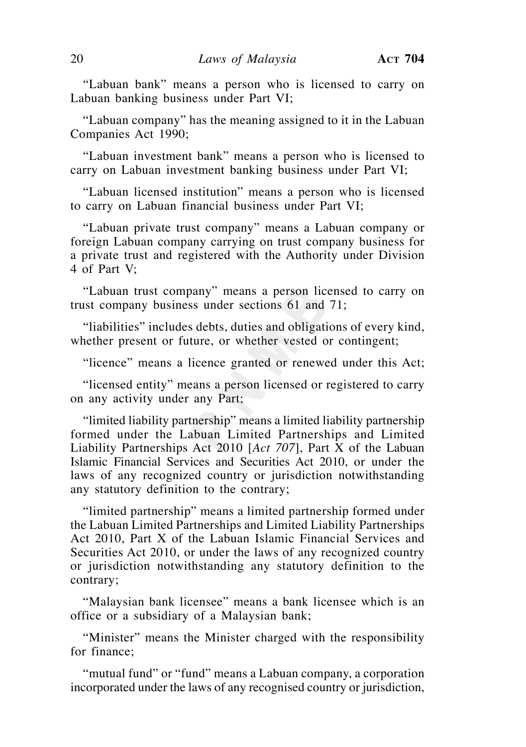"Labuan bank" means a person who is licensed to carry on Labuan banking business under Part VI;

 "Labuan company" has the meaning assigned to it in the Labuan Companies Act 1990;

 "Labuan investment bank" means a person who is licensed to carry on Labuan investment banking business under Part VI;

 "Labuan licensed institution" means a person who is licensed to carry on Labuan financial business under Part VI;

 "Labuan private trust company" means a Labuan company or foreign Labuan company carrying on trust company business for a private trust and registered with the Authority under Division 4 of Part V;

 "Labuan trust company" means a person licensed to carry on trust company business under sections 61 and 71;

 "liabilities" includes debts, duties and obligations of every kind, whether present or future, or whether vested or contingent;

"licence" means a licence granted or renewed under this Act;

 "licensed entity" means a person licensed or registered to carry on any activity under any Part;

 "limited liability partnership" means a limited liability partnership formed under the Labuan Limited Partnerships and Limited Liability Partnerships Act 2010 [*Act 707*], Part X of the Labuan Islamic Financial Services and Securities Act 2010, or under the laws of any recognized country or jurisdiction notwithstanding any statutory definition to the contrary;

 "limited partnership" means a limited partnership formed under the Labuan Limited Partnerships and Limited Liability Partnerships Act 2010, Part X of the Labuan Islamic Financial Services and Securities Act 2010, or under the laws of any recognized country or jurisdiction notwithstanding any statutory definition to the contrary;

 "Malaysian bank licensee" means a bank licensee which is an office or a subsidiary of a Malaysian bank;

"Minister" means the Minister charged with the responsibility for finance;

 "mutual fund" or "fund" means a Labuan company, a corporation incorporated under the laws of any recognised country or jurisdiction,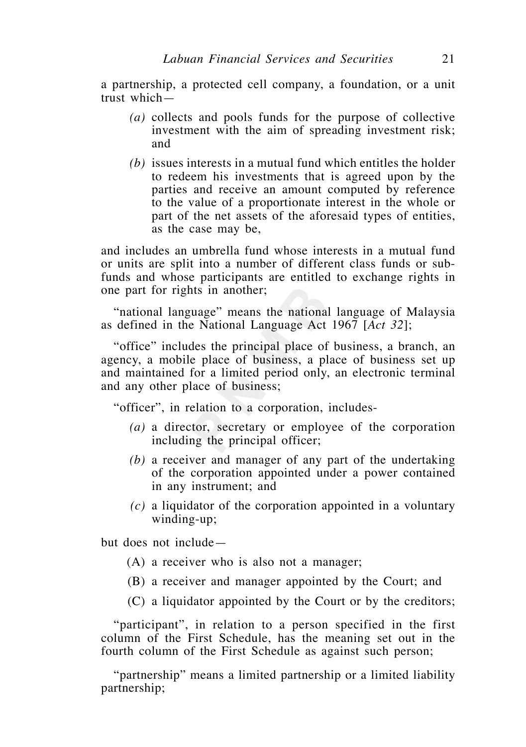a partnership, a protected cell company, a foundation, or a unit trust which—

- *(a)* collects and pools funds for the purpose of collective investment with the aim of spreading investment risk; and
- *(b)* issues interests in a mutual fund which entitles the holder to redeem his investments that is agreed upon by the parties and receive an amount computed by reference to the value of a proportionate interest in the whole or part of the net assets of the aforesaid types of entities, as the case may be,

and includes an umbrella fund whose interests in a mutual fund or units are split into a number of different class funds or subfunds and whose participants are entitled to exchange rights in one part for rights in another;

 "national language" means the national language of Malaysia as defined in the National Language Act 1967 [*Act 32*];

 "office" includes the principal place of business, a branch, an agency, a mobile place of business, a place of business set up and maintained for a limited period only, an electronic terminal and any other place of business;

"officer", in relation to a corporation, includes-

- *(a)* a director, secretary or employee of the corporation including the principal officer;
- *(b)* a receiver and manager of any part of the undertaking of the corporation appointed under a power contained in any instrument; and
- *(c)* a liquidator of the corporation appointed in a voluntary winding-up;

but does not include—

- (A) a receiver who is also not a manager;
- (B) a receiver and manager appointed by the Court; and
- (C) a liquidator appointed by the Court or by the creditors;

 "participant", in relation to a person specified in the first column of the First Schedule, has the meaning set out in the fourth column of the First Schedule as against such person;

 "partnership" means a limited partnership or a limited liability partnership;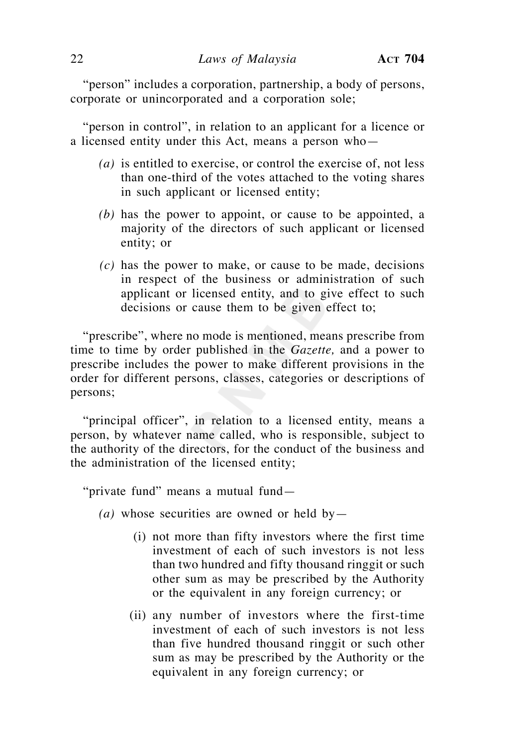"person" includes a corporation, partnership, a body of persons, corporate or unincorporated and a corporation sole;

 "person in control", in relation to an applicant for a licence or a licensed entity under this Act, means a person who—

- *(a)* is entitled to exercise, or control the exercise of, not less than one-third of the votes attached to the voting shares in such applicant or licensed entity;
- *(b)* has the power to appoint, or cause to be appointed, a majority of the directors of such applicant or licensed entity; or
- *(c)* has the power to make, or cause to be made, decisions in respect of the business or administration of such applicant or licensed entity, and to give effect to such decisions or cause them to be given effect to;

 "prescribe", where no mode is mentioned, means prescribe from time to time by order published in the *Gazette,* and a power to prescribe includes the power to make different provisions in the order for different persons, classes, categories or descriptions of persons;

 "principal officer", in relation to a licensed entity, means a person, by whatever name called, who is responsible, subject to the authority of the directors, for the conduct of the business and the administration of the licensed entity;

"private fund" means a mutual fund—

- $(a)$  whose securities are owned or held by
	- (i) not more than fifty investors where the first time investment of each of such investors is not less than two hundred and fifty thousand ringgit or such other sum as may be prescribed by the Authority or the equivalent in any foreign currency; or
	- (ii) any number of investors where the first-time investment of each of such investors is not less than five hundred thousand ringgit or such other sum as may be prescribed by the Authority or the equivalent in any foreign currency; or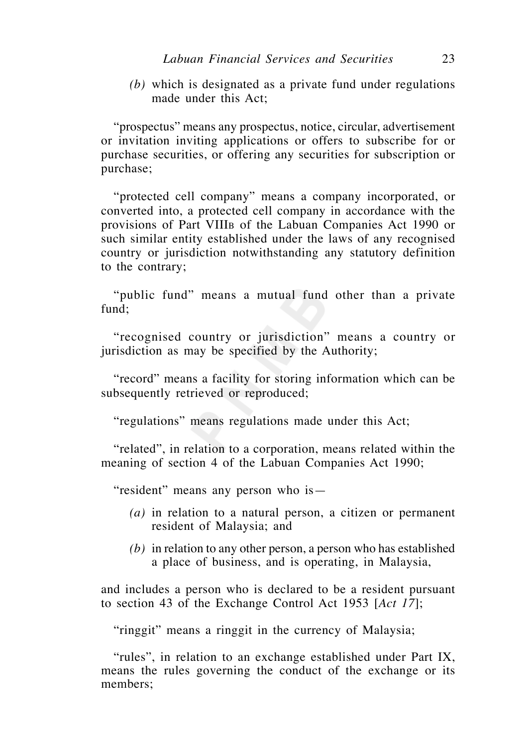*(b)* which is designated as a private fund under regulations made under this Act;

 "prospectus" means any prospectus, notice, circular, advertisement or invitation inviting applications or offers to subscribe for or purchase securities, or offering any securities for subscription or purchase;

 "protected cell company" means a company incorporated, or converted into, a protected cell company in accordance with the provisions of Part VIIIB of the Labuan Companies Act 1990 or such similar entity established under the laws of any recognised country or jurisdiction notwithstanding any statutory definition to the contrary;

 "public fund" means a mutual fund other than a private fund;

 "recognised country or jurisdiction" means a country or jurisdiction as may be specified by the Authority;

 "record" means a facility for storing information which can be subsequently retrieved or reproduced;

"regulations" means regulations made under this Act;

 "related", in relation to a corporation, means related within the meaning of section 4 of the Labuan Companies Act 1990;

"resident" means any person who is—

- *(a)* in relation to a natural person, a citizen or permanent resident of Malaysia; and
- *(b)* in relation to any other person, a person who has established a place of business, and is operating, in Malaysia,

and includes a person who is declared to be a resident pursuant to section 43 of the Exchange Control Act 1953 [*Act 17*];

"ringgit" means a ringgit in the currency of Malaysia;

 "rules", in relation to an exchange established under Part IX, means the rules governing the conduct of the exchange or its members;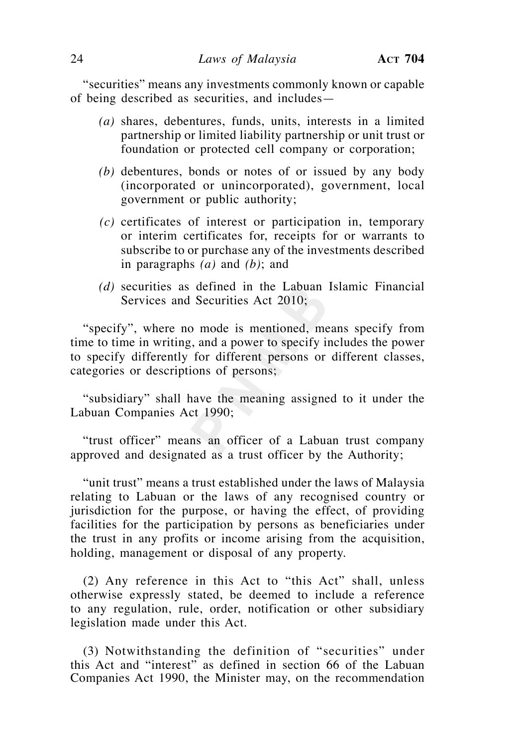"securities" means any investments commonly known or capable of being described as securities, and includes—

- *(a)* shares, debentures, funds, units, interests in a limited partnership or limited liability partnership or unit trust or foundation or protected cell company or corporation;
- *(b)* debentures, bonds or notes of or issued by any body (incorporated or unincorporated), government, local government or public authority;
- *(c)* certificates of interest or participation in, temporary or interim certificates for, receipts for or warrants to subscribe to or purchase any of the investments described in paragraphs *(a)* and *(b)*; and
- *(d)* securities as defined in the Labuan Islamic Financial Services and Securities Act 2010;

 "specify", where no mode is mentioned, means specify from time to time in writing, and a power to specify includes the power to specify differently for different persons or different classes, categories or descriptions of persons;

 "subsidiary" shall have the meaning assigned to it under the Labuan Companies Act 1990;

 "trust officer" means an officer of a Labuan trust company approved and designated as a trust officer by the Authority;

 "unit trust" means a trust established under the laws of Malaysia relating to Labuan or the laws of any recognised country or jurisdiction for the purpose, or having the effect, of providing facilities for the participation by persons as beneficiaries under the trust in any profits or income arising from the acquisition, holding, management or disposal of any property.

 (2) Any reference in this Act to "this Act" shall, unless otherwise expressly stated, be deemed to include a reference to any regulation, rule, order, notification or other subsidiary legislation made under this Act.

 (3) Notwithstanding the definition of "securities" under this Act and "interest" as defined in section 66 of the Labuan Companies Act 1990, the Minister may, on the recommendation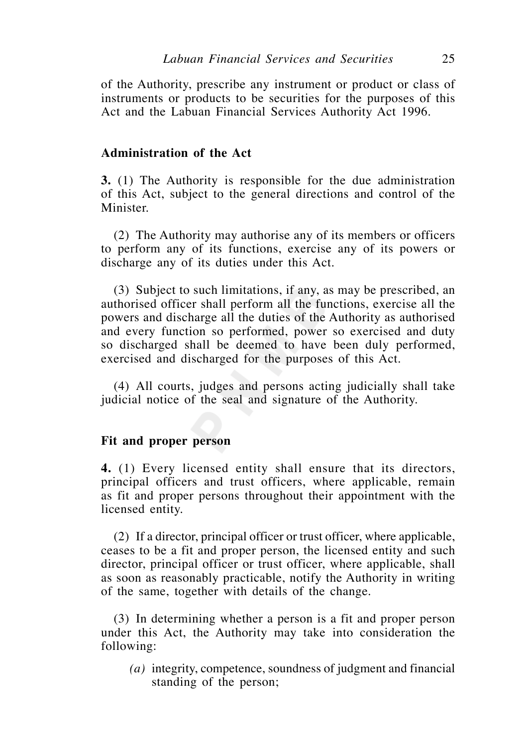of the Authority, prescribe any instrument or product or class of instruments or products to be securities for the purposes of this Act and the Labuan Financial Services Authority Act 1996.

# **Administration of the Act**

**3.** (1) The Authority is responsible for the due administration of this Act, subject to the general directions and control of the Minister.

 (2) The Authority may authorise any of its members or officers to perform any of its functions, exercise any of its powers or discharge any of its duties under this Act.

 (3) Subject to such limitations, if any, as may be prescribed, an authorised officer shall perform all the functions, exercise all the powers and discharge all the duties of the Authority as authorised and every function so performed, power so exercised and duty so discharged shall be deemed to have been duly performed, exercised and discharged for the purposes of this Act.

 (4) All courts, judges and persons acting judicially shall take judicial notice of the seal and signature of the Authority.

# **Fit and proper person**

**4.** (1) Every licensed entity shall ensure that its directors, principal officers and trust officers, where applicable, remain as fit and proper persons throughout their appointment with the licensed entity.

 (2) If a director, principal officer or trust officer, where applicable, ceases to be a fit and proper person, the licensed entity and such director, principal officer or trust officer, where applicable, shall as soon as reasonably practicable, notify the Authority in writing of the same, together with details of the change.

 (3) In determining whether a person is a fit and proper person under this Act, the Authority may take into consideration the following:

 *(a)* integrity, competence, soundness of judgment and financial standing of the person;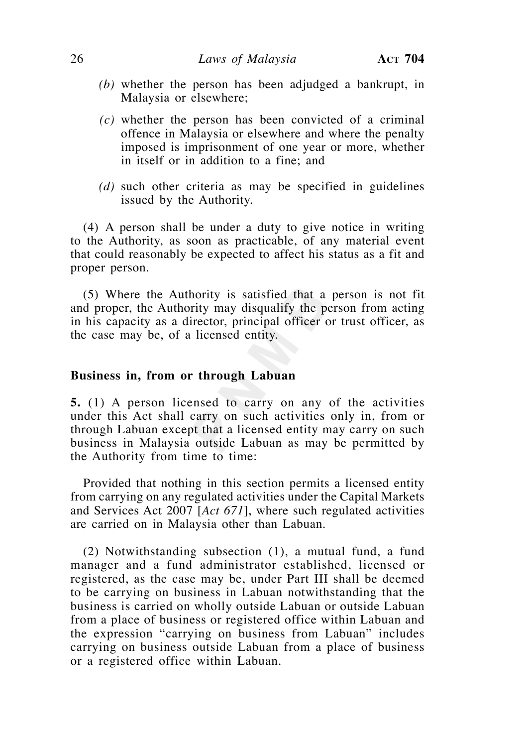- *(b)* whether the person has been adjudged a bankrupt, in Malaysia or elsewhere;
- *(c)* whether the person has been convicted of a criminal offence in Malaysia or elsewhere and where the penalty imposed is imprisonment of one year or more, whether in itself or in addition to a fine; and
- *(d)* such other criteria as may be specified in guidelines issued by the Authority.

 (4) A person shall be under a duty to give notice in writing to the Authority, as soon as practicable, of any material event that could reasonably be expected to affect his status as a fit and proper person.

 (5) Where the Authority is satisfied that a person is not fit and proper, the Authority may disqualify the person from acting in his capacity as a director, principal officer or trust officer, as the case may be, of a licensed entity.

# **Business in, from or through Labuan**

**5.** (1) A person licensed to carry on any of the activities under this Act shall carry on such activities only in, from or through Labuan except that a licensed entity may carry on such business in Malaysia outside Labuan as may be permitted by the Authority from time to time:

 Provided that nothing in this section permits a licensed entity from carrying on any regulated activities under the Capital Markets and Services Act 2007 [*Act 671*], where such regulated activities are carried on in Malaysia other than Labuan.

 (2) Notwithstanding subsection (1), a mutual fund, a fund manager and a fund administrator established, licensed or registered, as the case may be, under Part III shall be deemed to be carrying on business in Labuan notwithstanding that the business is carried on wholly outside Labuan or outside Labuan from a place of business or registered office within Labuan and the expression "carrying on business from Labuan" includes carrying on business outside Labuan from a place of business or a registered office within Labuan.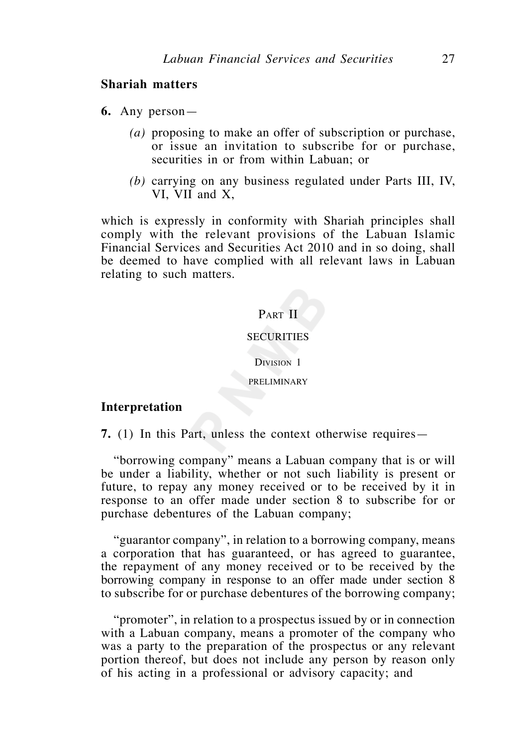# **Shariah matters**

- **6.** Any person—
	- *(a)* proposing to make an offer of subscription or purchase, or issue an invitation to subscribe for or purchase, securities in or from within Labuan; or
	- *(b)* carrying on any business regulated under Parts III, IV, VI, VII and X,

which is expressly in conformity with Shariah principles shall comply with the relevant provisions of the Labuan Islamic Financial Services and Securities Act 2010 and in so doing, shall be deemed to have complied with all relevant laws in Labuan relating to such matters.

# PART II

# **SECURITIES**

DIVISION 1

PRELIMINARY

# **Interpretation**

**7.** (1) In this Part, unless the context otherwise requires—

 "borrowing company" means a Labuan company that is or will be under a liability, whether or not such liability is present or future, to repay any money received or to be received by it in response to an offer made under section 8 to subscribe for or purchase debentures of the Labuan company;

 "guarantor company", in relation to a borrowing company, means a corporation that has guaranteed, or has agreed to guarantee, the repayment of any money received or to be received by the borrowing company in response to an offer made under section 8 to subscribe for or purchase debentures of the borrowing company;

 "promoter", in relation to a prospectus issued by or in connection with a Labuan company, means a promoter of the company who was a party to the preparation of the prospectus or any relevant portion thereof, but does not include any person by reason only of his acting in a professional or advisory capacity; and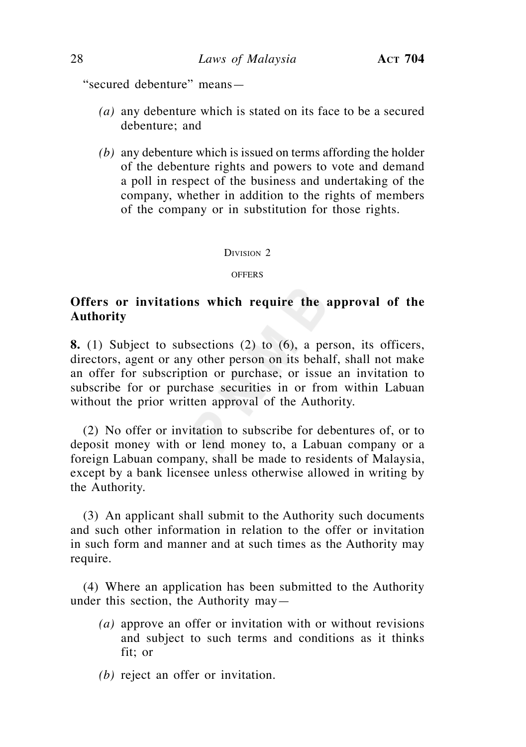"secured debenture" means—

- *(a)* any debenture which is stated on its face to be a secured debenture; and
- *(b)* any debenture which is issued on terms affording the holder of the debenture rights and powers to vote and demand a poll in respect of the business and undertaking of the company, whether in addition to the rights of members of the company or in substitution for those rights.

# DIVISION<sub>2</sub>

**OFFERS** 

# **Offers or invitations which require the approval of the Authority**

**8.** (1) Subject to subsections (2) to (6), a person, its officers, directors, agent or any other person on its behalf, shall not make an offer for subscription or purchase, or issue an invitation to subscribe for or purchase securities in or from within Labuan without the prior written approval of the Authority.

 (2) No offer or invitation to subscribe for debentures of, or to deposit money with or lend money to, a Labuan company or a foreign Labuan company, shall be made to residents of Malaysia, except by a bank licensee unless otherwise allowed in writing by the Authority.

(3) An applicant shall submit to the Authority such documents and such other information in relation to the offer or invitation in such form and manner and at such times as the Authority may require.

 (4) Where an application has been submitted to the Authority under this section, the Authority may—

- *(a)* approve an offer or invitation with or without revisions and subject to such terms and conditions as it thinks fit; or
- *(b)* reject an offer or invitation.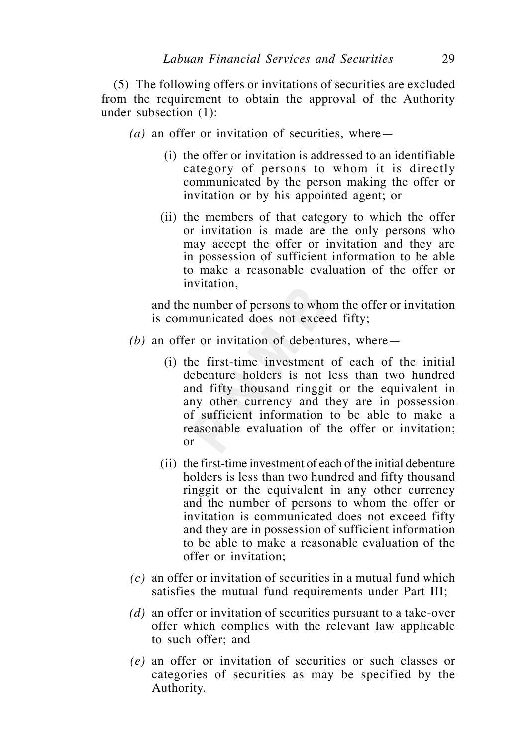(5) The following offers or invitations of securities are excluded from the requirement to obtain the approval of the Authority under subsection (1):

- *(a)* an offer or invitation of securities, where—
	- (i) the offer or invitation is addressed to an identifiable category of persons to whom it is directly communicated by the person making the offer or invitation or by his appointed agent; or
	- (ii) the members of that category to which the offer or invitation is made are the only persons who may accept the offer or invitation and they are in possession of sufficient information to be able to make a reasonable evaluation of the offer or invitation,

and the number of persons to whom the offer or invitation is communicated does not exceed fifty;

- $(b)$  an offer or invitation of debentures, where
	- (i) the first-time investment of each of the initial debenture holders is not less than two hundred and fifty thousand ringgit or the equivalent in any other currency and they are in possession of sufficient information to be able to make a reasonable evaluation of the offer or invitation; or
	- (ii) the first-time investment of each of the initial debenture holders is less than two hundred and fifty thousand ringgit or the equivalent in any other currency and the number of persons to whom the offer or invitation is communicated does not exceed fifty and they are in possession of sufficient information to be able to make a reasonable evaluation of the offer or invitation;
- *(c)* an offer or invitation of securities in a mutual fund which satisfies the mutual fund requirements under Part III;
- *(d)* an offer or invitation of securities pursuant to a take-over offer which complies with the relevant law applicable to such offer; and
- *(e)* an offer or invitation of securities or such classes or categories of securities as may be specified by the Authority.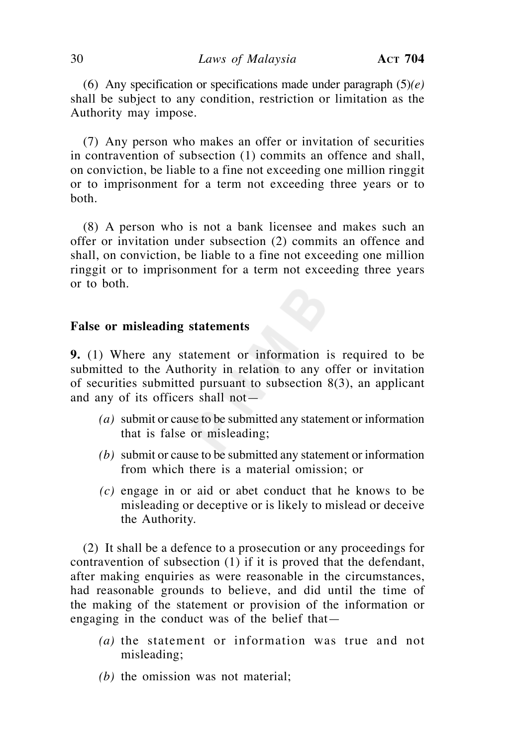(6) Any specification or specifications made under paragraph (5)*(e)* shall be subject to any condition, restriction or limitation as the Authority may impose.

 (7) Any person who makes an offer or invitation of securities in contravention of subsection (1) commits an offence and shall, on conviction, be liable to a fine not exceeding one million ringgit or to imprisonment for a term not exceeding three years or to both.

 (8) A person who is not a bank licensee and makes such an offer or invitation under subsection (2) commits an offence and shall, on conviction, be liable to a fine not exceeding one million ringgit or to imprisonment for a term not exceeding three years or to both.

# **False or misleading statements**

**9.** (1) Where any statement or information is required to be submitted to the Authority in relation to any offer or invitation of securities submitted pursuant to subsection 8(3), an applicant and any of its officers shall not—

- *(a)* submit or cause to be submitted any statement or information that is false or misleading;
- *(b)* submit or cause to be submitted any statement or information from which there is a material omission; or
- *(c)* engage in or aid or abet conduct that he knows to be misleading or deceptive or is likely to mislead or deceive the Authority.

 (2) It shall be a defence to a prosecution or any proceedings for contravention of subsection (1) if it is proved that the defendant, after making enquiries as were reasonable in the circumstances, had reasonable grounds to believe, and did until the time of the making of the statement or provision of the information or engaging in the conduct was of the belief that—

- *(a)* the statement or information was true and not misleading;
- *(b)* the omission was not material;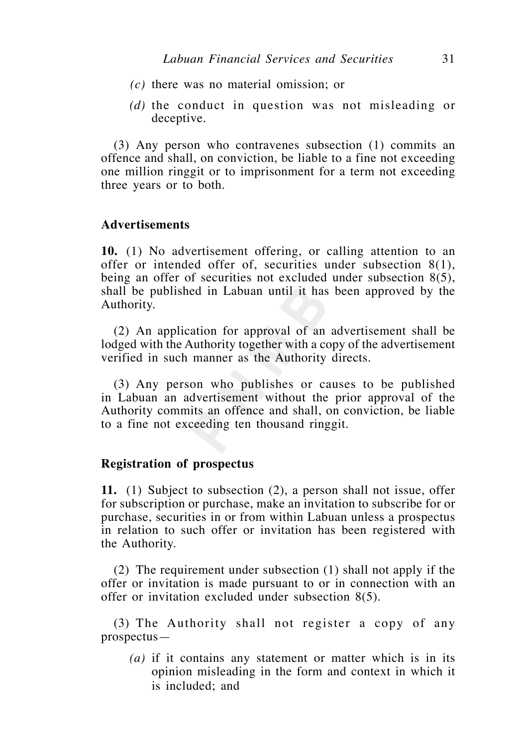- *(c)* there was no material omission; or
- *(d)* the conduct in question was not misleading or deceptive.

 (3) Any person who contravenes subsection (1) commits an offence and shall, on conviction, be liable to a fine not exceeding one million ringgit or to imprisonment for a term not exceeding three years or to both.

# **Advertisements**

**10.** (1) No advertisement offering, or calling attention to an offer or intended offer of, securities under subsection  $8(1)$ , being an offer of securities not excluded under subsection 8(5), shall be published in Labuan until it has been approved by the Authority.

 (2) An application for approval of an advertisement shall be lodged with the Authority together with a copy of the advertisement verified in such manner as the Authority directs.

 (3) Any person who publishes or causes to be published in Labuan an advertisement without the prior approval of the Authority commits an offence and shall, on conviction, be liable to a fine not exceeding ten thousand ringgit.

# **Registration of prospectus**

**11.** (1) Subject to subsection (2), a person shall not issue, offer for subscription or purchase, make an invitation to subscribe for or purchase, securities in or from within Labuan unless a prospectus in relation to such offer or invitation has been registered with the Authority.

 (2) The requirement under subsection (1) shall not apply if the offer or invitation is made pursuant to or in connection with an offer or invitation excluded under subsection 8(5).

 (3) The Authority shall not register a copy of any prospectus—

 *(a)* if it contains any statement or matter which is in its opinion misleading in the form and context in which it is included; and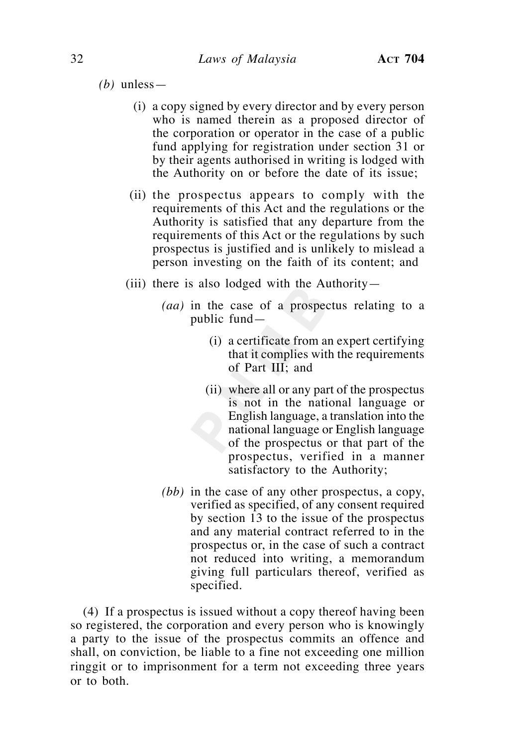*(b)* unless—

- (i) a copy signed by every director and by every person who is named therein as a proposed director of the corporation or operator in the case of a public fund applying for registration under section 31 or by their agents authorised in writing is lodged with the Authority on or before the date of its issue;
- (ii) the prospectus appears to comply with the requirements of this Act and the regulations or the Authority is satisfied that any departure from the requirements of this Act or the regulations by such prospectus is justified and is unlikely to mislead a person investing on the faith of its content; and
- (iii) there is also lodged with the Authority-
	- *(aa)* in the case of a prospectus relating to a public fund—
		- (i) a certificate from an expert certifying that it complies with the requirements of Part III; and
		- (ii) where all or any part of the prospectus is not in the national language or English language, a translation into the national language or English language of the prospectus or that part of the prospectus, verified in a manner satisfactory to the Authority;
	- *(bb)* in the case of any other prospectus, a copy, verified as specified, of any consent required by section 13 to the issue of the prospectus and any material contract referred to in the prospectus or, in the case of such a contract not reduced into writing, a memorandum giving full particulars thereof, verified as specified.

 (4) If a prospectus is issued without a copy thereof having been so registered, the corporation and every person who is knowingly a party to the issue of the prospectus commits an offence and shall, on conviction, be liable to a fine not exceeding one million ringgit or to imprisonment for a term not exceeding three years or to both.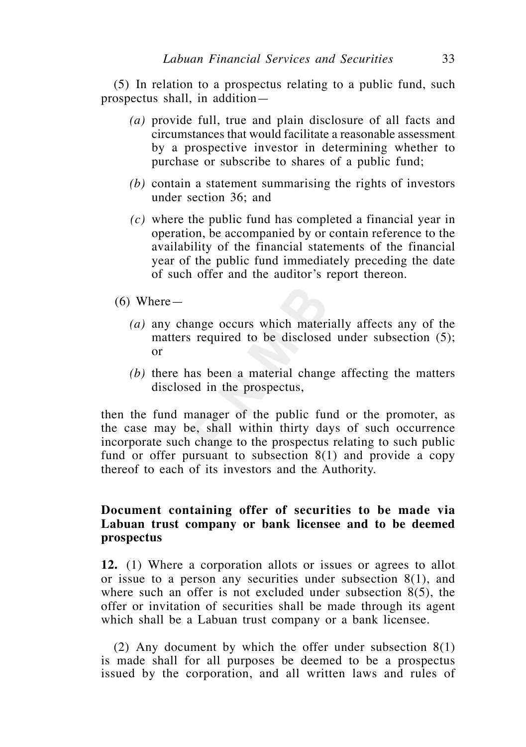(5) In relation to a prospectus relating to a public fund, such prospectus shall, in addition—

- *(a)* provide full, true and plain disclosure of all facts and circumstances that would facilitate a reasonable assessment by a prospective investor in determining whether to purchase or subscribe to shares of a public fund;
- *(b)* contain a statement summarising the rights of investors under section 36; and
- *(c)* where the public fund has completed a financial year in operation, be accompanied by or contain reference to the availability of the financial statements of the financial year of the public fund immediately preceding the date of such offer and the auditor's report thereon.
- $(6)$  Where
	- *(a)* any change occurs which materially affects any of the matters required to be disclosed under subsection (5); or
	- *(b)* there has been a material change affecting the matters disclosed in the prospectus,

then the fund manager of the public fund or the promoter, as the case may be, shall within thirty days of such occurrence incorporate such change to the prospectus relating to such public fund or offer pursuant to subsection  $8(1)$  and provide a copy thereof to each of its investors and the Authority.

# **Document containing offer of securities to be made via Labuan trust company or bank licensee and to be deemed prospectus**

**12.** (1) Where a corporation allots or issues or agrees to allot or issue to a person any securities under subsection 8(1), and where such an offer is not excluded under subsection 8(5), the offer or invitation of securities shall be made through its agent which shall be a Labuan trust company or a bank licensee.

 (2) Any document by which the offer under subsection 8(1) is made shall for all purposes be deemed to be a prospectus issued by the corporation, and all written laws and rules of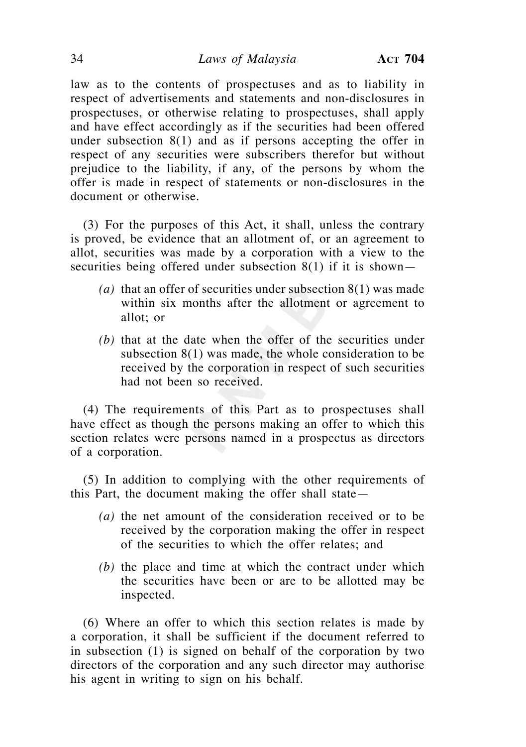law as to the contents of prospectuses and as to liability in respect of advertisements and statements and non-disclosures in prospectuses, or otherwise relating to prospectuses, shall apply and have effect accordingly as if the securities had been offered under subsection 8(1) and as if persons accepting the offer in respect of any securities were subscribers therefor but without prejudice to the liability, if any, of the persons by whom the offer is made in respect of statements or non-disclosures in the document or otherwise.

 (3) For the purposes of this Act, it shall, unless the contrary is proved, be evidence that an allotment of, or an agreement to allot, securities was made by a corporation with a view to the securities being offered under subsection 8(1) if it is shown—

- *(a)* that an offer of securities under subsection 8(1) was made within six months after the allotment or agreement to allot; or
- *(b)* that at the date when the offer of the securities under subsection 8(1) was made, the whole consideration to be received by the corporation in respect of such securities had not been so received.

 (4) The requirements of this Part as to prospectuses shall have effect as though the persons making an offer to which this section relates were persons named in a prospectus as directors of a corporation.

 (5) In addition to complying with the other requirements of this Part, the document making the offer shall state—

- *(a)* the net amount of the consideration received or to be received by the corporation making the offer in respect of the securities to which the offer relates; and
- *(b)* the place and time at which the contract under which the securities have been or are to be allotted may be inspected.

 (6) Where an offer to which this section relates is made by a corporation, it shall be sufficient if the document referred to in subsection (1) is signed on behalf of the corporation by two directors of the corporation and any such director may authorise his agent in writing to sign on his behalf.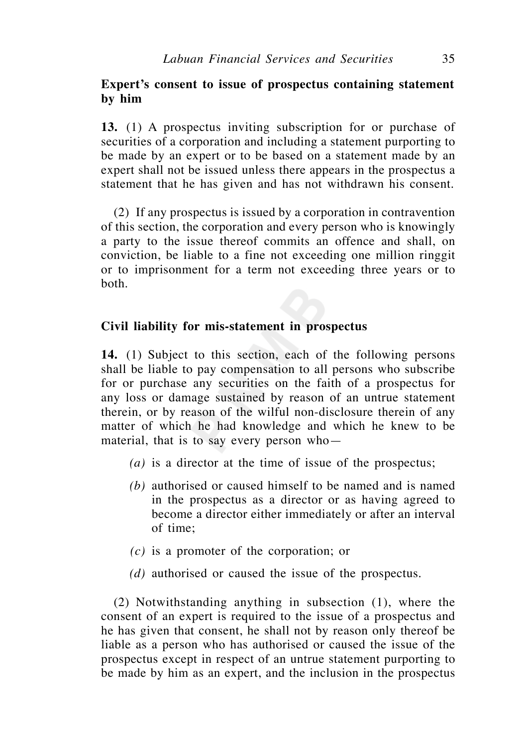# **Expert's consent to issue of prospectus containing statement by him**

**13.** (1) A prospectus inviting subscription for or purchase of securities of a corporation and including a statement purporting to be made by an expert or to be based on a statement made by an expert shall not be issued unless there appears in the prospectus a statement that he has given and has not withdrawn his consent.

 (2) If any prospectus is issued by a corporation in contravention of this section, the corporation and every person who is knowingly a party to the issue thereof commits an offence and shall, on conviction, be liable to a fine not exceeding one million ringgit or to imprisonment for a term not exceeding three years or to both.

# **Civil liability for mis-statement in prospectus**

**14.** (1) Subject to this section, each of the following persons shall be liable to pay compensation to all persons who subscribe for or purchase any securities on the faith of a prospectus for any loss or damage sustained by reason of an untrue statement therein, or by reason of the wilful non-disclosure therein of any matter of which he had knowledge and which he knew to be material, that is to say every person who—

- *(a)* is a director at the time of issue of the prospectus;
- *(b)* authorised or caused himself to be named and is named in the prospectus as a director or as having agreed to become a director either immediately or after an interval of time;
- *(c)* is a promoter of the corporation; or
- *(d)* authorised or caused the issue of the prospectus.

 (2) Notwithstanding anything in subsection (1), where the consent of an expert is required to the issue of a prospectus and he has given that consent, he shall not by reason only thereof be liable as a person who has authorised or caused the issue of the prospectus except in respect of an untrue statement purporting to be made by him as an expert, and the inclusion in the prospectus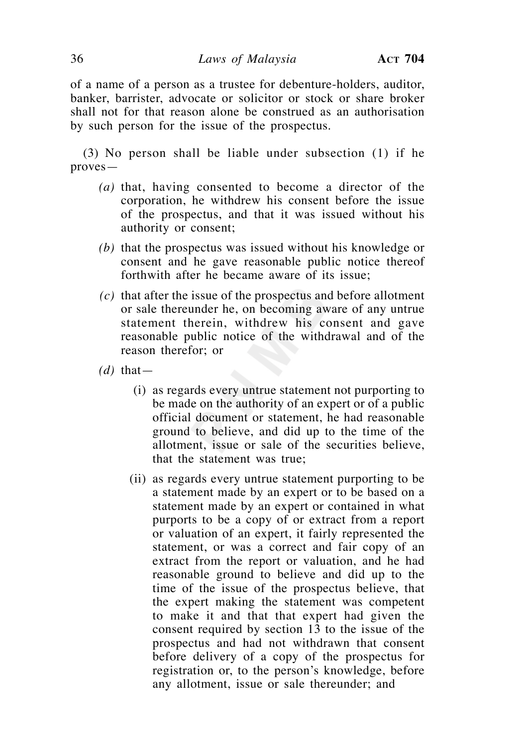of a name of a person as a trustee for debenture-holders, auditor, banker, barrister, advocate or solicitor or stock or share broker shall not for that reason alone be construed as an authorisation by such person for the issue of the prospectus.

 (3) No person shall be liable under subsection (1) if he proves—

- *(a)* that, having consented to become a director of the corporation, he withdrew his consent before the issue of the prospectus, and that it was issued without his authority or consent;
- *(b)* that the prospectus was issued without his knowledge or consent and he gave reasonable public notice thereof forthwith after he became aware of its issue;
- *(c)* that after the issue of the prospectus and before allotment or sale thereunder he, on becoming aware of any untrue statement therein, withdrew his consent and gave reasonable public notice of the withdrawal and of the reason therefor; or
- $(d)$  that—
	- (i) as regards every untrue statement not purporting to be made on the authority of an expert or of a public official document or statement, he had reasonable ground to believe, and did up to the time of the allotment, issue or sale of the securities believe, that the statement was true;
	- (ii) as regards every untrue statement purporting to be a statement made by an expert or to be based on a statement made by an expert or contained in what purports to be a copy of or extract from a report or valuation of an expert, it fairly represented the statement, or was a correct and fair copy of an extract from the report or valuation, and he had reasonable ground to believe and did up to the time of the issue of the prospectus believe, that the expert making the statement was competent to make it and that that expert had given the consent required by section 13 to the issue of the prospectus and had not withdrawn that consent before delivery of a copy of the prospectus for registration or, to the person's knowledge, before any allotment, issue or sale thereunder; and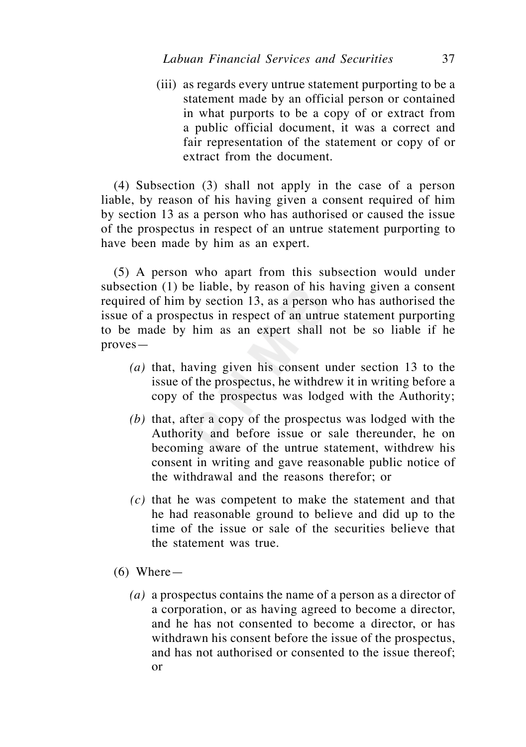(iii) as regards every untrue statement purporting to be a statement made by an official person or contained in what purports to be a copy of or extract from a public official document, it was a correct and fair representation of the statement or copy of or extract from the document.

 (4) Subsection (3) shall not apply in the case of a person liable, by reason of his having given a consent required of him by section 13 as a person who has authorised or caused the issue of the prospectus in respect of an untrue statement purporting to have been made by him as an expert.

 (5) A person who apart from this subsection would under subsection (1) be liable, by reason of his having given a consent required of him by section 13, as a person who has authorised the issue of a prospectus in respect of an untrue statement purporting to be made by him as an expert shall not be so liable if he proves—

- *(a)* that, having given his consent under section 13 to the issue of the prospectus, he withdrew it in writing before a copy of the prospectus was lodged with the Authority;
- *(b)* that, after a copy of the prospectus was lodged with the Authority and before issue or sale thereunder, he on becoming aware of the untrue statement, withdrew his consent in writing and gave reasonable public notice of the withdrawal and the reasons therefor; or
- *(c)* that he was competent to make the statement and that he had reasonable ground to believe and did up to the time of the issue or sale of the securities believe that the statement was true.
- $(6)$  Where
	- *(a)* a prospectus contains the name of a person as a director of a corporation, or as having agreed to become a director, and he has not consented to become a director, or has withdrawn his consent before the issue of the prospectus, and has not authorised or consented to the issue thereof; or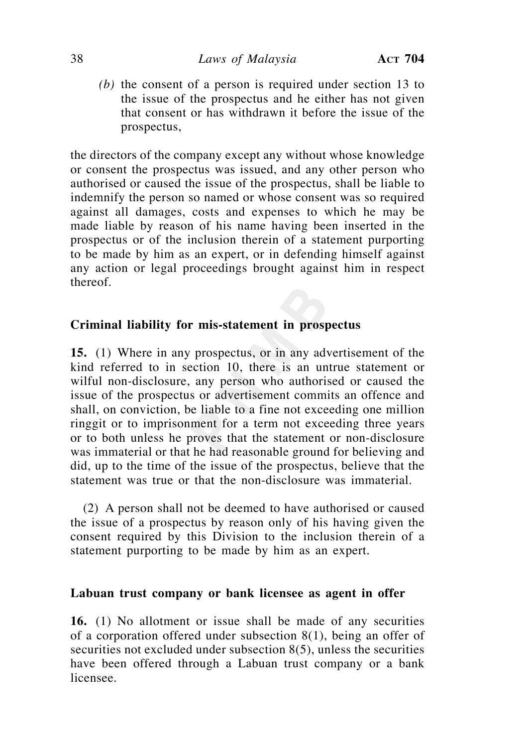*(b)* the consent of a person is required under section 13 to the issue of the prospectus and he either has not given that consent or has withdrawn it before the issue of the prospectus,

the directors of the company except any without whose knowledge or consent the prospectus was issued, and any other person who authorised or caused the issue of the prospectus, shall be liable to indemnify the person so named or whose consent was so required against all damages, costs and expenses to which he may be made liable by reason of his name having been inserted in the prospectus or of the inclusion therein of a statement purporting to be made by him as an expert, or in defending himself against any action or legal proceedings brought against him in respect thereof.

# **Criminal liability for mis-statement in prospectus**

**15.** (1) Where in any prospectus, or in any advertisement of the kind referred to in section 10, there is an untrue statement or wilful non-disclosure, any person who authorised or caused the issue of the prospectus or advertisement commits an offence and shall, on conviction, be liable to a fine not exceeding one million ringgit or to imprisonment for a term not exceeding three years or to both unless he proves that the statement or non-disclosure was immaterial or that he had reasonable ground for believing and did, up to the time of the issue of the prospectus, believe that the statement was true or that the non-disclosure was immaterial.

 (2) A person shall not be deemed to have authorised or caused the issue of a prospectus by reason only of his having given the consent required by this Division to the inclusion therein of a statement purporting to be made by him as an expert.

# **Labuan trust company or bank licensee as agent in offer**

**16.** (1) No allotment or issue shall be made of any securities of a corporation offered under subsection 8(1), being an offer of securities not excluded under subsection 8(5), unless the securities have been offered through a Labuan trust company or a bank licensee.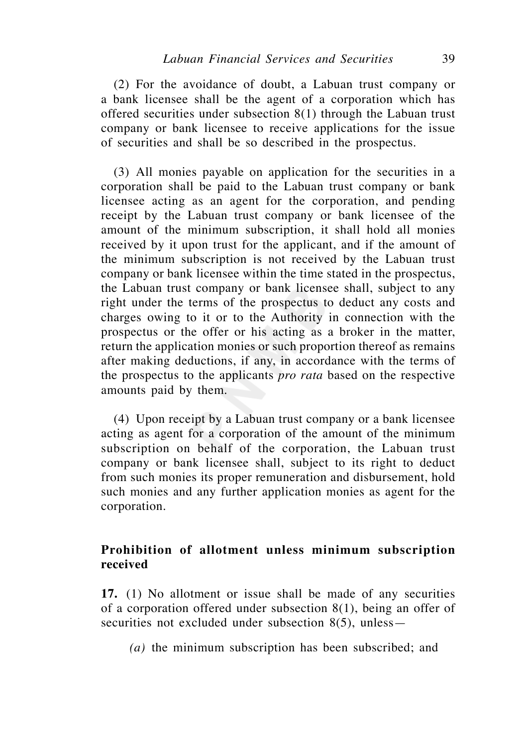(2) For the avoidance of doubt, a Labuan trust company or a bank licensee shall be the agent of a corporation which has offered securities under subsection 8(1) through the Labuan trust company or bank licensee to receive applications for the issue of securities and shall be so described in the prospectus.

 (3) All monies payable on application for the securities in a corporation shall be paid to the Labuan trust company or bank licensee acting as an agent for the corporation, and pending receipt by the Labuan trust company or bank licensee of the amount of the minimum subscription, it shall hold all monies received by it upon trust for the applicant, and if the amount of the minimum subscription is not received by the Labuan trust company or bank licensee within the time stated in the prospectus, the Labuan trust company or bank licensee shall, subject to any right under the terms of the prospectus to deduct any costs and charges owing to it or to the Authority in connection with the prospectus or the offer or his acting as a broker in the matter, return the application monies or such proportion thereof as remains after making deductions, if any, in accordance with the terms of the prospectus to the applicants *pro rata* based on the respective amounts paid by them.

 (4) Upon receipt by a Labuan trust company or a bank licensee acting as agent for a corporation of the amount of the minimum subscription on behalf of the corporation, the Labuan trust company or bank licensee shall, subject to its right to deduct from such monies its proper remuneration and disbursement, hold such monies and any further application monies as agent for the corporation.

# **Prohibition of allotment unless minimum subscription received**

**17.** (1) No allotment or issue shall be made of any securities of a corporation offered under subsection 8(1), being an offer of securities not excluded under subsection 8(5), unless—

 *(a)* the minimum subscription has been subscribed; and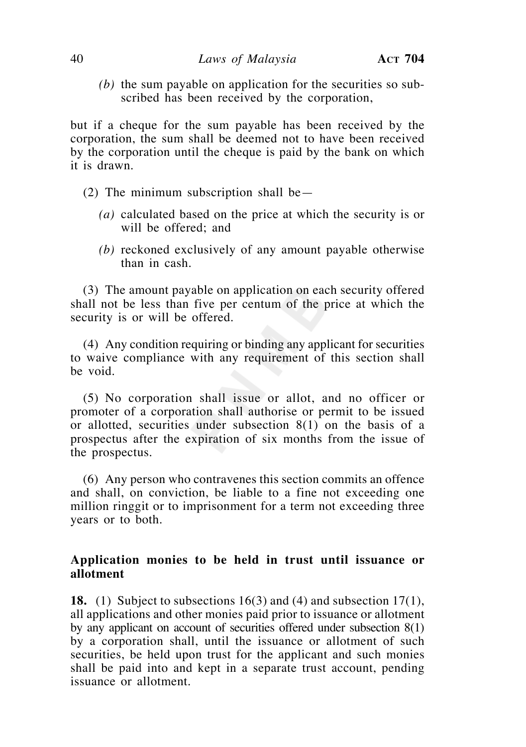*(b)* the sum payable on application for the securities so subscribed has been received by the corporation,

but if a cheque for the sum payable has been received by the corporation, the sum shall be deemed not to have been received by the corporation until the cheque is paid by the bank on which it is drawn.

- (2) The minimum subscription shall be—
	- *(a)* calculated based on the price at which the security is or will be offered; and
	- *(b)* reckoned exclusively of any amount payable otherwise than in cash.

 (3) The amount payable on application on each security offered shall not be less than five per centum of the price at which the security is or will be offered.

 (4) Any condition requiring or binding any applicant for securities to waive compliance with any requirement of this section shall be void.

 (5) No corporation shall issue or allot, and no officer or promoter of a corporation shall authorise or permit to be issued or allotted, securities under subsection 8(1) on the basis of a prospectus after the expiration of six months from the issue of the prospectus.

 (6) Any person who contravenes this section commits an offence and shall, on conviction, be liable to a fine not exceeding one million ringgit or to imprisonment for a term not exceeding three years or to both.

## **Application monies to be held in trust until issuance or allotment**

**18.** (1) Subject to subsections 16(3) and (4) and subsection 17(1), all applications and other monies paid prior to issuance or allotment by any applicant on account of securities offered under subsection 8(1) by a corporation shall, until the issuance or allotment of such securities, be held upon trust for the applicant and such monies shall be paid into and kept in a separate trust account, pending issuance or allotment.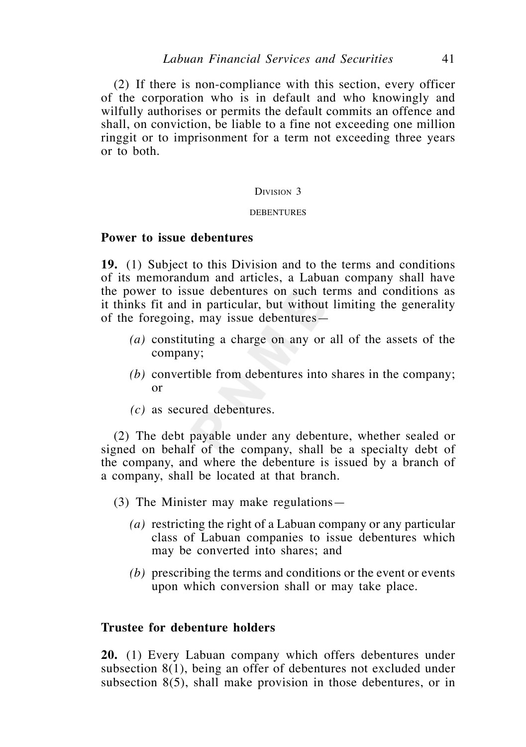(2) If there is non-compliance with this section, every officer of the corporation who is in default and who knowingly and wilfully authorises or permits the default commits an offence and shall, on conviction, be liable to a fine not exceeding one million ringgit or to imprisonment for a term not exceeding three years or to both.

#### DIVISION 3

#### DEBENTURES

### **Power to issue debentures**

**19.** (1) Subject to this Division and to the terms and conditions of its memorandum and articles, a Labuan company shall have the power to issue debentures on such terms and conditions as it thinks fit and in particular, but without limiting the generality of the foregoing, may issue debentures—

- *(a)* constituting a charge on any or all of the assets of the company;
- *(b)* convertible from debentures into shares in the company; or
- *(c)* as secured debentures.

 (2) The debt payable under any debenture, whether sealed or signed on behalf of the company, shall be a specialty debt of the company, and where the debenture is issued by a branch of a company, shall be located at that branch.

- (3) The Minister may make regulations—
	- *(a)* restricting the right of a Labuan company or any particular class of Labuan companies to issue debentures which may be converted into shares; and
	- *(b)* prescribing the terms and conditions or the event or events upon which conversion shall or may take place.

## **Trustee for debenture holders**

**20.** (1) Every Labuan company which offers debentures under subsection 8(1), being an offer of debentures not excluded under subsection 8(5), shall make provision in those debentures, or in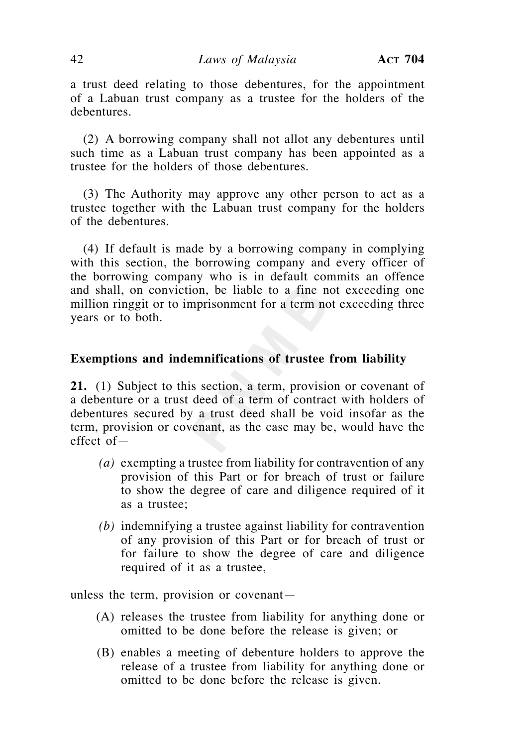a trust deed relating to those debentures, for the appointment of a Labuan trust company as a trustee for the holders of the debentures.

 (2) A borrowing company shall not allot any debentures until such time as a Labuan trust company has been appointed as a trustee for the holders of those debentures.

 (3) The Authority may approve any other person to act as a trustee together with the Labuan trust company for the holders of the debentures.

 (4) If default is made by a borrowing company in complying with this section, the borrowing company and every officer of the borrowing company who is in default commits an offence and shall, on conviction, be liable to a fine not exceeding one million ringgit or to imprisonment for a term not exceeding three years or to both.

## **Exemptions and indemnifications of trustee from liability**

**21.** (1) Subject to this section, a term, provision or covenant of a debenture or a trust deed of a term of contract with holders of debentures secured by a trust deed shall be void insofar as the term, provision or covenant, as the case may be, would have the effect of—

- *(a)* exempting a trustee from liability for contravention of any provision of this Part or for breach of trust or failure to show the degree of care and diligence required of it as a trustee;
- *(b)* indemnifying a trustee against liability for contravention of any provision of this Part or for breach of trust or for failure to show the degree of care and diligence required of it as a trustee,

unless the term, provision or covenant—

- (A) releases the trustee from liability for anything done or omitted to be done before the release is given; or
- (B) enables a meeting of debenture holders to approve the release of a trustee from liability for anything done or omitted to be done before the release is given.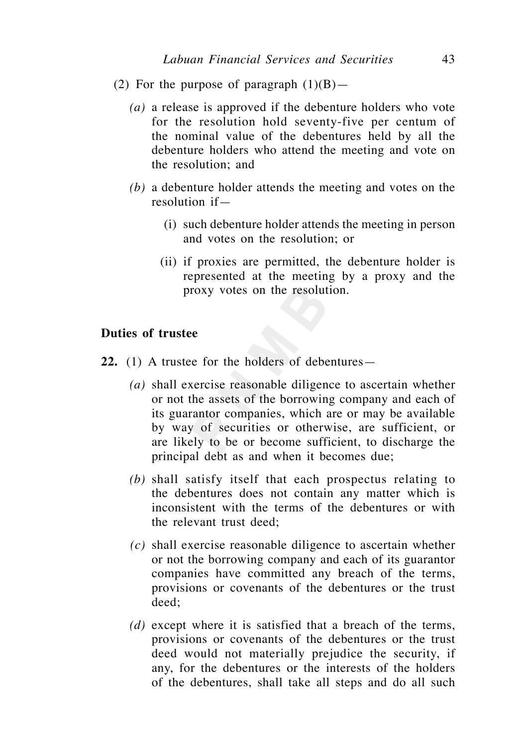- (2) For the purpose of paragraph  $(1)(B)$ 
	- *(a)* a release is approved if the debenture holders who vote for the resolution hold seventy-five per centum of the nominal value of the debentures held by all the debenture holders who attend the meeting and vote on the resolution; and
	- *(b)* a debenture holder attends the meeting and votes on the resolution if—
		- (i) such debenture holder attends the meeting in person and votes on the resolution; or
		- (ii) if proxies are permitted, the debenture holder is represented at the meeting by a proxy and the proxy votes on the resolution.

## **Duties of trustee**

- **22.** (1) A trustee for the holders of debentures—
	- *(a)* shall exercise reasonable diligence to ascertain whether or not the assets of the borrowing company and each of its guarantor companies, which are or may be available by way of securities or otherwise, are sufficient, or are likely to be or become sufficient, to discharge the principal debt as and when it becomes due;
	- *(b)* shall satisfy itself that each prospectus relating to the debentures does not contain any matter which is inconsistent with the terms of the debentures or with the relevant trust deed;
	- *(c)* shall exercise reasonable diligence to ascertain whether or not the borrowing company and each of its guarantor companies have committed any breach of the terms, provisions or covenants of the debentures or the trust deed;
	- *(d)* except where it is satisfied that a breach of the terms, provisions or covenants of the debentures or the trust deed would not materially prejudice the security, if any, for the debentures or the interests of the holders of the debentures, shall take all steps and do all such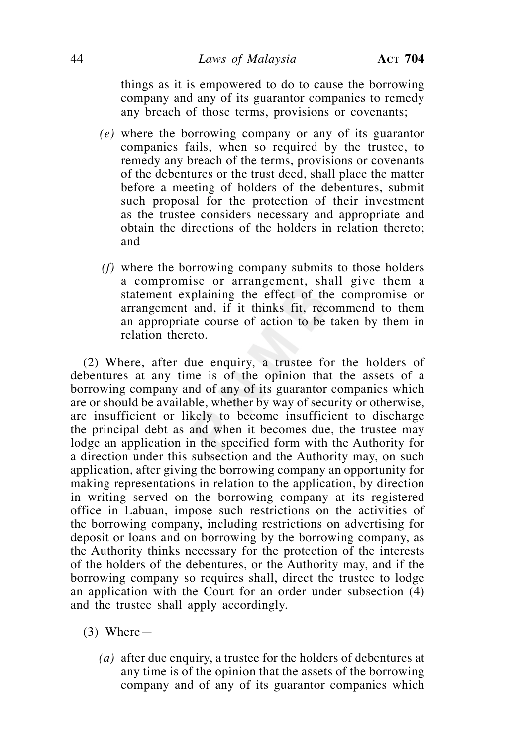things as it is empowered to do to cause the borrowing company and any of its guarantor companies to remedy any breach of those terms, provisions or covenants;

- *(e)* where the borrowing company or any of its guarantor companies fails, when so required by the trustee, to remedy any breach of the terms, provisions or covenants of the debentures or the trust deed, shall place the matter before a meeting of holders of the debentures, submit such proposal for the protection of their investment as the trustee considers necessary and appropriate and obtain the directions of the holders in relation thereto; and
- *(f)* where the borrowing company submits to those holders a compromise or arrangement, shall give them a statement explaining the effect of the compromise or arrangement and, if it thinks fit, recommend to them an appropriate course of action to be taken by them in relation thereto.

 (2) Where, after due enquiry, a trustee for the holders of debentures at any time is of the opinion that the assets of a borrowing company and of any of its guarantor companies which are or should be available, whether by way of security or otherwise, are insufficient or likely to become insufficient to discharge the principal debt as and when it becomes due, the trustee may lodge an application in the specified form with the Authority for a direction under this subsection and the Authority may, on such application, after giving the borrowing company an opportunity for making representations in relation to the application, by direction in writing served on the borrowing company at its registered office in Labuan, impose such restrictions on the activities of the borrowing company, including restrictions on advertising for deposit or loans and on borrowing by the borrowing company, as the Authority thinks necessary for the protection of the interests of the holders of the debentures, or the Authority may, and if the borrowing company so requires shall, direct the trustee to lodge an application with the Court for an order under subsection (4) and the trustee shall apply accordingly.

- (3) Where—
	- *(a)* after due enquiry, a trustee for the holders of debentures at any time is of the opinion that the assets of the borrowing company and of any of its guarantor companies which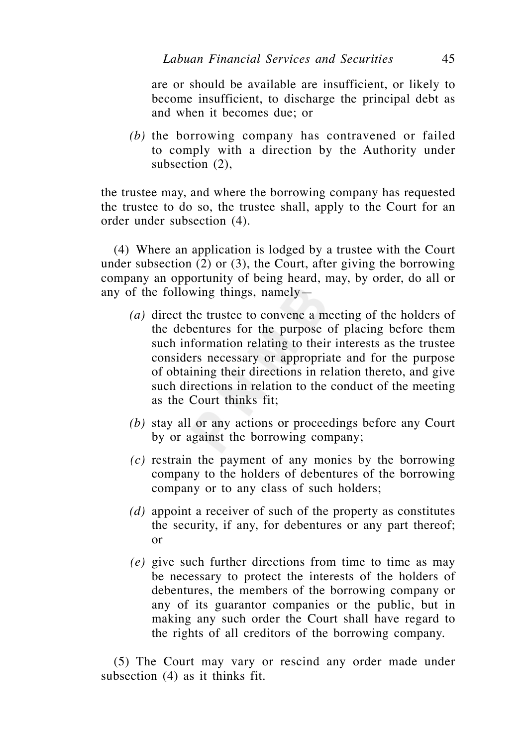are or should be available are insufficient, or likely to become insufficient, to discharge the principal debt as and when it becomes due; or

 *(b)* the borrowing company has contravened or failed to comply with a direction by the Authority under subsection (2),

the trustee may, and where the borrowing company has requested the trustee to do so, the trustee shall, apply to the Court for an order under subsection (4).

 (4) Where an application is lodged by a trustee with the Court under subsection (2) or (3), the Court, after giving the borrowing company an opportunity of being heard, may, by order, do all or any of the following things, namely—

- *(a)* direct the trustee to convene a meeting of the holders of the debentures for the purpose of placing before them such information relating to their interests as the trustee considers necessary or appropriate and for the purpose of obtaining their directions in relation thereto, and give such directions in relation to the conduct of the meeting as the Court thinks fit;
- *(b)* stay all or any actions or proceedings before any Court by or against the borrowing company;
- *(c)* restrain the payment of any monies by the borrowing company to the holders of debentures of the borrowing company or to any class of such holders;
- *(d)* appoint a receiver of such of the property as constitutes the security, if any, for debentures or any part thereof; or
- *(e)* give such further directions from time to time as may be necessary to protect the interests of the holders of debentures, the members of the borrowing company or any of its guarantor companies or the public, but in making any such order the Court shall have regard to the rights of all creditors of the borrowing company.

 (5) The Court may vary or rescind any order made under subsection (4) as it thinks fit.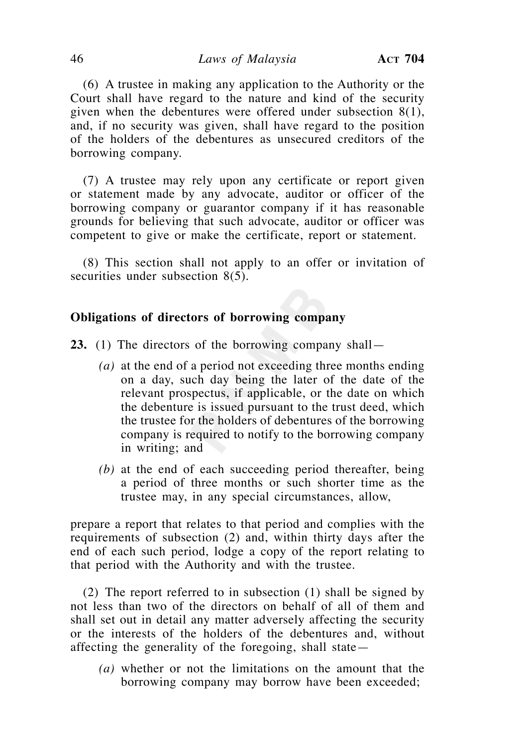(6) A trustee in making any application to the Authority or the Court shall have regard to the nature and kind of the security given when the debentures were offered under subsection 8(1), and, if no security was given, shall have regard to the position of the holders of the debentures as unsecured creditors of the borrowing company.

 (7) A trustee may rely upon any certificate or report given or statement made by any advocate, auditor or officer of the borrowing company or guarantor company if it has reasonable grounds for believing that such advocate, auditor or officer was competent to give or make the certificate, report or statement.

 (8) This section shall not apply to an offer or invitation of securities under subsection 8(5).

## **Obligations of directors of borrowing company**

**23.** (1) The directors of the borrowing company shall—

- *(a)* at the end of a period not exceeding three months ending on a day, such day being the later of the date of the relevant prospectus, if applicable, or the date on which the debenture is issued pursuant to the trust deed, which the trustee for the holders of debentures of the borrowing company is required to notify to the borrowing company in writing; and
- *(b)* at the end of each succeeding period thereafter, being a period of three months or such shorter time as the trustee may, in any special circumstances, allow,

prepare a report that relates to that period and complies with the requirements of subsection (2) and, within thirty days after the end of each such period, lodge a copy of the report relating to that period with the Authority and with the trustee.

 (2) The report referred to in subsection (1) shall be signed by not less than two of the directors on behalf of all of them and shall set out in detail any matter adversely affecting the security or the interests of the holders of the debentures and, without affecting the generality of the foregoing, shall state—

 *(a)* whether or not the limitations on the amount that the borrowing company may borrow have been exceeded;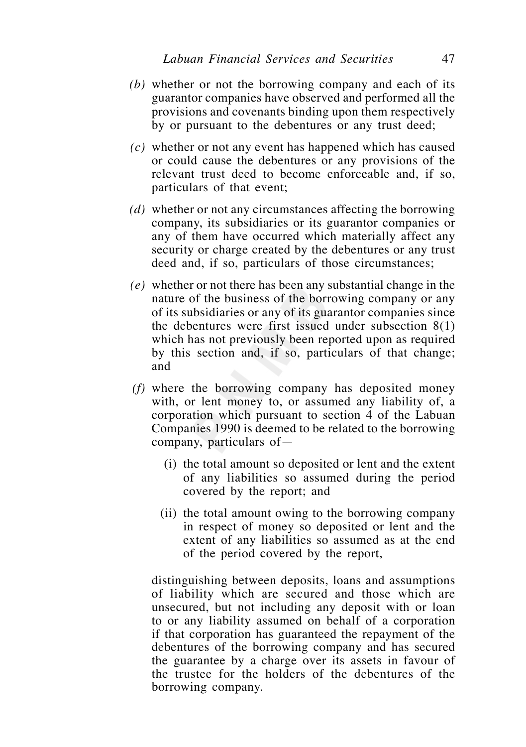- *(b)* whether or not the borrowing company and each of its guarantor companies have observed and performed all the provisions and covenants binding upon them respectively by or pursuant to the debentures or any trust deed;
- *(c)* whether or not any event has happened which has caused or could cause the debentures or any provisions of the relevant trust deed to become enforceable and, if so, particulars of that event;
- *(d)* whether or not any circumstances affecting the borrowing company, its subsidiaries or its guarantor companies or any of them have occurred which materially affect any security or charge created by the debentures or any trust deed and, if so, particulars of those circumstances;
- *(e)* whether or not there has been any substantial change in the nature of the business of the borrowing company or any of its subsidiaries or any of its guarantor companies since the debentures were first issued under subsection 8(1) which has not previously been reported upon as required by this section and, if so, particulars of that change; and
- *(f)* where the borrowing company has deposited money with, or lent money to, or assumed any liability of, a corporation which pursuant to section 4 of the Labuan Companies 1990 is deemed to be related to the borrowing company, particulars of—
	- (i) the total amount so deposited or lent and the extent of any liabilities so assumed during the period covered by the report; and
	- (ii) the total amount owing to the borrowing company in respect of money so deposited or lent and the extent of any liabilities so assumed as at the end of the period covered by the report,

 distinguishing between deposits, loans and assumptions of liability which are secured and those which are unsecured, but not including any deposit with or loan to or any liability assumed on behalf of a corporation if that corporation has guaranteed the repayment of the debentures of the borrowing company and has secured the guarantee by a charge over its assets in favour of the trustee for the holders of the debentures of the borrowing company.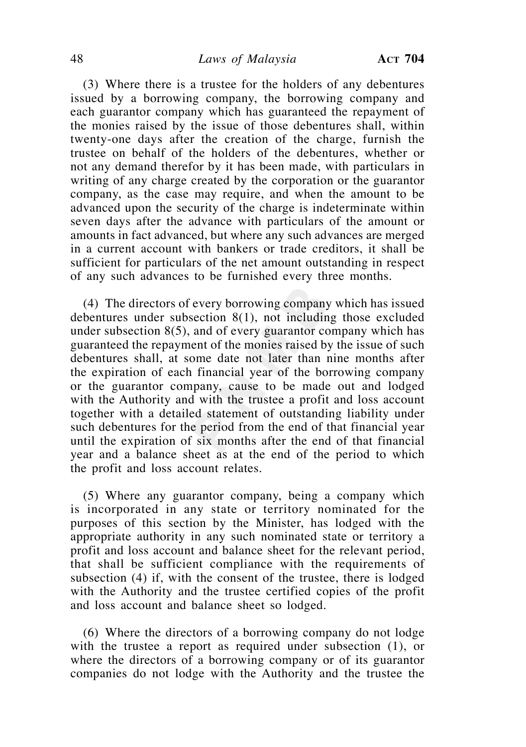(3) Where there is a trustee for the holders of any debentures issued by a borrowing company, the borrowing company and each guarantor company which has guaranteed the repayment of the monies raised by the issue of those debentures shall, within twenty-one days after the creation of the charge, furnish the trustee on behalf of the holders of the debentures, whether or not any demand therefor by it has been made, with particulars in writing of any charge created by the corporation or the guarantor company, as the case may require, and when the amount to be advanced upon the security of the charge is indeterminate within seven days after the advance with particulars of the amount or amounts in fact advanced, but where any such advances are merged in a current account with bankers or trade creditors, it shall be sufficient for particulars of the net amount outstanding in respect of any such advances to be furnished every three months.

 (4) The directors of every borrowing company which has issued debentures under subsection 8(1), not including those excluded under subsection  $8(5)$ , and of every guarantor company which has guaranteed the repayment of the monies raised by the issue of such debentures shall, at some date not later than nine months after the expiration of each financial year of the borrowing company or the guarantor company, cause to be made out and lodged with the Authority and with the trustee a profit and loss account together with a detailed statement of outstanding liability under such debentures for the period from the end of that financial year until the expiration of six months after the end of that financial year and a balance sheet as at the end of the period to which the profit and loss account relates.

 (5) Where any guarantor company, being a company which is incorporated in any state or territory nominated for the purposes of this section by the Minister, has lodged with the appropriate authority in any such nominated state or territory a profit and loss account and balance sheet for the relevant period, that shall be sufficient compliance with the requirements of subsection (4) if, with the consent of the trustee, there is lodged with the Authority and the trustee certified copies of the profit and loss account and balance sheet so lodged.

 (6) Where the directors of a borrowing company do not lodge with the trustee a report as required under subsection (1), or where the directors of a borrowing company or of its guarantor companies do not lodge with the Authority and the trustee the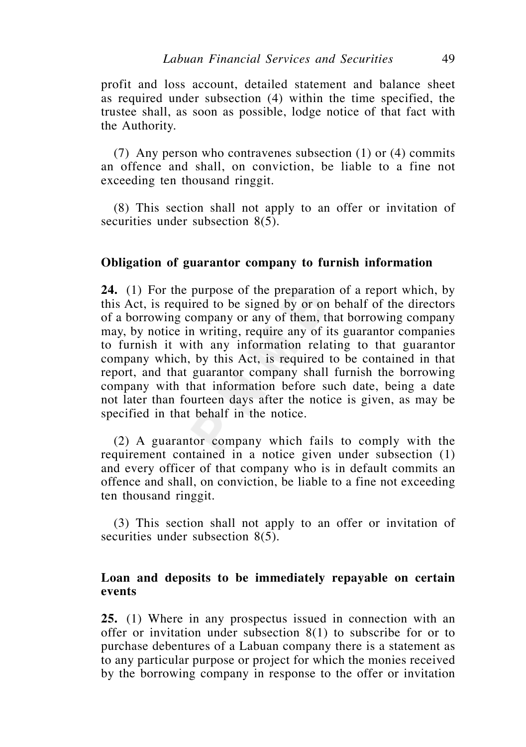profit and loss account, detailed statement and balance sheet as required under subsection (4) within the time specified, the trustee shall, as soon as possible, lodge notice of that fact with the Authority.

(7) Any person who contravenes subsection (1) or (4) commits an offence and shall, on conviction, be liable to a fine not exceeding ten thousand ringgit.

 (8) This section shall not apply to an offer or invitation of securities under subsection 8(5).

### **Obligation of guarantor company to furnish information**

**24.** (1) For the purpose of the preparation of a report which, by this Act, is required to be signed by or on behalf of the directors of a borrowing company or any of them, that borrowing company may, by notice in writing, require any of its guarantor companies to furnish it with any information relating to that guarantor company which, by this Act, is required to be contained in that report, and that guarantor company shall furnish the borrowing company with that information before such date, being a date not later than fourteen days after the notice is given, as may be specified in that behalf in the notice.

 (2) A guarantor company which fails to comply with the requirement contained in a notice given under subsection (1) and every officer of that company who is in default commits an offence and shall, on conviction, be liable to a fine not exceeding ten thousand ringgit.

 (3) This section shall not apply to an offer or invitation of securities under subsection 8(5).

## **Loan and deposits to be immediately repayable on certain events**

**25.** (1) Where in any prospectus issued in connection with an offer or invitation under subsection 8(1) to subscribe for or to purchase debentures of a Labuan company there is a statement as to any particular purpose or project for which the monies received by the borrowing company in response to the offer or invitation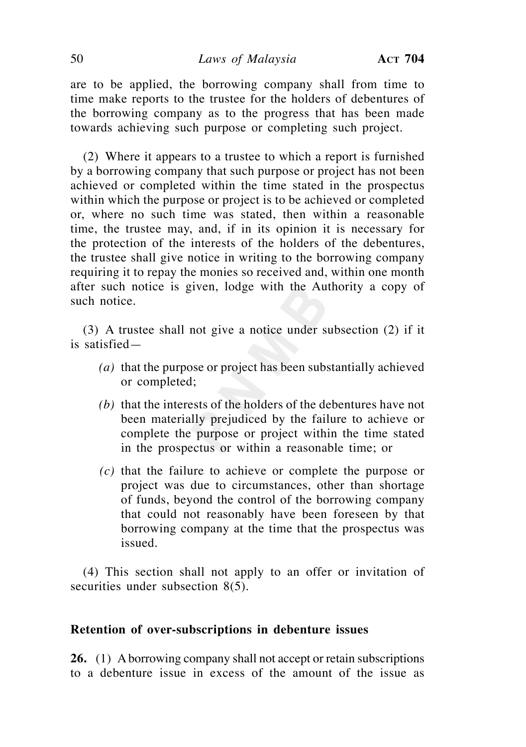# 50 *Laws of Malaysia* **ACT 704**

are to be applied, the borrowing company shall from time to time make reports to the trustee for the holders of debentures of the borrowing company as to the progress that has been made towards achieving such purpose or completing such project.

 (2) Where it appears to a trustee to which a report is furnished by a borrowing company that such purpose or project has not been achieved or completed within the time stated in the prospectus within which the purpose or project is to be achieved or completed or, where no such time was stated, then within a reasonable time, the trustee may, and, if in its opinion it is necessary for the protection of the interests of the holders of the debentures, the trustee shall give notice in writing to the borrowing company requiring it to repay the monies so received and, within one month after such notice is given, lodge with the Authority a copy of such notice.

 (3) A trustee shall not give a notice under subsection (2) if it is satisfied—

- *(a)* that the purpose or project has been substantially achieved or completed;
- *(b)* that the interests of the holders of the debentures have not been materially prejudiced by the failure to achieve or complete the purpose or project within the time stated in the prospectus or within a reasonable time; or
- *(c)* that the failure to achieve or complete the purpose or project was due to circumstances, other than shortage of funds, beyond the control of the borrowing company that could not reasonably have been foreseen by that borrowing company at the time that the prospectus was issued.

 (4) This section shall not apply to an offer or invitation of securities under subsection 8(5).

### **Retention of over-subscriptions in debenture issues**

**26.** (1) A borrowing company shall not accept or retain subscriptions to a debenture issue in excess of the amount of the issue as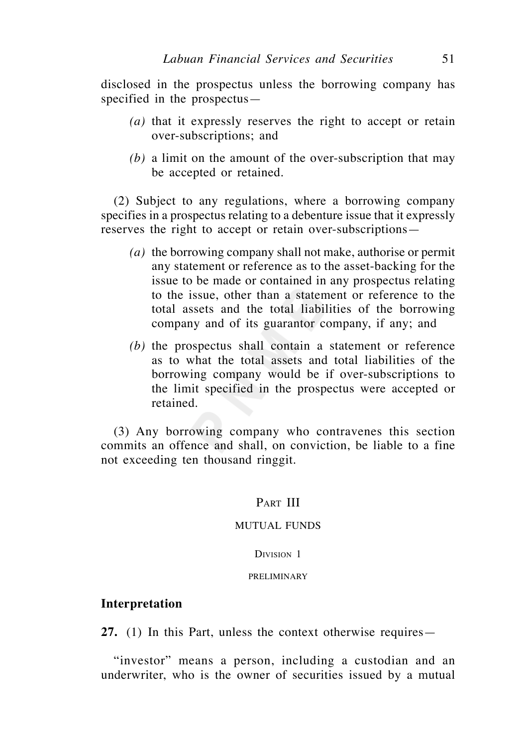disclosed in the prospectus unless the borrowing company has specified in the prospectus—

- *(a)* that it expressly reserves the right to accept or retain over-subscriptions; and
- *(b)* a limit on the amount of the over-subscription that may be accepted or retained.

 (2) Subject to any regulations, where a borrowing company specifies in a prospectus relating to a debenture issue that it expressly reserves the right to accept or retain over-subscriptions—

- *(a)* the borrowing company shall not make, authorise or permit any statement or reference as to the asset-backing for the issue to be made or contained in any prospectus relating to the issue, other than a statement or reference to the total assets and the total liabilities of the borrowing company and of its guarantor company, if any; and
- *(b)* the prospectus shall contain a statement or reference as to what the total assets and total liabilities of the borrowing company would be if over-subscriptions to the limit specified in the prospectus were accepted or retained.

 (3) Any borrowing company who contravenes this section commits an offence and shall, on conviction, be liable to a fine not exceeding ten thousand ringgit.

### PART III

#### MUTUAL FUNDS

### DIVISION<sub>1</sub>

### PRELIMINARY

### **Interpretation**

**27.** (1) In this Part, unless the context otherwise requires—

 "investor" means a person, including a custodian and an underwriter, who is the owner of securities issued by a mutual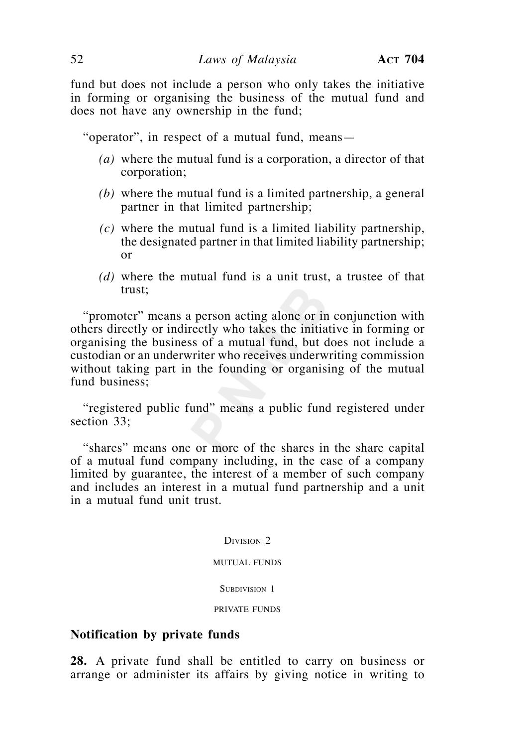fund but does not include a person who only takes the initiative in forming or organising the business of the mutual fund and does not have any ownership in the fund;

"operator", in respect of a mutual fund, means—

- *(a)* where the mutual fund is a corporation, a director of that corporation;
- *(b)* where the mutual fund is a limited partnership, a general partner in that limited partnership;
- *(c)* where the mutual fund is a limited liability partnership, the designated partner in that limited liability partnership; or
- *(d)* where the mutual fund is a unit trust, a trustee of that trust;

 "promoter" means a person acting alone or in conjunction with others directly or indirectly who takes the initiative in forming or organising the business of a mutual fund, but does not include a custodian or an underwriter who receives underwriting commission without taking part in the founding or organising of the mutual fund business;

 "registered public fund" means a public fund registered under section 33:

 "shares" means one or more of the shares in the share capital of a mutual fund company including, in the case of a company limited by guarantee, the interest of a member of such company and includes an interest in a mutual fund partnership and a unit in a mutual fund unit trust.

DIVISION<sub>2</sub>

#### MUTUAL FUNDS

#### SUBDIVISION 1

#### PRIVATE FUNDS

## **Notification by private funds**

**28.** A private fund shall be entitled to carry on business or arrange or administer its affairs by giving notice in writing to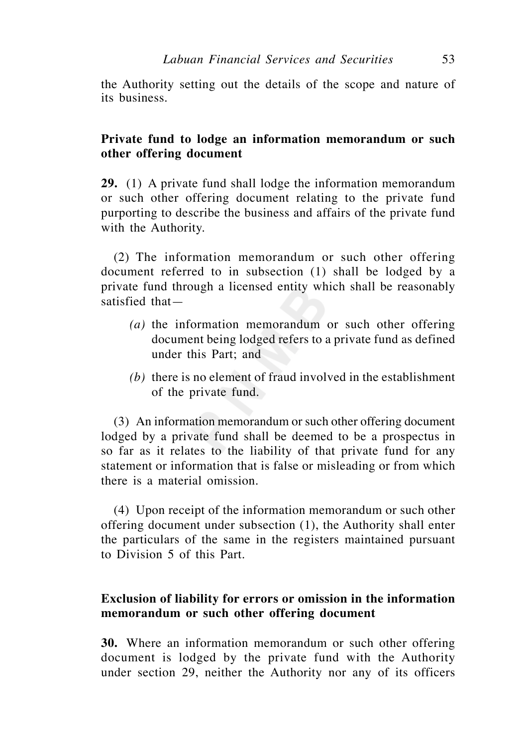the Authority setting out the details of the scope and nature of its business.

# **Private fund to lodge an information memorandum or such other offering document**

**29.** (1) A private fund shall lodge the information memorandum or such other offering document relating to the private fund purporting to describe the business and affairs of the private fund with the Authority.

 (2) The information memorandum or such other offering document referred to in subsection (1) shall be lodged by a private fund through a licensed entity which shall be reasonably satisfied that—

- *(a)* the information memorandum or such other offering document being lodged refers to a private fund as defined under this Part; and
- *(b)* there is no element of fraud involved in the establishment of the private fund.

 (3) An information memorandum or such other offering document lodged by a private fund shall be deemed to be a prospectus in so far as it relates to the liability of that private fund for any statement or information that is false or misleading or from which there is a material omission.

 (4) Upon receipt of the information memorandum or such other offering document under subsection (1), the Authority shall enter the particulars of the same in the registers maintained pursuant to Division 5 of this Part.

# **Exclusion of liability for errors or omission in the information memorandum or such other offering document**

**30.** Where an information memorandum or such other offering document is lodged by the private fund with the Authority under section 29, neither the Authority nor any of its officers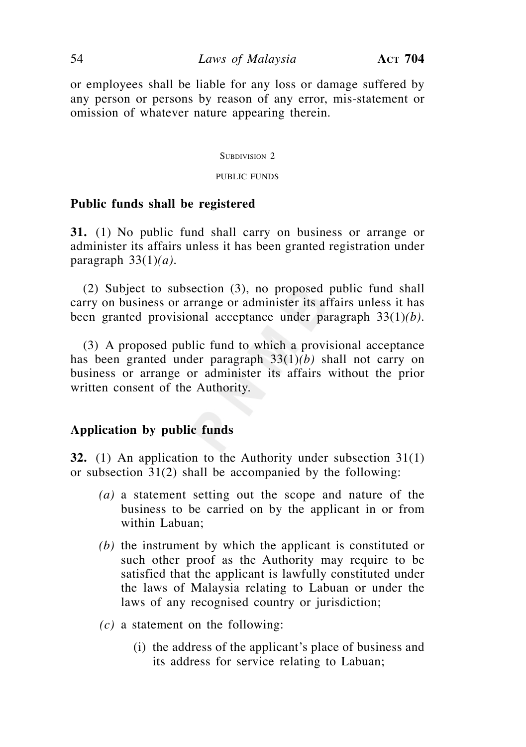or employees shall be liable for any loss or damage suffered by any person or persons by reason of any error, mis-statement or omission of whatever nature appearing therein.

#### SUBDIVISION 2

#### PUBLIC FUNDS

### **Public funds shall be registered**

**31.** (1) No public fund shall carry on business or arrange or administer its affairs unless it has been granted registration under paragraph 33(1)*(a).*

 (2) Subject to subsection (3), no proposed public fund shall carry on business or arrange or administer its affairs unless it has been granted provisional acceptance under paragraph 33(1)*(b).*

 (3) A proposed public fund to which a provisional acceptance has been granted under paragraph 33(1)*(b)* shall not carry on business or arrange or administer its affairs without the prior written consent of the Authority.

## **Application by public funds**

**32.** (1) An application to the Authority under subsection 31(1) or subsection 31(2) shall be accompanied by the following:

- *(a)* a statement setting out the scope and nature of the business to be carried on by the applicant in or from within Labuan;
- *(b)* the instrument by which the applicant is constituted or such other proof as the Authority may require to be satisfied that the applicant is lawfully constituted under the laws of Malaysia relating to Labuan or under the laws of any recognised country or jurisdiction;
- *(c)* a statement on the following:
	- (i) the address of the applicant's place of business and its address for service relating to Labuan;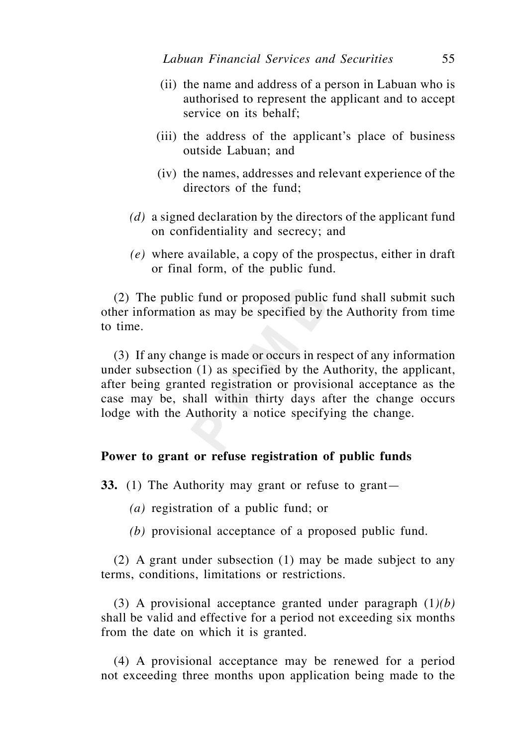- (ii) the name and address of a person in Labuan who is authorised to represent the applicant and to accept service on its behalf;
- (iii) the address of the applicant's place of business outside Labuan; and
- (iv) the names, addresses and relevant experience of the directors of the fund;
- *(d)* a signed declaration by the directors of the applicant fund on confidentiality and secrecy; and
- *(e)* where available, a copy of the prospectus, either in draft or final form, of the public fund.

 (2) The public fund or proposed public fund shall submit such other information as may be specified by the Authority from time to time.

 (3) If any change is made or occurs in respect of any information under subsection (1) as specified by the Authority, the applicant, after being granted registration or provisional acceptance as the case may be, shall within thirty days after the change occurs lodge with the Authority a notice specifying the change.

## **Power to grant or refuse registration of public funds**

**33.** (1) The Authority may grant or refuse to grant—

 *(a)* registration of a public fund; or

 *(b)* provisional acceptance of a proposed public fund.

 (2) A grant under subsection (1) may be made subject to any terms, conditions, limitations or restrictions.

 (3) A provisional acceptance granted under paragraph (1*)(b)* shall be valid and effective for a period not exceeding six months from the date on which it is granted.

 (4) A provisional acceptance may be renewed for a period not exceeding three months upon application being made to the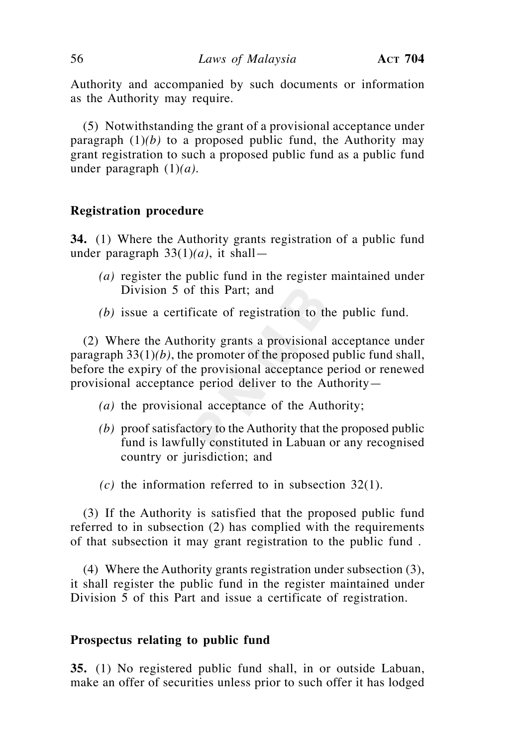Authority and accompanied by such documents or information as the Authority may require.

 (5) Notwithstanding the grant of a provisional acceptance under paragraph  $(1)(b)$  to a proposed public fund, the Authority may grant registration to such a proposed public fund as a public fund under paragraph (1)*(a).*

## **Registration procedure**

**34.** (1) Where the Authority grants registration of a public fund under paragraph 33(1)*(a)*, it shall—

- *(a)* register the public fund in the register maintained under Division 5 of this Part; and
- *(b)* issue a certificate of registration to the public fund.

 (2) Where the Authority grants a provisional acceptance under paragraph 33(1)*(b)*, the promoter of the proposed public fund shall, before the expiry of the provisional acceptance period or renewed provisional acceptance period deliver to the Authority—

- *(a)* the provisional acceptance of the Authority;
- *(b)* proof satisfactory to the Authority that the proposed public fund is lawfully constituted in Labuan or any recognised country or jurisdiction; and
- *(c)* the information referred to in subsection 32(1).

 (3) If the Authority is satisfied that the proposed public fund referred to in subsection (2) has complied with the requirements of that subsection it may grant registration to the public fund .

 (4) Where the Authority grants registration under subsection (3), it shall register the public fund in the register maintained under Division 5 of this Part and issue a certificate of registration.

### **Prospectus relating to public fund**

**35.** (1) No registered public fund shall, in or outside Labuan, make an offer of securities unless prior to such offer it has lodged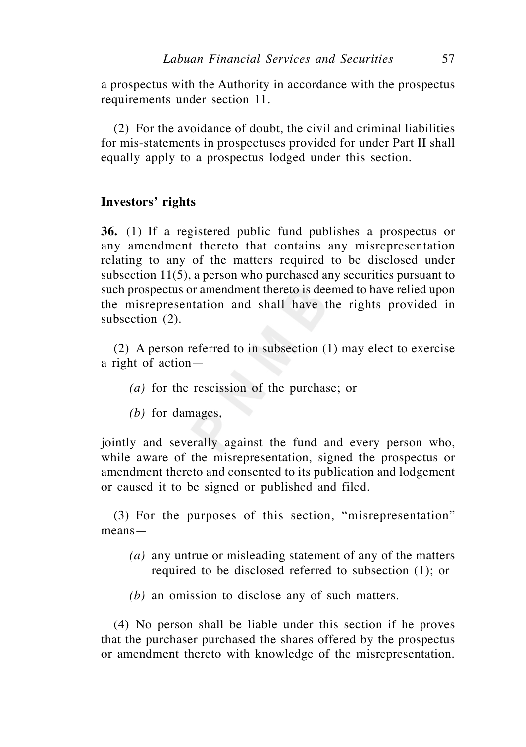a prospectus with the Authority in accordance with the prospectus requirements under section 11.

 (2) For the avoidance of doubt, the civil and criminal liabilities for mis-statements in prospectuses provided for under Part II shall equally apply to a prospectus lodged under this section.

## **Investors' rights**

**36.** (1) If a registered public fund publishes a prospectus or any amendment thereto that contains any misrepresentation relating to any of the matters required to be disclosed under subsection 11(5), a person who purchased any securities pursuant to such prospectus or amendment thereto is deemed to have relied upon the misrepresentation and shall have the rights provided in subsection (2).

 (2) A person referred to in subsection (1) may elect to exercise a right of action—

- *(a)* for the rescission of the purchase; or
- *(b)* for damages,

jointly and severally against the fund and every person who, while aware of the misrepresentation, signed the prospectus or amendment thereto and consented to its publication and lodgement or caused it to be signed or published and filed.

 (3) For the purposes of this section, "misrepresentation" means—

- *(a)* any untrue or misleading statement of any of the matters required to be disclosed referred to subsection (1); or
- *(b)* an omission to disclose any of such matters.

 (4) No person shall be liable under this section if he proves that the purchaser purchased the shares offered by the prospectus or amendment thereto with knowledge of the misrepresentation.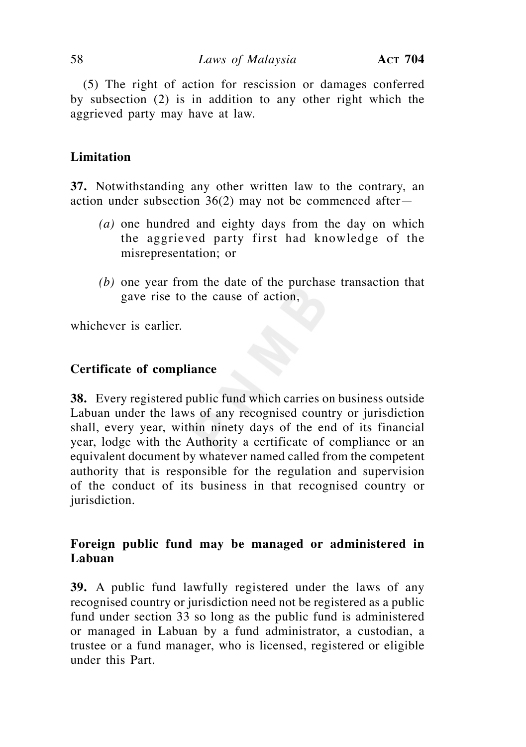(5) The right of action for rescission or damages conferred by subsection (2) is in addition to any other right which the aggrieved party may have at law.

# **Limitation**

**37.** Notwithstanding any other written law to the contrary, an action under subsection 36(2) may not be commenced after—

- *(a)* one hundred and eighty days from the day on which the aggrieved party first had knowledge of the misrepresentation; or
- *(b)* one year from the date of the purchase transaction that gave rise to the cause of action,

whichever is earlier.

### **Certificate of compliance**

**38.** Every registered public fund which carries on business outside Labuan under the laws of any recognised country or jurisdiction shall, every year, within ninety days of the end of its financial year, lodge with the Authority a certificate of compliance or an equivalent document by whatever named called from the competent authority that is responsible for the regulation and supervision of the conduct of its business in that recognised country or jurisdiction.

# **Foreign public fund may be managed or administered in Labuan**

**39.** A public fund lawfully registered under the laws of any recognised country or jurisdiction need not be registered as a public fund under section 33 so long as the public fund is administered or managed in Labuan by a fund administrator, a custodian, a trustee or a fund manager, who is licensed, registered or eligible under this Part.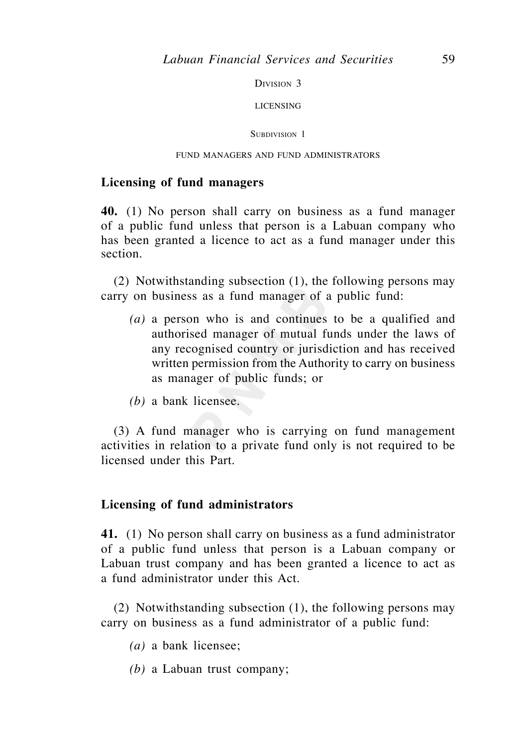DIVISION 3

LICENSING

SUBDIVISION 1

### FUND MANAGERS AND FUND ADMINISTRATORS

### **Licensing of fund managers**

**40.** (1) No person shall carry on business as a fund manager of a public fund unless that person is a Labuan company who has been granted a licence to act as a fund manager under this section.

 (2) Notwithstanding subsection (1), the following persons may carry on business as a fund manager of a public fund:

- *(a)* a person who is and continues to be a qualified and authorised manager of mutual funds under the laws of any recognised country or jurisdiction and has received written permission from the Authority to carry on business as manager of public funds; or
- *(b)* a bank licensee.

 (3) A fund manager who is carrying on fund management activities in relation to a private fund only is not required to be licensed under this Part.

### **Licensing of fund administrators**

**41.** (1) No person shall carry on business as a fund administrator of a public fund unless that person is a Labuan company or Labuan trust company and has been granted a licence to act as a fund administrator under this Act.

 (2) Notwithstanding subsection (1), the following persons may carry on business as a fund administrator of a public fund:

- *(a)* a bank licensee;
- *(b)* a Labuan trust company;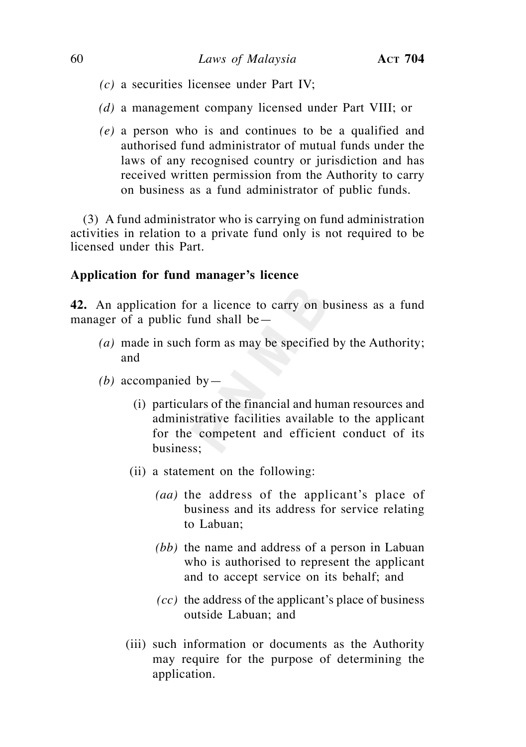- *(c)* a securities licensee under Part IV;
- *(d)* a management company licensed under Part VIII; or
- *(e)* a person who is and continues to be a qualified and authorised fund administrator of mutual funds under the laws of any recognised country or jurisdiction and has received written permission from the Authority to carry on business as a fund administrator of public funds.

 (3) A fund administrator who is carrying on fund administration activities in relation to a private fund only is not required to be licensed under this Part.

# **Application for fund manager's licence**

**42.** An application for a licence to carry on business as a fund manager of a public fund shall be—

- *(a)* made in such form as may be specified by the Authority; and
- *(b)* accompanied by—
	- (i) particulars of the financial and human resources and administrative facilities available to the applicant for the competent and efficient conduct of its business;
	- (ii) a statement on the following:
		- *(aa)* the address of the applicant's place of business and its address for service relating to Labuan;
		- *(bb)* the name and address of a person in Labuan who is authorised to represent the applicant and to accept service on its behalf; and
		- *(cc)* the address of the applicant's place of business outside Labuan; and
	- (iii) such information or documents as the Authority may require for the purpose of determining the application.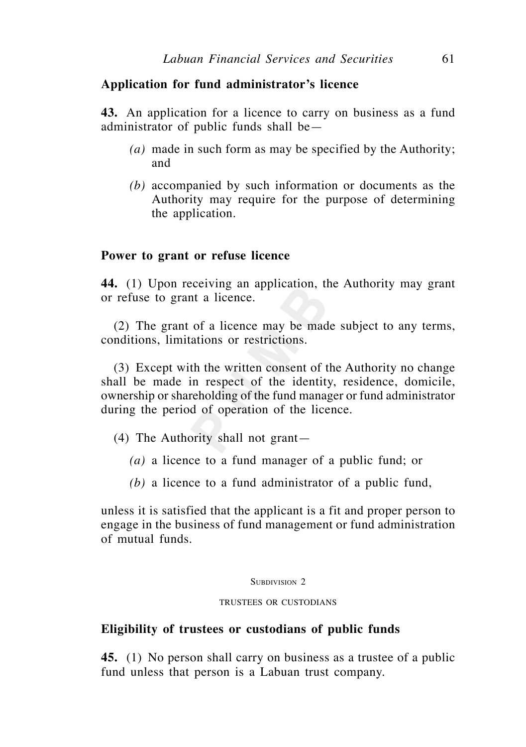## **Application for fund administrator's licence**

**43.** An application for a licence to carry on business as a fund administrator of public funds shall be—

- *(a)* made in such form as may be specified by the Authority; and
- *(b)* accompanied by such information or documents as the Authority may require for the purpose of determining the application.

## **Power to grant or refuse licence**

**44.** (1) Upon receiving an application, the Authority may grant or refuse to grant a licence.

 (2) The grant of a licence may be made subject to any terms, conditions, limitations or restrictions.

 (3) Except with the written consent of the Authority no change shall be made in respect of the identity, residence, domicile, ownership or shareholding of the fund manager or fund administrator during the period of operation of the licence.

- (4) The Authority shall not grant—
	- *(a)* a licence to a fund manager of a public fund; or
	- *(b)* a licence to a fund administrator of a public fund,

unless it is satisfied that the applicant is a fit and proper person to engage in the business of fund management or fund administration of mutual funds.

### SUBDIVISION<sub>2</sub>

### TRUSTEES OR CUSTODIANS

## **Eligibility of trustees or custodians of public funds**

**45.** (1) No person shall carry on business as a trustee of a public fund unless that person is a Labuan trust company.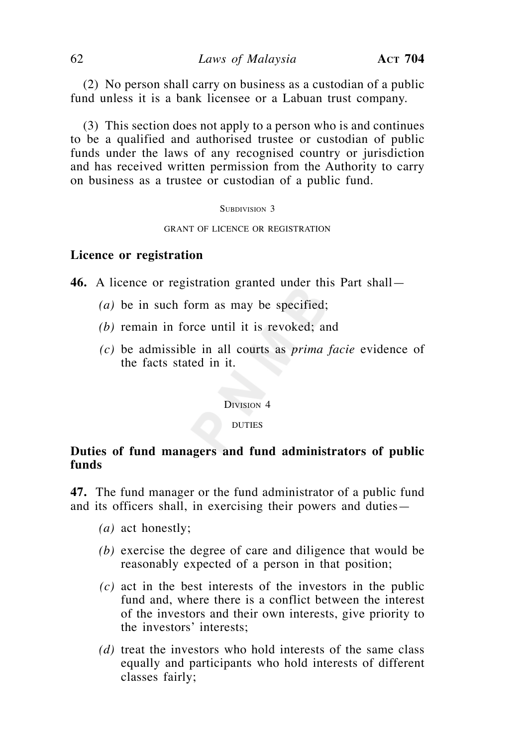(2) No person shall carry on business as a custodian of a public fund unless it is a bank licensee or a Labuan trust company.

 (3) This section does not apply to a person who is and continues to be a qualified and authorised trustee or custodian of public funds under the laws of any recognised country or jurisdiction and has received written permission from the Authority to carry on business as a trustee or custodian of a public fund.

#### SUBDIVISION 3

#### GRANT OF LICENCE OR REGISTRATION

### **Licence or registration**

**46.** A licence or registration granted under this Part shall—

- *(a)* be in such form as may be specified;
- *(b)* remain in force until it is revoked; and
- *(c)* be admissible in all courts as *prima facie* evidence of the facts stated in it.

DIVISION 4

#### DUTIES

# **Duties of fund managers and fund administrators of public funds**

**47.** The fund manager or the fund administrator of a public fund and its officers shall, in exercising their powers and duties—

- *(a)* act honestly;
- *(b)* exercise the degree of care and diligence that would be reasonably expected of a person in that position;
- *(c)* act in the best interests of the investors in the public fund and, where there is a conflict between the interest of the investors and their own interests, give priority to the investors' interests;
- *(d)* treat the investors who hold interests of the same class equally and participants who hold interests of different classes fairly;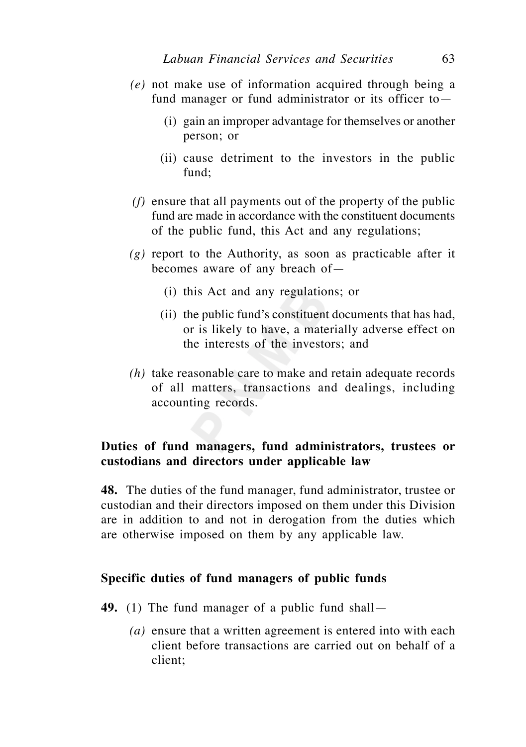- *(e)* not make use of information acquired through being a fund manager or fund administrator or its officer to—
	- (i) gain an improper advantage for themselves or another person; or
	- (ii) cause detriment to the investors in the public  $f$ und $\cdot$
- *(f)* ensure that all payments out of the property of the public fund are made in accordance with the constituent documents of the public fund, this Act and any regulations;
- *(g)* report to the Authority, as soon as practicable after it becomes aware of any breach of—
	- (i) this Act and any regulations; or
	- (ii) the public fund's constituent documents that has had, or is likely to have, a materially adverse effect on the interests of the investors; and
- *(h)* take reasonable care to make and retain adequate records of all matters, transactions and dealings, including accounting records.

# **Duties of fund managers, fund administrators, trustees or custodians and directors under applicable law**

**48.** The duties of the fund manager, fund administrator, trustee or custodian and their directors imposed on them under this Division are in addition to and not in derogation from the duties which are otherwise imposed on them by any applicable law.

## **Specific duties of fund managers of public funds**

- **49.** (1) The fund manager of a public fund shall—
	- *(a)* ensure that a written agreement is entered into with each client before transactions are carried out on behalf of a client;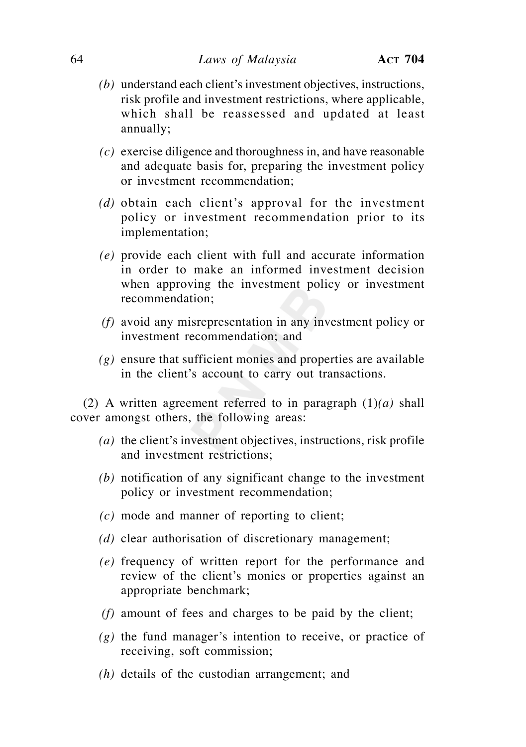- *(b)* understand each client's investment objectives, instructions, risk profile and investment restrictions, where applicable, which shall be reassessed and updated at least annually;
- *(c)* exercise diligence and thoroughness in, and have reasonable and adequate basis for, preparing the investment policy or investment recommendation;
- *(d)* obtain each client's approval for the investment policy or investment recommendation prior to its implementation;
- *(e)* provide each client with full and accurate information in order to make an informed investment decision when approving the investment policy or investment recommendation;
- *(f)* avoid any misrepresentation in any investment policy or investment recommendation; and
- *(g)* ensure that sufficient monies and properties are available in the client's account to carry out transactions.

 (2) A written agreement referred to in paragraph (1)*(a)* shall cover amongst others, the following areas:

- *(a)* the client's investment objectives, instructions, risk profile and investment restrictions;
- *(b)* notification of any significant change to the investment policy or investment recommendation;
- *(c)* mode and manner of reporting to client;
- *(d)* clear authorisation of discretionary management;
- *(e)* frequency of written report for the performance and review of the client's monies or properties against an appropriate benchmark;
- *(f)* amount of fees and charges to be paid by the client;
- *(g)* the fund manager's intention to receive, or practice of receiving, soft commission;
- *(h)* details of the custodian arrangement; and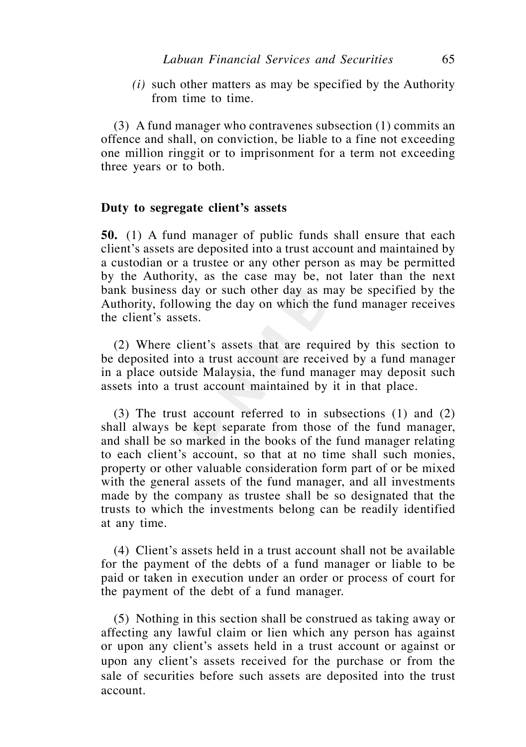*(i)* such other matters as may be specified by the Authority from time to time.

 (3) A fund manager who contravenes subsection (1) commits an offence and shall, on conviction, be liable to a fine not exceeding one million ringgit or to imprisonment for a term not exceeding three years or to both.

## **Duty to segregate client's assets**

**50.** (1) A fund manager of public funds shall ensure that each client's assets are deposited into a trust account and maintained by a custodian or a trustee or any other person as may be permitted by the Authority, as the case may be, not later than the next bank business day or such other day as may be specified by the Authority, following the day on which the fund manager receives the client's assets.

 (2) Where client's assets that are required by this section to be deposited into a trust account are received by a fund manager in a place outside Malaysia, the fund manager may deposit such assets into a trust account maintained by it in that place.

 (3) The trust account referred to in subsections (1) and (2) shall always be kept separate from those of the fund manager, and shall be so marked in the books of the fund manager relating to each client's account, so that at no time shall such monies, property or other valuable consideration form part of or be mixed with the general assets of the fund manager, and all investments made by the company as trustee shall be so designated that the trusts to which the investments belong can be readily identified at any time.

 (4) Client's assets held in a trust account shall not be available for the payment of the debts of a fund manager or liable to be paid or taken in execution under an order or process of court for the payment of the debt of a fund manager.

 (5) Nothing in this section shall be construed as taking away or affecting any lawful claim or lien which any person has against or upon any client's assets held in a trust account or against or upon any client's assets received for the purchase or from the sale of securities before such assets are deposited into the trust account.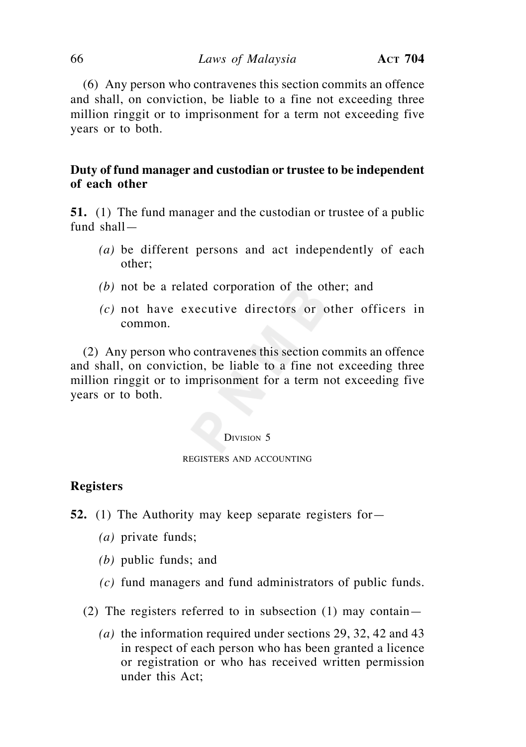(6) Any person who contravenes this section commits an offence and shall, on conviction, be liable to a fine not exceeding three million ringgit or to imprisonment for a term not exceeding five years or to both.

# **Duty of fund manager and custodian or trustee to be independent of each other**

**51.** (1) The fund manager and the custodian or trustee of a public fund shall—

- *(a)* be different persons and act independently of each other;
- *(b)* not be a related corporation of the other; and
- *(c)* not have executive directors or other officers in common.

 (2) Any person who contravenes this section commits an offence and shall, on conviction, be liable to a fine not exceeding three million ringgit or to imprisonment for a term not exceeding five years or to both.

#### DIVISION 5

### REGISTERS AND ACCOUNTING

## **Registers**

- **52.** (1) The Authority may keep separate registers for—
	- *(a)* private funds;
	- *(b)* public funds; and
	- *(c)* fund managers and fund administrators of public funds.
	- (2) The registers referred to in subsection (1) may contain—
		- *(a)* the information required under sections 29, 32, 42 and 43 in respect of each person who has been granted a licence or registration or who has received written permission under this Act;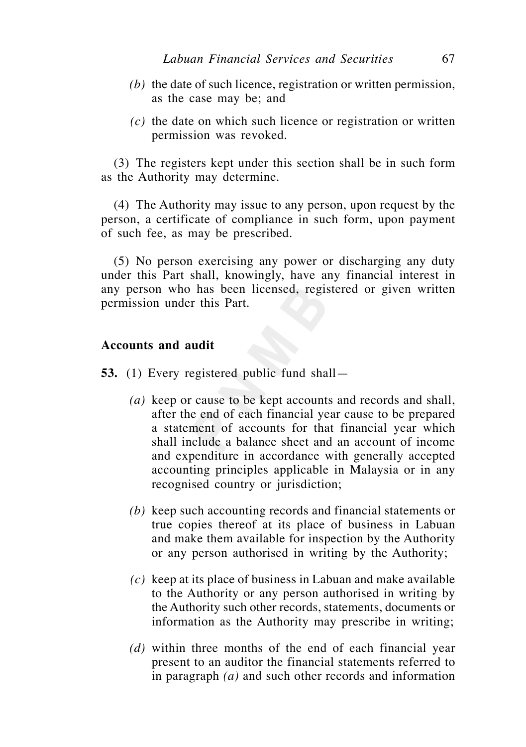- *(b)* the date of such licence, registration or written permission, as the case may be; and
- *(c)* the date on which such licence or registration or written permission was revoked.

 (3) The registers kept under this section shall be in such form as the Authority may determine.

 (4) The Authority may issue to any person, upon request by the person, a certificate of compliance in such form, upon payment of such fee, as may be prescribed.

 (5) No person exercising any power or discharging any duty under this Part shall, knowingly, have any financial interest in any person who has been licensed, registered or given written permission under this Part.

# **Accounts and audit**

**53.** (1) Every registered public fund shall—

- *(a)* keep or cause to be kept accounts and records and shall, after the end of each financial year cause to be prepared a statement of accounts for that financial year which shall include a balance sheet and an account of income and expenditure in accordance with generally accepted accounting principles applicable in Malaysia or in any recognised country or jurisdiction;
- *(b)* keep such accounting records and financial statements or true copies thereof at its place of business in Labuan and make them available for inspection by the Authority or any person authorised in writing by the Authority;
- *(c)* keep at its place of business in Labuan and make available to the Authority or any person authorised in writing by the Authority such other records, statements, documents or information as the Authority may prescribe in writing;
- *(d)* within three months of the end of each financial year present to an auditor the financial statements referred to in paragraph *(a)* and such other records and information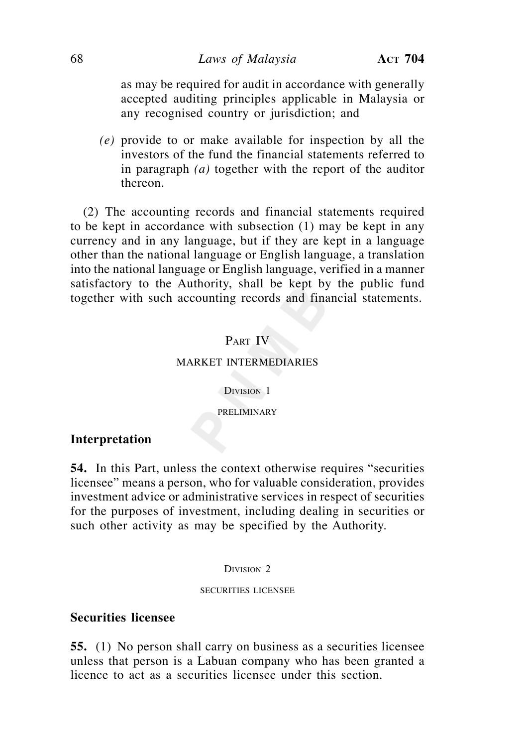### 68 *Laws of Malaysia* **ACT 704**

as may be required for audit in accordance with generally accepted auditing principles applicable in Malaysia or any recognised country or jurisdiction; and

 *(e)* provide to or make available for inspection by all the investors of the fund the financial statements referred to in paragraph *(a)* together with the report of the auditor thereon.

 (2) The accounting records and financial statements required to be kept in accordance with subsection (1) may be kept in any currency and in any language, but if they are kept in a language other than the national language or English language, a translation into the national language or English language, verified in a manner satisfactory to the Authority, shall be kept by the public fund together with such accounting records and financial statements.

## PART IV

#### MARKET INTERMEDIARIES

DIVISION 1

PRELIMINARY

## **Interpretation**

**54.** In this Part, unless the context otherwise requires "securities licensee" means a person, who for valuable consideration, provides investment advice or administrative services in respect of securities for the purposes of investment, including dealing in securities or such other activity as may be specified by the Authority.

DIVISION<sub>2</sub>

#### SECURITIES LICENSEE

### **Securities licensee**

**55.** (1) No person shall carry on business as a securities licensee unless that person is a Labuan company who has been granted a licence to act as a securities licensee under this section.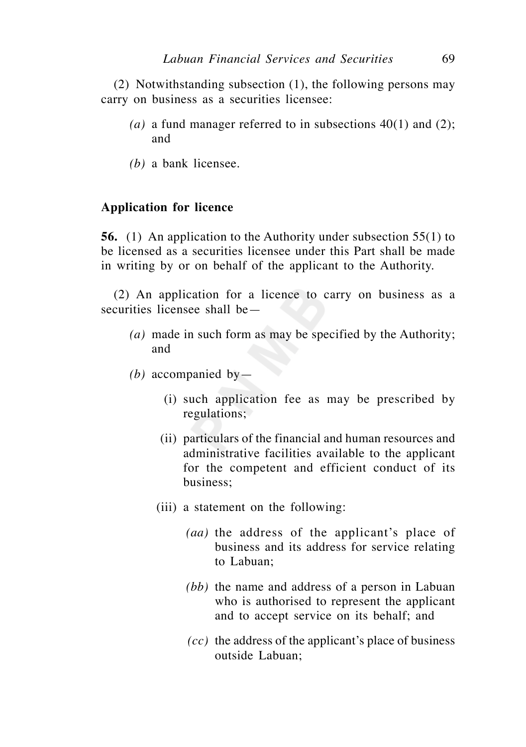(2) Notwithstanding subsection (1), the following persons may carry on business as a securities licensee:

- (a) a fund manager referred to in subsections  $40(1)$  and  $(2)$ ; and
- *(b)* a bank licensee.

### **Application for licence**

**56.** (1) An application to the Authority under subsection 55(1) to be licensed as a securities licensee under this Part shall be made in writing by or on behalf of the applicant to the Authority.

 (2) An application for a licence to carry on business as a securities licensee shall be—

- *(a)* made in such form as may be specified by the Authority; and
- *(b)* accompanied by—
	- (i) such application fee as may be prescribed by regulations;
	- (ii) particulars of the financial and human resources and administrative facilities available to the applicant for the competent and efficient conduct of its business;
	- (iii) a statement on the following:
		- *(aa)* the address of the applicant's place of business and its address for service relating to Labuan;
		- *(bb)* the name and address of a person in Labuan who is authorised to represent the applicant and to accept service on its behalf; and
		- *(cc)* the address of the applicant's place of business outside Labuan;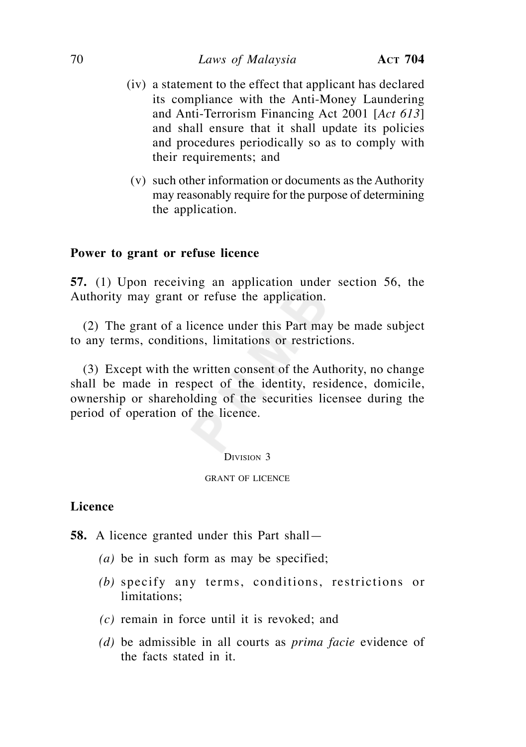- (iv) a statement to the effect that applicant has declared its compliance with the Anti-Money Laundering and Anti-Terrorism Financing Act 2001 [*Act 613*] and shall ensure that it shall update its policies and procedures periodically so as to comply with their requirements; and
- (v) such other information or documents as the Authority may reasonably require for the purpose of determining the application.

## **Power to grant or refuse licence**

**57.** (1) Upon receiving an application under section 56, the Authority may grant or refuse the application.

 (2) The grant of a licence under this Part may be made subject to any terms, conditions, limitations or restrictions.

 (3) Except with the written consent of the Authority, no change shall be made in respect of the identity, residence, domicile, ownership or shareholding of the securities licensee during the period of operation of the licence.

#### DIVISION 3

#### GRANT OF LICENCE

## **Licence**

**58.** A licence granted under this Part shall—

- *(a)* be in such form as may be specified;
- *(b)* specify any terms, conditions, restrictions or limitations;
- *(c)* remain in force until it is revoked; and
- *(d)* be admissible in all courts as *prima facie* evidence of the facts stated in it.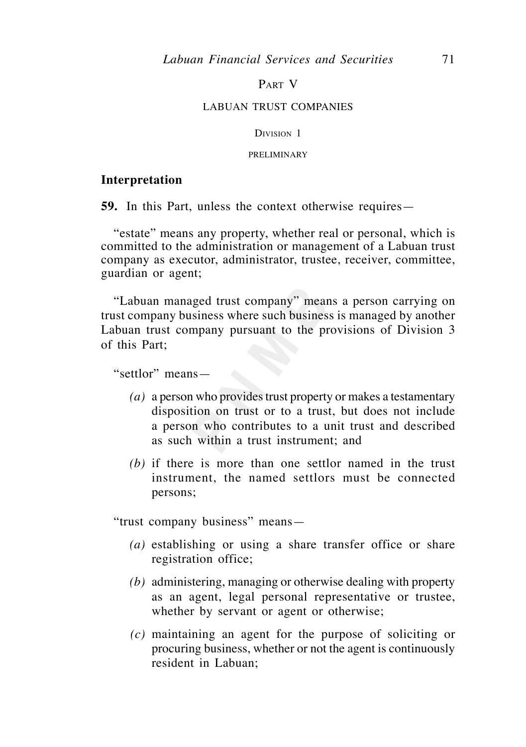### PART V

#### LABUAN TRUST COMPANIES

#### DIVISION 1

### PRELIMINARY

### **Interpretation**

**59.** In this Part, unless the context otherwise requires—

 "estate" means any property, whether real or personal, which is committed to the administration or management of a Labuan trust company as executor, administrator, trustee, receiver, committee, guardian or agent;

 "Labuan managed trust company" means a person carrying on trust company business where such business is managed by another Labuan trust company pursuant to the provisions of Division 3 of this Part;

"settlor" means—

- *(a)* a person who provides trust property or makes a testamentary disposition on trust or to a trust, but does not include a person who contributes to a unit trust and described as such within a trust instrument; and
- *(b)* if there is more than one settlor named in the trust instrument, the named settlors must be connected persons;

"trust company business" means—

- *(a)* establishing or using a share transfer office or share registration office;
- *(b)* administering, managing or otherwise dealing with property as an agent, legal personal representative or trustee, whether by servant or agent or otherwise;
- *(c)* maintaining an agent for the purpose of soliciting or procuring business, whether or not the agent is continuously resident in Labuan;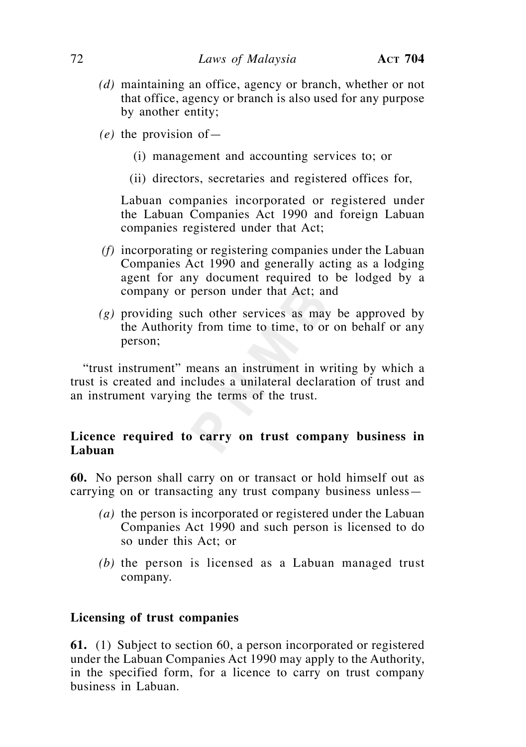- *(d)* maintaining an office, agency or branch, whether or not that office, agency or branch is also used for any purpose by another entity;
- *(e)* the provision of—
	- (i) management and accounting services to; or
	- (ii) directors, secretaries and registered offices for,

 Labuan companies incorporated or registered under the Labuan Companies Act 1990 and foreign Labuan companies registered under that Act;

- *(f)* incorporating or registering companies under the Labuan Companies Act 1990 and generally acting as a lodging agent for any document required to be lodged by a company or person under that Act; and
- *(g)* providing such other services as may be approved by the Authority from time to time, to or on behalf or any person;

 "trust instrument" means an instrument in writing by which a trust is created and includes a unilateral declaration of trust and an instrument varying the terms of the trust.

# **Licence required to carry on trust company business in Labuan**

**60.** No person shall carry on or transact or hold himself out as carrying on or transacting any trust company business unless—

- *(a)* the person is incorporated or registered under the Labuan Companies Act 1990 and such person is licensed to do so under this Act; or
- *(b)* the person is licensed as a Labuan managed trust company.

# **Licensing of trust companies**

**61.** (1) Subject to section 60, a person incorporated or registered under the Labuan Companies Act 1990 may apply to the Authority, in the specified form, for a licence to carry on trust company business in Labuan.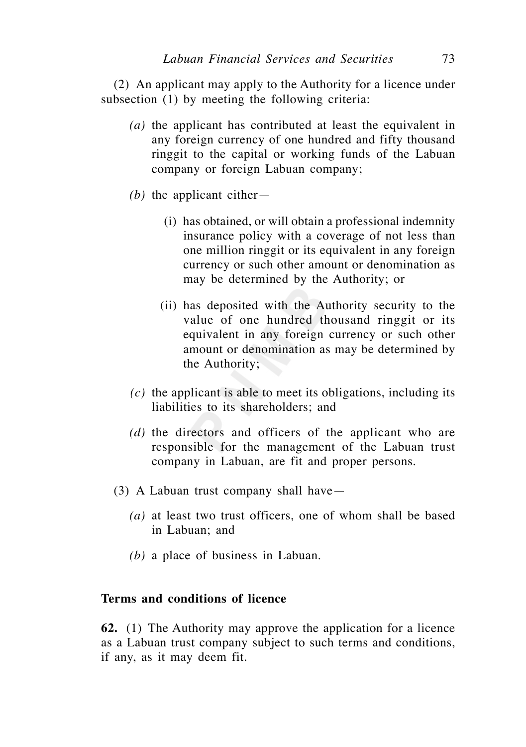(2) An applicant may apply to the Authority for a licence under subsection (1) by meeting the following criteria:

- *(a)* the applicant has contributed at least the equivalent in any foreign currency of one hundred and fifty thousand ringgit to the capital or working funds of the Labuan company or foreign Labuan company;
- *(b)* the applicant either—
	- (i) has obtained, or will obtain a professional indemnity insurance policy with a coverage of not less than one million ringgit or its equivalent in any foreign currency or such other amount or denomination as may be determined by the Authority; or
	- (ii) has deposited with the Authority security to the value of one hundred thousand ringgit or its equivalent in any foreign currency or such other amount or denomination as may be determined by the Authority;
- *(c)* the applicant is able to meet its obligations, including its liabilities to its shareholders; and
- *(d)* the directors and officers of the applicant who are responsible for the management of the Labuan trust company in Labuan, are fit and proper persons.
- (3) A Labuan trust company shall have—
	- *(a)* at least two trust officers, one of whom shall be based in Labuan; and
	- *(b)* a place of business in Labuan.

# **Terms and conditions of licence**

**62.** (1) The Authority may approve the application for a licence as a Labuan trust company subject to such terms and conditions, if any, as it may deem fit.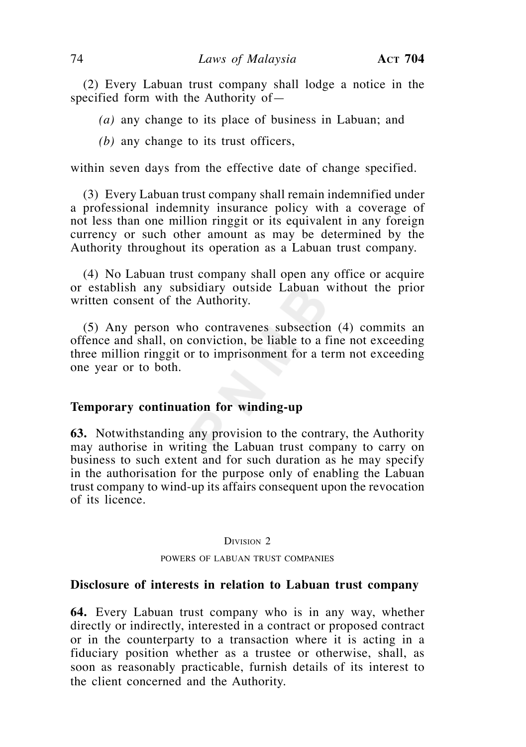(2) Every Labuan trust company shall lodge a notice in the specified form with the Authority of—

 *(a)* any change to its place of business in Labuan; and

 *(b)* any change to its trust officers,

within seven days from the effective date of change specified.

 (3) Every Labuan trust company shall remain indemnified under a professional indemnity insurance policy with a coverage of not less than one million ringgit or its equivalent in any foreign currency or such other amount as may be determined by the Authority throughout its operation as a Labuan trust company.

 (4) No Labuan trust company shall open any office or acquire or establish any subsidiary outside Labuan without the prior written consent of the Authority.

 (5) Any person who contravenes subsection (4) commits an offence and shall, on conviction, be liable to a fine not exceeding three million ringgit or to imprisonment for a term not exceeding one year or to both.

### **Temporary continuation for winding-up**

**63.** Notwithstanding any provision to the contrary, the Authority may authorise in writing the Labuan trust company to carry on business to such extent and for such duration as he may specify in the authorisation for the purpose only of enabling the Labuan trust company to wind-up its affairs consequent upon the revocation of its licence.

### DIVISION 2

POWERS OF LABUAN TRUST COMPANIES

## **Disclosure of interests in relation to Labuan trust company**

**64.** Every Labuan trust company who is in any way, whether directly or indirectly, interested in a contract or proposed contract or in the counterparty to a transaction where it is acting in a fiduciary position whether as a trustee or otherwise, shall, as soon as reasonably practicable, furnish details of its interest to the client concerned and the Authority.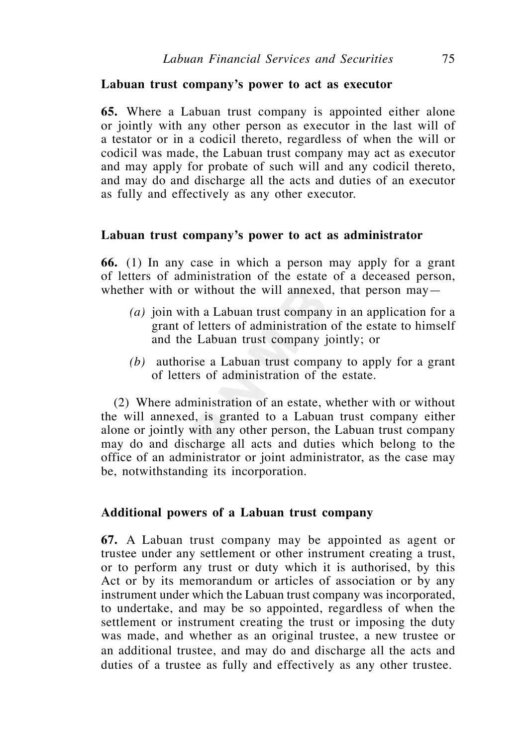## **Labuan trust company's power to act as executor**

**65.** Where a Labuan trust company is appointed either alone or jointly with any other person as executor in the last will of a testator or in a codicil thereto, regardless of when the will or codicil was made, the Labuan trust company may act as executor and may apply for probate of such will and any codicil thereto, and may do and discharge all the acts and duties of an executor as fully and effectively as any other executor.

### **Labuan trust company's power to act as administrator**

**66.** (1) In any case in which a person may apply for a grant of letters of administration of the estate of a deceased person, whether with or without the will annexed, that person may—

- *(a)* join with a Labuan trust company in an application for a grant of letters of administration of the estate to himself and the Labuan trust company jointly; or
- *(b)* authorise a Labuan trust company to apply for a grant of letters of administration of the estate.

 (2) Where administration of an estate, whether with or without the will annexed, is granted to a Labuan trust company either alone or jointly with any other person, the Labuan trust company may do and discharge all acts and duties which belong to the office of an administrator or joint administrator, as the case may be, notwithstanding its incorporation.

## **Additional powers of a Labuan trust company**

**67.** A Labuan trust company may be appointed as agent or trustee under any settlement or other instrument creating a trust, or to perform any trust or duty which it is authorised, by this Act or by its memorandum or articles of association or by any instrument under which the Labuan trust company was incorporated, to undertake, and may be so appointed, regardless of when the settlement or instrument creating the trust or imposing the duty was made, and whether as an original trustee, a new trustee or an additional trustee, and may do and discharge all the acts and duties of a trustee as fully and effectively as any other trustee.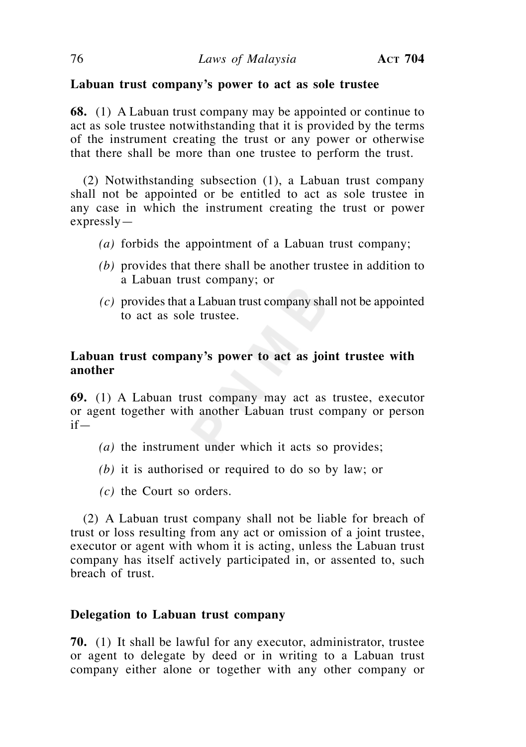# **Labuan trust company's power to act as sole trustee**

**68.** (1) A Labuan trust company may be appointed or continue to act as sole trustee notwithstanding that it is provided by the terms of the instrument creating the trust or any power or otherwise that there shall be more than one trustee to perform the trust.

 (2) Notwithstanding subsection (1), a Labuan trust company shall not be appointed or be entitled to act as sole trustee in any case in which the instrument creating the trust or power expressly—

- *(a)* forbids the appointment of a Labuan trust company;
- *(b)* provides that there shall be another trustee in addition to a Labuan trust company; or
- *(c)* provides that a Labuan trust company shall not be appointed to act as sole trustee.

# **Labuan trust company's power to act as joint trustee with another**

**69.** (1) A Labuan trust company may act as trustee, executor or agent together with another Labuan trust company or person if—

- *(a)* the instrument under which it acts so provides;
- *(b)* it is authorised or required to do so by law; or
- *(c)* the Court so orders.

 (2) A Labuan trust company shall not be liable for breach of trust or loss resulting from any act or omission of a joint trustee, executor or agent with whom it is acting, unless the Labuan trust company has itself actively participated in, or assented to, such breach of trust.

# **Delegation to Labuan trust company**

**70.** (1) It shall be lawful for any executor, administrator, trustee or agent to delegate by deed or in writing to a Labuan trust company either alone or together with any other company or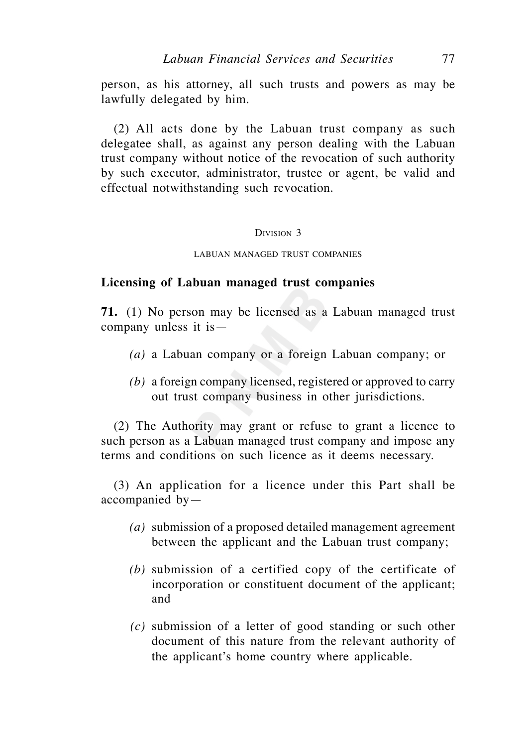person, as his attorney, all such trusts and powers as may be lawfully delegated by him.

 (2) All acts done by the Labuan trust company as such delegatee shall, as against any person dealing with the Labuan trust company without notice of the revocation of such authority by such executor, administrator, trustee or agent, be valid and effectual notwithstanding such revocation.

#### DIVISION 3

#### LABUAN MANAGED TRUST COMPANIES

### **Licensing of Labuan managed trust companies**

**71.** (1) No person may be licensed as a Labuan managed trust company unless it is—

- *(a)* a Labuan company or a foreign Labuan company; or
- *(b)* a foreign company licensed, registered or approved to carry out trust company business in other jurisdictions.

 (2) The Authority may grant or refuse to grant a licence to such person as a Labuan managed trust company and impose any terms and conditions on such licence as it deems necessary.

 (3) An application for a licence under this Part shall be accompanied by—

- *(a)* submission of a proposed detailed management agreement between the applicant and the Labuan trust company;
- *(b)* submission of a certified copy of the certificate of incorporation or constituent document of the applicant; and
- *(c)* submission of a letter of good standing or such other document of this nature from the relevant authority of the applicant's home country where applicable.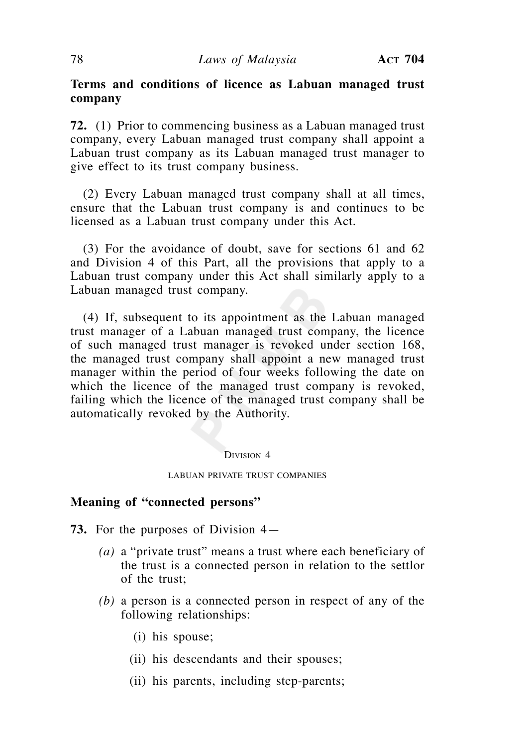# **Terms and conditions of licence as Labuan managed trust company**

**72.** (1) Prior to commencing business as a Labuan managed trust company, every Labuan managed trust company shall appoint a Labuan trust company as its Labuan managed trust manager to give effect to its trust company business.

 (2) Every Labuan managed trust company shall at all times, ensure that the Labuan trust company is and continues to be licensed as a Labuan trust company under this Act.

 (3) For the avoidance of doubt, save for sections 61 and 62 and Division 4 of this Part, all the provisions that apply to a Labuan trust company under this Act shall similarly apply to a Labuan managed trust company.

 (4) If, subsequent to its appointment as the Labuan managed trust manager of a Labuan managed trust company, the licence of such managed trust manager is revoked under section 168, the managed trust company shall appoint a new managed trust manager within the period of four weeks following the date on which the licence of the managed trust company is revoked, failing which the licence of the managed trust company shall be automatically revoked by the Authority.

#### DIVISION 4

#### LABUAN PRIVATE TRUST COMPANIES

## **Meaning of "connected persons"**

- **73.** For the purposes of Division 4—
	- *(a)* a "private trust" means a trust where each beneficiary of the trust is a connected person in relation to the settlor of the trust;
	- *(b)* a person is a connected person in respect of any of the following relationships:
		- (i) his spouse;
		- (ii) his descendants and their spouses;
		- (ii) his parents, including step-parents;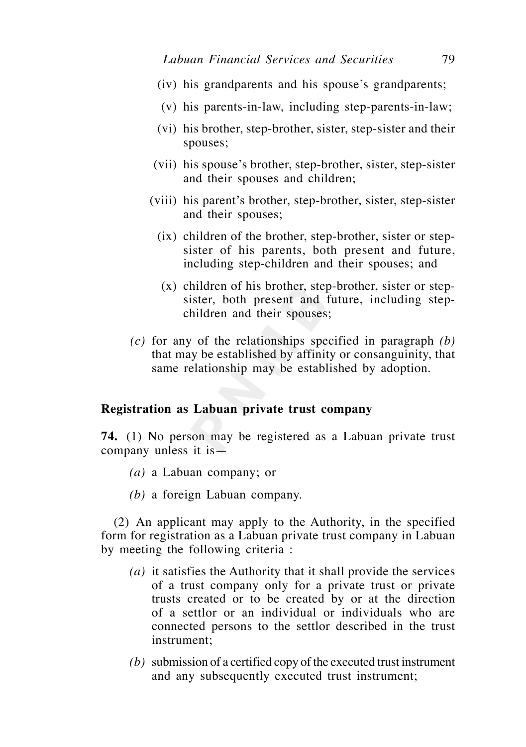- (iv) his grandparents and his spouse's grandparents;
- (v) his parents-in-law, including step-parents-in-law;
- (vi) his brother, step-brother, sister, step-sister and their spouses;
- (vii) his spouse's brother, step-brother, sister, step-sister and their spouses and children;
- (viii) his parent's brother, step-brother, sister, step-sister and their spouses;
	- (ix) children of the brother, step-brother, sister or stepsister of his parents, both present and future, including step-children and their spouses; and
	- (x) children of his brother, step-brother, sister or stepsister, both present and future, including stepchildren and their spouses;
- *(c)* for any of the relationships specified in paragraph *(b)* that may be established by affinity or consanguinity, that same relationship may be established by adoption.

### **Registration as Labuan private trust company**

**74.** (1) No person may be registered as a Labuan private trust company unless it is—

- *(a)* a Labuan company; or
- *(b)* a foreign Labuan company.

 (2) An applicant may apply to the Authority, in the specified form for registration as a Labuan private trust company in Labuan by meeting the following criteria :

- *(a)* it satisfies the Authority that it shall provide the services of a trust company only for a private trust or private trusts created or to be created by or at the direction of a settlor or an individual or individuals who are connected persons to the settlor described in the trust instrument;
- *(b)* submission of a certified copy of the executed trust instrument and any subsequently executed trust instrument;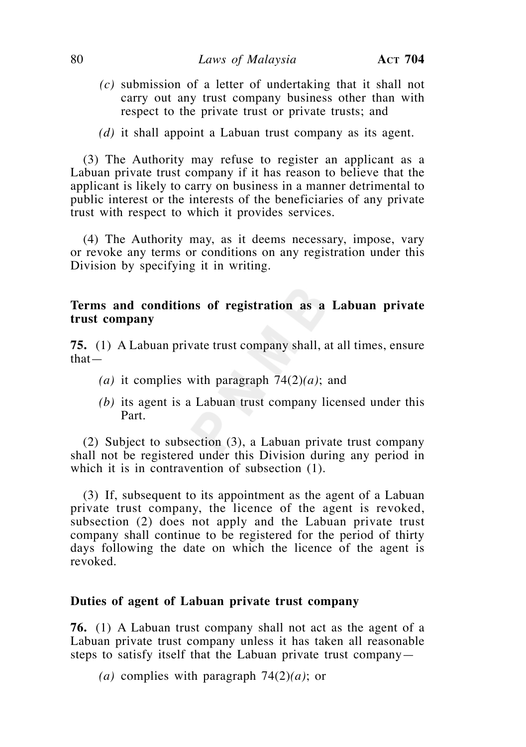- *(c)* submission of a letter of undertaking that it shall not carry out any trust company business other than with respect to the private trust or private trusts; and
- *(d)* it shall appoint a Labuan trust company as its agent.

 (3) The Authority may refuse to register an applicant as a Labuan private trust company if it has reason to believe that the applicant is likely to carry on business in a manner detrimental to public interest or the interests of the beneficiaries of any private trust with respect to which it provides services.

 (4) The Authority may, as it deems necessary, impose, vary or revoke any terms or conditions on any registration under this Division by specifying it in writing.

## **Terms and conditions of registration as a Labuan private trust company**

**75.** (1) A Labuan private trust company shall, at all times, ensure that—

- *(a)* it complies with paragraph 74(2)*(a)*; and
- *(b)* its agent is a Labuan trust company licensed under this Part.

 (2) Subject to subsection (3), a Labuan private trust company shall not be registered under this Division during any period in which it is in contravention of subsection (1).

 (3) If, subsequent to its appointment as the agent of a Labuan private trust company, the licence of the agent is revoked, subsection (2) does not apply and the Labuan private trust company shall continue to be registered for the period of thirty days following the date on which the licence of the agent is revoked.

### **Duties of agent of Labuan private trust company**

**76.** (1) A Labuan trust company shall not act as the agent of a Labuan private trust company unless it has taken all reasonable steps to satisfy itself that the Labuan private trust company—

 *(a)* complies with paragraph 74(2)*(a)*; or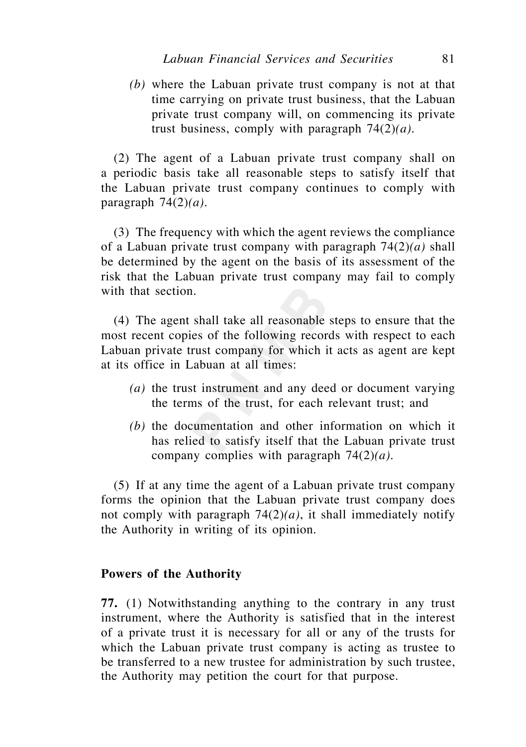*(b)* where the Labuan private trust company is not at that time carrying on private trust business, that the Labuan private trust company will, on commencing its private trust business, comply with paragraph 74(2)*(a).*

 (2) The agent of a Labuan private trust company shall on a periodic basis take all reasonable steps to satisfy itself that the Labuan private trust company continues to comply with paragraph  $74(2)(a)$ .

 (3) The frequency with which the agent reviews the compliance of a Labuan private trust company with paragraph 74(2)*(a)* shall be determined by the agent on the basis of its assessment of the risk that the Labuan private trust company may fail to comply with that section.

 (4) The agent shall take all reasonable steps to ensure that the most recent copies of the following records with respect to each Labuan private trust company for which it acts as agent are kept at its office in Labuan at all times:

- *(a)* the trust instrument and any deed or document varying the terms of the trust, for each relevant trust; and
- *(b)* the documentation and other information on which it has relied to satisfy itself that the Labuan private trust company complies with paragraph 74(2)*(a).*

 (5) If at any time the agent of a Labuan private trust company forms the opinion that the Labuan private trust company does not comply with paragraph 74(2)*(a)*, it shall immediately notify the Authority in writing of its opinion.

## **Powers of the Authority**

**77.** (1) Notwithstanding anything to the contrary in any trust instrument, where the Authority is satisfied that in the interest of a private trust it is necessary for all or any of the trusts for which the Labuan private trust company is acting as trustee to be transferred to a new trustee for administration by such trustee, the Authority may petition the court for that purpose.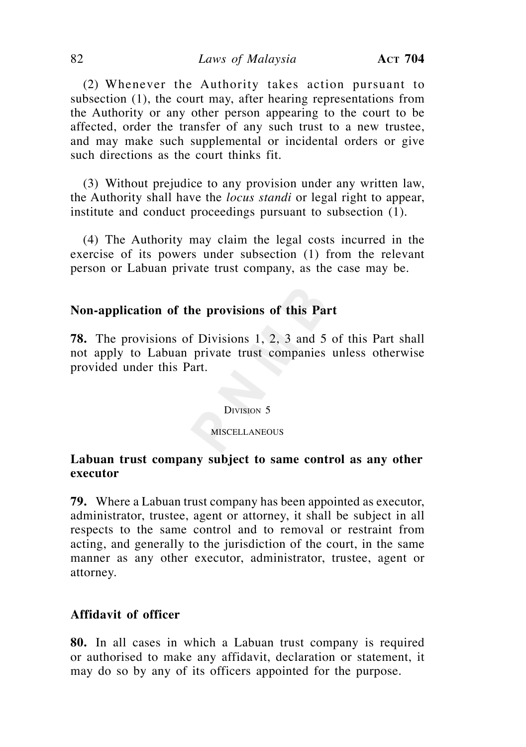(2) Whenever the Authority takes action pursuant to subsection (1), the court may, after hearing representations from the Authority or any other person appearing to the court to be affected, order the transfer of any such trust to a new trustee, and may make such supplemental or incidental orders or give such directions as the court thinks fit.

 (3) Without prejudice to any provision under any written law, the Authority shall have the *locus standi* or legal right to appear, institute and conduct proceedings pursuant to subsection (1).

 (4) The Authority may claim the legal costs incurred in the exercise of its powers under subsection (1) from the relevant person or Labuan private trust company, as the case may be.

## **Non-application of the provisions of this Part**

**78.** The provisions of Divisions 1, 2, 3 and 5 of this Part shall not apply to Labuan private trust companies unless otherwise provided under this Part.

#### DIVISION 5

### **MISCELLANEOUS**

# **Labuan trust company subject to same control as any other executor**

**79.** Where a Labuan trust company has been appointed as executor, administrator, trustee, agent or attorney, it shall be subject in all respects to the same control and to removal or restraint from acting, and generally to the jurisdiction of the court, in the same manner as any other executor, administrator, trustee, agent or attorney.

# **Affidavit of officer**

**80.** In all cases in which a Labuan trust company is required or authorised to make any affidavit, declaration or statement, it may do so by any of its officers appointed for the purpose.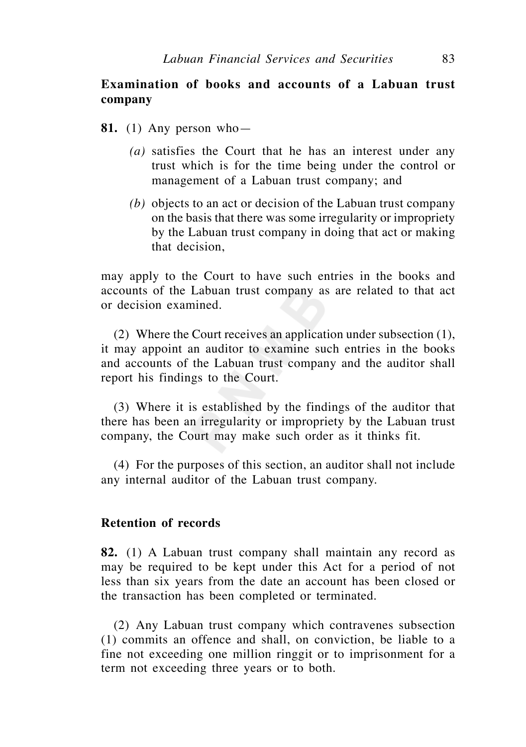# **Examination of books and accounts of a Labuan trust company**

- **81.** (1) Any person who—
	- *(a)* satisfies the Court that he has an interest under any trust which is for the time being under the control or management of a Labuan trust company; and
	- *(b)* objects to an act or decision of the Labuan trust company on the basis that there was some irregularity or impropriety by the Labuan trust company in doing that act or making that decision,

may apply to the Court to have such entries in the books and accounts of the Labuan trust company as are related to that act or decision examined.

 (2) Where the Court receives an application under subsection (1), it may appoint an auditor to examine such entries in the books and accounts of the Labuan trust company and the auditor shall report his findings to the Court.

 (3) Where it is established by the findings of the auditor that there has been an irregularity or impropriety by the Labuan trust company, the Court may make such order as it thinks fit.

 (4) For the purposes of this section, an auditor shall not include any internal auditor of the Labuan trust company.

## **Retention of records**

**82.** (1) A Labuan trust company shall maintain any record as may be required to be kept under this Act for a period of not less than six years from the date an account has been closed or the transaction has been completed or terminated.

 (2) Any Labuan trust company which contravenes subsection (1) commits an offence and shall, on conviction, be liable to a fine not exceeding one million ringgit or to imprisonment for a term not exceeding three years or to both.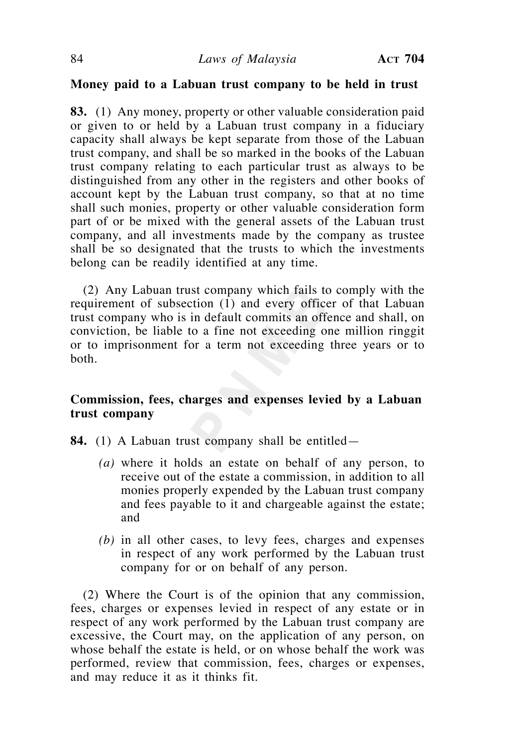### **Money paid to a Labuan trust company to be held in trust**

**83.** (1) Any money, property or other valuable consideration paid or given to or held by a Labuan trust company in a fiduciary capacity shall always be kept separate from those of the Labuan trust company, and shall be so marked in the books of the Labuan trust company relating to each particular trust as always to be distinguished from any other in the registers and other books of account kept by the Labuan trust company, so that at no time shall such monies, property or other valuable consideration form part of or be mixed with the general assets of the Labuan trust company, and all investments made by the company as trustee shall be so designated that the trusts to which the investments belong can be readily identified at any time.

 (2) Any Labuan trust company which fails to comply with the requirement of subsection (1) and every officer of that Labuan trust company who is in default commits an offence and shall, on conviction, be liable to a fine not exceeding one million ringgit or to imprisonment for a term not exceeding three years or to both.

# **Commission, fees, charges and expenses levied by a Labuan trust company**

- **84.** (1) A Labuan trust company shall be entitled—
	- *(a)* where it holds an estate on behalf of any person, to receive out of the estate a commission, in addition to all monies properly expended by the Labuan trust company and fees payable to it and chargeable against the estate; and
	- *(b)* in all other cases, to levy fees, charges and expenses in respect of any work performed by the Labuan trust company for or on behalf of any person.

 (2) Where the Court is of the opinion that any commission, fees, charges or expenses levied in respect of any estate or in respect of any work performed by the Labuan trust company are excessive, the Court may, on the application of any person, on whose behalf the estate is held, or on whose behalf the work was performed, review that commission, fees, charges or expenses, and may reduce it as it thinks fit.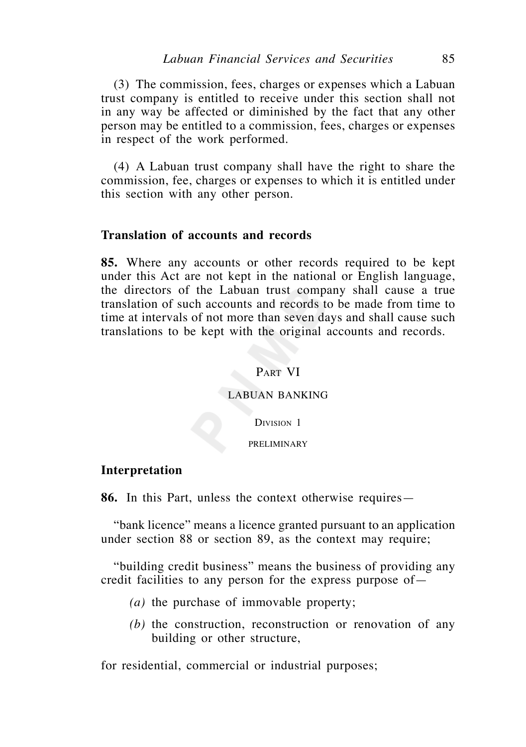(3) The commission, fees, charges or expenses which a Labuan trust company is entitled to receive under this section shall not in any way be affected or diminished by the fact that any other person may be entitled to a commission, fees, charges or expenses in respect of the work performed.

 (4) A Labuan trust company shall have the right to share the commission, fee, charges or expenses to which it is entitled under this section with any other person.

## **Translation of accounts and records**

**85.** Where any accounts or other records required to be kept under this Act are not kept in the national or English language, the directors of the Labuan trust company shall cause a true translation of such accounts and records to be made from time to time at intervals of not more than seven days and shall cause such translations to be kept with the original accounts and records.

### PART VI

### LABUAN BANKING

DIVISION<sub>1</sub>

#### PRELIMINARY

### **Interpretation**

**86.** In this Part, unless the context otherwise requires—

 "bank licence" means a licence granted pursuant to an application under section 88 or section 89, as the context may require;

 "building credit business" means the business of providing any credit facilities to any person for the express purpose of—

- *(a)* the purchase of immovable property;
- *(b)* the construction, reconstruction or renovation of any building or other structure,

for residential, commercial or industrial purposes;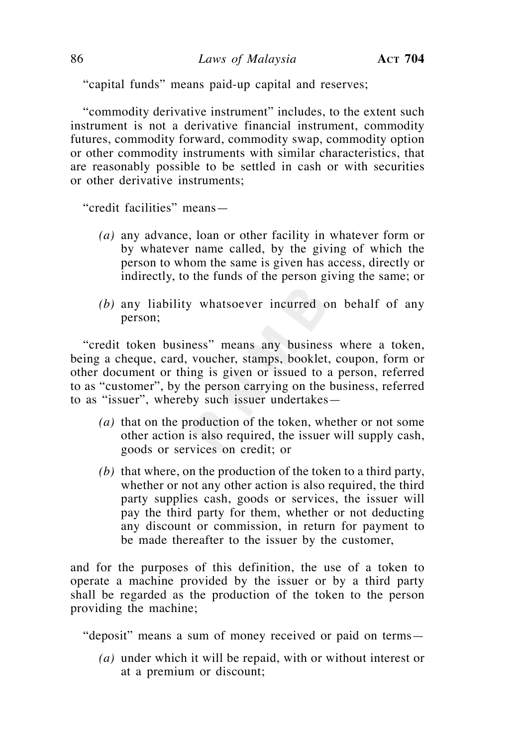"capital funds" means paid-up capital and reserves;

 "commodity derivative instrument" includes, to the extent such instrument is not a derivative financial instrument, commodity futures, commodity forward, commodity swap, commodity option or other commodity instruments with similar characteristics, that are reasonably possible to be settled in cash or with securities or other derivative instruments;

"credit facilities" means—

- *(a)* any advance, loan or other facility in whatever form or by whatever name called, by the giving of which the person to whom the same is given has access, directly or indirectly, to the funds of the person giving the same; or
- *(b)* any liability whatsoever incurred on behalf of any person;

 "credit token business" means any business where a token, being a cheque, card, voucher, stamps, booklet, coupon, form or other document or thing is given or issued to a person, referred to as "customer", by the person carrying on the business, referred to as "issuer", whereby such issuer undertakes—

- *(a)* that on the production of the token, whether or not some other action is also required, the issuer will supply cash, goods or services on credit; or
- *(b)* that where, on the production of the token to a third party, whether or not any other action is also required, the third party supplies cash, goods or services, the issuer will pay the third party for them, whether or not deducting any discount or commission, in return for payment to be made thereafter to the issuer by the customer,

and for the purposes of this definition, the use of a token to operate a machine provided by the issuer or by a third party shall be regarded as the production of the token to the person providing the machine;

"deposit" means a sum of money received or paid on terms—

 *(a)* under which it will be repaid, with or without interest or at a premium or discount;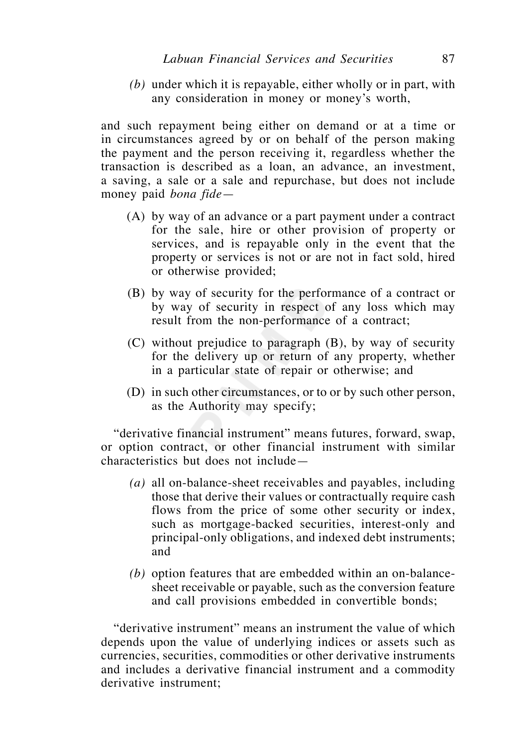*(b)* under which it is repayable, either wholly or in part, with any consideration in money or money's worth,

and such repayment being either on demand or at a time or in circumstances agreed by or on behalf of the person making the payment and the person receiving it, regardless whether the transaction is described as a loan, an advance, an investment, a saving, a sale or a sale and repurchase, but does not include money paid *bona fide*—

- (A) by way of an advance or a part payment under a contract for the sale, hire or other provision of property or services, and is repayable only in the event that the property or services is not or are not in fact sold, hired or otherwise provided;
- (B) by way of security for the performance of a contract or by way of security in respect of any loss which may result from the non-performance of a contract;
- (C) without prejudice to paragraph (B), by way of security for the delivery up or return of any property, whether in a particular state of repair or otherwise; and
- (D) in such other circumstances, or to or by such other person, as the Authority may specify;

 "derivative financial instrument" means futures, forward, swap, or option contract, or other financial instrument with similar characteristics but does not include—

- *(a)* all on-balance-sheet receivables and payables, including those that derive their values or contractually require cash flows from the price of some other security or index, such as mortgage-backed securities, interest-only and principal-only obligations, and indexed debt instruments; and
- *(b)* option features that are embedded within an on-balancesheet receivable or payable, such as the conversion feature and call provisions embedded in convertible bonds;

 "derivative instrument" means an instrument the value of which depends upon the value of underlying indices or assets such as currencies, securities, commodities or other derivative instruments and includes a derivative financial instrument and a commodity derivative instrument;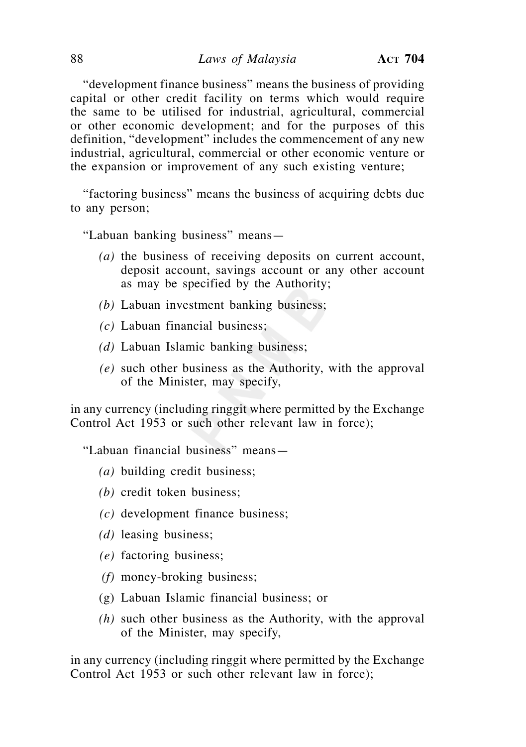"development finance business" means the business of providing capital or other credit facility on terms which would require the same to be utilised for industrial, agricultural, commercial or other economic development; and for the purposes of this definition, "development" includes the commencement of any new industrial, agricultural, commercial or other economic venture or the expansion or improvement of any such existing venture;

 "factoring business" means the business of acquiring debts due to any person;

"Labuan banking business" means—

- *(a)* the business of receiving deposits on current account, deposit account, savings account or any other account as may be specified by the Authority;
- *(b)* Labuan investment banking business;
- *(c)* Labuan financial business;
- *(d)* Labuan Islamic banking business;
- *(e)* such other business as the Authority, with the approval of the Minister, may specify,

in any currency (including ringgit where permitted by the Exchange Control Act 1953 or such other relevant law in force);

"Labuan financial business" means—

- *(a)* building credit business;
- *(b)* credit token business;
- *(c)* development finance business;
- *(d)* leasing business;
- *(e)* factoring business;
- *(f)* money-broking business;
- (g) Labuan Islamic financial business; or
- *(h)* such other business as the Authority, with the approval of the Minister, may specify,

in any currency (including ringgit where permitted by the Exchange Control Act 1953 or such other relevant law in force);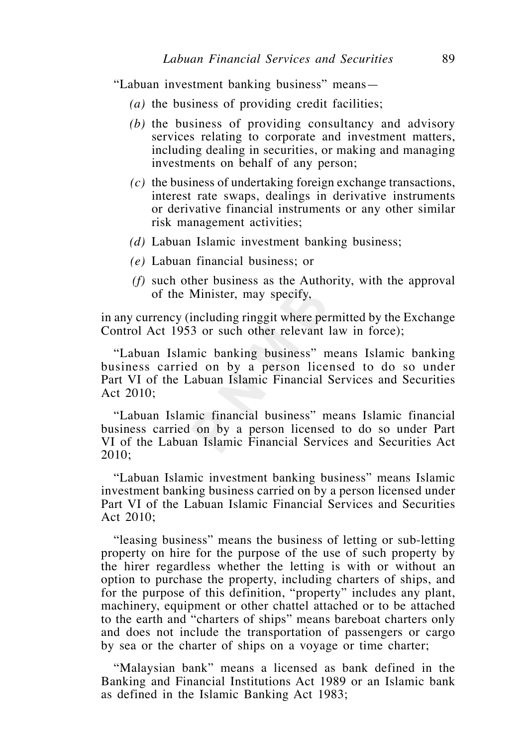"Labuan investment banking business" means—

- *(a)* the business of providing credit facilities;
- *(b)* the business of providing consultancy and advisory services relating to corporate and investment matters, including dealing in securities, or making and managing investments on behalf of any person;
- *(c)* the business of undertaking foreign exchange transactions, interest rate swaps, dealings in derivative instruments or derivative financial instruments or any other similar risk management activities;
- *(d)* Labuan Islamic investment banking business;
- *(e)* Labuan financial business; or
- *(f)* such other business as the Authority, with the approval of the Minister, may specify,

in any currency (including ringgit where permitted by the Exchange Control Act 1953 or such other relevant law in force);

 "Labuan Islamic banking business" means Islamic banking business carried on by a person licensed to do so under Part VI of the Labuan Islamic Financial Services and Securities Act 2010;

 "Labuan Islamic financial business" means Islamic financial business carried on by a person licensed to do so under Part VI of the Labuan Islamic Financial Services and Securities Act 2010;

 "Labuan Islamic investment banking business" means Islamic investment banking business carried on by a person licensed under Part VI of the Labuan Islamic Financial Services and Securities Act 2010;

 "leasing business" means the business of letting or sub-letting property on hire for the purpose of the use of such property by the hirer regardless whether the letting is with or without an option to purchase the property, including charters of ships, and for the purpose of this definition, "property" includes any plant, machinery, equipment or other chattel attached or to be attached to the earth and "charters of ships" means bareboat charters only and does not include the transportation of passengers or cargo by sea or the charter of ships on a voyage or time charter;

 "Malaysian bank" means a licensed as bank defined in the Banking and Financial Institutions Act 1989 or an Islamic bank as defined in the Islamic Banking Act 1983;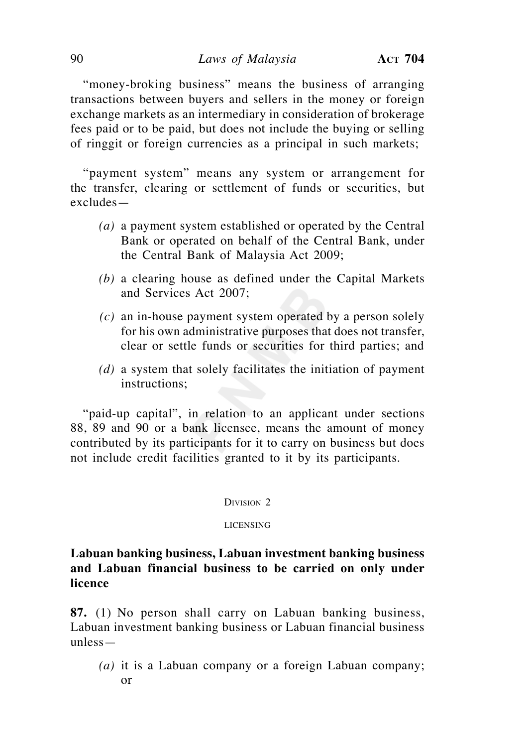"money-broking business" means the business of arranging transactions between buyers and sellers in the money or foreign exchange markets as an intermediary in consideration of brokerage fees paid or to be paid, but does not include the buying or selling of ringgit or foreign currencies as a principal in such markets;

 "payment system" means any system or arrangement for the transfer, clearing or settlement of funds or securities, but excludes—

- *(a)* a payment system established or operated by the Central Bank or operated on behalf of the Central Bank, under the Central Bank of Malaysia Act 2009;
- *(b)* a clearing house as defined under the Capital Markets and Services Act 2007;
- *(c)* an in-house payment system operated by a person solely for his own administrative purposes that does not transfer, clear or settle funds or securities for third parties; and
- *(d)* a system that solely facilitates the initiation of payment instructions;

 "paid-up capital", in relation to an applicant under sections 88, 89 and 90 or a bank licensee, means the amount of money contributed by its participants for it to carry on business but does not include credit facilities granted to it by its participants.

#### DIVISION 2

#### LICENSING

**Labuan banking business, Labuan investment banking business and Labuan financial business to be carried on only under licence**

**87.** (1) No person shall carry on Labuan banking business, Labuan investment banking business or Labuan financial business unless—

*(a)* it is a Labuan company or a foreign Labuan company; or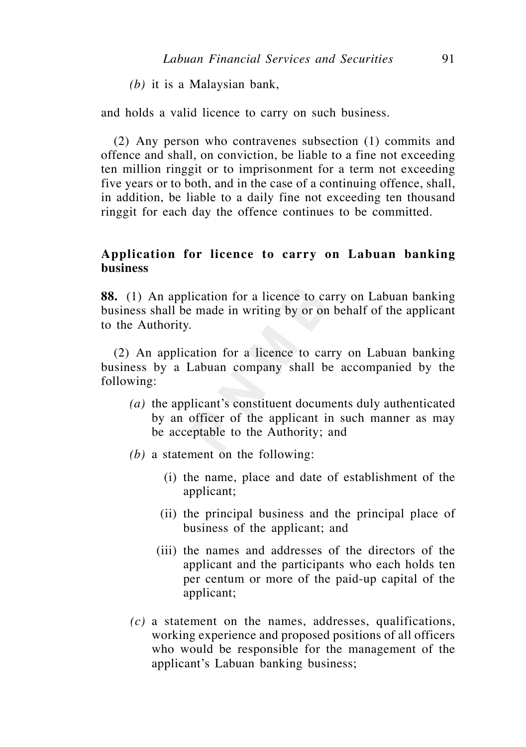*(b)* it is a Malaysian bank,

and holds a valid licence to carry on such business.

 (2) Any person who contravenes subsection (1) commits and offence and shall, on conviction, be liable to a fine not exceeding ten million ringgit or to imprisonment for a term not exceeding five years or to both, and in the case of a continuing offence, shall, in addition, be liable to a daily fine not exceeding ten thousand ringgit for each day the offence continues to be committed.

# **Application for licence to carry on Labuan banking business**

**88.** (1) An application for a licence to carry on Labuan banking business shall be made in writing by or on behalf of the applicant to the Authority.

 (2) An application for a licence to carry on Labuan banking business by a Labuan company shall be accompanied by the following:

- *(a)* the applicant's constituent documents duly authenticated by an officer of the applicant in such manner as may be acceptable to the Authority; and
- *(b)* a statement on the following:
	- (i) the name, place and date of establishment of the applicant;
	- (ii) the principal business and the principal place of business of the applicant; and
	- (iii) the names and addresses of the directors of the applicant and the participants who each holds ten per centum or more of the paid-up capital of the applicant;
- *(c)* a statement on the names, addresses, qualifications, working experience and proposed positions of all officers who would be responsible for the management of the applicant's Labuan banking business;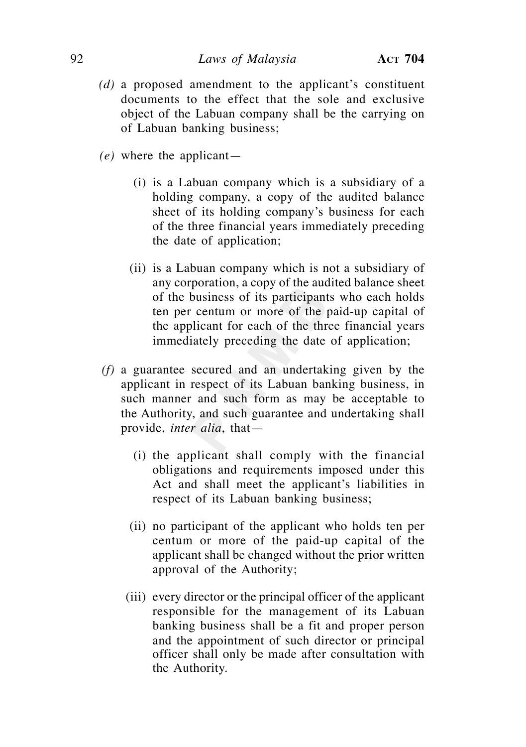- *(d)* a proposed amendment to the applicant's constituent documents to the effect that the sole and exclusive object of the Labuan company shall be the carrying on of Labuan banking business;
- *(e)* where the applicant—
	- (i) is a Labuan company which is a subsidiary of a holding company, a copy of the audited balance sheet of its holding company's business for each of the three financial years immediately preceding the date of application;
	- (ii) is a Labuan company which is not a subsidiary of any corporation, a copy of the audited balance sheet of the business of its participants who each holds ten per centum or more of the paid-up capital of the applicant for each of the three financial years immediately preceding the date of application;
- *(f)* a guarantee secured and an undertaking given by the applicant in respect of its Labuan banking business, in such manner and such form as may be acceptable to the Authority, and such guarantee and undertaking shall provide, *inter alia*, that—
	- (i) the applicant shall comply with the financial obligations and requirements imposed under this Act and shall meet the applicant's liabilities in respect of its Labuan banking business;
	- (ii) no participant of the applicant who holds ten per centum or more of the paid-up capital of the applicant shall be changed without the prior written approval of the Authority;
	- (iii) every director or the principal officer of the applicant responsible for the management of its Labuan banking business shall be a fit and proper person and the appointment of such director or principal officer shall only be made after consultation with the Authority.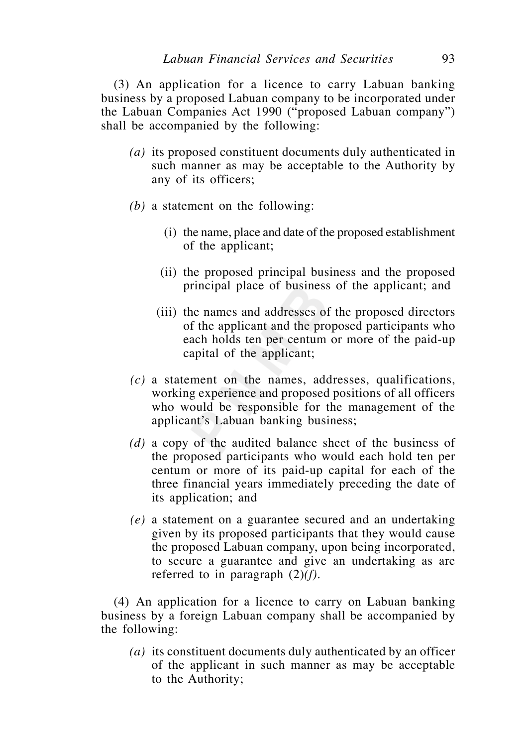(3) An application for a licence to carry Labuan banking business by a proposed Labuan company to be incorporated under the Labuan Companies Act 1990 ("proposed Labuan company") shall be accompanied by the following:

- *(a)* its proposed constituent documents duly authenticated in such manner as may be acceptable to the Authority by any of its officers;
- *(b)* a statement on the following:
	- (i) the name, place and date of the proposed establishment of the applicant;
	- (ii) the proposed principal business and the proposed principal place of business of the applicant; and
	- (iii) the names and addresses of the proposed directors of the applicant and the proposed participants who each holds ten per centum or more of the paid-up capital of the applicant;
- *(c)* a statement on the names, addresses, qualifications, working experience and proposed positions of all officers who would be responsible for the management of the applicant's Labuan banking business;
- *(d)* a copy of the audited balance sheet of the business of the proposed participants who would each hold ten per centum or more of its paid-up capital for each of the three financial years immediately preceding the date of its application; and
- *(e)* a statement on a guarantee secured and an undertaking given by its proposed participants that they would cause the proposed Labuan company, upon being incorporated, to secure a guarantee and give an undertaking as are referred to in paragraph (2)*(f).*

 (4) An application for a licence to carry on Labuan banking business by a foreign Labuan company shall be accompanied by the following:

 *(a)* its constituent documents duly authenticated by an officer of the applicant in such manner as may be acceptable to the Authority;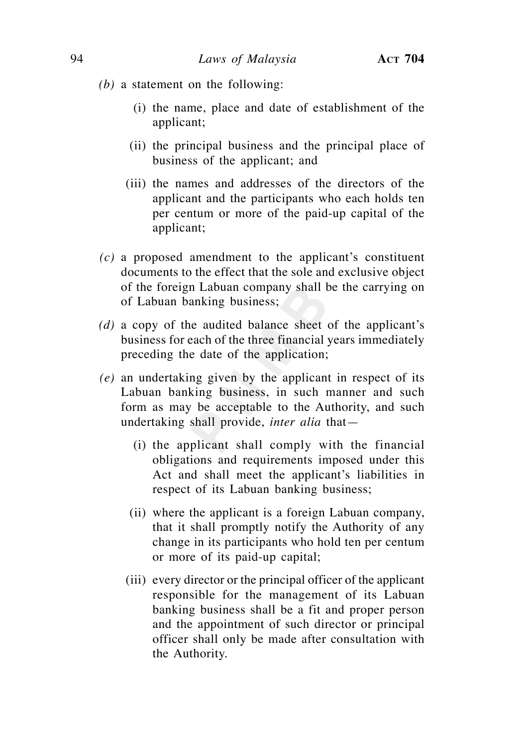- *(b)* a statement on the following:
	- (i) the name, place and date of establishment of the applicant;
	- (ii) the principal business and the principal place of business of the applicant; and
	- (iii) the names and addresses of the directors of the applicant and the participants who each holds ten per centum or more of the paid-up capital of the applicant;
- *(c)* a proposed amendment to the applicant's constituent documents to the effect that the sole and exclusive object of the foreign Labuan company shall be the carrying on of Labuan banking business;
- *(d)* a copy of the audited balance sheet of the applicant's business for each of the three financial years immediately preceding the date of the application;
- *(e)* an undertaking given by the applicant in respect of its Labuan banking business, in such manner and such form as may be acceptable to the Authority, and such undertaking shall provide, *inter alia* that—
	- (i) the applicant shall comply with the financial obligations and requirements imposed under this Act and shall meet the applicant's liabilities in respect of its Labuan banking business;
	- (ii) where the applicant is a foreign Labuan company, that it shall promptly notify the Authority of any change in its participants who hold ten per centum or more of its paid-up capital;
	- (iii) every director or the principal officer of the applicant responsible for the management of its Labuan banking business shall be a fit and proper person and the appointment of such director or principal officer shall only be made after consultation with the Authority.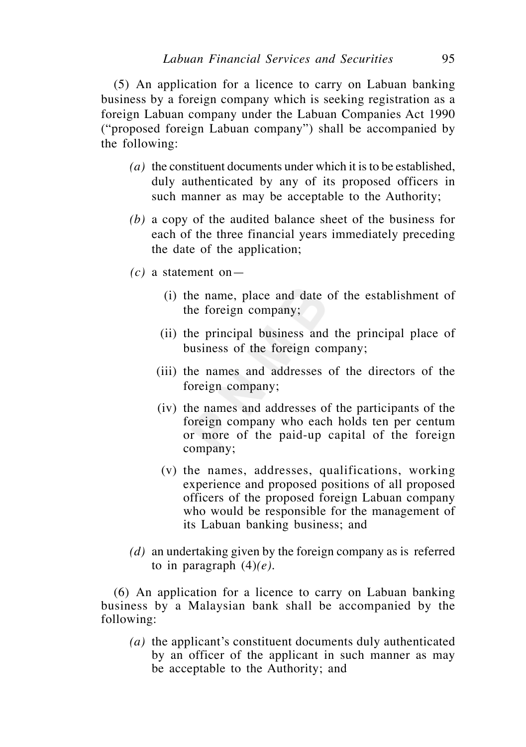(5) An application for a licence to carry on Labuan banking business by a foreign company which is seeking registration as a foreign Labuan company under the Labuan Companies Act 1990 ("proposed foreign Labuan company") shall be accompanied by the following:

- *(a)* the constituent documents under which it is to be established, duly authenticated by any of its proposed officers in such manner as may be acceptable to the Authority;
- *(b)* a copy of the audited balance sheet of the business for each of the three financial years immediately preceding the date of the application;
- *(c)* a statement on—
	- (i) the name, place and date of the establishment of the foreign company;
	- (ii) the principal business and the principal place of business of the foreign company;
	- (iii) the names and addresses of the directors of the foreign company;
	- (iv) the names and addresses of the participants of the foreign company who each holds ten per centum or more of the paid-up capital of the foreign company;
	- (v) the names, addresses, qualifications, working experience and proposed positions of all proposed officers of the proposed foreign Labuan company who would be responsible for the management of its Labuan banking business; and
- *(d)* an undertaking given by the foreign company as is referred to in paragraph  $(4)(e)$ .

 (6) An application for a licence to carry on Labuan banking business by a Malaysian bank shall be accompanied by the following:

 *(a)* the applicant's constituent documents duly authenticated by an officer of the applicant in such manner as may be acceptable to the Authority; and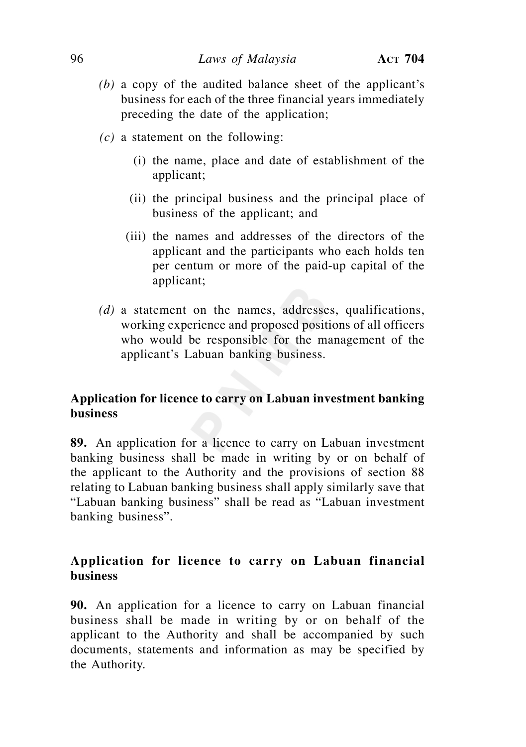- *(b)* a copy of the audited balance sheet of the applicant's business for each of the three financial years immediately preceding the date of the application;
- *(c)* a statement on the following:
	- (i) the name, place and date of establishment of the applicant;
	- (ii) the principal business and the principal place of business of the applicant; and
	- (iii) the names and addresses of the directors of the applicant and the participants who each holds ten per centum or more of the paid-up capital of the applicant;
- *(d)* a statement on the names, addresses, qualifications, working experience and proposed positions of all officers who would be responsible for the management of the applicant's Labuan banking business.

# **Application for licence to carry on Labuan investment banking business**

**89.** An application for a licence to carry on Labuan investment banking business shall be made in writing by or on behalf of the applicant to the Authority and the provisions of section 88 relating to Labuan banking business shall apply similarly save that "Labuan banking business" shall be read as "Labuan investment banking business".

# **Application for licence to carry on Labuan financial business**

**90.** An application for a licence to carry on Labuan financial business shall be made in writing by or on behalf of the applicant to the Authority and shall be accompanied by such documents, statements and information as may be specified by the Authority.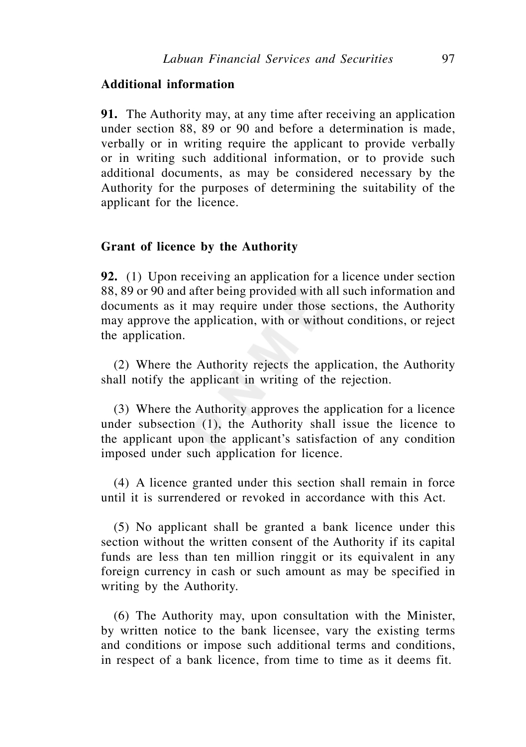## **Additional information**

**91.** The Authority may, at any time after receiving an application under section 88, 89 or 90 and before a determination is made, verbally or in writing require the applicant to provide verbally or in writing such additional information, or to provide such additional documents, as may be considered necessary by the Authority for the purposes of determining the suitability of the applicant for the licence.

### **Grant of licence by the Authority**

**92.** (1) Upon receiving an application for a licence under section 88, 89 or 90 and after being provided with all such information and documents as it may require under those sections, the Authority may approve the application, with or without conditions, or reject the application.

 (2) Where the Authority rejects the application, the Authority shall notify the applicant in writing of the rejection.

 (3) Where the Authority approves the application for a licence under subsection (1), the Authority shall issue the licence to the applicant upon the applicant's satisfaction of any condition imposed under such application for licence.

 (4) A licence granted under this section shall remain in force until it is surrendered or revoked in accordance with this Act.

 (5) No applicant shall be granted a bank licence under this section without the written consent of the Authority if its capital funds are less than ten million ringgit or its equivalent in any foreign currency in cash or such amount as may be specified in writing by the Authority.

 (6) The Authority may, upon consultation with the Minister, by written notice to the bank licensee, vary the existing terms and conditions or impose such additional terms and conditions, in respect of a bank licence, from time to time as it deems fit.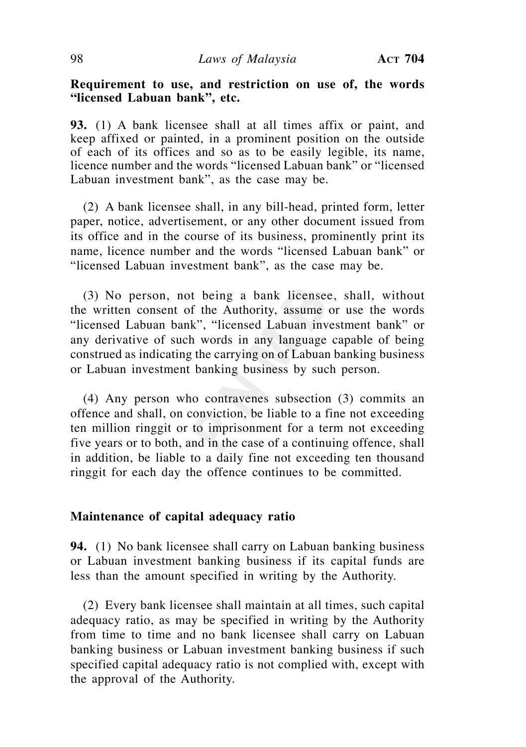# **Requirement to use, and restriction on use of, the words "licensed Labuan bank", etc.**

**93.** (1) A bank licensee shall at all times affix or paint, and keep affixed or painted, in a prominent position on the outside of each of its offices and so as to be easily legible, its name, licence number and the words "licensed Labuan bank" or "licensed Labuan investment bank", as the case may be.

 (2) A bank licensee shall, in any bill-head, printed form, letter paper, notice, advertisement, or any other document issued from its office and in the course of its business, prominently print its name, licence number and the words "licensed Labuan bank" or "licensed Labuan investment bank", as the case may be.

 (3) No person, not being a bank licensee, shall, without the written consent of the Authority, assume or use the words "licensed Labuan bank", "licensed Labuan investment bank" or any derivative of such words in any language capable of being construed as indicating the carrying on of Labuan banking business or Labuan investment banking business by such person.

 (4) Any person who contravenes subsection (3) commits an offence and shall, on conviction, be liable to a fine not exceeding ten million ringgit or to imprisonment for a term not exceeding five years or to both, and in the case of a continuing offence, shall in addition, be liable to a daily fine not exceeding ten thousand ringgit for each day the offence continues to be committed.

### **Maintenance of capital adequacy ratio**

**94.** (1) No bank licensee shall carry on Labuan banking business or Labuan investment banking business if its capital funds are less than the amount specified in writing by the Authority.

 (2) Every bank licensee shall maintain at all times, such capital adequacy ratio, as may be specified in writing by the Authority from time to time and no bank licensee shall carry on Labuan banking business or Labuan investment banking business if such specified capital adequacy ratio is not complied with, except with the approval of the Authority.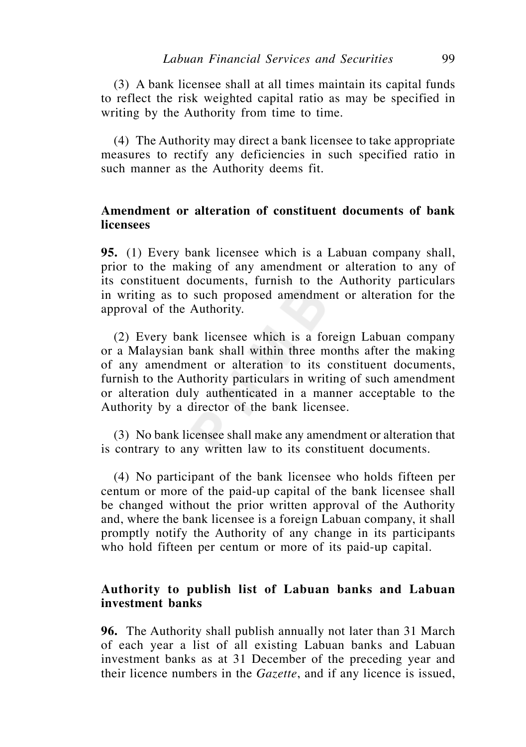(3) A bank licensee shall at all times maintain its capital funds to reflect the risk weighted capital ratio as may be specified in writing by the Authority from time to time.

 (4) The Authority may direct a bank licensee to take appropriate measures to rectify any deficiencies in such specified ratio in such manner as the Authority deems fit.

# **Amendment or alteration of constituent documents of bank licensees**

**95.** (1) Every bank licensee which is a Labuan company shall, prior to the making of any amendment or alteration to any of its constituent documents, furnish to the Authority particulars in writing as to such proposed amendment or alteration for the approval of the Authority.

 (2) Every bank licensee which is a foreign Labuan company or a Malaysian bank shall within three months after the making of any amendment or alteration to its constituent documents, furnish to the Authority particulars in writing of such amendment or alteration duly authenticated in a manner acceptable to the Authority by a director of the bank licensee.

 (3) No bank licensee shall make any amendment or alteration that is contrary to any written law to its constituent documents.

 (4) No participant of the bank licensee who holds fifteen per centum or more of the paid-up capital of the bank licensee shall be changed without the prior written approval of the Authority and, where the bank licensee is a foreign Labuan company, it shall promptly notify the Authority of any change in its participants who hold fifteen per centum or more of its paid-up capital.

# **Authority to publish list of Labuan banks and Labuan investment banks**

**96.** The Authority shall publish annually not later than 31 March of each year a list of all existing Labuan banks and Labuan investment banks as at 31 December of the preceding year and their licence numbers in the *Gazette*, and if any licence is issued,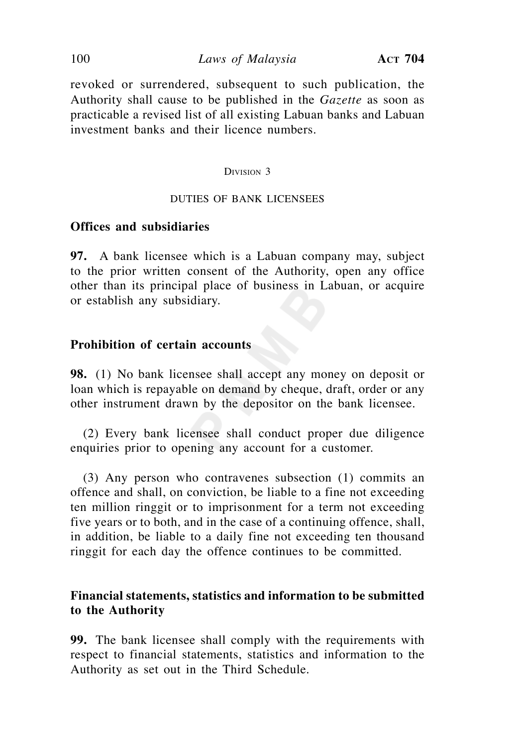### 100 *Laws of Malaysia* **ACT 704**

revoked or surrendered, subsequent to such publication, the Authority shall cause to be published in the *Gazette* as soon as practicable a revised list of all existing Labuan banks and Labuan investment banks and their licence numbers.

#### DIVISION 3

### DUTIES OF BANK LICENSEES

## **Offices and subsidiaries**

**97.** A bank licensee which is a Labuan company may, subject to the prior written consent of the Authority, open any office other than its principal place of business in Labuan, or acquire or establish any subsidiary.

### **Prohibition of certain accounts**

**98.** (1) No bank licensee shall accept any money on deposit or loan which is repayable on demand by cheque, draft, order or any other instrument drawn by the depositor on the bank licensee.

 (2) Every bank licensee shall conduct proper due diligence enquiries prior to opening any account for a customer.

 (3) Any person who contravenes subsection (1) commits an offence and shall, on conviction, be liable to a fine not exceeding ten million ringgit or to imprisonment for a term not exceeding five years or to both, and in the case of a continuing offence, shall, in addition, be liable to a daily fine not exceeding ten thousand ringgit for each day the offence continues to be committed.

## **Financial statements, statistics and information to be submitted to the Authority**

**99.** The bank licensee shall comply with the requirements with respect to financial statements, statistics and information to the Authority as set out in the Third Schedule.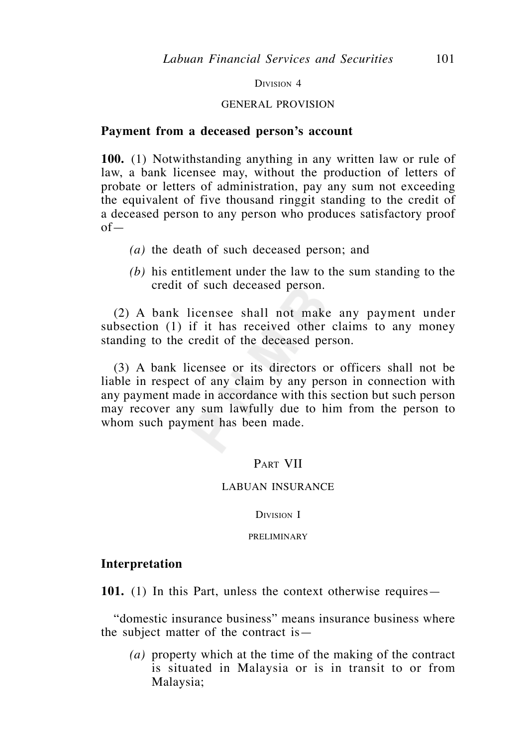DIVISION 4

#### GENERAL PROVISION

### **Payment from a deceased person's account**

**100.** (1) Notwithstanding anything in any written law or rule of law, a bank licensee may, without the production of letters of probate or letters of administration, pay any sum not exceeding the equivalent of five thousand ringgit standing to the credit of a deceased person to any person who produces satisfactory proof of—

- *(a)* the death of such deceased person; and
- *(b)* his entitlement under the law to the sum standing to the credit of such deceased person.

 (2) A bank licensee shall not make any payment under subsection (1) if it has received other claims to any money standing to the credit of the deceased person.

 (3) A bank licensee or its directors or officers shall not be liable in respect of any claim by any person in connection with any payment made in accordance with this section but such person may recover any sum lawfully due to him from the person to whom such payment has been made.

## PART VII

### LABUAN INSURANCE

DIVISION I

PRELIMINARY

### **Interpretation**

**101.** (1) In this Part, unless the context otherwise requires—

 "domestic insurance business" means insurance business where the subject matter of the contract is—

 *(a)* property which at the time of the making of the contract is situated in Malaysia or is in transit to or from Malaysia;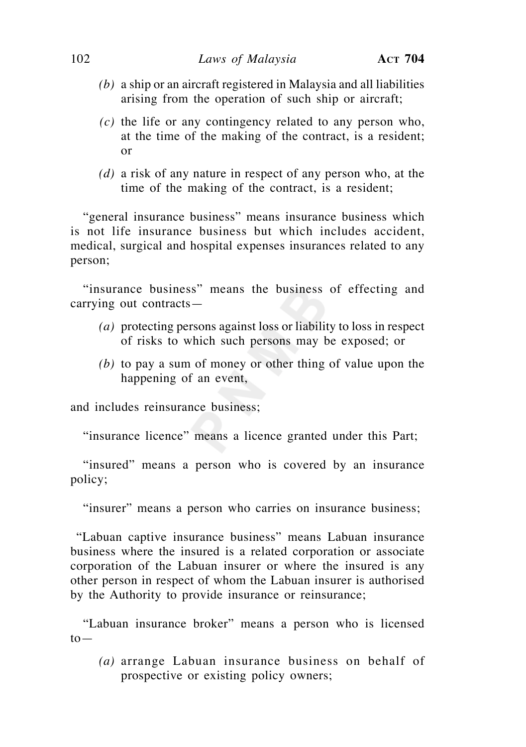- *(b)* a ship or an aircraft registered in Malaysia and all liabilities arising from the operation of such ship or aircraft;
- *(c)* the life or any contingency related to any person who, at the time of the making of the contract, is a resident; or
- *(d)* a risk of any nature in respect of any person who, at the time of the making of the contract, is a resident;

 "general insurance business" means insurance business which is not life insurance business but which includes accident, medical, surgical and hospital expenses insurances related to any person;

 "insurance business" means the business of effecting and carrying out contracts—

- *(a)* protecting persons against loss or liability to loss in respect of risks to which such persons may be exposed; or
- *(b)* to pay a sum of money or other thing of value upon the happening of an event,

and includes reinsurance business;

"insurance licence" means a licence granted under this Part;

 "insured" means a person who is covered by an insurance policy;

"insurer" means a person who carries on insurance business;

 "Labuan captive insurance business" means Labuan insurance business where the insured is a related corporation or associate corporation of the Labuan insurer or where the insured is any other person in respect of whom the Labuan insurer is authorised by the Authority to provide insurance or reinsurance;

 "Labuan insurance broker" means a person who is licensed  $to-$ 

*(a)* arrange Labuan insurance business on behalf of prospective or existing policy owners;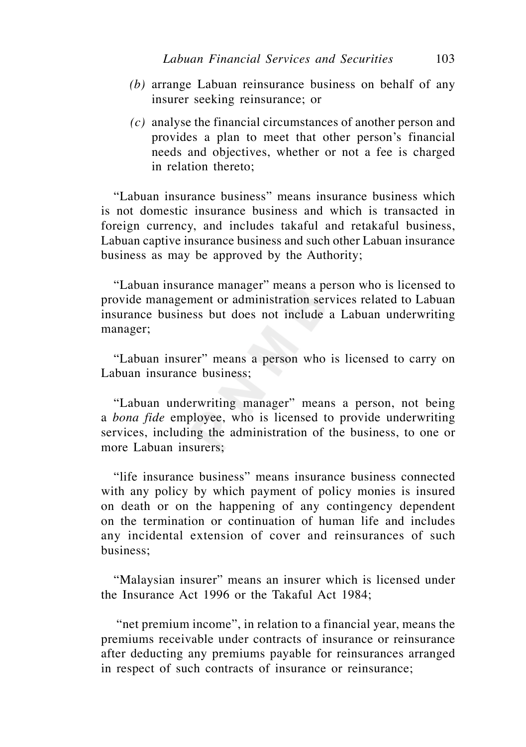- *(b)* arrange Labuan reinsurance business on behalf of any insurer seeking reinsurance; or
- *(c)* analyse the financial circumstances of another person and provides a plan to meet that other person's financial needs and objectives, whether or not a fee is charged in relation thereto;

 "Labuan insurance business" means insurance business which is not domestic insurance business and which is transacted in foreign currency, and includes takaful and retakaful business, Labuan captive insurance business and such other Labuan insurance business as may be approved by the Authority;

 "Labuan insurance manager" means a person who is licensed to provide management or administration services related to Labuan insurance business but does not include a Labuan underwriting manager;

 "Labuan insurer" means a person who is licensed to carry on Labuan insurance business;

 "Labuan underwriting manager" means a person, not being a *bona fide* employee, who is licensed to provide underwriting services, including the administration of the business, to one or more Labuan insurers;

 "life insurance business" means insurance business connected with any policy by which payment of policy monies is insured on death or on the happening of any contingency dependent on the termination or continuation of human life and includes any incidental extension of cover and reinsurances of such business;

 "Malaysian insurer" means an insurer which is licensed under the Insurance Act 1996 or the Takaful Act 1984;

 "net premium income", in relation to a financial year, means the premiums receivable under contracts of insurance or reinsurance after deducting any premiums payable for reinsurances arranged in respect of such contracts of insurance or reinsurance;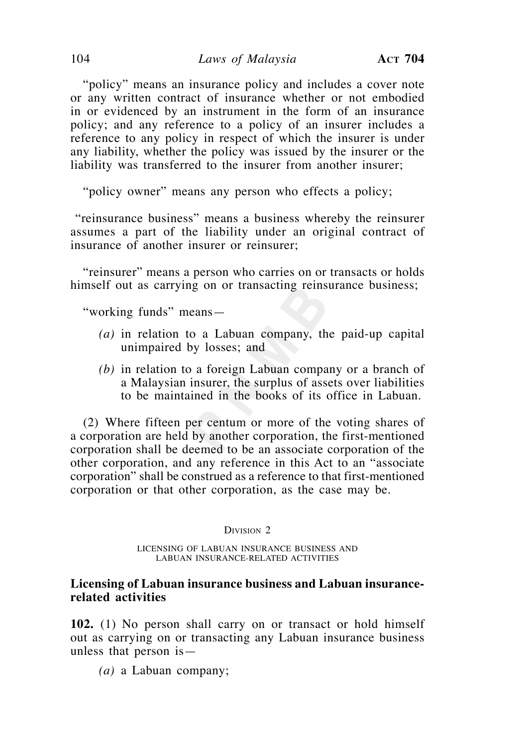"policy" means an insurance policy and includes a cover note or any written contract of insurance whether or not embodied in or evidenced by an instrument in the form of an insurance policy; and any reference to a policy of an insurer includes a reference to any policy in respect of which the insurer is under any liability, whether the policy was issued by the insurer or the liability was transferred to the insurer from another insurer;

"policy owner" means any person who effects a policy;

 "reinsurance business" means a business whereby the reinsurer assumes a part of the liability under an original contract of insurance of another insurer or reinsurer;

 "reinsurer" means a person who carries on or transacts or holds himself out as carrying on or transacting reinsurance business;

"working funds" means—

- *(a)* in relation to a Labuan company, the paid-up capital unimpaired by losses; and
- *(b)* in relation to a foreign Labuan company or a branch of a Malaysian insurer, the surplus of assets over liabilities to be maintained in the books of its office in Labuan.

 (2) Where fifteen per centum or more of the voting shares of a corporation are held by another corporation, the first-mentioned corporation shall be deemed to be an associate corporation of the other corporation, and any reference in this Act to an "associate corporation" shall be construed as a reference to that first-mentioned corporation or that other corporation, as the case may be.

DIVISION<sub>2</sub>

LICENSING OF LABUAN INSURANCE BUSINESS AND LABUAN INSURANCE-RELATED ACTIVITIES

### **Licensing of Labuan insurance business and Labuan insurancerelated activities**

**102.** (1) No person shall carry on or transact or hold himself out as carrying on or transacting any Labuan insurance business unless that person is—

 *(a)* a Labuan company;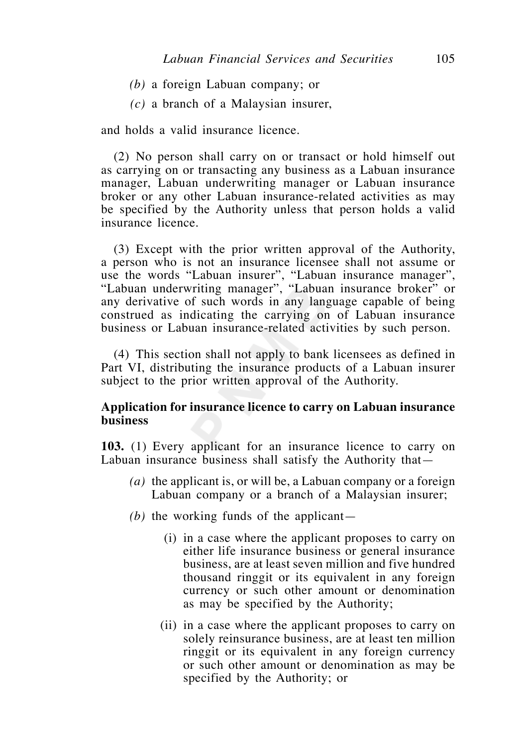- *(b)* a foreign Labuan company; or
- *(c)* a branch of a Malaysian insurer,

and holds a valid insurance licence.

 (2) No person shall carry on or transact or hold himself out as carrying on or transacting any business as a Labuan insurance manager, Labuan underwriting manager or Labuan insurance broker or any other Labuan insurance-related activities as may be specified by the Authority unless that person holds a valid insurance licence.

 (3) Except with the prior written approval of the Authority, a person who is not an insurance licensee shall not assume or use the words "Labuan insurer", "Labuan insurance manager", "Labuan underwriting manager", "Labuan insurance broker" or any derivative of such words in any language capable of being construed as indicating the carrying on of Labuan insurance business or Labuan insurance-related activities by such person.

 (4) This section shall not apply to bank licensees as defined in Part VI, distributing the insurance products of a Labuan insurer subject to the prior written approval of the Authority.

## **Application for insurance licence to carry on Labuan insurance business**

**103.** (1) Every applicant for an insurance licence to carry on Labuan insurance business shall satisfy the Authority that—

- *(a)* the applicant is, or will be, a Labuan company or a foreign Labuan company or a branch of a Malaysian insurer;
- *(b)* the working funds of the applicant—
	- (i) in a case where the applicant proposes to carry on either life insurance business or general insurance business, are at least seven million and five hundred thousand ringgit or its equivalent in any foreign currency or such other amount or denomination as may be specified by the Authority;
	- (ii) in a case where the applicant proposes to carry on solely reinsurance business, are at least ten million ringgit or its equivalent in any foreign currency or such other amount or denomination as may be specified by the Authority; or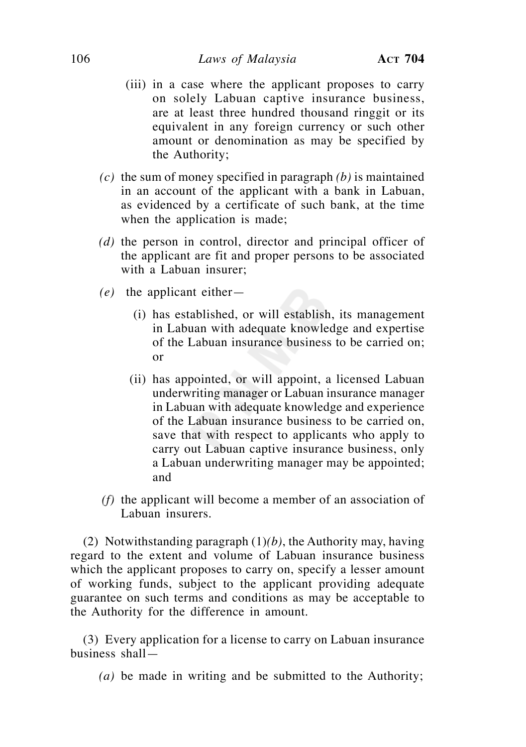- (iii) in a case where the applicant proposes to carry on solely Labuan captive insurance business, are at least three hundred thousand ringgit or its equivalent in any foreign currency or such other amount or denomination as may be specified by the Authority;
- *(c)* the sum of money specified in paragraph *(b)* is maintained in an account of the applicant with a bank in Labuan, as evidenced by a certificate of such bank, at the time when the application is made;
- *(d)* the person in control, director and principal officer of the applicant are fit and proper persons to be associated with a Labuan insurer;
- *(e)* the applicant either—
	- (i) has established, or will establish, its management in Labuan with adequate knowledge and expertise of the Labuan insurance business to be carried on; or
	- (ii) has appointed, or will appoint, a licensed Labuan underwriting manager or Labuan insurance manager in Labuan with adequate knowledge and experience of the Labuan insurance business to be carried on, save that with respect to applicants who apply to carry out Labuan captive insurance business, only a Labuan underwriting manager may be appointed; and
- *(f)* the applicant will become a member of an association of Labuan insurers.

 (2) Notwithstanding paragraph (1)*(b)*, the Authority may, having regard to the extent and volume of Labuan insurance business which the applicant proposes to carry on, specify a lesser amount of working funds, subject to the applicant providing adequate guarantee on such terms and conditions as may be acceptable to the Authority for the difference in amount.

 (3) Every application for a license to carry on Labuan insurance business shall—

 *(a)* be made in writing and be submitted to the Authority;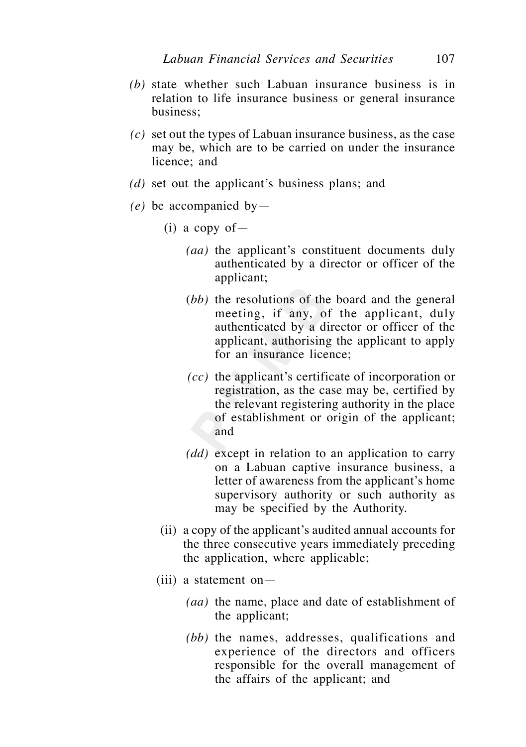- *(b)* state whether such Labuan insurance business is in relation to life insurance business or general insurance business;
- *(c)* set out the types of Labuan insurance business, as the case may be, which are to be carried on under the insurance licence; and
- *(d)* set out the applicant's business plans; and
- *(e)* be accompanied by—
	- $(i)$  a copy of
		- *(aa)* the applicant's constituent documents duly authenticated by a director or officer of the applicant;
		- (*bb)* the resolutions of the board and the general meeting, if any, of the applicant, duly authenticated by a director or officer of the applicant, authorising the applicant to apply for an insurance licence;
		- *(cc)* the applicant's certificate of incorporation or registration, as the case may be, certified by the relevant registering authority in the place of establishment or origin of the applicant; and
		- *(dd)* except in relation to an application to carry on a Labuan captive insurance business, a letter of awareness from the applicant's home supervisory authority or such authority as may be specified by the Authority.
	- (ii) a copy of the applicant's audited annual accounts for the three consecutive years immediately preceding the application, where applicable;
	- $(iii)$  a statement on  $-$ 
		- *(aa)* the name, place and date of establishment of the applicant;
		- *(bb)* the names, addresses, qualifications and experience of the directors and officers responsible for the overall management of the affairs of the applicant; and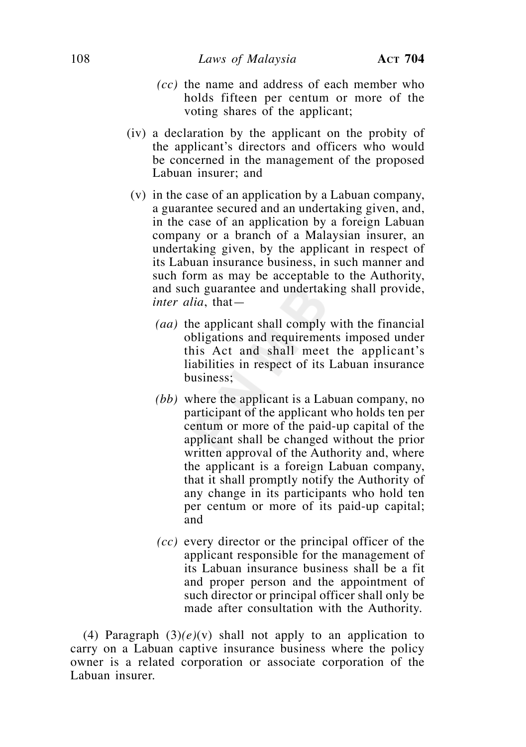- *(cc)* the name and address of each member who holds fifteen per centum or more of the voting shares of the applicant;
- (iv) a declaration by the applicant on the probity of the applicant's directors and officers who would be concerned in the management of the proposed Labuan insurer; and
- (v) in the case of an application by a Labuan company, a guarantee secured and an undertaking given, and, in the case of an application by a foreign Labuan company or a branch of a Malaysian insurer, an undertaking given, by the applicant in respect of its Labuan insurance business, in such manner and such form as may be acceptable to the Authority, and such guarantee and undertaking shall provide, *inter alia*, that—
	- *(aa)* the applicant shall comply with the financial obligations and requirements imposed under this Act and shall meet the applicant's liabilities in respect of its Labuan insurance business;
	- *(bb)* where the applicant is a Labuan company, no participant of the applicant who holds ten per centum or more of the paid-up capital of the applicant shall be changed without the prior written approval of the Authority and, where the applicant is a foreign Labuan company, that it shall promptly notify the Authority of any change in its participants who hold ten per centum or more of its paid-up capital; and
	- *(cc)* every director or the principal officer of the applicant responsible for the management of its Labuan insurance business shall be a fit and proper person and the appointment of such director or principal officer shall only be made after consultation with the Authority.

(4) Paragraph  $(3)(e)(v)$  shall not apply to an application to carry on a Labuan captive insurance business where the policy owner is a related corporation or associate corporation of the Labuan insurer.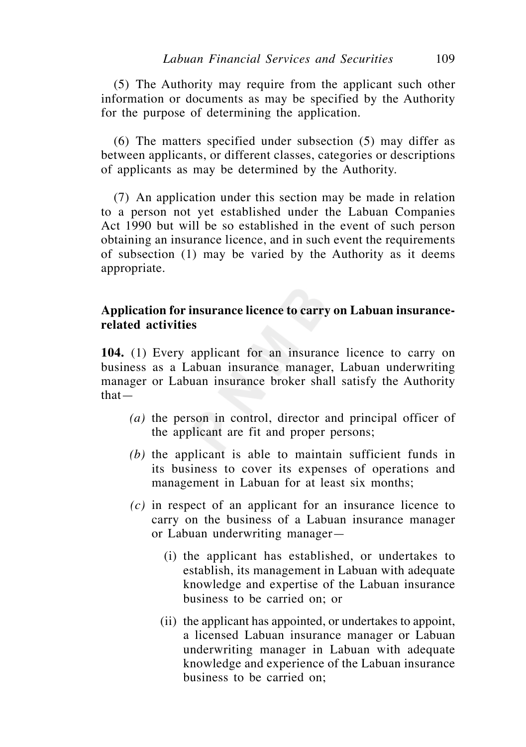(5) The Authority may require from the applicant such other information or documents as may be specified by the Authority for the purpose of determining the application.

 (6) The matters specified under subsection (5) may differ as between applicants, or different classes, categories or descriptions of applicants as may be determined by the Authority.

 (7) An application under this section may be made in relation to a person not yet established under the Labuan Companies Act 1990 but will be so established in the event of such person obtaining an insurance licence, and in such event the requirements of subsection (1) may be varied by the Authority as it deems appropriate.

## **Application for insurance licence to carry on Labuan insurancerelated activities**

**104.** (1) Every applicant for an insurance licence to carry on business as a Labuan insurance manager, Labuan underwriting manager or Labuan insurance broker shall satisfy the Authority that—

- *(a)* the person in control, director and principal officer of the applicant are fit and proper persons;
- *(b)* the applicant is able to maintain sufficient funds in its business to cover its expenses of operations and management in Labuan for at least six months;
- *(c)* in respect of an applicant for an insurance licence to carry on the business of a Labuan insurance manager or Labuan underwriting manager—
	- (i) the applicant has established, or undertakes to establish, its management in Labuan with adequate knowledge and expertise of the Labuan insurance business to be carried on; or
	- (ii) the applicant has appointed, or undertakes to appoint, a licensed Labuan insurance manager or Labuan underwriting manager in Labuan with adequate knowledge and experience of the Labuan insurance business to be carried on;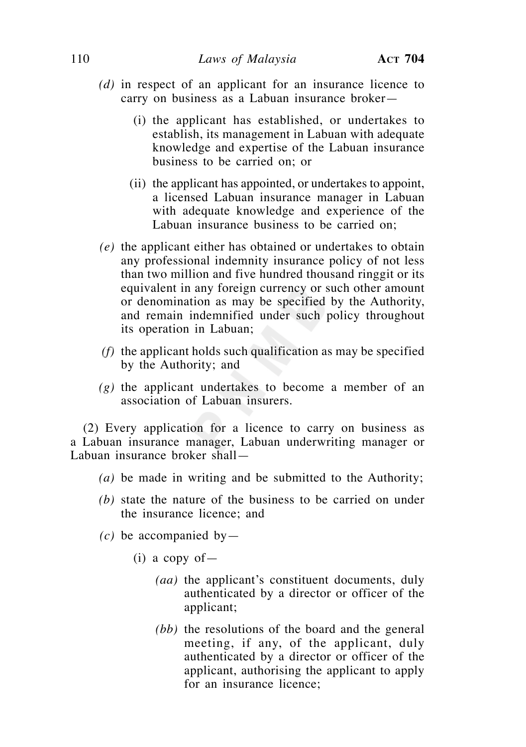- *(d)* in respect of an applicant for an insurance licence to carry on business as a Labuan insurance broker—
	- (i) the applicant has established, or undertakes to establish, its management in Labuan with adequate knowledge and expertise of the Labuan insurance business to be carried on; or
	- (ii) the applicant has appointed, or undertakes to appoint, a licensed Labuan insurance manager in Labuan with adequate knowledge and experience of the Labuan insurance business to be carried on;
- *(e)* the applicant either has obtained or undertakes to obtain any professional indemnity insurance policy of not less than two million and five hundred thousand ringgit or its equivalent in any foreign currency or such other amount or denomination as may be specified by the Authority, and remain indemnified under such policy throughout its operation in Labuan;
- *(f)* the applicant holds such qualification as may be specified by the Authority; and
- *(g)* the applicant undertakes to become a member of an association of Labuan insurers.

 (2) Every application for a licence to carry on business as a Labuan insurance manager, Labuan underwriting manager or Labuan insurance broker shall—

- *(a)* be made in writing and be submitted to the Authority;
- *(b)* state the nature of the business to be carried on under the insurance licence; and
- $(c)$  be accompanied by-
	- $(i)$  a copy of
		- *(aa)* the applicant's constituent documents, duly authenticated by a director or officer of the applicant;
		- *(bb)* the resolutions of the board and the general meeting, if any, of the applicant, duly authenticated by a director or officer of the applicant, authorising the applicant to apply for an insurance licence;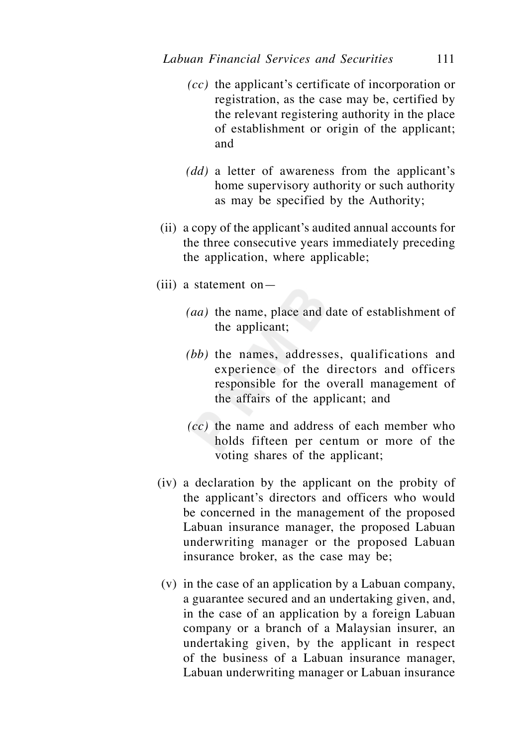- *(cc)* the applicant's certificate of incorporation or registration, as the case may be, certified by the relevant registering authority in the place of establishment or origin of the applicant; and
- *(dd)* a letter of awareness from the applicant's home supervisory authority or such authority as may be specified by the Authority;
- (ii) a copy of the applicant's audited annual accounts for the three consecutive years immediately preceding the application, where applicable;
- (iii) a statement on—
	- *(aa)* the name, place and date of establishment of the applicant;
	- *(bb)* the names, addresses, qualifications and experience of the directors and officers responsible for the overall management of the affairs of the applicant; and
	- *(cc)* the name and address of each member who holds fifteen per centum or more of the voting shares of the applicant;
- (iv) a declaration by the applicant on the probity of the applicant's directors and officers who would be concerned in the management of the proposed Labuan insurance manager, the proposed Labuan underwriting manager or the proposed Labuan insurance broker, as the case may be;
- (v) in the case of an application by a Labuan company, a guarantee secured and an undertaking given, and, in the case of an application by a foreign Labuan company or a branch of a Malaysian insurer, an undertaking given, by the applicant in respect of the business of a Labuan insurance manager, Labuan underwriting manager or Labuan insurance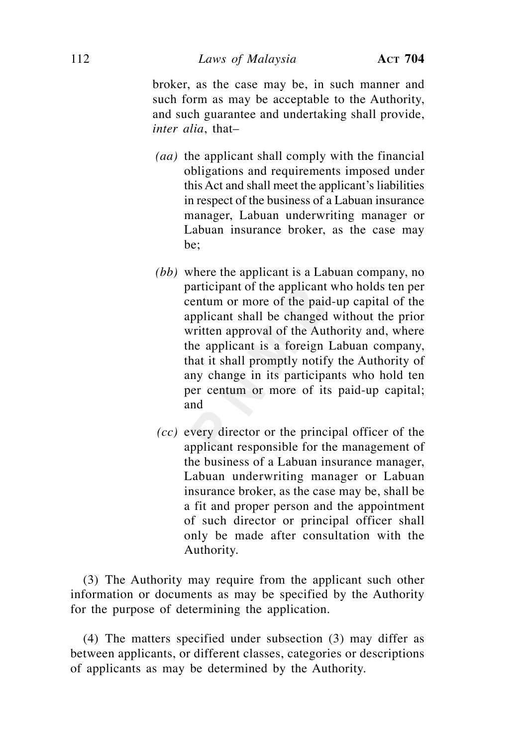broker, as the case may be, in such manner and such form as may be acceptable to the Authority, and such guarantee and undertaking shall provide, *inter alia*, that–

- *(aa)* the applicant shall comply with the financial obligations and requirements imposed under this Act and shall meet the applicant's liabilities in respect of the business of a Labuan insurance manager, Labuan underwriting manager or Labuan insurance broker, as the case may be;
- *(bb)* where the applicant is a Labuan company, no participant of the applicant who holds ten per centum or more of the paid-up capital of the applicant shall be changed without the prior written approval of the Authority and, where the applicant is a foreign Labuan company, that it shall promptly notify the Authority of any change in its participants who hold ten per centum or more of its paid-up capital; and
- *(cc)* every director or the principal officer of the applicant responsible for the management of the business of a Labuan insurance manager, Labuan underwriting manager or Labuan insurance broker, as the case may be, shall be a fit and proper person and the appointment of such director or principal officer shall only be made after consultation with the Authority.

 (3) The Authority may require from the applicant such other information or documents as may be specified by the Authority for the purpose of determining the application.

 (4) The matters specified under subsection (3) may differ as between applicants, or different classes, categories or descriptions of applicants as may be determined by the Authority.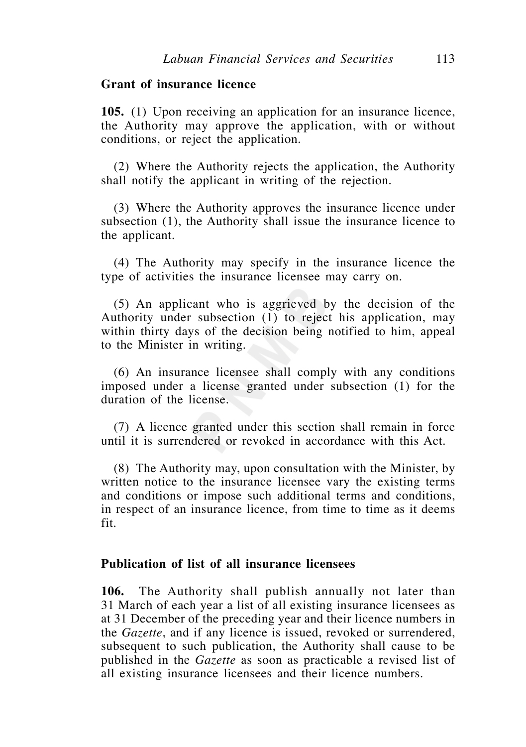## **Grant of insurance licence**

**105.** (1) Upon receiving an application for an insurance licence, the Authority may approve the application, with or without conditions, or reject the application.

 (2) Where the Authority rejects the application, the Authority shall notify the applicant in writing of the rejection.

 (3) Where the Authority approves the insurance licence under subsection (1), the Authority shall issue the insurance licence to the applicant.

 (4) The Authority may specify in the insurance licence the type of activities the insurance licensee may carry on.

 (5) An applicant who is aggrieved by the decision of the Authority under subsection (1) to reject his application, may within thirty days of the decision being notified to him, appeal to the Minister in writing.

 (6) An insurance licensee shall comply with any conditions imposed under a license granted under subsection (1) for the duration of the license.

 (7) A licence granted under this section shall remain in force until it is surrendered or revoked in accordance with this Act.

 (8) The Authority may, upon consultation with the Minister, by written notice to the insurance licensee vary the existing terms and conditions or impose such additional terms and conditions, in respect of an insurance licence, from time to time as it deems fit.

## **Publication of list of all insurance licensees**

**106.** The Authority shall publish annually not later than 31 March of each year a list of all existing insurance licensees as at 31 December of the preceding year and their licence numbers in the *Gazette*, and if any licence is issued, revoked or surrendered, subsequent to such publication, the Authority shall cause to be published in the *Gazette* as soon as practicable a revised list of all existing insurance licensees and their licence numbers.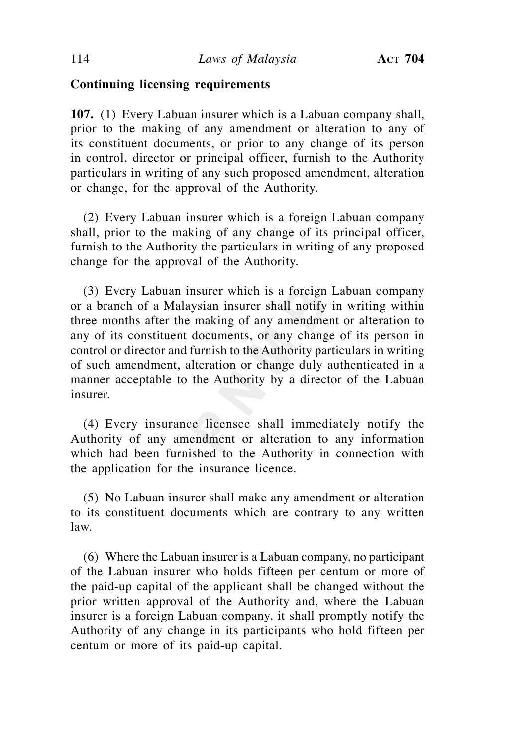# **Continuing licensing requirements**

**107.** (1) Every Labuan insurer which is a Labuan company shall, prior to the making of any amendment or alteration to any of its constituent documents, or prior to any change of its person in control, director or principal officer, furnish to the Authority particulars in writing of any such proposed amendment, alteration or change, for the approval of the Authority.

 (2) Every Labuan insurer which is a foreign Labuan company shall, prior to the making of any change of its principal officer, furnish to the Authority the particulars in writing of any proposed change for the approval of the Authority.

 (3) Every Labuan insurer which is a foreign Labuan company or a branch of a Malaysian insurer shall notify in writing within three months after the making of any amendment or alteration to any of its constituent documents, or any change of its person in control or director and furnish to the Authority particulars in writing of such amendment, alteration or change duly authenticated in a manner acceptable to the Authority by a director of the Labuan insurer.

 (4) Every insurance licensee shall immediately notify the Authority of any amendment or alteration to any information which had been furnished to the Authority in connection with the application for the insurance licence.

 (5) No Labuan insurer shall make any amendment or alteration to its constituent documents which are contrary to any written law.

 (6) Where the Labuan insurer is a Labuan company, no participant of the Labuan insurer who holds fifteen per centum or more of the paid-up capital of the applicant shall be changed without the prior written approval of the Authority and, where the Labuan insurer is a foreign Labuan company, it shall promptly notify the Authority of any change in its participants who hold fifteen per centum or more of its paid-up capital.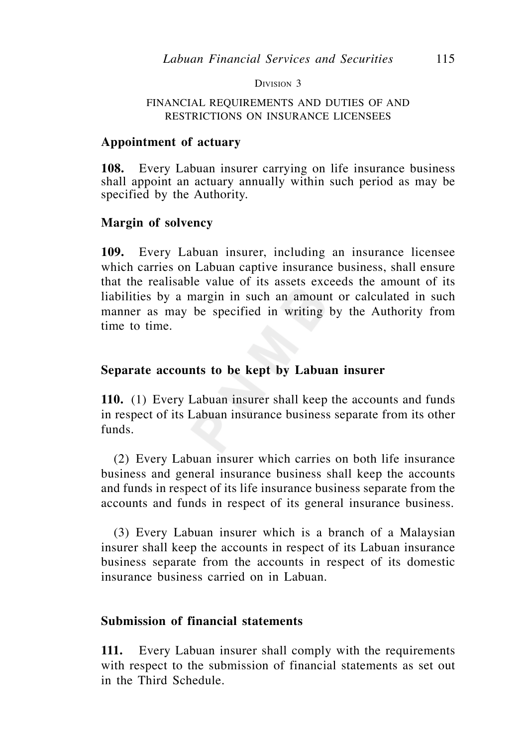DIVISION 3

### FINANCIAL REQUIREMENTS AND DUTIES OF AND RESTRICTIONS ON INSURANCE LICENSEES

### **Appointment of actuary**

**108.** Every Labuan insurer carrying on life insurance business shall appoint an actuary annually within such period as may be specified by the Authority.

### **Margin of solvency**

**109.** Every Labuan insurer, including an insurance licensee which carries on Labuan captive insurance business, shall ensure that the realisable value of its assets exceeds the amount of its liabilities by a margin in such an amount or calculated in such manner as may be specified in writing by the Authority from time to time.

### **Separate accounts to be kept by Labuan insurer**

**110.** (1) Every Labuan insurer shall keep the accounts and funds in respect of its Labuan insurance business separate from its other funds.

 (2) Every Labuan insurer which carries on both life insurance business and general insurance business shall keep the accounts and funds in respect of its life insurance business separate from the accounts and funds in respect of its general insurance business.

 (3) Every Labuan insurer which is a branch of a Malaysian insurer shall keep the accounts in respect of its Labuan insurance business separate from the accounts in respect of its domestic insurance business carried on in Labuan.

## **Submission of financial statements**

**111.** Every Labuan insurer shall comply with the requirements with respect to the submission of financial statements as set out in the Third Schedule.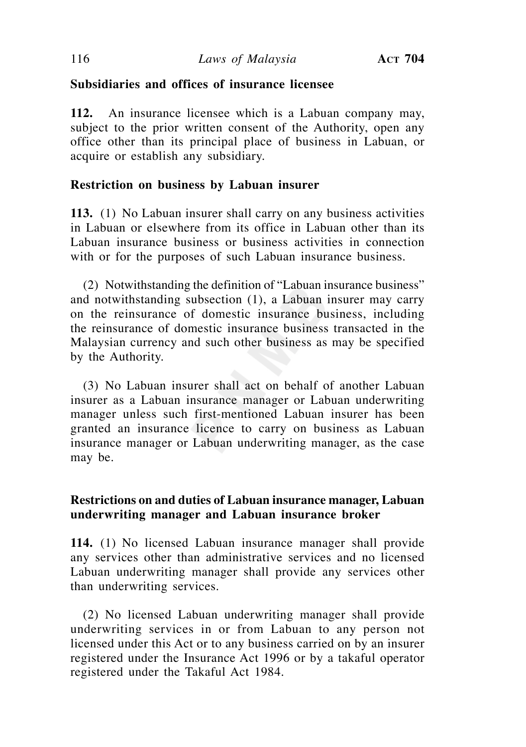# **Subsidiaries and offices of insurance licensee**

**112.** An insurance licensee which is a Labuan company may, subject to the prior written consent of the Authority, open any office other than its principal place of business in Labuan, or acquire or establish any subsidiary.

# **Restriction on business by Labuan insurer**

**113.** (1) No Labuan insurer shall carry on any business activities in Labuan or elsewhere from its office in Labuan other than its Labuan insurance business or business activities in connection with or for the purposes of such Labuan insurance business.

 (2) Notwithstanding the definition of "Labuan insurance business" and notwithstanding subsection (1), a Labuan insurer may carry on the reinsurance of domestic insurance business, including the reinsurance of domestic insurance business transacted in the Malaysian currency and such other business as may be specified by the Authority.

 (3) No Labuan insurer shall act on behalf of another Labuan insurer as a Labuan insurance manager or Labuan underwriting manager unless such first-mentioned Labuan insurer has been granted an insurance licence to carry on business as Labuan insurance manager or Labuan underwriting manager, as the case may be.

# **Restrictions on and duties of Labuan insurance manager, Labuan underwriting manager and Labuan insurance broker**

**114.** (1) No licensed Labuan insurance manager shall provide any services other than administrative services and no licensed Labuan underwriting manager shall provide any services other than underwriting services.

 (2) No licensed Labuan underwriting manager shall provide underwriting services in or from Labuan to any person not licensed under this Act or to any business carried on by an insurer registered under the Insurance Act 1996 or by a takaful operator registered under the Takaful Act 1984.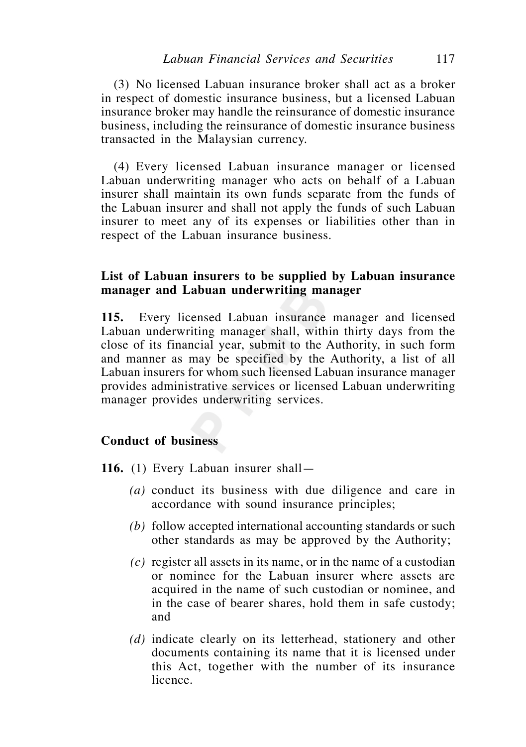(3) No licensed Labuan insurance broker shall act as a broker in respect of domestic insurance business, but a licensed Labuan insurance broker may handle the reinsurance of domestic insurance business, including the reinsurance of domestic insurance business transacted in the Malaysian currency.

 (4) Every licensed Labuan insurance manager or licensed Labuan underwriting manager who acts on behalf of a Labuan insurer shall maintain its own funds separate from the funds of the Labuan insurer and shall not apply the funds of such Labuan insurer to meet any of its expenses or liabilities other than in respect of the Labuan insurance business.

## **List of Labuan insurers to be supplied by Labuan insurance manager and Labuan underwriting manager**

**115.** Every licensed Labuan insurance manager and licensed Labuan underwriting manager shall, within thirty days from the close of its financial year, submit to the Authority, in such form and manner as may be specified by the Authority, a list of all Labuan insurers for whom such licensed Labuan insurance manager provides administrative services or licensed Labuan underwriting manager provides underwriting services.

### **Conduct of business**

**116.** (1) Every Labuan insurer shall—

- *(a)* conduct its business with due diligence and care in accordance with sound insurance principles;
- *(b)* follow accepted international accounting standards or such other standards as may be approved by the Authority;
- *(c)* register all assets in its name, or in the name of a custodian or nominee for the Labuan insurer where assets are acquired in the name of such custodian or nominee, and in the case of bearer shares, hold them in safe custody; and
- *(d)* indicate clearly on its letterhead, stationery and other documents containing its name that it is licensed under this Act, together with the number of its insurance licence.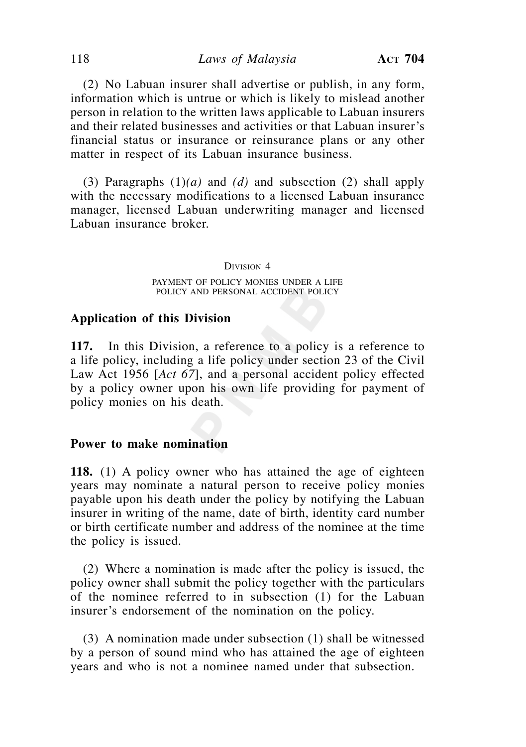(2) No Labuan insurer shall advertise or publish, in any form, information which is untrue or which is likely to mislead another person in relation to the written laws applicable to Labuan insurers and their related businesses and activities or that Labuan insurer's financial status or insurance or reinsurance plans or any other matter in respect of its Labuan insurance business.

 (3) Paragraphs (1)*(a)* and *(d)* and subsection (2) shall apply with the necessary modifications to a licensed Labuan insurance manager, licensed Labuan underwriting manager and licensed Labuan insurance broker.

#### DIVISION 4

PAYMENT OF POLICY MONIES UNDER A LIFE POLICY AND PERSONAL ACCIDENT POLICY

### **Application of this Division**

**117.** In this Division, a reference to a policy is a reference to a life policy, including a life policy under section 23 of the Civil Law Act 1956 [*Act 67*], and a personal accident policy effected by a policy owner upon his own life providing for payment of policy monies on his death.

### **Power to make nomination**

**118.** (1) A policy owner who has attained the age of eighteen years may nominate a natural person to receive policy monies payable upon his death under the policy by notifying the Labuan insurer in writing of the name, date of birth, identity card number or birth certificate number and address of the nominee at the time the policy is issued.

 (2) Where a nomination is made after the policy is issued, the policy owner shall submit the policy together with the particulars of the nominee referred to in subsection (1) for the Labuan insurer's endorsement of the nomination on the policy.

 (3) A nomination made under subsection (1) shall be witnessed by a person of sound mind who has attained the age of eighteen years and who is not a nominee named under that subsection.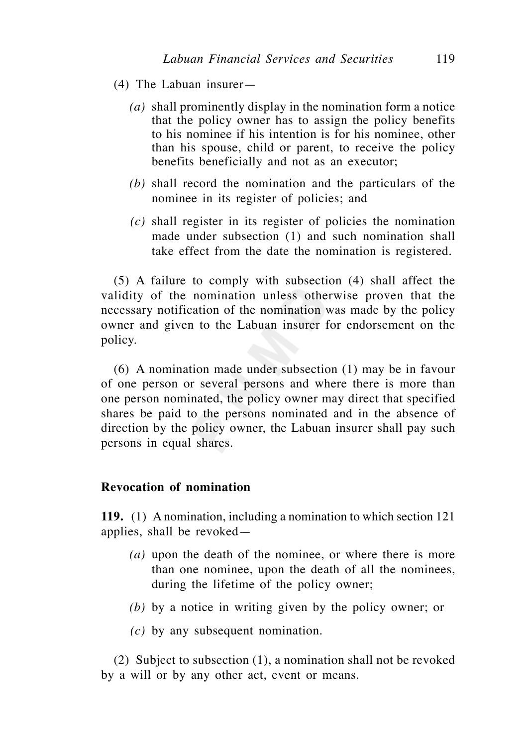- (4) The Labuan insurer—
	- *(a)* shall prominently display in the nomination form a notice that the policy owner has to assign the policy benefits to his nominee if his intention is for his nominee, other than his spouse, child or parent, to receive the policy benefits beneficially and not as an executor;
	- *(b)* shall record the nomination and the particulars of the nominee in its register of policies; and
	- *(c)* shall register in its register of policies the nomination made under subsection (1) and such nomination shall take effect from the date the nomination is registered.

 (5) A failure to comply with subsection (4) shall affect the validity of the nomination unless otherwise proven that the necessary notification of the nomination was made by the policy owner and given to the Labuan insurer for endorsement on the policy.

 (6) A nomination made under subsection (1) may be in favour of one person or several persons and where there is more than one person nominated, the policy owner may direct that specified shares be paid to the persons nominated and in the absence of direction by the policy owner, the Labuan insurer shall pay such persons in equal shares.

## **Revocation of nomination**

**119.** (1) A nomination, including a nomination to which section 121 applies, shall be revoked—

- *(a)* upon the death of the nominee, or where there is more than one nominee, upon the death of all the nominees, during the lifetime of the policy owner;
- *(b)* by a notice in writing given by the policy owner; or
- *(c)* by any subsequent nomination.

 (2) Subject to subsection (1), a nomination shall not be revoked by a will or by any other act, event or means.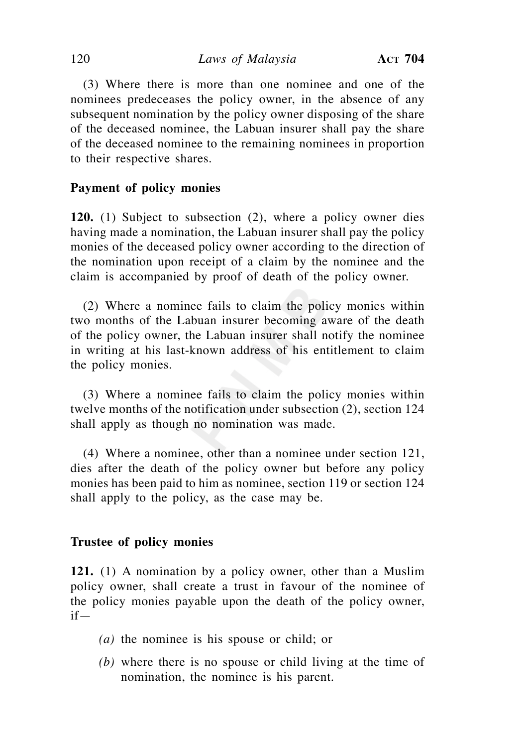(3) Where there is more than one nominee and one of the nominees predeceases the policy owner, in the absence of any subsequent nomination by the policy owner disposing of the share of the deceased nominee, the Labuan insurer shall pay the share of the deceased nominee to the remaining nominees in proportion to their respective shares.

# **Payment of policy monies**

**120.** (1) Subject to subsection (2), where a policy owner dies having made a nomination, the Labuan insurer shall pay the policy monies of the deceased policy owner according to the direction of the nomination upon receipt of a claim by the nominee and the claim is accompanied by proof of death of the policy owner.

 (2) Where a nominee fails to claim the policy monies within two months of the Labuan insurer becoming aware of the death of the policy owner, the Labuan insurer shall notify the nominee in writing at his last-known address of his entitlement to claim the policy monies.

 (3) Where a nominee fails to claim the policy monies within twelve months of the notification under subsection (2), section 124 shall apply as though no nomination was made.

 (4) Where a nominee, other than a nominee under section 121, dies after the death of the policy owner but before any policy monies has been paid to him as nominee, section 119 or section 124 shall apply to the policy, as the case may be.

## **Trustee of policy monies**

**121.** (1) A nomination by a policy owner, other than a Muslim policy owner, shall create a trust in favour of the nominee of the policy monies payable upon the death of the policy owner, if—

- *(a)* the nominee is his spouse or child; or
- *(b)* where there is no spouse or child living at the time of nomination, the nominee is his parent.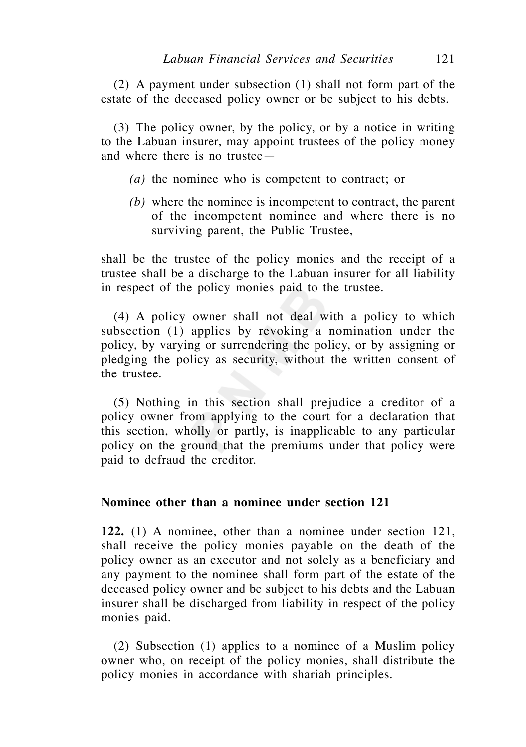(2) A payment under subsection (1) shall not form part of the estate of the deceased policy owner or be subject to his debts.

 (3) The policy owner, by the policy, or by a notice in writing to the Labuan insurer, may appoint trustees of the policy money and where there is no trustee—

- *(a)* the nominee who is competent to contract; or
- *(b)* where the nominee is incompetent to contract, the parent of the incompetent nominee and where there is no surviving parent, the Public Trustee,

shall be the trustee of the policy monies and the receipt of a trustee shall be a discharge to the Labuan insurer for all liability in respect of the policy monies paid to the trustee.

 (4) A policy owner shall not deal with a policy to which subsection (1) applies by revoking a nomination under the policy, by varying or surrendering the policy, or by assigning or pledging the policy as security, without the written consent of the trustee.

 (5) Nothing in this section shall prejudice a creditor of a policy owner from applying to the court for a declaration that this section, wholly or partly, is inapplicable to any particular policy on the ground that the premiums under that policy were paid to defraud the creditor.

## **Nominee other than a nominee under section 121**

**122.** (1) A nominee, other than a nominee under section 121, shall receive the policy monies payable on the death of the policy owner as an executor and not solely as a beneficiary and any payment to the nominee shall form part of the estate of the deceased policy owner and be subject to his debts and the Labuan insurer shall be discharged from liability in respect of the policy monies paid.

 (2) Subsection (1) applies to a nominee of a Muslim policy owner who, on receipt of the policy monies, shall distribute the policy monies in accordance with shariah principles.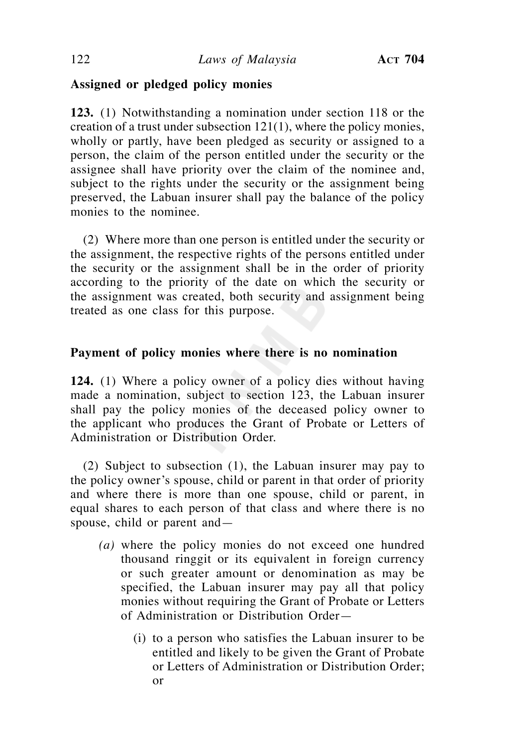## **Assigned or pledged policy monies**

**123.** (1) Notwithstanding a nomination under section 118 or the creation of a trust under subsection 121(1), where the policy monies, wholly or partly, have been pledged as security or assigned to a person, the claim of the person entitled under the security or the assignee shall have priority over the claim of the nominee and, subject to the rights under the security or the assignment being preserved, the Labuan insurer shall pay the balance of the policy monies to the nominee.

 (2) Where more than one person is entitled under the security or the assignment, the respective rights of the persons entitled under the security or the assignment shall be in the order of priority according to the priority of the date on which the security or the assignment was created, both security and assignment being treated as one class for this purpose.

## **Payment of policy monies where there is no nomination**

**124.** (1) Where a policy owner of a policy dies without having made a nomination, subject to section 123, the Labuan insurer shall pay the policy monies of the deceased policy owner to the applicant who produces the Grant of Probate or Letters of Administration or Distribution Order.

 (2) Subject to subsection (1), the Labuan insurer may pay to the policy owner's spouse, child or parent in that order of priority and where there is more than one spouse, child or parent, in equal shares to each person of that class and where there is no spouse, child or parent and—

- *(a)* where the policy monies do not exceed one hundred thousand ringgit or its equivalent in foreign currency or such greater amount or denomination as may be specified, the Labuan insurer may pay all that policy monies without requiring the Grant of Probate or Letters of Administration or Distribution Order—
	- (i) to a person who satisfies the Labuan insurer to be entitled and likely to be given the Grant of Probate or Letters of Administration or Distribution Order; or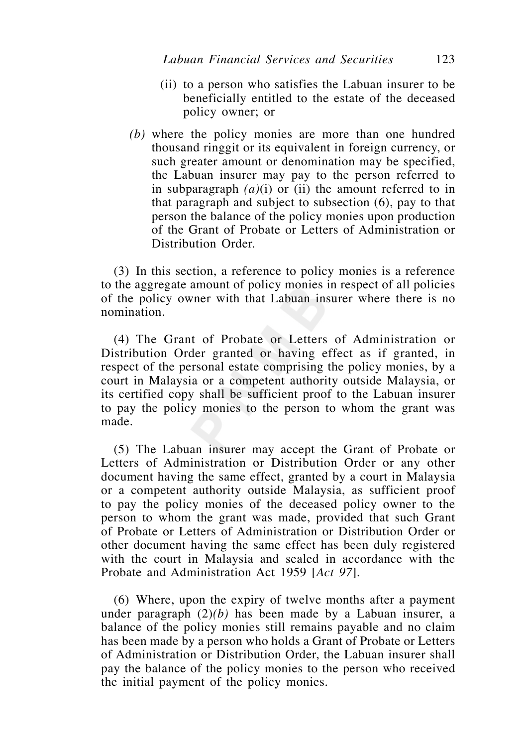- (ii) to a person who satisfies the Labuan insurer to be beneficially entitled to the estate of the deceased policy owner; or
- *(b)* where the policy monies are more than one hundred thousand ringgit or its equivalent in foreign currency, or such greater amount or denomination may be specified, the Labuan insurer may pay to the person referred to in subparagraph  $(a)(i)$  or (ii) the amount referred to in that paragraph and subject to subsection (6), pay to that person the balance of the policy monies upon production of the Grant of Probate or Letters of Administration or Distribution Order.

 (3) In this section, a reference to policy monies is a reference to the aggregate amount of policy monies in respect of all policies of the policy owner with that Labuan insurer where there is no nomination.

 (4) The Grant of Probate or Letters of Administration or Distribution Order granted or having effect as if granted, in respect of the personal estate comprising the policy monies, by a court in Malaysia or a competent authority outside Malaysia, or its certified copy shall be sufficient proof to the Labuan insurer to pay the policy monies to the person to whom the grant was made.

 (5) The Labuan insurer may accept the Grant of Probate or Letters of Administration or Distribution Order or any other document having the same effect, granted by a court in Malaysia or a competent authority outside Malaysia, as sufficient proof to pay the policy monies of the deceased policy owner to the person to whom the grant was made, provided that such Grant of Probate or Letters of Administration or Distribution Order or other document having the same effect has been duly registered with the court in Malaysia and sealed in accordance with the Probate and Administration Act 1959 [*Act 97*].

 (6) Where, upon the expiry of twelve months after a payment under paragraph (2)*(b)* has been made by a Labuan insurer, a balance of the policy monies still remains payable and no claim has been made by a person who holds a Grant of Probate or Letters of Administration or Distribution Order, the Labuan insurer shall pay the balance of the policy monies to the person who received the initial payment of the policy monies.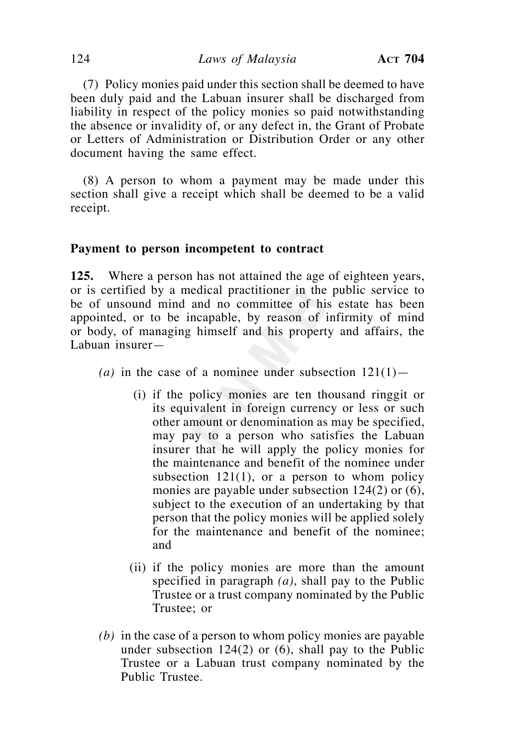124 *Laws of Malaysia* **ACT 704**

 (7) Policy monies paid under this section shall be deemed to have been duly paid and the Labuan insurer shall be discharged from liability in respect of the policy monies so paid notwithstanding the absence or invalidity of, or any defect in, the Grant of Probate or Letters of Administration or Distribution Order or any other document having the same effect.

 (8) A person to whom a payment may be made under this section shall give a receipt which shall be deemed to be a valid receipt.

#### **Payment to person incompetent to contract**

**125.** Where a person has not attained the age of eighteen years, or is certified by a medical practitioner in the public service to be of unsound mind and no committee of his estate has been appointed, or to be incapable, by reason of infirmity of mind or body, of managing himself and his property and affairs, the Labuan insurer—

- (a) in the case of a nominee under subsection  $121(1)$ 
	- (i) if the policy monies are ten thousand ringgit or its equivalent in foreign currency or less or such other amount or denomination as may be specified, may pay to a person who satisfies the Labuan insurer that he will apply the policy monies for the maintenance and benefit of the nominee under subsection  $121(1)$ , or a person to whom policy monies are payable under subsection 124(2) or (6), subject to the execution of an undertaking by that person that the policy monies will be applied solely for the maintenance and benefit of the nominee; and
	- (ii) if the policy monies are more than the amount specified in paragraph *(a)*, shall pay to the Public Trustee or a trust company nominated by the Public Trustee; or
- *(b)* in the case of a person to whom policy monies are payable under subsection  $124(2)$  or  $(6)$ , shall pay to the Public Trustee or a Labuan trust company nominated by the Public Trustee.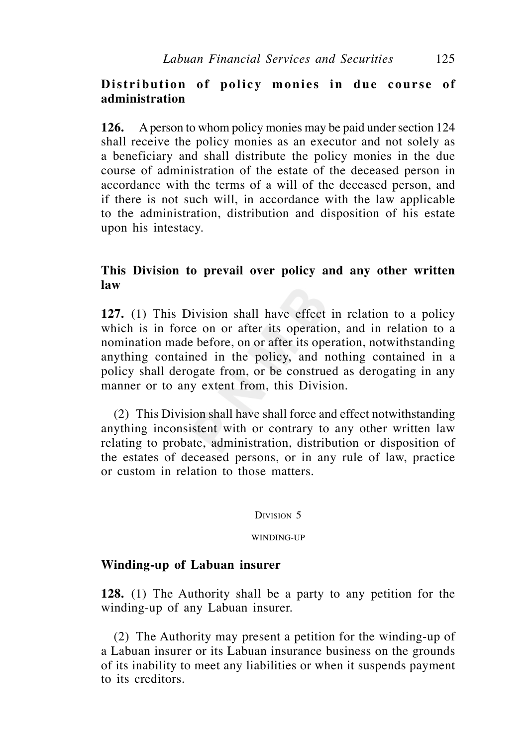# Distribution of policy monies in due course of **administration**

**126.** A person to whom policy monies may be paid under section 124 shall receive the policy monies as an executor and not solely as a beneficiary and shall distribute the policy monies in the due course of administration of the estate of the deceased person in accordance with the terms of a will of the deceased person, and if there is not such will, in accordance with the law applicable to the administration, distribution and disposition of his estate upon his intestacy.

# **This Division to prevail over policy and any other written law**

**127.** (1) This Division shall have effect in relation to a policy which is in force on or after its operation, and in relation to a nomination made before, on or after its operation, notwithstanding anything contained in the policy, and nothing contained in a policy shall derogate from, or be construed as derogating in any manner or to any extent from, this Division.

 (2) This Division shall have shall force and effect notwithstanding anything inconsistent with or contrary to any other written law relating to probate, administration, distribution or disposition of the estates of deceased persons, or in any rule of law, practice or custom in relation to those matters.

DIVISION 5

WINDING-UP

### **Winding-up of Labuan insurer**

**128.** (1) The Authority shall be a party to any petition for the winding-up of any Labuan insurer.

 (2) The Authority may present a petition for the winding-up of a Labuan insurer or its Labuan insurance business on the grounds of its inability to meet any liabilities or when it suspends payment to its creditors.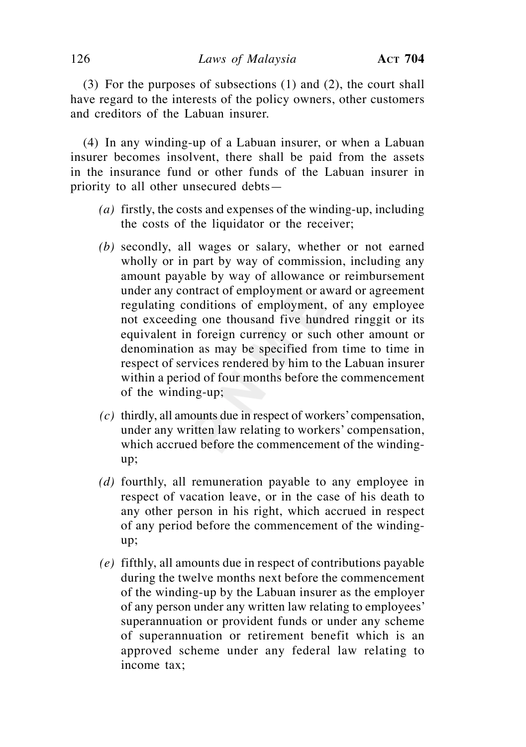(3) For the purposes of subsections (1) and (2), the court shall have regard to the interests of the policy owners, other customers and creditors of the Labuan insurer.

 (4) In any winding-up of a Labuan insurer, or when a Labuan insurer becomes insolvent, there shall be paid from the assets in the insurance fund or other funds of the Labuan insurer in priority to all other unsecured debts—

- *(a)* firstly, the costs and expenses of the winding-up, including the costs of the liquidator or the receiver;
- *(b)* secondly, all wages or salary, whether or not earned wholly or in part by way of commission, including any amount payable by way of allowance or reimbursement under any contract of employment or award or agreement regulating conditions of employment, of any employee not exceeding one thousand five hundred ringgit or its equivalent in foreign currency or such other amount or denomination as may be specified from time to time in respect of services rendered by him to the Labuan insurer within a period of four months before the commencement of the winding-up;
- *(c)* thirdly, all amounts due in respect of workers' compensation, under any written law relating to workers' compensation, which accrued before the commencement of the windingup;
- *(d)* fourthly, all remuneration payable to any employee in respect of vacation leave, or in the case of his death to any other person in his right, which accrued in respect of any period before the commencement of the windingup;
- *(e)* fifthly, all amounts due in respect of contributions payable during the twelve months next before the commencement of the winding-up by the Labuan insurer as the employer of any person under any written law relating to employees' superannuation or provident funds or under any scheme of superannuation or retirement benefit which is an approved scheme under any federal law relating to income tax;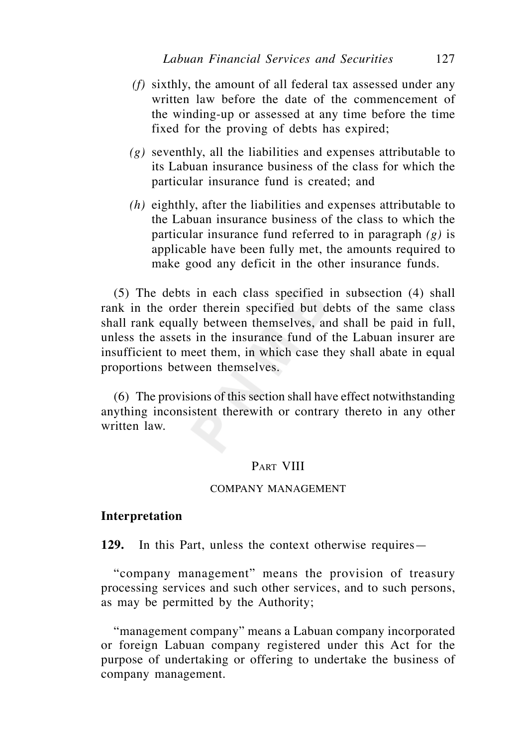- *(f)* sixthly, the amount of all federal tax assessed under any written law before the date of the commencement of the winding-up or assessed at any time before the time fixed for the proving of debts has expired;
- *(g)* seventhly, all the liabilities and expenses attributable to its Labuan insurance business of the class for which the particular insurance fund is created; and
- *(h)* eighthly, after the liabilities and expenses attributable to the Labuan insurance business of the class to which the particular insurance fund referred to in paragraph *(g)* is applicable have been fully met, the amounts required to make good any deficit in the other insurance funds.

 (5) The debts in each class specified in subsection (4) shall rank in the order therein specified but debts of the same class shall rank equally between themselves, and shall be paid in full, unless the assets in the insurance fund of the Labuan insurer are insufficient to meet them, in which case they shall abate in equal proportions between themselves.

 (6) The provisions of this section shall have effect notwithstanding anything inconsistent therewith or contrary thereto in any other written law.

### PART VIII

### COMPANY MANAGEMENT

### **Interpretation**

**129.** In this Part, unless the context otherwise requires—

 "company management" means the provision of treasury processing services and such other services, and to such persons, as may be permitted by the Authority;

 "management company" means a Labuan company incorporated or foreign Labuan company registered under this Act for the purpose of undertaking or offering to undertake the business of company management.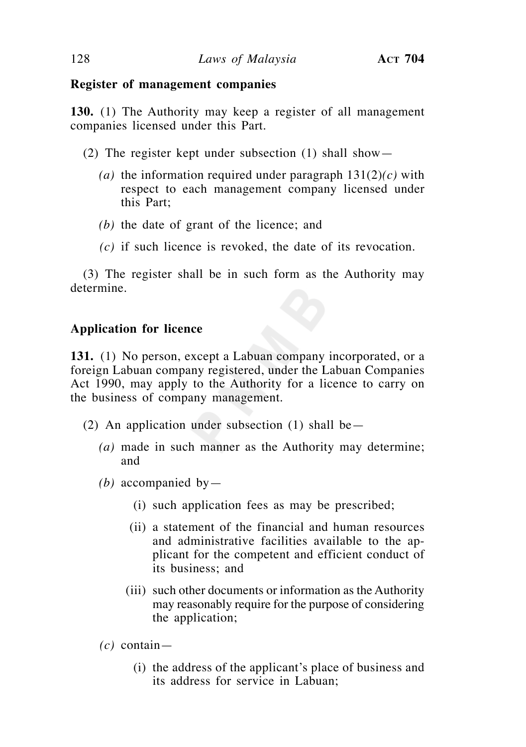## **Register of management companies**

**130.** (1) The Authority may keep a register of all management companies licensed under this Part.

- (2) The register kept under subsection (1) shall show—
	- *(a)* the information required under paragraph 131(2)*(c)* with respect to each management company licensed under this Part;
	- *(b)* the date of grant of the licence; and
	- *(c)* if such licence is revoked, the date of its revocation.

 (3) The register shall be in such form as the Authority may determine.

## **Application for licence**

**131.** (1) No person, except a Labuan company incorporated, or a foreign Labuan company registered, under the Labuan Companies Act 1990, may apply to the Authority for a licence to carry on the business of company management.

- (2) An application under subsection (1) shall be—
	- *(a)* made in such manner as the Authority may determine; and
	- *(b)* accompanied by—
		- (i) such application fees as may be prescribed;
		- (ii) a statement of the financial and human resources and administrative facilities available to the applicant for the competent and efficient conduct of its business; and
		- (iii) such other documents or information as the Authority may reasonably require for the purpose of considering the application;

 $(c)$  contain—

 (i) the address of the applicant's place of business and its address for service in Labuan;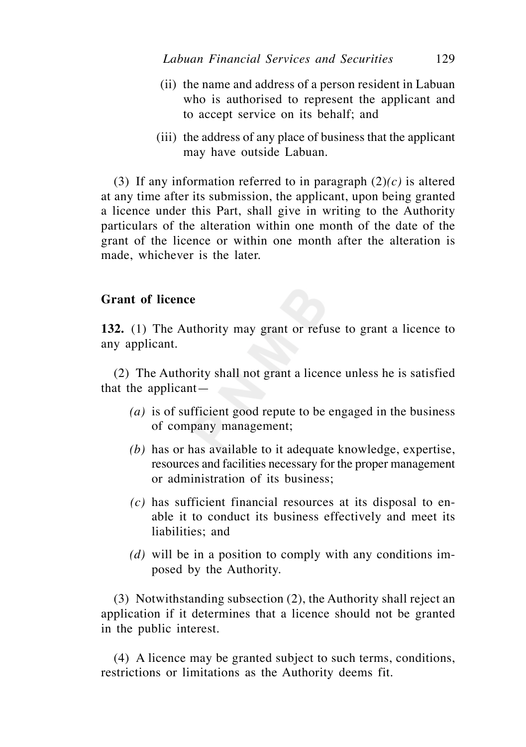- (ii) the name and address of a person resident in Labuan who is authorised to represent the applicant and to accept service on its behalf; and
- (iii) the address of any place of business that the applicant may have outside Labuan.

 (3) If any information referred to in paragraph (2)*(c)* is altered at any time after its submission, the applicant, upon being granted a licence under this Part, shall give in writing to the Authority particulars of the alteration within one month of the date of the grant of the licence or within one month after the alteration is made, whichever is the later.

## **Grant of licence**

**132.** (1) The Authority may grant or refuse to grant a licence to any applicant.

 (2) The Authority shall not grant a licence unless he is satisfied that the applicant—

- *(a)* is of sufficient good repute to be engaged in the business of company management;
- *(b)* has or has available to it adequate knowledge, expertise, resources and facilities necessary for the proper management or administration of its business;
- *(c)* has sufficient financial resources at its disposal to enable it to conduct its business effectively and meet its liabilities; and
- *(d)* will be in a position to comply with any conditions imposed by the Authority.

 (3) Notwithstanding subsection (2), the Authority shall reject an application if it determines that a licence should not be granted in the public interest.

 (4) A licence may be granted subject to such terms, conditions, restrictions or limitations as the Authority deems fit.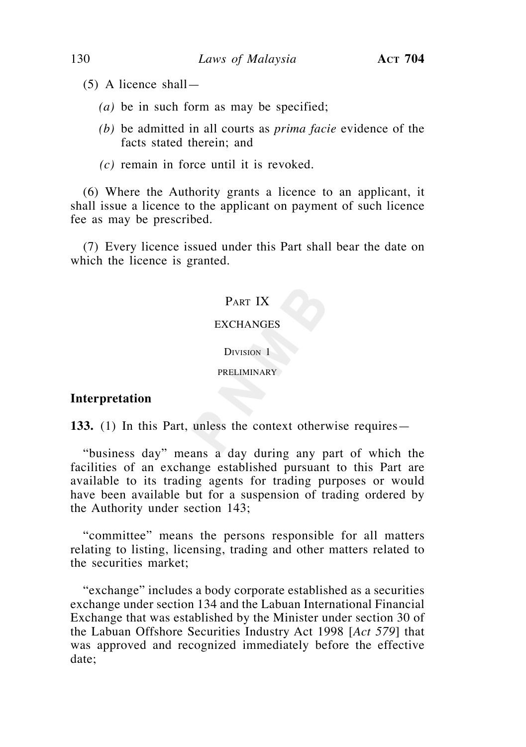- (5) A licence shall—
	- *(a)* be in such form as may be specified;
	- *(b)* be admitted in all courts as *prima facie* evidence of the facts stated therein; and
	- *(c)* remain in force until it is revoked.

 (6) Where the Authority grants a licence to an applicant, it shall issue a licence to the applicant on payment of such licence fee as may be prescribed.

 (7) Every licence issued under this Part shall bear the date on which the licence is granted.

# PART IX

### **EXCHANGES**

#### DIVISION<sub>1</sub>

#### PRELIMINARY

### **Interpretation**

**133.** (1) In this Part, unless the context otherwise requires—

 "business day" means a day during any part of which the facilities of an exchange established pursuant to this Part are available to its trading agents for trading purposes or would have been available but for a suspension of trading ordered by the Authority under section 143;

 "committee" means the persons responsible for all matters relating to listing, licensing, trading and other matters related to the securities market;

 "exchange" includes a body corporate established as a securities exchange under section 134 and the Labuan International Financial Exchange that was established by the Minister under section 30 of the Labuan Offshore Securities Industry Act 1998 [*Act 579*] that was approved and recognized immediately before the effective date;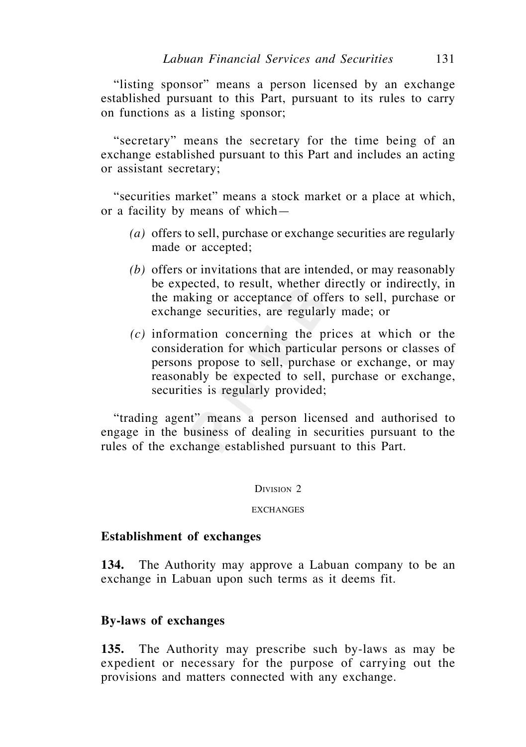"listing sponsor" means a person licensed by an exchange established pursuant to this Part, pursuant to its rules to carry on functions as a listing sponsor;

 "secretary" means the secretary for the time being of an exchange established pursuant to this Part and includes an acting or assistant secretary;

 "securities market" means a stock market or a place at which, or a facility by means of which—

- *(a)* offers to sell, purchase or exchange securities are regularly made or accepted;
- *(b)* offers or invitations that are intended, or may reasonably be expected, to result, whether directly or indirectly, in the making or acceptance of offers to sell, purchase or exchange securities, are regularly made; or
- *(c)* information concerning the prices at which or the consideration for which particular persons or classes of persons propose to sell, purchase or exchange, or may reasonably be expected to sell, purchase or exchange, securities is regularly provided;

 "trading agent" means a person licensed and authorised to engage in the business of dealing in securities pursuant to the rules of the exchange established pursuant to this Part.

#### DIVISION 2

#### **EXCHANGES**

### **Establishment of exchanges**

**134.** The Authority may approve a Labuan company to be an exchange in Labuan upon such terms as it deems fit.

### **By-laws of exchanges**

**135.** The Authority may prescribe such by-laws as may be expedient or necessary for the purpose of carrying out the provisions and matters connected with any exchange.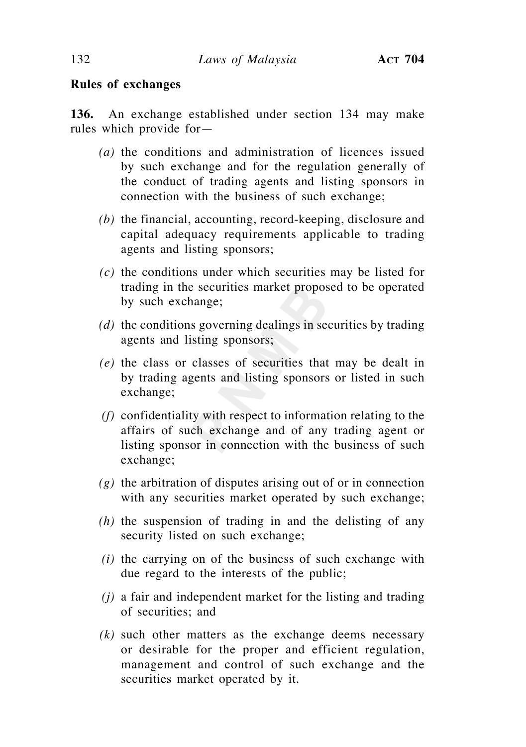## **Rules of exchanges**

**136.** An exchange established under section 134 may make rules which provide for—

- *(a)* the conditions and administration of licences issued by such exchange and for the regulation generally of the conduct of trading agents and listing sponsors in connection with the business of such exchange;
- *(b)* the financial, accounting, record-keeping, disclosure and capital adequacy requirements applicable to trading agents and listing sponsors;
- *(c)* the conditions under which securities may be listed for trading in the securities market proposed to be operated by such exchange;
- *(d)* the conditions governing dealings in securities by trading agents and listing sponsors;
- *(e)* the class or classes of securities that may be dealt in by trading agents and listing sponsors or listed in such exchange;
- *(f)* confidentiality with respect to information relating to the affairs of such exchange and of any trading agent or listing sponsor in connection with the business of such exchange;
- *(g)* the arbitration of disputes arising out of or in connection with any securities market operated by such exchange;
- *(h)* the suspension of trading in and the delisting of any security listed on such exchange;
- *(i)* the carrying on of the business of such exchange with due regard to the interests of the public;
- *(j)* a fair and independent market for the listing and trading of securities; and
- *(k)* such other matters as the exchange deems necessary or desirable for the proper and efficient regulation, management and control of such exchange and the securities market operated by it.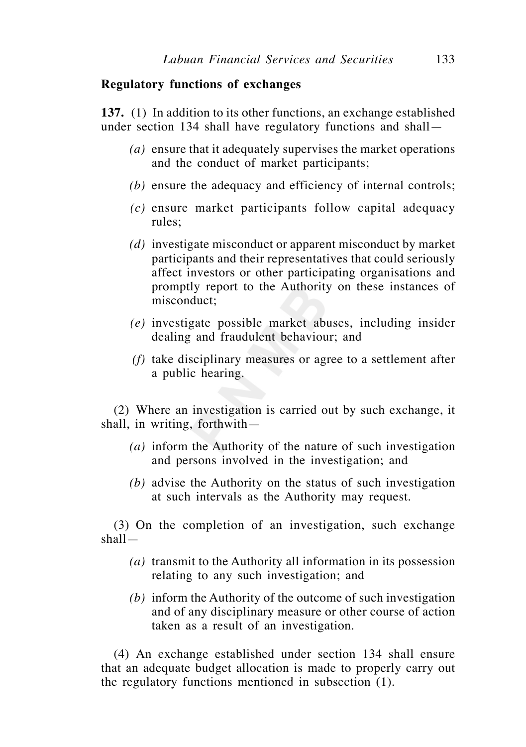### **Regulatory functions of exchanges**

**137.** (1) In addition to its other functions, an exchange established under section 134 shall have regulatory functions and shall—

- *(a)* ensure that it adequately supervises the market operations and the conduct of market participants;
- *(b)* ensure the adequacy and efficiency of internal controls;
- *(c)* ensure market participants follow capital adequacy rules;
- *(d)* investigate misconduct or apparent misconduct by market participants and their representatives that could seriously affect investors or other participating organisations and promptly report to the Authority on these instances of misconduct;
- *(e)* investigate possible market abuses, including insider dealing and fraudulent behaviour; and
- *(f)* take disciplinary measures or agree to a settlement after a public hearing.

(2) Where an investigation is carried out by such exchange, it shall, in writing, forthwith—

- *(a)* inform the Authority of the nature of such investigation and persons involved in the investigation; and
- *(b)* advise the Authority on the status of such investigation at such intervals as the Authority may request.

(3) On the completion of an investigation, such exchange shall—

- *(a)* transmit to the Authority all information in its possession relating to any such investigation; and
- *(b)* inform the Authority of the outcome of such investigation and of any disciplinary measure or other course of action taken as a result of an investigation.

(4) An exchange established under section 134 shall ensure that an adequate budget allocation is made to properly carry out the regulatory functions mentioned in subsection (1).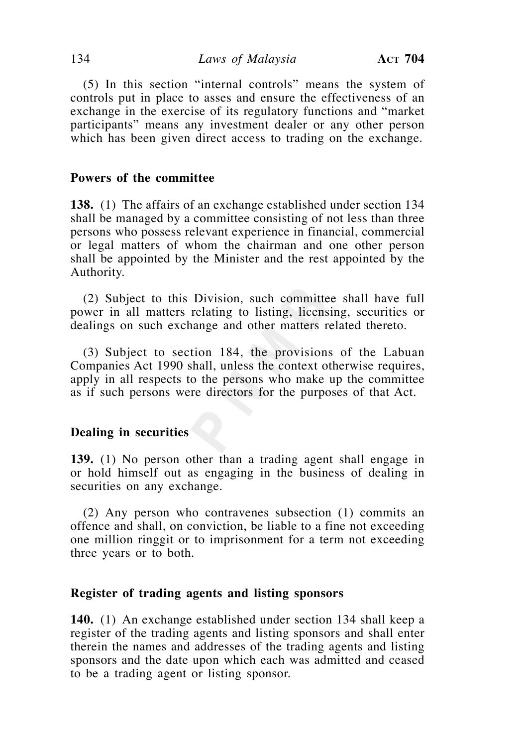(5) In this section "internal controls" means the system of controls put in place to asses and ensure the effectiveness of an exchange in the exercise of its regulatory functions and "market participants" means any investment dealer or any other person which has been given direct access to trading on the exchange.

# **Powers of the committee**

**138.** (1) The affairs of an exchange established under section 134 shall be managed by a committee consisting of not less than three persons who possess relevant experience in financial, commercial or legal matters of whom the chairman and one other person shall be appointed by the Minister and the rest appointed by the Authority.

 (2) Subject to this Division, such committee shall have full power in all matters relating to listing, licensing, securities or dealings on such exchange and other matters related thereto.

 (3) Subject to section 184, the provisions of the Labuan Companies Act 1990 shall, unless the context otherwise requires, apply in all respects to the persons who make up the committee as if such persons were directors for the purposes of that Act.

### **Dealing in securities**

**139.** (1) No person other than a trading agent shall engage in or hold himself out as engaging in the business of dealing in securities on any exchange.

 (2) Any person who contravenes subsection (1) commits an offence and shall, on conviction, be liable to a fine not exceeding one million ringgit or to imprisonment for a term not exceeding three years or to both.

### **Register of trading agents and listing sponsors**

**140.** (1) An exchange established under section 134 shall keep a register of the trading agents and listing sponsors and shall enter therein the names and addresses of the trading agents and listing sponsors and the date upon which each was admitted and ceased to be a trading agent or listing sponsor.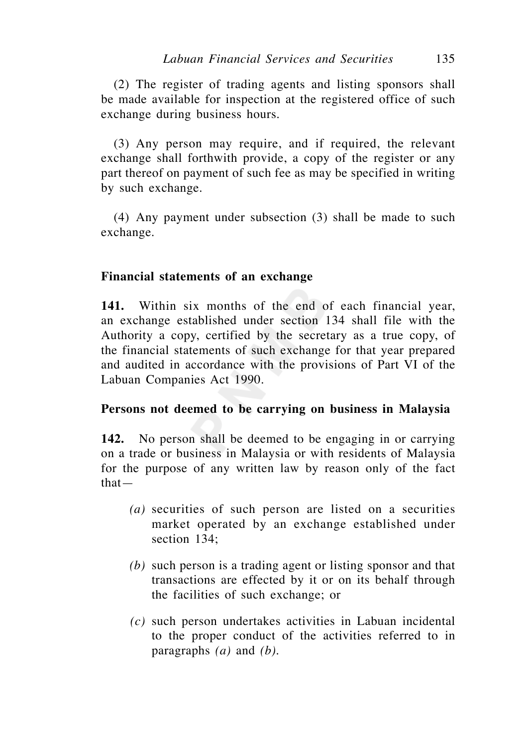(2) The register of trading agents and listing sponsors shall be made available for inspection at the registered office of such exchange during business hours.

 (3) Any person may require, and if required, the relevant exchange shall forthwith provide, a copy of the register or any part thereof on payment of such fee as may be specified in writing by such exchange.

 (4) Any payment under subsection (3) shall be made to such exchange.

## **Financial statements of an exchange**

**141.** Within six months of the end of each financial year, an exchange established under section 134 shall file with the Authority a copy, certified by the secretary as a true copy, of the financial statements of such exchange for that year prepared and audited in accordance with the provisions of Part VI of the Labuan Companies Act 1990.

## **Persons not deemed to be carrying on business in Malaysia**

**142.** No person shall be deemed to be engaging in or carrying on a trade or business in Malaysia or with residents of Malaysia for the purpose of any written law by reason only of the fact that—

- *(a)* securities of such person are listed on a securities market operated by an exchange established under section 134;
- *(b)* such person is a trading agent or listing sponsor and that transactions are effected by it or on its behalf through the facilities of such exchange; or
- *(c)* such person undertakes activities in Labuan incidental to the proper conduct of the activities referred to in paragraphs *(a)* and *(b)*.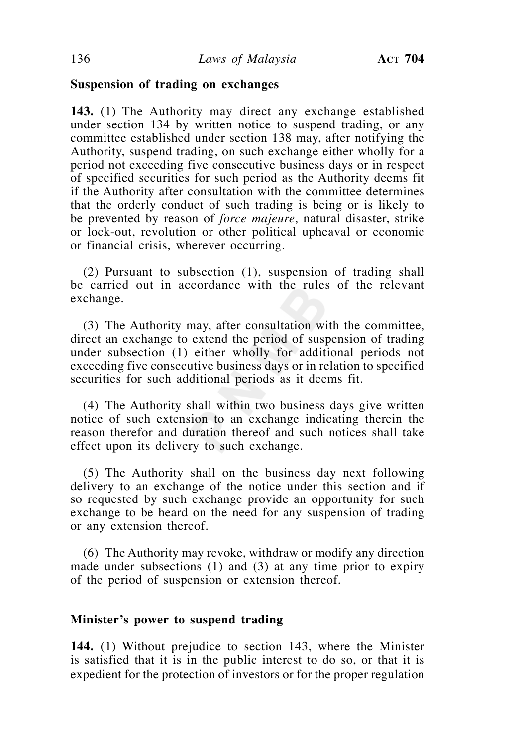### **Suspension of trading on exchanges**

**143.** (1) The Authority may direct any exchange established under section 134 by written notice to suspend trading, or any committee established under section 138 may, after notifying the Authority, suspend trading, on such exchange either wholly for a period not exceeding five consecutive business days or in respect of specified securities for such period as the Authority deems fit if the Authority after consultation with the committee determines that the orderly conduct of such trading is being or is likely to be prevented by reason of *force majeure*, natural disaster, strike or lock-out, revolution or other political upheaval or economic or financial crisis, wherever occurring.

 (2) Pursuant to subsection (1), suspension of trading shall be carried out in accordance with the rules of the relevant exchange.

 (3) The Authority may, after consultation with the committee, direct an exchange to extend the period of suspension of trading under subsection (1) either wholly for additional periods not exceeding five consecutive business days or in relation to specified securities for such additional periods as it deems fit.

 (4) The Authority shall within two business days give written notice of such extension to an exchange indicating therein the reason therefor and duration thereof and such notices shall take effect upon its delivery to such exchange.

 (5) The Authority shall on the business day next following delivery to an exchange of the notice under this section and if so requested by such exchange provide an opportunity for such exchange to be heard on the need for any suspension of trading or any extension thereof.

 (6) The Authority may revoke, withdraw or modify any direction made under subsections (1) and (3) at any time prior to expiry of the period of suspension or extension thereof.

## **Minister's power to suspend trading**

**144.** (1) Without prejudice to section 143, where the Minister is satisfied that it is in the public interest to do so, or that it is expedient for the protection of investors or for the proper regulation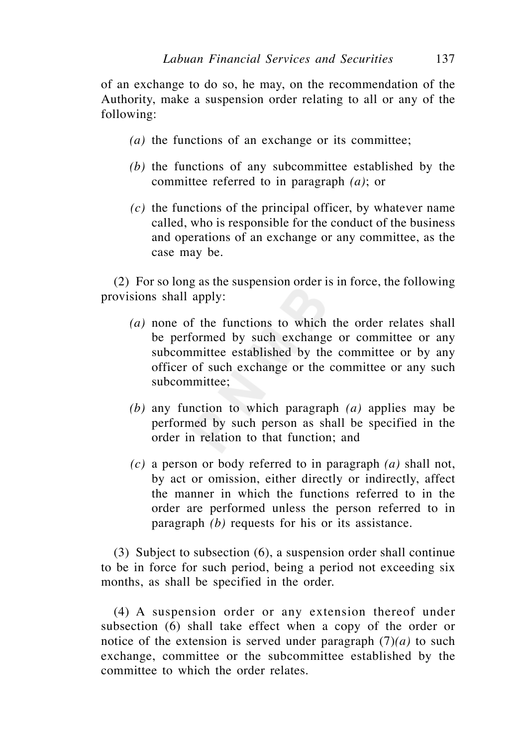of an exchange to do so, he may, on the recommendation of the Authority, make a suspension order relating to all or any of the following:

- *(a)* the functions of an exchange or its committee;
- *(b)* the functions of any subcommittee established by the committee referred to in paragraph *(a)*; or
- *(c)* the functions of the principal officer, by whatever name called, who is responsible for the conduct of the business and operations of an exchange or any committee, as the case may be.

 (2) For so long as the suspension order is in force, the following provisions shall apply:

- *(a)* none of the functions to which the order relates shall be performed by such exchange or committee or any subcommittee established by the committee or by any officer of such exchange or the committee or any such subcommittee;
- *(b)* any function to which paragraph *(a)* applies may be performed by such person as shall be specified in the order in relation to that function; and
- *(c)* a person or body referred to in paragraph *(a)* shall not, by act or omission, either directly or indirectly, affect the manner in which the functions referred to in the order are performed unless the person referred to in paragraph *(b)* requests for his or its assistance.

 (3) Subject to subsection (6), a suspension order shall continue to be in force for such period, being a period not exceeding six months, as shall be specified in the order.

 (4) A suspension order or any extension thereof under subsection (6) shall take effect when a copy of the order or notice of the extension is served under paragraph  $(7)(a)$  to such exchange, committee or the subcommittee established by the committee to which the order relates.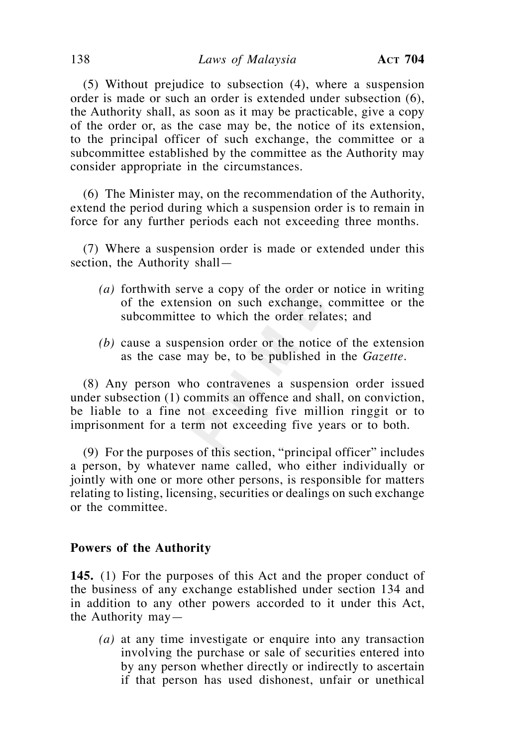(5) Without prejudice to subsection (4), where a suspension order is made or such an order is extended under subsection (6), the Authority shall, as soon as it may be practicable, give a copy of the order or, as the case may be, the notice of its extension, to the principal officer of such exchange, the committee or a subcommittee established by the committee as the Authority may consider appropriate in the circumstances.

 (6) The Minister may, on the recommendation of the Authority, extend the period during which a suspension order is to remain in force for any further periods each not exceeding three months.

 (7) Where a suspension order is made or extended under this section, the Authority shall—

- *(a)* forthwith serve a copy of the order or notice in writing of the extension on such exchange, committee or the subcommittee to which the order relates; and
- *(b)* cause a suspension order or the notice of the extension as the case may be, to be published in the *Gazette*.

 (8) Any person who contravenes a suspension order issued under subsection (1) commits an offence and shall, on conviction, be liable to a fine not exceeding five million ringgit or to imprisonment for a term not exceeding five years or to both.

 (9) For the purposes of this section, "principal officer" includes a person, by whatever name called, who either individually or jointly with one or more other persons, is responsible for matters relating to listing, licensing, securities or dealings on such exchange or the committee.

### **Powers of the Authority**

**145.** (1) For the purposes of this Act and the proper conduct of the business of any exchange established under section 134 and in addition to any other powers accorded to it under this Act, the Authority may—

 *(a)* at any time investigate or enquire into any transaction involving the purchase or sale of securities entered into by any person whether directly or indirectly to ascertain if that person has used dishonest, unfair or unethical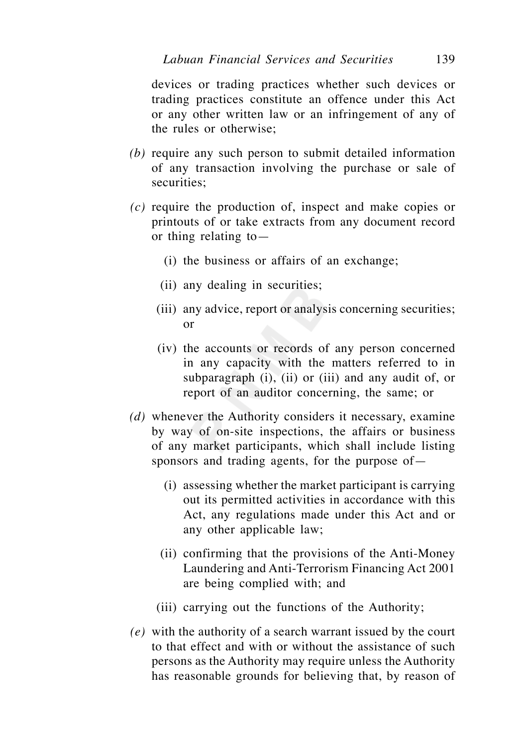devices or trading practices whether such devices or trading practices constitute an offence under this Act or any other written law or an infringement of any of the rules or otherwise;

- *(b)* require any such person to submit detailed information of any transaction involving the purchase or sale of securities:
- *(c)* require the production of, inspect and make copies or printouts of or take extracts from any document record or thing relating to—
	- (i) the business or affairs of an exchange;
	- (ii) any dealing in securities;
	- (iii) any advice, report or analysis concerning securities; or
	- (iv) the accounts or records of any person concerned in any capacity with the matters referred to in subparagraph (i), (ii) or (iii) and any audit of, or report of an auditor concerning, the same; or
- *(d)* whenever the Authority considers it necessary, examine by way of on-site inspections, the affairs or business of any market participants, which shall include listing sponsors and trading agents, for the purpose of—
	- (i) assessing whether the market participant is carrying out its permitted activities in accordance with this Act, any regulations made under this Act and or any other applicable law;
	- (ii) confirming that the provisions of the Anti-Money Laundering and Anti-Terrorism Financing Act 2001 are being complied with; and
	- (iii) carrying out the functions of the Authority;
- *(e)* with the authority of a search warrant issued by the court to that effect and with or without the assistance of such persons as the Authority may require unless the Authority has reasonable grounds for believing that, by reason of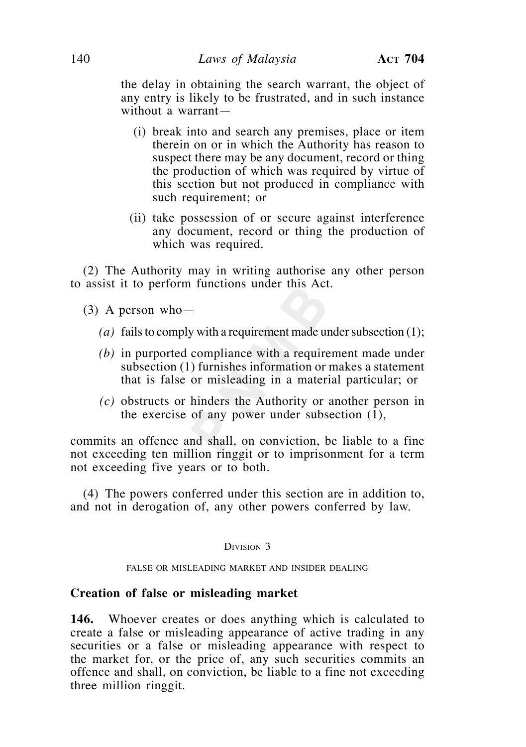the delay in obtaining the search warrant, the object of any entry is likely to be frustrated, and in such instance without a warrant—

- (i) break into and search any premises, place or item therein on or in which the Authority has reason to suspect there may be any document, record or thing the production of which was required by virtue of this section but not produced in compliance with such requirement; or
- (ii) take possession of or secure against interference any document, record or thing the production of which was required.

 (2) The Authority may in writing authorise any other person to assist it to perform functions under this Act.

- (3) A person who—
	- *(a)* fails to comply with a requirement made under subsection (1);
	- *(b)* in purported compliance with a requirement made under subsection (1) furnishes information or makes a statement that is false or misleading in a material particular; or
	- *(c)* obstructs or hinders the Authority or another person in the exercise of any power under subsection (1),

commits an offence and shall, on conviction, be liable to a fine not exceeding ten million ringgit or to imprisonment for a term not exceeding five years or to both.

 (4) The powers conferred under this section are in addition to, and not in derogation of, any other powers conferred by law.

### DIVISION 3

#### FALSE OR MISLEADING MARKET AND INSIDER DEALING

#### **Creation of false or misleading market**

**146.** Whoever creates or does anything which is calculated to create a false or misleading appearance of active trading in any securities or a false or misleading appearance with respect to the market for, or the price of, any such securities commits an offence and shall, on conviction, be liable to a fine not exceeding three million ringgit.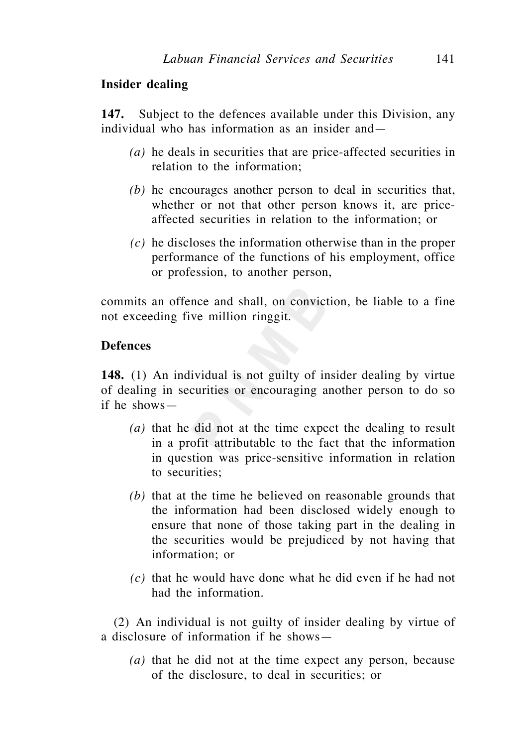## **Insider dealing**

**147.** Subject to the defences available under this Division, any individual who has information as an insider and—

- *(a)* he deals in securities that are price-affected securities in relation to the information;
- *(b)* he encourages another person to deal in securities that, whether or not that other person knows it, are priceaffected securities in relation to the information; or
- *(c)* he discloses the information otherwise than in the proper performance of the functions of his employment, office or profession, to another person,

commits an offence and shall, on conviction, be liable to a fine not exceeding five million ringgit.

## **Defences**

**148.** (1) An individual is not guilty of insider dealing by virtue of dealing in securities or encouraging another person to do so if he shows—

- *(a)* that he did not at the time expect the dealing to result in a profit attributable to the fact that the information in question was price-sensitive information in relation to securities;
- *(b)* that at the time he believed on reasonable grounds that the information had been disclosed widely enough to ensure that none of those taking part in the dealing in the securities would be prejudiced by not having that information; or
- *(c)* that he would have done what he did even if he had not had the information.

(2) An individual is not guilty of insider dealing by virtue of a disclosure of information if he shows—

 *(a)* that he did not at the time expect any person, because of the disclosure, to deal in securities; or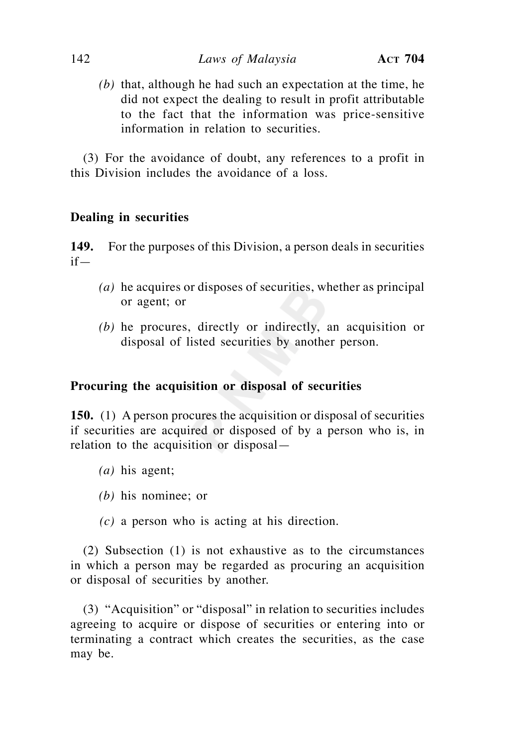*(b)* that, although he had such an expectation at the time, he did not expect the dealing to result in profit attributable to the fact that the information was price-sensitive information in relation to securities.

(3) For the avoidance of doubt, any references to a profit in this Division includes the avoidance of a loss.

# **Dealing in securities**

**149.** For the purposes of this Division, a person deals in securities if—

- *(a)* he acquires or disposes of securities, whether as principal or agent; or
- *(b)* he procures, directly or indirectly, an acquisition or disposal of listed securities by another person.

## **Procuring the acquisition or disposal of securities**

**150.** (1) A person procures the acquisition or disposal of securities if securities are acquired or disposed of by a person who is, in relation to the acquisition or disposal—

- *(a)* his agent;
- *(b)* his nominee; or
- *(c)* a person who is acting at his direction.

(2) Subsection (1) is not exhaustive as to the circumstances in which a person may be regarded as procuring an acquisition or disposal of securities by another.

(3) "Acquisition" or "disposal" in relation to securities includes agreeing to acquire or dispose of securities or entering into or terminating a contract which creates the securities, as the case may be.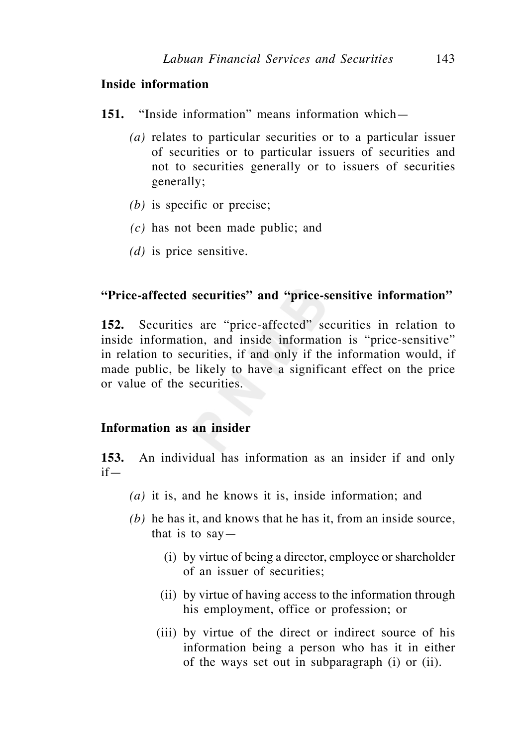## **Inside information**

- **151.** "Inside information" means information which—
	- *(a)* relates to particular securities or to a particular issuer of securities or to particular issuers of securities and not to securities generally or to issuers of securities generally;
	- *(b)* is specific or precise;
	- *(c)* has not been made public; and
	- *(d)* is price sensitive.

## **"Price-affected securities" and "price-sensitive information"**

**152.** Securities are "price-affected" securities in relation to inside information, and inside information is "price-sensitive" in relation to securities, if and only if the information would, if made public, be likely to have a significant effect on the price or value of the securities.

## **Information as an insider**

**153.** An individual has information as an insider if and only if—

- *(a)* it is, and he knows it is, inside information; and
- *(b)* he has it, and knows that he has it, from an inside source, that is to  $say$ 
	- (i) by virtue of being a director, employee or shareholder of an issuer of securities;
	- (ii) by virtue of having access to the information through his employment, office or profession; or
	- (iii) by virtue of the direct or indirect source of his information being a person who has it in either of the ways set out in subparagraph (i) or (ii).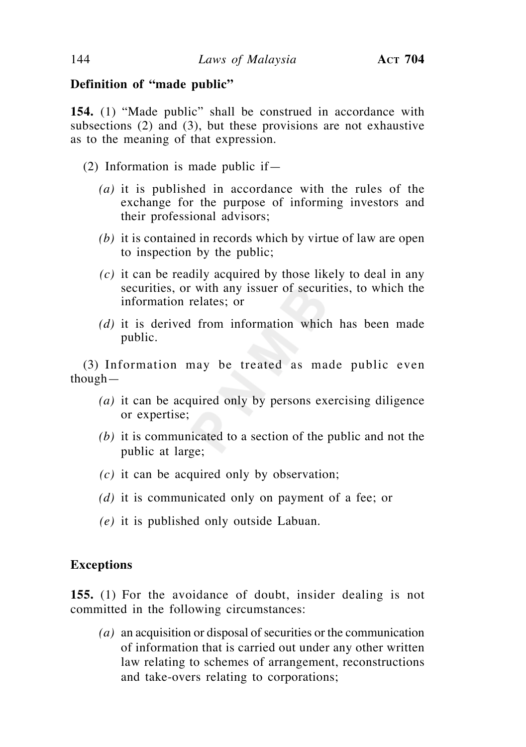## **Definition of "made public"**

**154.** (1) "Made public" shall be construed in accordance with subsections (2) and (3), but these provisions are not exhaustive as to the meaning of that expression.

- (2) Information is made public if—
	- *(a)* it is published in accordance with the rules of the exchange for the purpose of informing investors and their professional advisors;
	- *(b)* it is contained in records which by virtue of law are open to inspection by the public;
	- *(c)* it can be readily acquired by those likely to deal in any securities, or with any issuer of securities, to which the information relates; or
	- *(d)* it is derived from information which has been made public.

(3) Information may be treated as made public even though—

- *(a)* it can be acquired only by persons exercising diligence or expertise;
- *(b)* it is communicated to a section of the public and not the public at large;
- *(c)* it can be acquired only by observation;
- *(d)* it is communicated only on payment of a fee; or
- *(e)* it is published only outside Labuan.

### **Exceptions**

**155.** (1) For the avoidance of doubt, insider dealing is not committed in the following circumstances:

 *(a)* an acquisition or disposal of securities or the communication of information that is carried out under any other written law relating to schemes of arrangement, reconstructions and take-overs relating to corporations;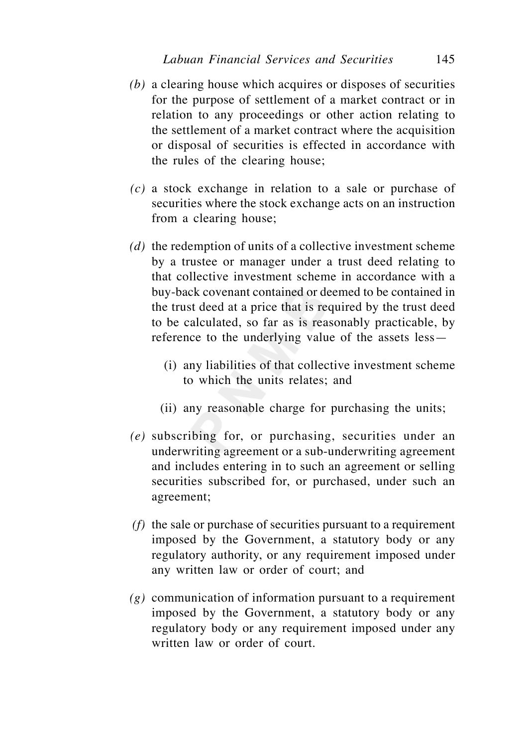- *(b)* a clearing house which acquires or disposes of securities for the purpose of settlement of a market contract or in relation to any proceedings or other action relating to the settlement of a market contract where the acquisition or disposal of securities is effected in accordance with the rules of the clearing house;
- *(c)* a stock exchange in relation to a sale or purchase of securities where the stock exchange acts on an instruction from a clearing house;
- *(d)* the redemption of units of a collective investment scheme by a trustee or manager under a trust deed relating to that collective investment scheme in accordance with a buy-back covenant contained or deemed to be contained in the trust deed at a price that is required by the trust deed to be calculated, so far as is reasonably practicable, by reference to the underlying value of the assets less—
	- (i) any liabilities of that collective investment scheme to which the units relates; and
	- (ii) any reasonable charge for purchasing the units;
- *(e)* subscribing for, or purchasing, securities under an underwriting agreement or a sub-underwriting agreement and includes entering in to such an agreement or selling securities subscribed for, or purchased, under such an agreement;
- *(f)* the sale or purchase of securities pursuant to a requirement imposed by the Government, a statutory body or any regulatory authority, or any requirement imposed under any written law or order of court; and
- *(g)* communication of information pursuant to a requirement imposed by the Government, a statutory body or any regulatory body or any requirement imposed under any written law or order of court.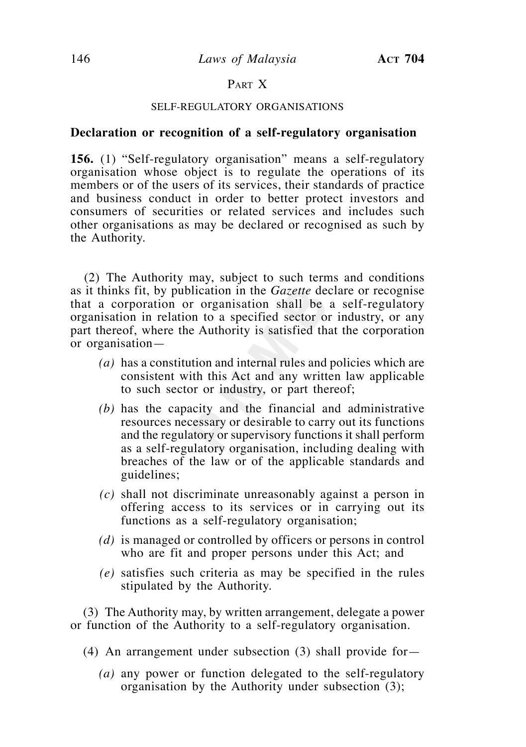# PART X

#### SELF-REGULATORY ORGANISATIONS

### **Declaration or recognition of a self-regulatory organisation**

**156.** (1) "Self-regulatory organisation" means a self-regulatory organisation whose object is to regulate the operations of its members or of the users of its services, their standards of practice and business conduct in order to better protect investors and consumers of securities or related services and includes such other organisations as may be declared or recognised as such by the Authority.

 (2) The Authority may, subject to such terms and conditions as it thinks fit, by publication in the *Gazette* declare or recognise that a corporation or organisation shall be a self-regulatory organisation in relation to a specified sector or industry, or any part thereof, where the Authority is satisfied that the corporation or organisation—

- *(a)* has a constitution and internal rules and policies which are consistent with this Act and any written law applicable to such sector or industry, or part thereof;
- *(b)* has the capacity and the financial and administrative resources necessary or desirable to carry out its functions and the regulatory or supervisory functions it shall perform as a self-regulatory organisation, including dealing with breaches of the law or of the applicable standards and guidelines;
- *(c)* shall not discriminate unreasonably against a person in offering access to its services or in carrying out its functions as a self-regulatory organisation;
- *(d)* is managed or controlled by officers or persons in control who are fit and proper persons under this Act; and
- *(e)* satisfies such criteria as may be specified in the rules stipulated by the Authority.

 (3) The Authority may, by written arrangement, delegate a power or function of the Authority to a self-regulatory organisation.

- (4) An arrangement under subsection (3) shall provide for—
	- *(a)* any power or function delegated to the self-regulatory organisation by the Authority under subsection (3);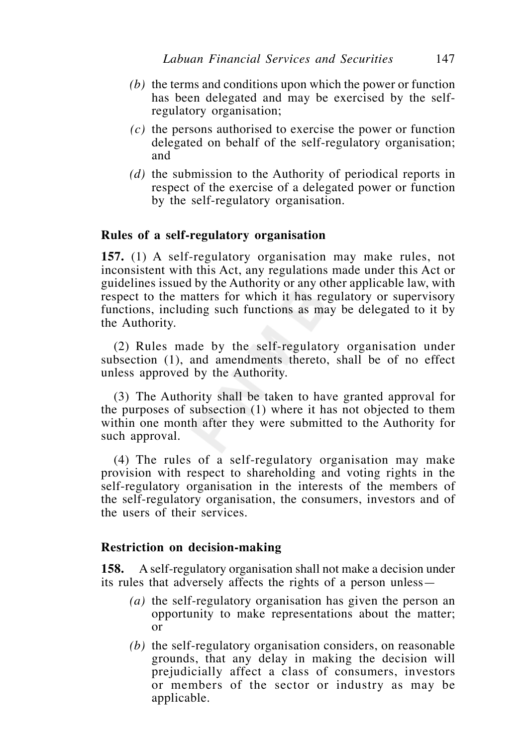- *(b)* the terms and conditions upon which the power or function has been delegated and may be exercised by the selfregulatory organisation;
- *(c)* the persons authorised to exercise the power or function delegated on behalf of the self-regulatory organisation; and
- *(d)* the submission to the Authority of periodical reports in respect of the exercise of a delegated power or function by the self-regulatory organisation.

## **Rules of a self-regulatory organisation**

**157.** (1) A self-regulatory organisation may make rules, not inconsistent with this Act, any regulations made under this Act or guidelines issued by the Authority or any other applicable law, with respect to the matters for which it has regulatory or supervisory functions, including such functions as may be delegated to it by the Authority.

 (2) Rules made by the self-regulatory organisation under subsection (1), and amendments thereto, shall be of no effect unless approved by the Authority.

 (3) The Authority shall be taken to have granted approval for the purposes of subsection (1) where it has not objected to them within one month after they were submitted to the Authority for such approval.

 (4) The rules of a self-regulatory organisation may make provision with respect to shareholding and voting rights in the self-regulatory organisation in the interests of the members of the self-regulatory organisation, the consumers, investors and of the users of their services.

### **Restriction on decision-making**

**158.** A self-regulatory organisation shall not make a decision under its rules that adversely affects the rights of a person unless—

- *(a)* the self-regulatory organisation has given the person an opportunity to make representations about the matter; or
- *(b)* the self-regulatory organisation considers, on reasonable grounds, that any delay in making the decision will prejudicially affect a class of consumers, investors or members of the sector or industry as may be applicable.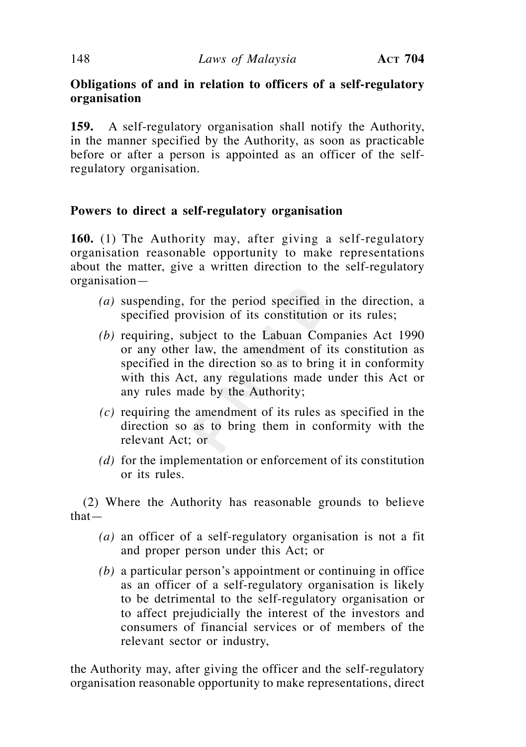# **Obligations of and in relation to officers of a self-regulatory organisation**

**159.** A self-regulatory organisation shall notify the Authority, in the manner specified by the Authority, as soon as practicable before or after a person is appointed as an officer of the selfregulatory organisation.

# **Powers to direct a self-regulatory organisation**

**160.** (1) The Authority may, after giving a self-regulatory organisation reasonable opportunity to make representations about the matter, give a written direction to the self-regulatory organisation—

- *(a)* suspending, for the period specified in the direction, a specified provision of its constitution or its rules;
- *(b)* requiring, subject to the Labuan Companies Act 1990 or any other law, the amendment of its constitution as specified in the direction so as to bring it in conformity with this Act, any regulations made under this Act or any rules made by the Authority;
- *(c)* requiring the amendment of its rules as specified in the direction so as to bring them in conformity with the relevant Act; or
- *(d)* for the implementation or enforcement of its constitution or its rules.

 (2) Where the Authority has reasonable grounds to believe that—

- *(a)* an officer of a self-regulatory organisation is not a fit and proper person under this Act; or
- *(b)* a particular person's appointment or continuing in office as an officer of a self-regulatory organisation is likely to be detrimental to the self-regulatory organisation or to affect prejudicially the interest of the investors and consumers of financial services or of members of the relevant sector or industry,

the Authority may, after giving the officer and the self-regulatory organisation reasonable opportunity to make representations, direct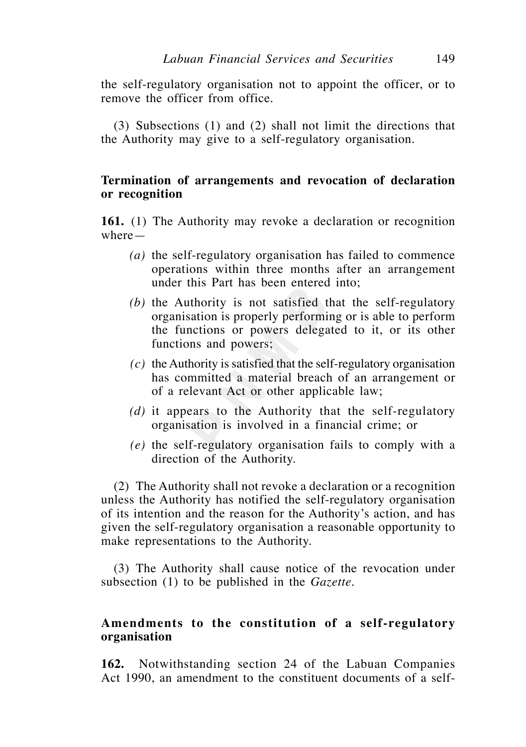the self-regulatory organisation not to appoint the officer, or to remove the officer from office.

 (3) Subsections (1) and (2) shall not limit the directions that the Authority may give to a self-regulatory organisation.

# **Termination of arrangements and revocation of declaration or recognition**

**161.** (1) The Authority may revoke a declaration or recognition where—

- *(a)* the self-regulatory organisation has failed to commence operations within three months after an arrangement under this Part has been entered into;
- *(b)* the Authority is not satisfied that the self-regulatory organisation is properly performing or is able to perform the functions or powers delegated to it, or its other functions and powers;
- *(c)* the Authority is satisfied that the self-regulatory organisation has committed a material breach of an arrangement or of a relevant Act or other applicable law;
- *(d)* it appears to the Authority that the self-regulatory organisation is involved in a financial crime; or
- *(e)* the self-regulatory organisation fails to comply with a direction of the Authority.

 (2) The Authority shall not revoke a declaration or a recognition unless the Authority has notified the self-regulatory organisation of its intention and the reason for the Authority's action, and has given the self-regulatory organisation a reasonable opportunity to make representations to the Authority.

 (3) The Authority shall cause notice of the revocation under subsection (1) to be published in the *Gazette.*

# **Amendments to the constitution of a self-regulatory organisation**

**162.** Notwithstanding section 24 of the Labuan Companies Act 1990, an amendment to the constituent documents of a self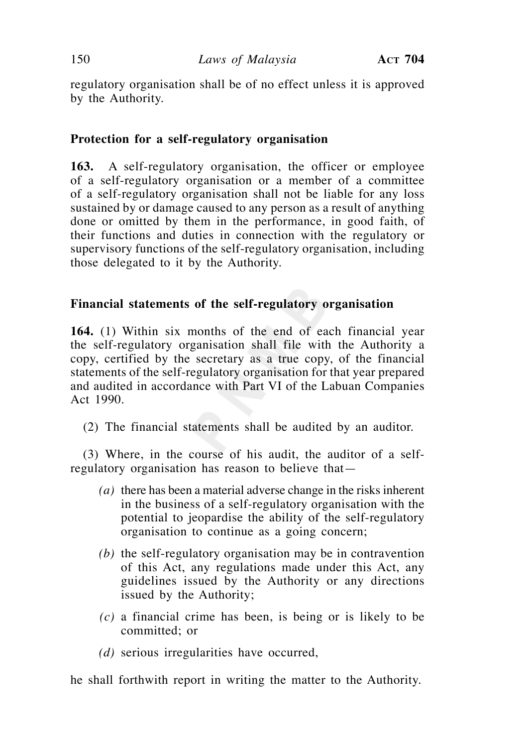regulatory organisation shall be of no effect unless it is approved by the Authority.

# **Protection for a self-regulatory organisation**

**163.** A self-regulatory organisation, the officer or employee of a self-regulatory organisation or a member of a committee of a self-regulatory organisation shall not be liable for any loss sustained by or damage caused to any person as a result of anything done or omitted by them in the performance, in good faith, of their functions and duties in connection with the regulatory or supervisory functions of the self-regulatory organisation, including those delegated to it by the Authority.

# **Financial statements of the self-regulatory organisation**

**164.** (1) Within six months of the end of each financial year the self-regulatory organisation shall file with the Authority a copy, certified by the secretary as a true copy, of the financial statements of the self-regulatory organisation for that year prepared and audited in accordance with Part VI of the Labuan Companies Act 1990.

(2) The financial statements shall be audited by an auditor.

 (3) Where, in the course of his audit, the auditor of a selfregulatory organisation has reason to believe that—

- *(a)* there has been a material adverse change in the risks inherent in the business of a self-regulatory organisation with the potential to jeopardise the ability of the self-regulatory organisation to continue as a going concern;
- *(b)* the self-regulatory organisation may be in contravention of this Act, any regulations made under this Act, any guidelines issued by the Authority or any directions issued by the Authority;
- *(c)* a financial crime has been, is being or is likely to be committed; or
- *(d)* serious irregularities have occurred,

he shall forthwith report in writing the matter to the Authority.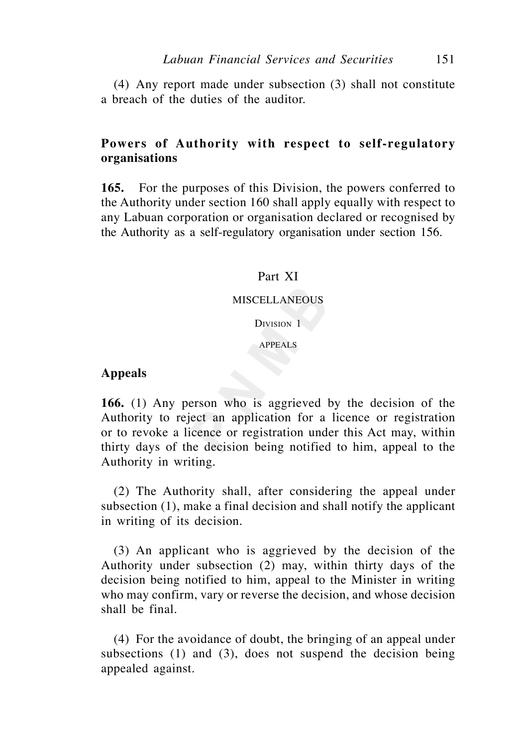(4) Any report made under subsection (3) shall not constitute a breach of the duties of the auditor.

# **Powers of Authority with respect to self-regulatory organisations**

**165.** For the purposes of this Division, the powers conferred to the Authority under section 160 shall apply equally with respect to any Labuan corporation or organisation declared or recognised by the Authority as a self-regulatory organisation under section 156.

# Part XI

#### MISCELLANEOUS

DIVISION 1

#### APPEALS

# **Appeals**

**166.** (1) Any person who is aggrieved by the decision of the Authority to reject an application for a licence or registration or to revoke a licence or registration under this Act may, within thirty days of the decision being notified to him, appeal to the Authority in writing.

 (2) The Authority shall, after considering the appeal under subsection (1), make a final decision and shall notify the applicant in writing of its decision.

 (3) An applicant who is aggrieved by the decision of the Authority under subsection (2) may, within thirty days of the decision being notified to him, appeal to the Minister in writing who may confirm, vary or reverse the decision, and whose decision shall be final.

 (4) For the avoidance of doubt, the bringing of an appeal under subsections (1) and (3), does not suspend the decision being appealed against.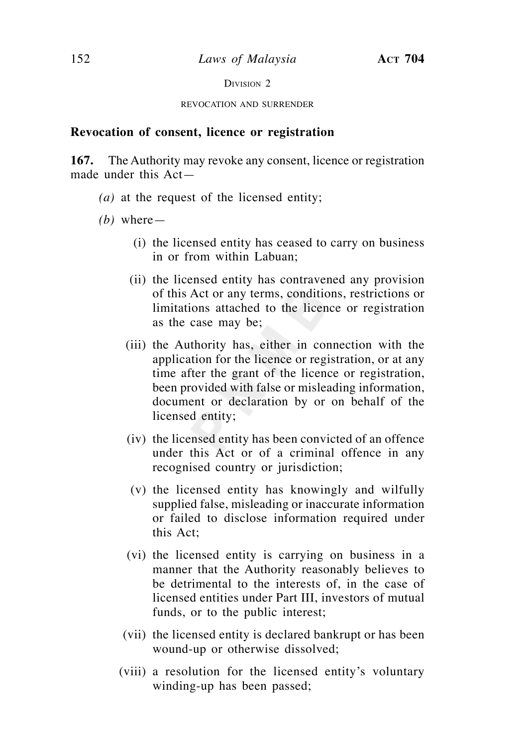DIVISION 2

REVOCATION AND SURRENDER

## **Revocation of consent, licence or registration**

**167.** The Authority may revoke any consent, licence or registration made under this Act—

 *(a)* at the request of the licensed entity;

 *(b)* where—

- (i) the licensed entity has ceased to carry on business in or from within Labuan;
- (ii) the licensed entity has contravened any provision of this Act or any terms, conditions, restrictions or limitations attached to the licence or registration as the case may be;
- (iii) the Authority has, either in connection with the application for the licence or registration, or at any time after the grant of the licence or registration, been provided with false or misleading information, document or declaration by or on behalf of the licensed entity;
- (iv) the licensed entity has been convicted of an offence under this Act or of a criminal offence in any recognised country or jurisdiction;
- (v) the licensed entity has knowingly and wilfully supplied false, misleading or inaccurate information or failed to disclose information required under this Act;
- (vi) the licensed entity is carrying on business in a manner that the Authority reasonably believes to be detrimental to the interests of, in the case of licensed entities under Part III, investors of mutual funds, or to the public interest;
- (vii) the licensed entity is declared bankrupt or has been wound-up or otherwise dissolved;
- (viii) a resolution for the licensed entity's voluntary winding-up has been passed;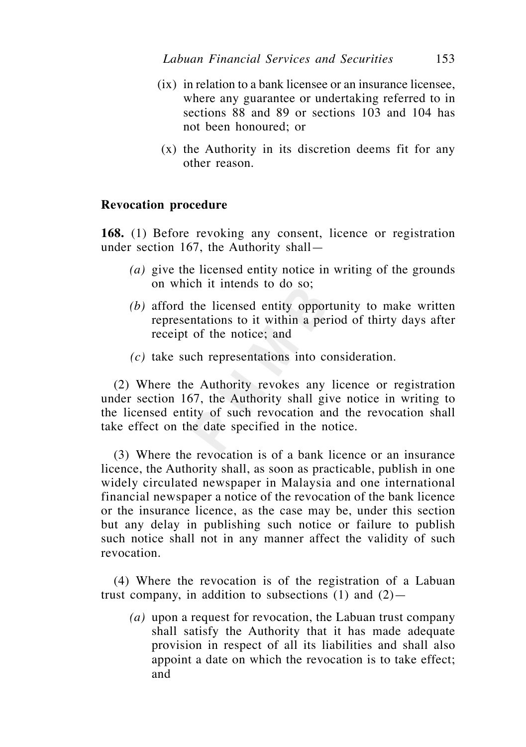- (ix) in relation to a bank licensee or an insurance licensee, where any guarantee or undertaking referred to in sections 88 and 89 or sections 103 and 104 has not been honoured; or
- (x) the Authority in its discretion deems fit for any other reason.

## **Revocation procedure**

**168.** (1) Before revoking any consent, licence or registration under section 167, the Authority shall—

- *(a)* give the licensed entity notice in writing of the grounds on which it intends to do so;
- *(b)* afford the licensed entity opportunity to make written representations to it within a period of thirty days after receipt of the notice; and
- *(c)* take such representations into consideration.

 (2) Where the Authority revokes any licence or registration under section 167, the Authority shall give notice in writing to the licensed entity of such revocation and the revocation shall take effect on the date specified in the notice.

 (3) Where the revocation is of a bank licence or an insurance licence, the Authority shall, as soon as practicable, publish in one widely circulated newspaper in Malaysia and one international financial newspaper a notice of the revocation of the bank licence or the insurance licence, as the case may be, under this section but any delay in publishing such notice or failure to publish such notice shall not in any manner affect the validity of such revocation.

 (4) Where the revocation is of the registration of a Labuan trust company, in addition to subsections  $(1)$  and  $(2)$ —

 *(a)* upon a request for revocation, the Labuan trust company shall satisfy the Authority that it has made adequate provision in respect of all its liabilities and shall also appoint a date on which the revocation is to take effect; and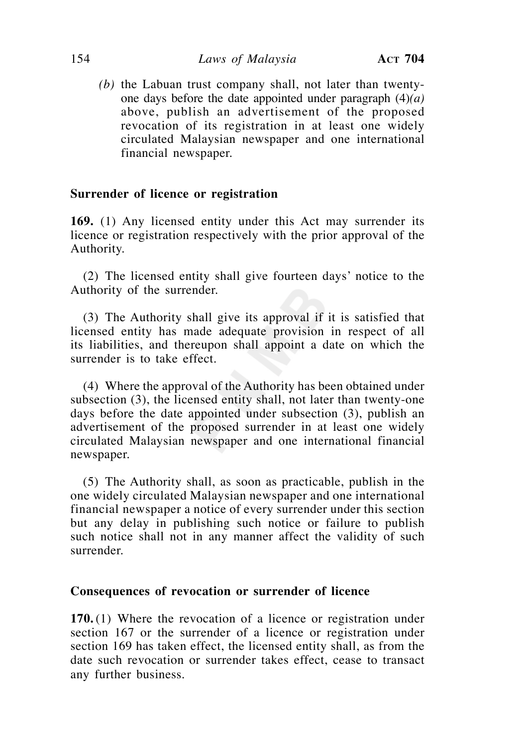*(b)* the Labuan trust company shall, not later than twentyone days before the date appointed under paragraph (4)*(a)* above, publish an advertisement of the proposed revocation of its registration in at least one widely circulated Malaysian newspaper and one international financial newspaper.

## **Surrender of licence or registration**

**169.** (1) Any licensed entity under this Act may surrender its licence or registration respectively with the prior approval of the Authority.

 (2) The licensed entity shall give fourteen days' notice to the Authority of the surrender.

 (3) The Authority shall give its approval if it is satisfied that licensed entity has made adequate provision in respect of all its liabilities, and thereupon shall appoint a date on which the surrender is to take effect.

 (4) Where the approval of the Authority has been obtained under subsection (3), the licensed entity shall, not later than twenty-one days before the date appointed under subsection (3), publish an advertisement of the proposed surrender in at least one widely circulated Malaysian newspaper and one international financial newspaper.

 (5) The Authority shall, as soon as practicable, publish in the one widely circulated Malaysian newspaper and one international financial newspaper a notice of every surrender under this section but any delay in publishing such notice or failure to publish such notice shall not in any manner affect the validity of such surrender.

### **Consequences of revocation or surrender of licence**

**170.** (1) Where the revocation of a licence or registration under section 167 or the surrender of a licence or registration under section 169 has taken effect, the licensed entity shall, as from the date such revocation or surrender takes effect, cease to transact any further business.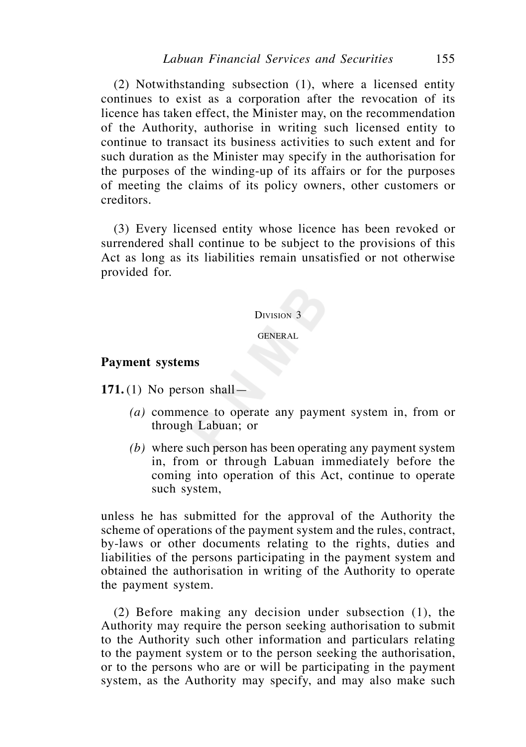(2) Notwithstanding subsection (1), where a licensed entity continues to exist as a corporation after the revocation of its licence has taken effect, the Minister may, on the recommendation of the Authority, authorise in writing such licensed entity to continue to transact its business activities to such extent and for such duration as the Minister may specify in the authorisation for the purposes of the winding-up of its affairs or for the purposes of meeting the claims of its policy owners, other customers or creditors.

 (3) Every licensed entity whose licence has been revoked or surrendered shall continue to be subject to the provisions of this Act as long as its liabilities remain unsatisfied or not otherwise provided for.

#### DIVISION 3

#### GENERAL

#### **Payment systems**

**171.** (1) No person shall—

- *(a)* commence to operate any payment system in, from or through Labuan; or
- *(b)* where such person has been operating any payment system in, from or through Labuan immediately before the coming into operation of this Act, continue to operate such system,

unless he has submitted for the approval of the Authority the scheme of operations of the payment system and the rules, contract, by-laws or other documents relating to the rights, duties and liabilities of the persons participating in the payment system and obtained the authorisation in writing of the Authority to operate the payment system.

 (2) Before making any decision under subsection (1), the Authority may require the person seeking authorisation to submit to the Authority such other information and particulars relating to the payment system or to the person seeking the authorisation, or to the persons who are or will be participating in the payment system, as the Authority may specify, and may also make such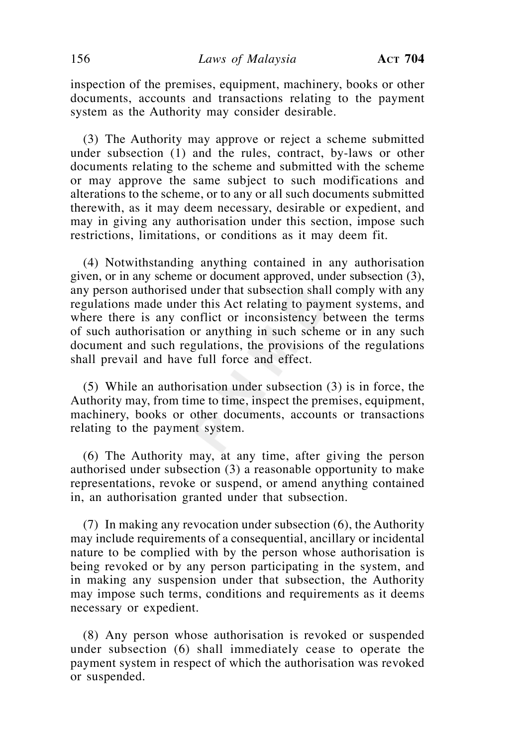inspection of the premises, equipment, machinery, books or other documents, accounts and transactions relating to the payment system as the Authority may consider desirable.

 (3) The Authority may approve or reject a scheme submitted under subsection (1) and the rules, contract, by-laws or other documents relating to the scheme and submitted with the scheme or may approve the same subject to such modifications and alterations to the scheme, or to any or all such documents submitted therewith, as it may deem necessary, desirable or expedient, and may in giving any authorisation under this section, impose such restrictions, limitations, or conditions as it may deem fit.

 (4) Notwithstanding anything contained in any authorisation given, or in any scheme or document approved, under subsection (3), any person authorised under that subsection shall comply with any regulations made under this Act relating to payment systems, and where there is any conflict or inconsistency between the terms of such authorisation or anything in such scheme or in any such document and such regulations, the provisions of the regulations shall prevail and have full force and effect.

 (5) While an authorisation under subsection (3) is in force, the Authority may, from time to time, inspect the premises, equipment, machinery, books or other documents, accounts or transactions relating to the payment system.

 (6) The Authority may, at any time, after giving the person authorised under subsection (3) a reasonable opportunity to make representations, revoke or suspend, or amend anything contained in, an authorisation granted under that subsection.

 (7) In making any revocation under subsection (6), the Authority may include requirements of a consequential, ancillary or incidental nature to be complied with by the person whose authorisation is being revoked or by any person participating in the system, and in making any suspension under that subsection, the Authority may impose such terms, conditions and requirements as it deems necessary or expedient.

 (8) Any person whose authorisation is revoked or suspended under subsection (6) shall immediately cease to operate the payment system in respect of which the authorisation was revoked or suspended.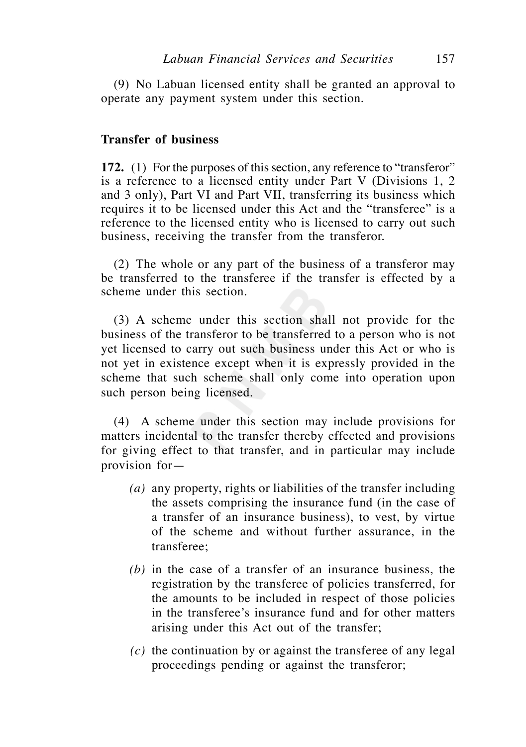(9) No Labuan licensed entity shall be granted an approval to operate any payment system under this section.

## **Transfer of business**

**172.** (1) For the purposes of this section, any reference to "transferor" is a reference to a licensed entity under Part V (Divisions 1, 2 and 3 only), Part VI and Part VII, transferring its business which requires it to be licensed under this Act and the "transferee" is a reference to the licensed entity who is licensed to carry out such business, receiving the transfer from the transferor.

 (2) The whole or any part of the business of a transferor may be transferred to the transferee if the transfer is effected by a scheme under this section.

 (3) A scheme under this section shall not provide for the business of the transferor to be transferred to a person who is not yet licensed to carry out such business under this Act or who is not yet in existence except when it is expressly provided in the scheme that such scheme shall only come into operation upon such person being licensed.

 (4) A scheme under this section may include provisions for matters incidental to the transfer thereby effected and provisions for giving effect to that transfer, and in particular may include provision for—

- *(a)* any property, rights or liabilities of the transfer including the assets comprising the insurance fund (in the case of a transfer of an insurance business), to vest, by virtue of the scheme and without further assurance, in the transferee;
- *(b)* in the case of a transfer of an insurance business, the registration by the transferee of policies transferred, for the amounts to be included in respect of those policies in the transferee's insurance fund and for other matters arising under this Act out of the transfer;
- *(c)* the continuation by or against the transferee of any legal proceedings pending or against the transferor;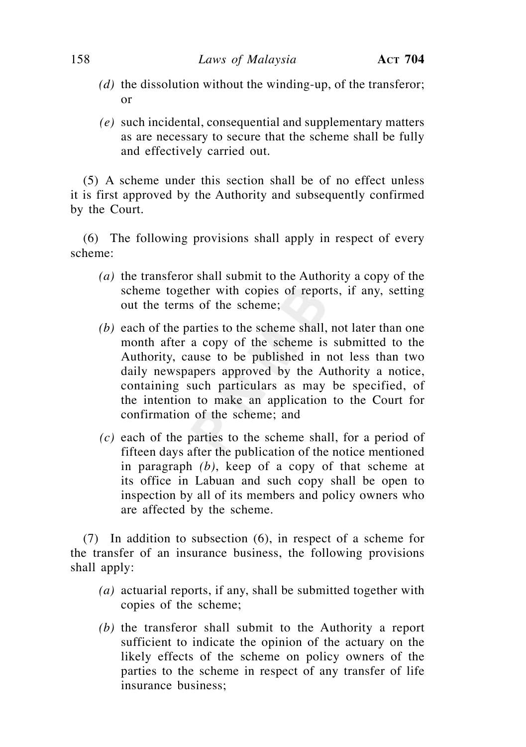- *(d)* the dissolution without the winding-up, of the transferor; or
- *(e)* such incidental, consequential and supplementary matters as are necessary to secure that the scheme shall be fully and effectively carried out.

 (5) A scheme under this section shall be of no effect unless it is first approved by the Authority and subsequently confirmed by the Court.

 (6) The following provisions shall apply in respect of every scheme:

- *(a)* the transferor shall submit to the Authority a copy of the scheme together with copies of reports, if any, setting out the terms of the scheme;
- *(b)* each of the parties to the scheme shall, not later than one month after a copy of the scheme is submitted to the Authority, cause to be published in not less than two daily newspapers approved by the Authority a notice, containing such particulars as may be specified, of the intention to make an application to the Court for confirmation of the scheme; and
- *(c)* each of the parties to the scheme shall, for a period of fifteen days after the publication of the notice mentioned in paragraph *(b)*, keep of a copy of that scheme at its office in Labuan and such copy shall be open to inspection by all of its members and policy owners who are affected by the scheme.

 (7) In addition to subsection (6), in respect of a scheme for the transfer of an insurance business, the following provisions shall apply:

- *(a)* actuarial reports, if any, shall be submitted together with copies of the scheme;
- *(b)* the transferor shall submit to the Authority a report sufficient to indicate the opinion of the actuary on the likely effects of the scheme on policy owners of the parties to the scheme in respect of any transfer of life insurance business;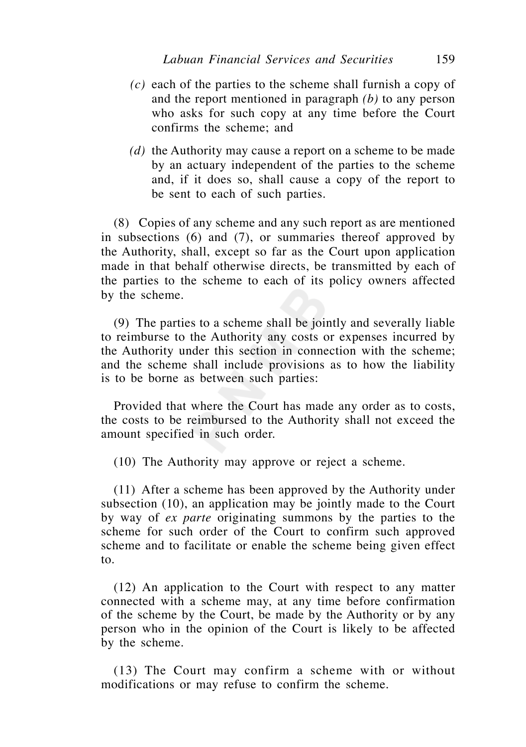- *(c)* each of the parties to the scheme shall furnish a copy of and the report mentioned in paragraph *(b)* to any person who asks for such copy at any time before the Court confirms the scheme; and
- *(d)* the Authority may cause a report on a scheme to be made by an actuary independent of the parties to the scheme and, if it does so, shall cause a copy of the report to be sent to each of such parties.

 (8) Copies of any scheme and any such report as are mentioned in subsections (6) and (7), or summaries thereof approved by the Authority, shall, except so far as the Court upon application made in that behalf otherwise directs, be transmitted by each of the parties to the scheme to each of its policy owners affected by the scheme.

 (9) The parties to a scheme shall be jointly and severally liable to reimburse to the Authority any costs or expenses incurred by the Authority under this section in connection with the scheme; and the scheme shall include provisions as to how the liability is to be borne as between such parties:

 Provided that where the Court has made any order as to costs, the costs to be reimbursed to the Authority shall not exceed the amount specified in such order.

(10) The Authority may approve or reject a scheme.

 (11) After a scheme has been approved by the Authority under subsection (10), an application may be jointly made to the Court by way of *ex parte* originating summons by the parties to the scheme for such order of the Court to confirm such approved scheme and to facilitate or enable the scheme being given effect to.

 (12) An application to the Court with respect to any matter connected with a scheme may, at any time before confirmation of the scheme by the Court, be made by the Authority or by any person who in the opinion of the Court is likely to be affected by the scheme.

 (13) The Court may confirm a scheme with or without modifications or may refuse to confirm the scheme.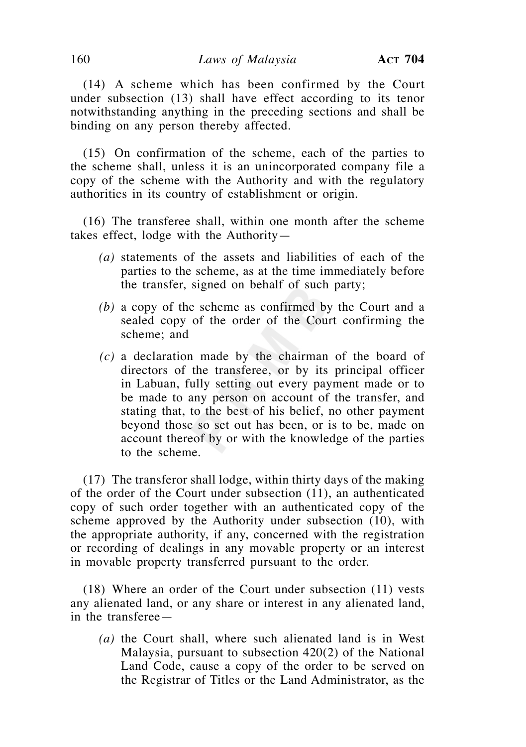(14) A scheme which has been confirmed by the Court under subsection (13) shall have effect according to its tenor notwithstanding anything in the preceding sections and shall be binding on any person thereby affected.

 (15) On confirmation of the scheme, each of the parties to the scheme shall, unless it is an unincorporated company file a copy of the scheme with the Authority and with the regulatory authorities in its country of establishment or origin.

 (16) The transferee shall, within one month after the scheme takes effect, lodge with the Authority—

- *(a)* statements of the assets and liabilities of each of the parties to the scheme, as at the time immediately before the transfer, signed on behalf of such party;
- *(b)* a copy of the scheme as confirmed by the Court and a sealed copy of the order of the Court confirming the scheme; and
- *(c)* a declaration made by the chairman of the board of directors of the transferee, or by its principal officer in Labuan, fully setting out every payment made or to be made to any person on account of the transfer, and stating that, to the best of his belief, no other payment beyond those so set out has been, or is to be, made on account thereof by or with the knowledge of the parties to the scheme.

 (17) The transferor shall lodge, within thirty days of the making of the order of the Court under subsection (11), an authenticated copy of such order together with an authenticated copy of the scheme approved by the Authority under subsection (10), with the appropriate authority, if any, concerned with the registration or recording of dealings in any movable property or an interest in movable property transferred pursuant to the order.

 (18) Where an order of the Court under subsection (11) vests any alienated land, or any share or interest in any alienated land, in the transferee—

*(a)* the Court shall, where such alienated land is in West Malaysia, pursuant to subsection 420(2) of the National Land Code, cause a copy of the order to be served on the Registrar of Titles or the Land Administrator, as the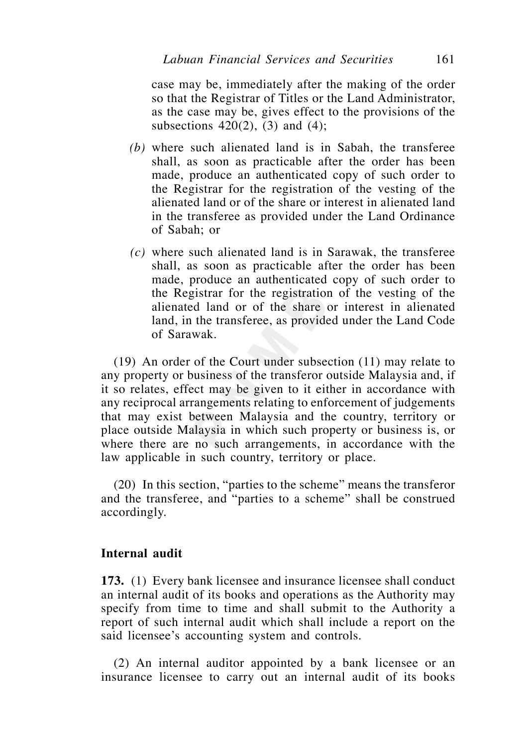case may be, immediately after the making of the order so that the Registrar of Titles or the Land Administrator, as the case may be, gives effect to the provisions of the subsections  $420(2)$ ,  $(3)$  and  $(4)$ ;

- *(b)* where such alienated land is in Sabah, the transferee shall, as soon as practicable after the order has been made, produce an authenticated copy of such order to the Registrar for the registration of the vesting of the alienated land or of the share or interest in alienated land in the transferee as provided under the Land Ordinance of Sabah; or
- *(c)* where such alienated land is in Sarawak, the transferee shall, as soon as practicable after the order has been made, produce an authenticated copy of such order to the Registrar for the registration of the vesting of the alienated land or of the share or interest in alienated land, in the transferee, as provided under the Land Code of Sarawak.

 (19) An order of the Court under subsection (11) may relate to any property or business of the transferor outside Malaysia and, if it so relates, effect may be given to it either in accordance with any reciprocal arrangements relating to enforcement of judgements that may exist between Malaysia and the country, territory or place outside Malaysia in which such property or business is, or where there are no such arrangements, in accordance with the law applicable in such country, territory or place.

 (20) In this section, "parties to the scheme" means the transferor and the transferee, and "parties to a scheme" shall be construed accordingly.

## **Internal audit**

**173.** (1) Every bank licensee and insurance licensee shall conduct an internal audit of its books and operations as the Authority may specify from time to time and shall submit to the Authority a report of such internal audit which shall include a report on the said licensee's accounting system and controls.

 (2) An internal auditor appointed by a bank licensee or an insurance licensee to carry out an internal audit of its books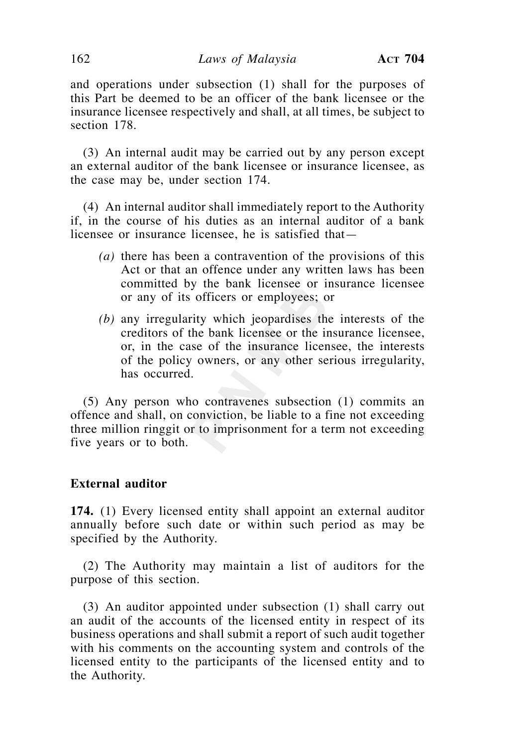and operations under subsection (1) shall for the purposes of this Part be deemed to be an officer of the bank licensee or the insurance licensee respectively and shall, at all times, be subject to section 178.

 (3) An internal audit may be carried out by any person except an external auditor of the bank licensee or insurance licensee, as the case may be, under section 174.

 (4) An internal auditor shall immediately report to the Authority if, in the course of his duties as an internal auditor of a bank licensee or insurance licensee, he is satisfied that—

- *(a)* there has been a contravention of the provisions of this Act or that an offence under any written laws has been committed by the bank licensee or insurance licensee or any of its officers or employees; or
- *(b)* any irregularity which jeopardises the interests of the creditors of the bank licensee or the insurance licensee, or, in the case of the insurance licensee, the interests of the policy owners, or any other serious irregularity, has occurred.

 (5) Any person who contravenes subsection (1) commits an offence and shall, on conviction, be liable to a fine not exceeding three million ringgit or to imprisonment for a term not exceeding five years or to both.

# **External auditor**

**174.** (1) Every licensed entity shall appoint an external auditor annually before such date or within such period as may be specified by the Authority.

 (2) The Authority may maintain a list of auditors for the purpose of this section.

 (3) An auditor appointed under subsection (1) shall carry out an audit of the accounts of the licensed entity in respect of its business operations and shall submit a report of such audit together with his comments on the accounting system and controls of the licensed entity to the participants of the licensed entity and to the Authority.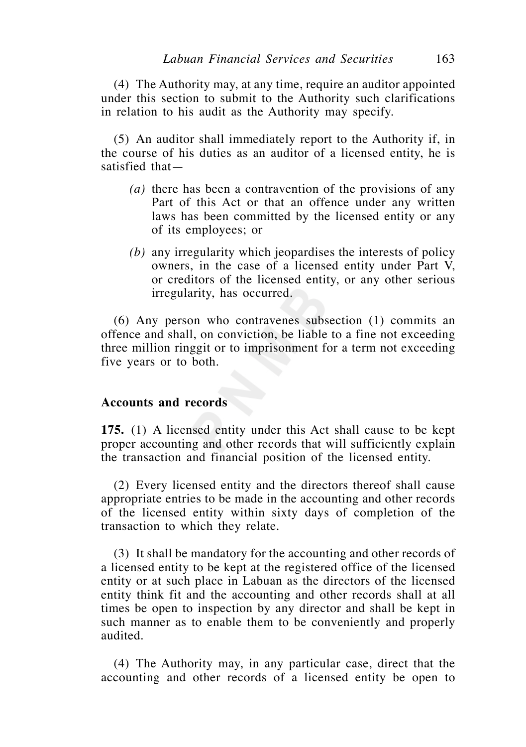(4) The Authority may, at any time, require an auditor appointed under this section to submit to the Authority such clarifications in relation to his audit as the Authority may specify.

 (5) An auditor shall immediately report to the Authority if, in the course of his duties as an auditor of a licensed entity, he is satisfied that—

- *(a)* there has been a contravention of the provisions of any Part of this Act or that an offence under any written laws has been committed by the licensed entity or any of its employees; or
- *(b)* any irregularity which jeopardises the interests of policy owners, in the case of a licensed entity under Part V, or creditors of the licensed entity, or any other serious irregularity, has occurred.

 (6) Any person who contravenes subsection (1) commits an offence and shall, on conviction, be liable to a fine not exceeding three million ringgit or to imprisonment for a term not exceeding five years or to both.

### **Accounts and records**

**175.** (1) A licensed entity under this Act shall cause to be kept proper accounting and other records that will sufficiently explain the transaction and financial position of the licensed entity.

(2) Every licensed entity and the directors thereof shall cause appropriate entries to be made in the accounting and other records of the licensed entity within sixty days of completion of the transaction to which they relate.

(3) It shall be mandatory for the accounting and other records of a licensed entity to be kept at the registered office of the licensed entity or at such place in Labuan as the directors of the licensed entity think fit and the accounting and other records shall at all times be open to inspection by any director and shall be kept in such manner as to enable them to be conveniently and properly audited.

 (4) The Authority may, in any particular case, direct that the accounting and other records of a licensed entity be open to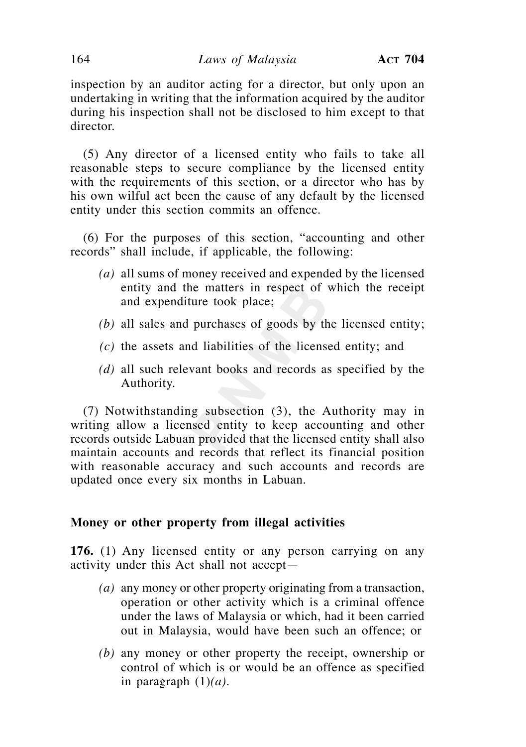inspection by an auditor acting for a director, but only upon an undertaking in writing that the information acquired by the auditor during his inspection shall not be disclosed to him except to that director.

(5) Any director of a licensed entity who fails to take all reasonable steps to secure compliance by the licensed entity with the requirements of this section, or a director who has by his own wilful act been the cause of any default by the licensed entity under this section commits an offence.

 (6) For the purposes of this section, "accounting and other records" shall include, if applicable, the following:

- *(a)* all sums of money received and expended by the licensed entity and the matters in respect of which the receipt and expenditure took place;
- *(b)* all sales and purchases of goods by the licensed entity;
- *(c)* the assets and liabilities of the licensed entity; and
- *(d)* all such relevant books and records as specified by the Authority.

 (7) Notwithstanding subsection (3), the Authority may in writing allow a licensed entity to keep accounting and other records outside Labuan provided that the licensed entity shall also maintain accounts and records that reflect its financial position with reasonable accuracy and such accounts and records are updated once every six months in Labuan.

### **Money or other property from illegal activities**

**176.** (1) Any licensed entity or any person carrying on any activity under this Act shall not accept—

- *(a)* any money or other property originating from a transaction, operation or other activity which is a criminal offence under the laws of Malaysia or which, had it been carried out in Malaysia, would have been such an offence; or
- *(b)* any money or other property the receipt, ownership or control of which is or would be an offence as specified in paragraph (1)*(a)*.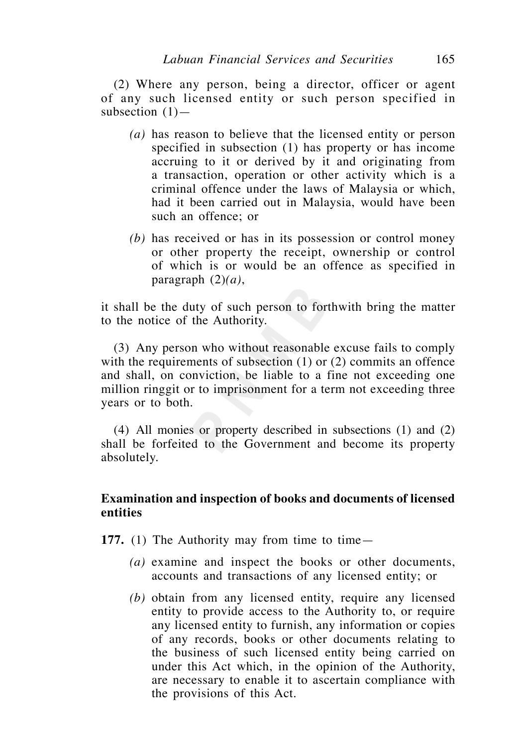(2) Where any person, being a director, officer or agent of any such licensed entity or such person specified in subsection  $(1)$ —

- *(a)* has reason to believe that the licensed entity or person specified in subsection (1) has property or has income accruing to it or derived by it and originating from a transaction, operation or other activity which is a criminal offence under the laws of Malaysia or which, had it been carried out in Malaysia, would have been such an offence; or
- *(b)* has received or has in its possession or control money or other property the receipt, ownership or control of which is or would be an offence as specified in paragraph (2)*(a)*,

it shall be the duty of such person to forthwith bring the matter to the notice of the Authority.

 (3) Any person who without reasonable excuse fails to comply with the requirements of subsection (1) or (2) commits an offence and shall, on conviction, be liable to a fine not exceeding one million ringgit or to imprisonment for a term not exceeding three years or to both.

 (4) All monies or property described in subsections (1) and (2) shall be forfeited to the Government and become its property absolutely.

## **Examination and inspection of books and documents of licensed entities**

**177.** (1) The Authority may from time to time—

- *(a)* examine and inspect the books or other documents, accounts and transactions of any licensed entity; or
- *(b)* obtain from any licensed entity, require any licensed entity to provide access to the Authority to, or require any licensed entity to furnish, any information or copies of any records, books or other documents relating to the business of such licensed entity being carried on under this Act which, in the opinion of the Authority, are necessary to enable it to ascertain compliance with the provisions of this Act.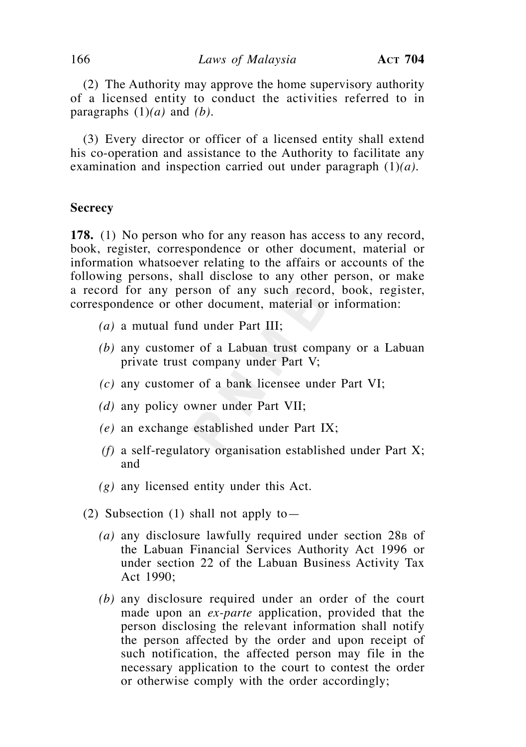(2) The Authority may approve the home supervisory authority of a licensed entity to conduct the activities referred to in paragraphs (1)*(a)* and *(b)*.

 (3) Every director or officer of a licensed entity shall extend his co-operation and assistance to the Authority to facilitate any examination and inspection carried out under paragraph (1)*(a)*.

#### **Secrecy**

**178.** (1) No person who for any reason has access to any record, book, register, correspondence or other document, material or information whatsoever relating to the affairs or accounts of the following persons, shall disclose to any other person, or make a record for any person of any such record, book, register, correspondence or other document, material or information:

- *(a)* a mutual fund under Part III;
- *(b)* any customer of a Labuan trust company or a Labuan private trust company under Part V;
- *(c)* any customer of a bank licensee under Part VI;
- *(d)* any policy owner under Part VII;
- *(e)* an exchange established under Part IX;
- *(f)* a self-regulatory organisation established under Part X; and
- *(g)* any licensed entity under this Act.
- (2) Subsection (1) shall not apply to—
	- (a) any disclosure lawfully required under section 28<sub>B</sub> of the Labuan Financial Services Authority Act 1996 or under section 22 of the Labuan Business Activity Tax Act 1990;
	- *(b)* any disclosure required under an order of the court made upon an *ex-parte* application, provided that the person disclosing the relevant information shall notify the person affected by the order and upon receipt of such notification, the affected person may file in the necessary application to the court to contest the order or otherwise comply with the order accordingly;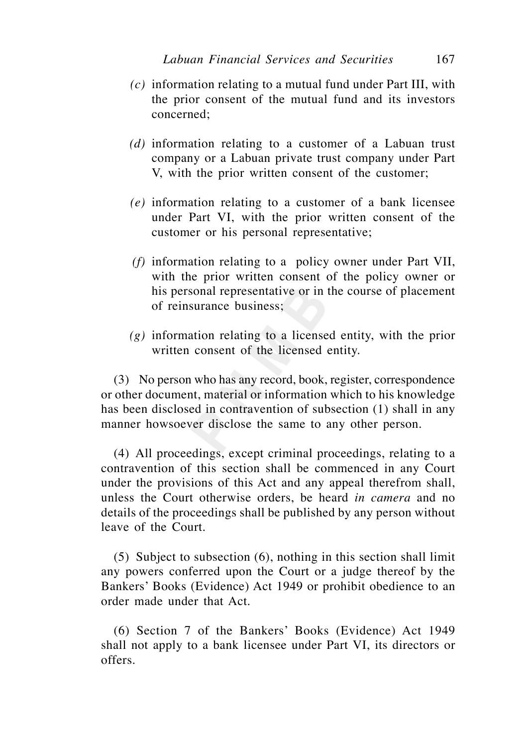- *(c)* information relating to a mutual fund under Part III, with the prior consent of the mutual fund and its investors concerned;
- *(d)* information relating to a customer of a Labuan trust company or a Labuan private trust company under Part V, with the prior written consent of the customer;
- *(e)* information relating to a customer of a bank licensee under Part VI, with the prior written consent of the customer or his personal representative;
- *(f)* information relating to a policy owner under Part VII, with the prior written consent of the policy owner or his personal representative or in the course of placement of reinsurance business;
- *(g)* information relating to a licensed entity, with the prior written consent of the licensed entity.

 (3) No person who has any record, book, register, correspondence or other document, material or information which to his knowledge has been disclosed in contravention of subsection (1) shall in any manner howsoever disclose the same to any other person.

 (4) All proceedings, except criminal proceedings, relating to a contravention of this section shall be commenced in any Court under the provisions of this Act and any appeal therefrom shall, unless the Court otherwise orders, be heard *in camera* and no details of the proceedings shall be published by any person without leave of the Court.

 (5) Subject to subsection (6), nothing in this section shall limit any powers conferred upon the Court or a judge thereof by the Bankers' Books (Evidence) Act 1949 or prohibit obedience to an order made under that Act.

 (6) Section 7 of the Bankers' Books (Evidence) Act 1949 shall not apply to a bank licensee under Part VI, its directors or offers.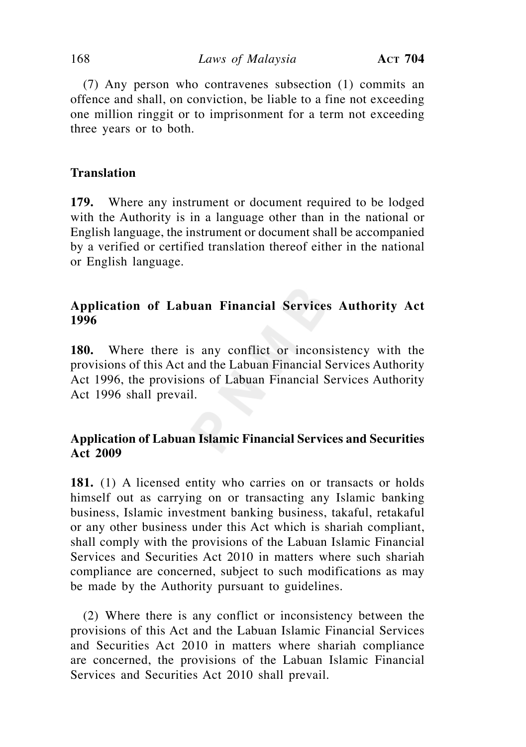(7) Any person who contravenes subsection (1) commits an offence and shall, on conviction, be liable to a fine not exceeding one million ringgit or to imprisonment for a term not exceeding three years or to both.

# **Translation**

**179.** Where any instrument or document required to be lodged with the Authority is in a language other than in the national or English language, the instrument or document shall be accompanied by a verified or certified translation thereof either in the national or English language.

# **Application of Labuan Financial Services Authority Act 1996**

**180.** Where there is any conflict or inconsistency with the provisions of this Act and the Labuan Financial Services Authority Act 1996, the provisions of Labuan Financial Services Authority Act 1996 shall prevail.

# **Application of Labuan Islamic Financial Services and Securities Act 2009**

181. (1) A licensed entity who carries on or transacts or holds himself out as carrying on or transacting any Islamic banking business, Islamic investment banking business, takaful, retakaful or any other business under this Act which is shariah compliant, shall comply with the provisions of the Labuan Islamic Financial Services and Securities Act 2010 in matters where such shariah compliance are concerned, subject to such modifications as may be made by the Authority pursuant to guidelines.

 (2) Where there is any conflict or inconsistency between the provisions of this Act and the Labuan Islamic Financial Services and Securities Act 2010 in matters where shariah compliance are concerned, the provisions of the Labuan Islamic Financial Services and Securities Act 2010 shall prevail.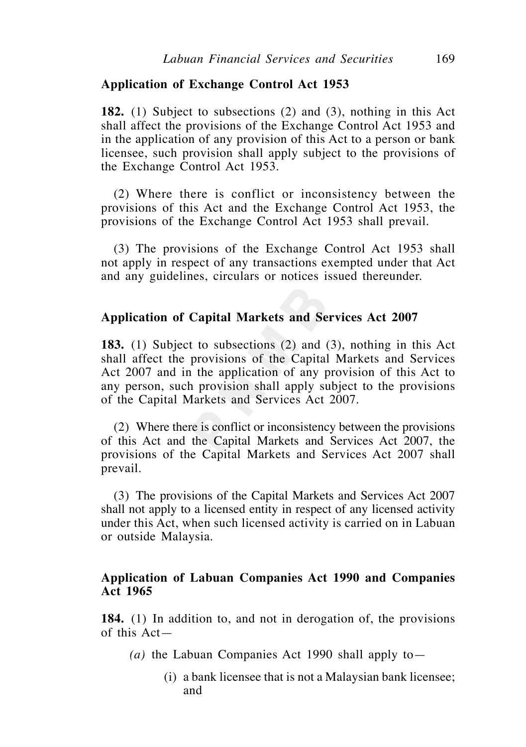### **Application of Exchange Control Act 1953**

**182.** (1) Subject to subsections (2) and (3), nothing in this Act shall affect the provisions of the Exchange Control Act 1953 and in the application of any provision of this Act to a person or bank licensee, such provision shall apply subject to the provisions of the Exchange Control Act 1953.

 (2) Where there is conflict or inconsistency between the provisions of this Act and the Exchange Control Act 1953, the provisions of the Exchange Control Act 1953 shall prevail.

 (3) The provisions of the Exchange Control Act 1953 shall not apply in respect of any transactions exempted under that Act and any guidelines, circulars or notices issued thereunder.

### **Application of Capital Markets and Services Act 2007**

**183.** (1) Subject to subsections (2) and (3), nothing in this Act shall affect the provisions of the Capital Markets and Services Act 2007 and in the application of any provision of this Act to any person, such provision shall apply subject to the provisions of the Capital Markets and Services Act 2007.

 (2) Where there is conflict or inconsistency between the provisions of this Act and the Capital Markets and Services Act 2007, the provisions of the Capital Markets and Services Act 2007 shall prevail.

 (3) The provisions of the Capital Markets and Services Act 2007 shall not apply to a licensed entity in respect of any licensed activity under this Act, when such licensed activity is carried on in Labuan or outside Malaysia.

## **Application of Labuan Companies Act 1990 and Companies Act 1965**

**184.** (1) In addition to, and not in derogation of, the provisions of this Act—

- $(a)$  the Labuan Companies Act 1990 shall apply to
	- (i) a bank licensee that is not a Malaysian bank licensee; and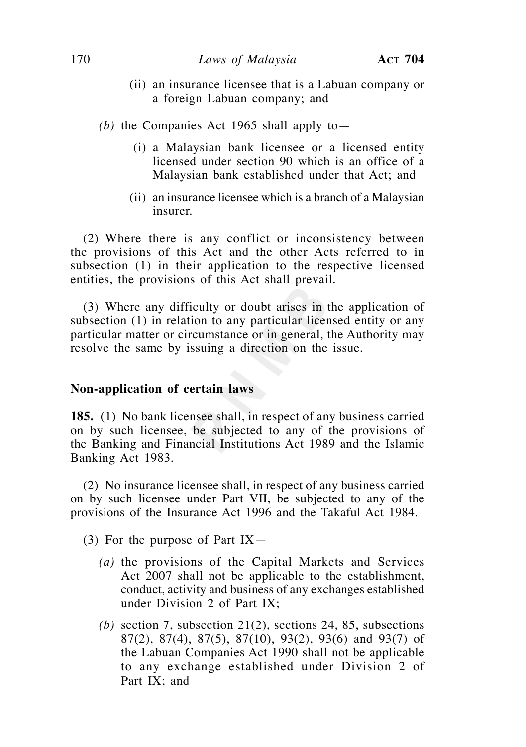- (ii) an insurance licensee that is a Labuan company or a foreign Labuan company; and
- *(b)* the Companies Act 1965 shall apply to
	- (i) a Malaysian bank licensee or a licensed entity licensed under section 90 which is an office of a Malaysian bank established under that Act; and
	- (ii) an insurance licensee which is a branch of a Malaysian insurer.

 (2) Where there is any conflict or inconsistency between the provisions of this Act and the other Acts referred to in subsection (1) in their application to the respective licensed entities, the provisions of this Act shall prevail.

 (3) Where any difficulty or doubt arises in the application of subsection (1) in relation to any particular licensed entity or any particular matter or circumstance or in general, the Authority may resolve the same by issuing a direction on the issue.

#### **Non-application of certain laws**

**185.** (1) No bank licensee shall, in respect of any business carried on by such licensee, be subjected to any of the provisions of the Banking and Financial Institutions Act 1989 and the Islamic Banking Act 1983.

 (2) No insurance licensee shall, in respect of any business carried on by such licensee under Part VII, be subjected to any of the provisions of the Insurance Act 1996 and the Takaful Act 1984.

(3) For the purpose of Part IX—

- *(a)* the provisions of the Capital Markets and Services Act 2007 shall not be applicable to the establishment, conduct, activity and business of any exchanges established under Division 2 of Part IX;
- *(b)* section 7, subsection 21(2), sections 24, 85, subsections 87(2), 87(4), 87(5), 87(10), 93(2), 93(6) and 93(7) of the Labuan Companies Act 1990 shall not be applicable to any exchange established under Division 2 of Part IX; and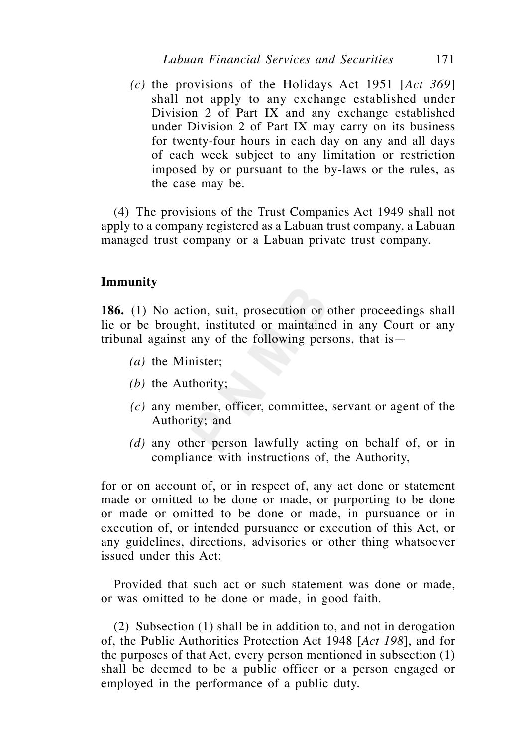*(c)* the provisions of the Holidays Act 1951 [*Act 369*] shall not apply to any exchange established under Division 2 of Part IX and any exchange established under Division 2 of Part IX may carry on its business for twenty-four hours in each day on any and all days of each week subject to any limitation or restriction imposed by or pursuant to the by-laws or the rules, as the case may be.

 (4) The provisions of the Trust Companies Act 1949 shall not apply to a company registered as a Labuan trust company, a Labuan managed trust company or a Labuan private trust company.

## **Immunity**

**186.** (1) No action, suit, prosecution or other proceedings shall lie or be brought, instituted or maintained in any Court or any tribunal against any of the following persons, that is—

- *(a)* the Minister;
- *(b)* the Authority;
- *(c)* any member, officer, committee, servant or agent of the Authority; and
- *(d)* any other person lawfully acting on behalf of, or in compliance with instructions of, the Authority,

for or on account of, or in respect of, any act done or statement made or omitted to be done or made, or purporting to be done or made or omitted to be done or made, in pursuance or in execution of, or intended pursuance or execution of this Act, or any guidelines, directions, advisories or other thing whatsoever issued under this Act:

 Provided that such act or such statement was done or made, or was omitted to be done or made, in good faith.

 (2) Subsection (1) shall be in addition to, and not in derogation of, the Public Authorities Protection Act 1948 [*Act 198*], and for the purposes of that Act, every person mentioned in subsection (1) shall be deemed to be a public officer or a person engaged or employed in the performance of a public duty.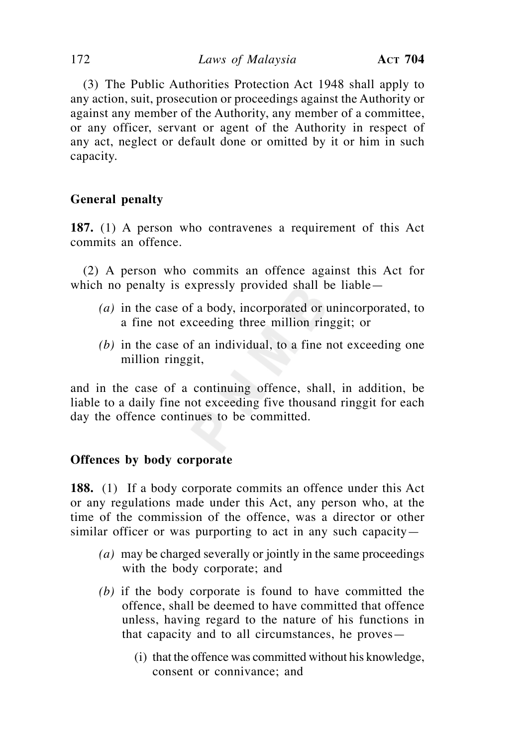(3) The Public Authorities Protection Act 1948 shall apply to any action, suit, prosecution or proceedings against the Authority or against any member of the Authority, any member of a committee, or any officer, servant or agent of the Authority in respect of any act, neglect or default done or omitted by it or him in such capacity.

# **General penalty**

**187.** (1) A person who contravenes a requirement of this Act commits an offence.

 (2) A person who commits an offence against this Act for which no penalty is expressly provided shall be liable—

- *(a)* in the case of a body, incorporated or unincorporated, to a fine not exceeding three million ringgit; or
- *(b)* in the case of an individual, to a fine not exceeding one million ringgit,

and in the case of a continuing offence, shall, in addition, be liable to a daily fine not exceeding five thousand ringgit for each day the offence continues to be committed.

# **Offences by body corporate**

**188.** (1) If a body corporate commits an offence under this Act or any regulations made under this Act, any person who, at the time of the commission of the offence, was a director or other similar officer or was purporting to act in any such capacity—

- *(a)* may be charged severally or jointly in the same proceedings with the body corporate; and
- *(b)* if the body corporate is found to have committed the offence, shall be deemed to have committed that offence unless, having regard to the nature of his functions in that capacity and to all circumstances, he proves—
	- (i) that the offence was committed without his knowledge, consent or connivance; and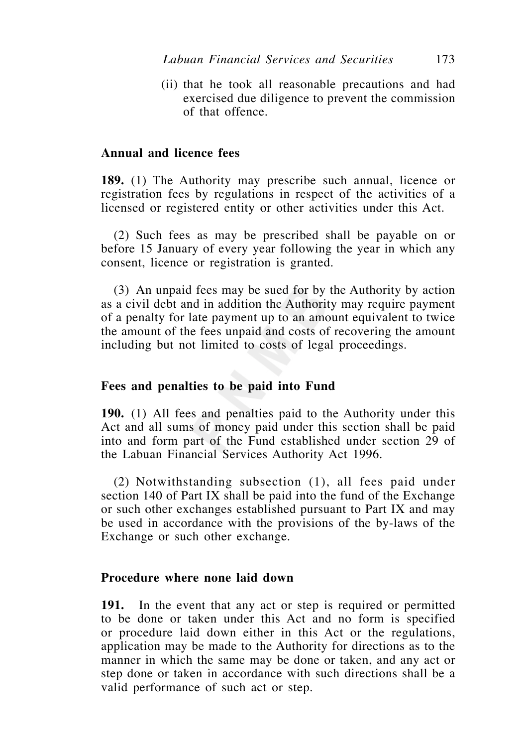(ii) that he took all reasonable precautions and had exercised due diligence to prevent the commission of that offence.

## **Annual and licence fees**

**189.** (1) The Authority may prescribe such annual, licence or registration fees by regulations in respect of the activities of a licensed or registered entity or other activities under this Act.

 (2) Such fees as may be prescribed shall be payable on or before 15 January of every year following the year in which any consent, licence or registration is granted.

 (3) An unpaid fees may be sued for by the Authority by action as a civil debt and in addition the Authority may require payment of a penalty for late payment up to an amount equivalent to twice the amount of the fees unpaid and costs of recovering the amount including but not limited to costs of legal proceedings.

#### **Fees and penalties to be paid into Fund**

**190.** (1) All fees and penalties paid to the Authority under this Act and all sums of money paid under this section shall be paid into and form part of the Fund established under section 29 of the Labuan Financial Services Authority Act 1996.

 (2) Notwithstanding subsection (1), all fees paid under section 140 of Part IX shall be paid into the fund of the Exchange or such other exchanges established pursuant to Part IX and may be used in accordance with the provisions of the by-laws of the Exchange or such other exchange.

#### **Procedure where none laid down**

**191.** In the event that any act or step is required or permitted to be done or taken under this Act and no form is specified or procedure laid down either in this Act or the regulations, application may be made to the Authority for directions as to the manner in which the same may be done or taken, and any act or step done or taken in accordance with such directions shall be a valid performance of such act or step.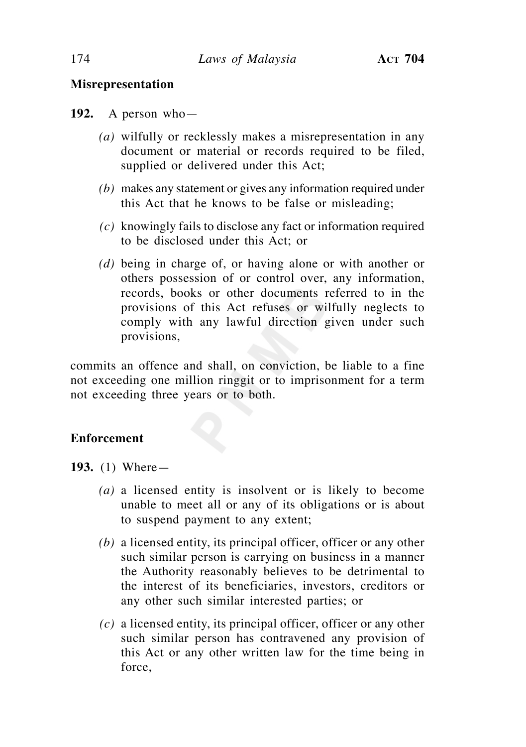# **Misrepresentation**

**192.** A person who—

- *(a)* wilfully or recklessly makes a misrepresentation in any document or material or records required to be filed, supplied or delivered under this Act;
- *(b)* makes any statement or gives any information required under this Act that he knows to be false or misleading;
- *(c)* knowingly fails to disclose any fact or information required to be disclosed under this Act; or
- *(d)* being in charge of, or having alone or with another or others possession of or control over, any information, records, books or other documents referred to in the provisions of this Act refuses or wilfully neglects to comply with any lawful direction given under such provisions,

commits an offence and shall, on conviction, be liable to a fine not exceeding one million ringgit or to imprisonment for a term not exceeding three years or to both.

# **Enforcement**

**193.** (1) Where—

- *(a)* a licensed entity is insolvent or is likely to become unable to meet all or any of its obligations or is about to suspend payment to any extent;
- *(b)* a licensed entity, its principal officer, officer or any other such similar person is carrying on business in a manner the Authority reasonably believes to be detrimental to the interest of its beneficiaries, investors, creditors or any other such similar interested parties; or
- *(c)* a licensed entity, its principal officer, officer or any other such similar person has contravened any provision of this Act or any other written law for the time being in force,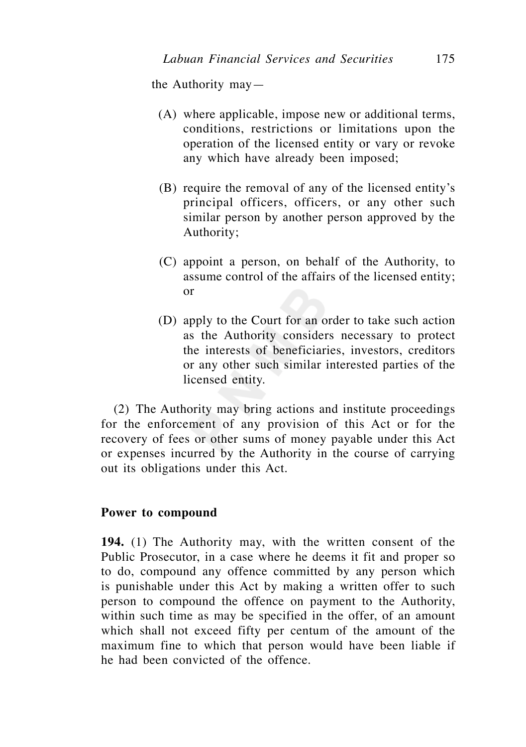the Authority may—

- (A) where applicable, impose new or additional terms, conditions, restrictions or limitations upon the operation of the licensed entity or vary or revoke any which have already been imposed;
- (B) require the removal of any of the licensed entity's principal officers, officers, or any other such similar person by another person approved by the Authority;
- (C) appoint a person, on behalf of the Authority, to assume control of the affairs of the licensed entity; or
- (D) apply to the Court for an order to take such action as the Authority considers necessary to protect the interests of beneficiaries, investors, creditors or any other such similar interested parties of the licensed entity.

 (2) The Authority may bring actions and institute proceedings for the enforcement of any provision of this Act or for the recovery of fees or other sums of money payable under this Act or expenses incurred by the Authority in the course of carrying out its obligations under this Act.

# **Power to compound**

**194.** (1) The Authority may, with the written consent of the Public Prosecutor, in a case where he deems it fit and proper so to do, compound any offence committed by any person which is punishable under this Act by making a written offer to such person to compound the offence on payment to the Authority, within such time as may be specified in the offer, of an amount which shall not exceed fifty per centum of the amount of the maximum fine to which that person would have been liable if he had been convicted of the offence.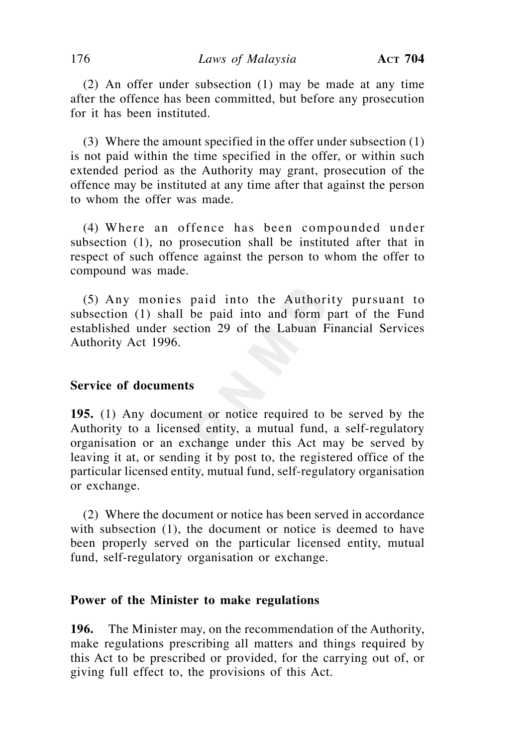(2) An offer under subsection (1) may be made at any time after the offence has been committed, but before any prosecution for it has been instituted.

 (3) Where the amount specified in the offer under subsection (1) is not paid within the time specified in the offer, or within such extended period as the Authority may grant, prosecution of the offence may be instituted at any time after that against the person to whom the offer was made.

 (4) Where an offence has been compounded under subsection (1), no prosecution shall be instituted after that in respect of such offence against the person to whom the offer to compound was made.

 (5) Any monies paid into the Authority pursuant to subsection (1) shall be paid into and form part of the Fund established under section 29 of the Labuan Financial Services Authority Act 1996.

## **Service of documents**

**195.** (1) Any document or notice required to be served by the Authority to a licensed entity, a mutual fund, a self-regulatory organisation or an exchange under this Act may be served by leaving it at, or sending it by post to, the registered office of the particular licensed entity, mutual fund, self-regulatory organisation or exchange.

 (2) Where the document or notice has been served in accordance with subsection (1), the document or notice is deemed to have been properly served on the particular licensed entity, mutual fund, self-regulatory organisation or exchange.

#### **Power of the Minister to make regulations**

**196.** The Minister may, on the recommendation of the Authority, make regulations prescribing all matters and things required by this Act to be prescribed or provided, for the carrying out of, or giving full effect to, the provisions of this Act.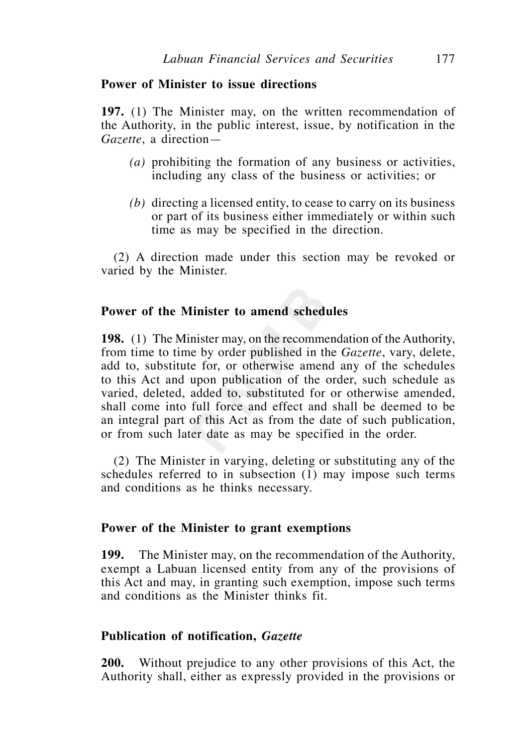## **Power of Minister to issue directions**

**197.** (1) The Minister may, on the written recommendation of the Authority, in the public interest, issue, by notification in the *Gazette*, a direction—

- *(a)* prohibiting the formation of any business or activities, including any class of the business or activities; or
- *(b)* directing a licensed entity, to cease to carry on its business or part of its business either immediately or within such time as may be specified in the direction.

 (2) A direction made under this section may be revoked or varied by the Minister.

## **Power of the Minister to amend schedules**

**198.** (1) The Minister may, on the recommendation of the Authority, from time to time by order published in the *Gazette*, vary, delete, add to, substitute for, or otherwise amend any of the schedules to this Act and upon publication of the order, such schedule as varied, deleted, added to, substituted for or otherwise amended, shall come into full force and effect and shall be deemed to be an integral part of this Act as from the date of such publication, or from such later date as may be specified in the order.

 (2) The Minister in varying, deleting or substituting any of the schedules referred to in subsection (1) may impose such terms and conditions as he thinks necessary.

#### **Power of the Minister to grant exemptions**

**199.** The Minister may, on the recommendation of the Authority, exempt a Labuan licensed entity from any of the provisions of this Act and may, in granting such exemption, impose such terms and conditions as the Minister thinks fit.

### **Publication of notification,** *Gazette*

**200.** Without prejudice to any other provisions of this Act, the Authority shall, either as expressly provided in the provisions or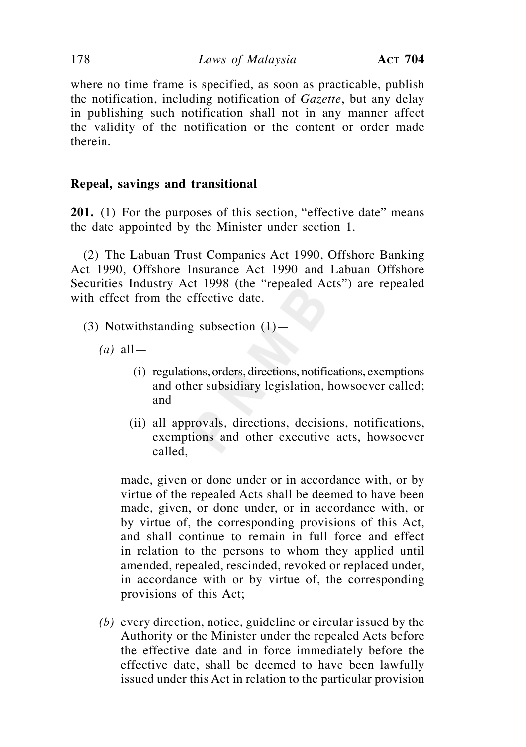where no time frame is specified, as soon as practicable, publish the notification, including notification of *Gazette*, but any delay in publishing such notification shall not in any manner affect the validity of the notification or the content or order made therein.

# **Repeal, savings and transitional**

**201.** (1) For the purposes of this section, "effective date" means the date appointed by the Minister under section 1.

 (2) The Labuan Trust Companies Act 1990, Offshore Banking Act 1990, Offshore Insurance Act 1990 and Labuan Offshore Securities Industry Act 1998 (the "repealed Acts") are repealed with effect from the effective date.

- (3) Notwithstanding subsection (1)—
	- $(a)$  all
		- (i) regulations, orders, directions, notifications, exemptions and other subsidiary legislation, howsoever called; and
		- (ii) all approvals, directions, decisions, notifications, exemptions and other executive acts, howsoever called,

 made, given or done under or in accordance with, or by virtue of the repealed Acts shall be deemed to have been made, given, or done under, or in accordance with, or by virtue of, the corresponding provisions of this Act, and shall continue to remain in full force and effect in relation to the persons to whom they applied until amended, repealed, rescinded, revoked or replaced under, in accordance with or by virtue of, the corresponding provisions of this Act;

 *(b)* every direction, notice, guideline or circular issued by the Authority or the Minister under the repealed Acts before the effective date and in force immediately before the effective date, shall be deemed to have been lawfully issued under this Act in relation to the particular provision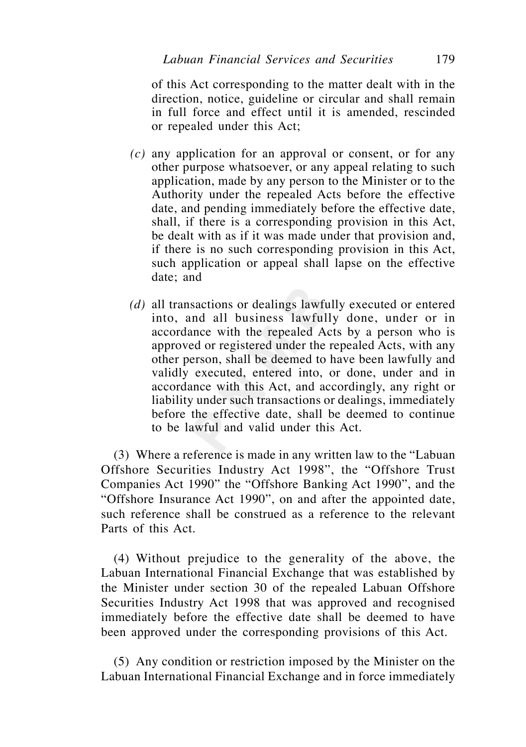of this Act corresponding to the matter dealt with in the direction, notice, guideline or circular and shall remain in full force and effect until it is amended, rescinded or repealed under this Act;

- *(c)* any application for an approval or consent, or for any other purpose whatsoever, or any appeal relating to such application, made by any person to the Minister or to the Authority under the repealed Acts before the effective date, and pending immediately before the effective date, shall, if there is a corresponding provision in this Act, be dealt with as if it was made under that provision and, if there is no such corresponding provision in this Act, such application or appeal shall lapse on the effective date; and
- *(d)* all transactions or dealings lawfully executed or entered into, and all business lawfully done, under or in accordance with the repealed Acts by a person who is approved or registered under the repealed Acts, with any other person, shall be deemed to have been lawfully and validly executed, entered into, or done, under and in accordance with this Act, and accordingly, any right or liability under such transactions or dealings, immediately before the effective date, shall be deemed to continue to be lawful and valid under this Act.

 (3) Where a reference is made in any written law to the "Labuan Offshore Securities Industry Act 1998", the "Offshore Trust Companies Act 1990" the "Offshore Banking Act 1990", and the "Offshore Insurance Act 1990", on and after the appointed date, such reference shall be construed as a reference to the relevant Parts of this Act.

 (4) Without prejudice to the generality of the above, the Labuan International Financial Exchange that was established by the Minister under section 30 of the repealed Labuan Offshore Securities Industry Act 1998 that was approved and recognised immediately before the effective date shall be deemed to have been approved under the corresponding provisions of this Act.

 (5) Any condition or restriction imposed by the Minister on the Labuan International Financial Exchange and in force immediately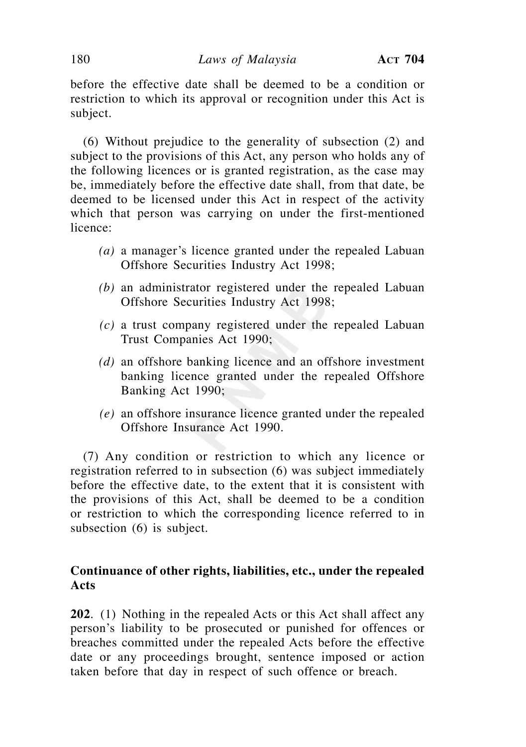before the effective date shall be deemed to be a condition or restriction to which its approval or recognition under this Act is subject.

 (6) Without prejudice to the generality of subsection (2) and subject to the provisions of this Act, any person who holds any of the following licences or is granted registration, as the case may be, immediately before the effective date shall, from that date, be deemed to be licensed under this Act in respect of the activity which that person was carrying on under the first-mentioned licence:

- *(a)* a manager's licence granted under the repealed Labuan Offshore Securities Industry Act 1998;
- *(b)* an administrator registered under the repealed Labuan Offshore Securities Industry Act 1998;
- *(c)* a trust company registered under the repealed Labuan Trust Companies Act 1990;
- *(d)* an offshore banking licence and an offshore investment banking licence granted under the repealed Offshore Banking Act 1990;
- *(e)* an offshore insurance licence granted under the repealed Offshore Insurance Act 1990.

(7) Any condition or restriction to which any licence or registration referred to in subsection (6) was subject immediately before the effective date, to the extent that it is consistent with the provisions of this Act, shall be deemed to be a condition or restriction to which the corresponding licence referred to in subsection (6) is subject.

# **Continuance of other rights, liabilities, etc., under the repealed Acts**

**202**. (1) Nothing in the repealed Acts or this Act shall affect any person's liability to be prosecuted or punished for offences or breaches committed under the repealed Acts before the effective date or any proceedings brought, sentence imposed or action taken before that day in respect of such offence or breach.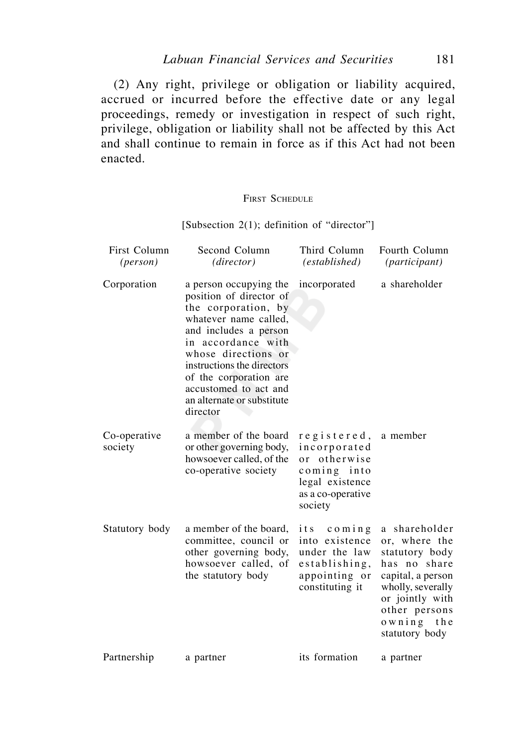(2) Any right, privilege or obligation or liability acquired, accrued or incurred before the effective date or any legal proceedings, remedy or investigation in respect of such right, privilege, obligation or liability shall not be affected by this Act and shall continue to remain in force as if this Act had not been enacted.

# FIRST SCHEDULE

[Subsection 2(1); definition of "director"]

| First Column<br>( <i>person</i> ) | Second Column<br>(director)                                                                                                                                                                                                                                                                        | Third Column<br>(established)                                                                                    | Fourth Column<br>(participant)                                                                                                                                                 |
|-----------------------------------|----------------------------------------------------------------------------------------------------------------------------------------------------------------------------------------------------------------------------------------------------------------------------------------------------|------------------------------------------------------------------------------------------------------------------|--------------------------------------------------------------------------------------------------------------------------------------------------------------------------------|
| Corporation                       | a person occupying the<br>position of director of<br>the corporation, by<br>whatever name called,<br>and includes a person<br>in accordance with<br>whose directions or<br>instructions the directors<br>of the corporation are<br>accustomed to act and<br>an alternate or substitute<br>director | incorporated                                                                                                     | a shareholder                                                                                                                                                                  |
| Co-operative<br>society           | a member of the board<br>or other governing body,<br>howsoever called, of the<br>co-operative society                                                                                                                                                                                              | registered,<br>incorporated<br>or otherwise<br>coming<br>into<br>legal existence<br>as a co-operative<br>society | a member                                                                                                                                                                       |
| Statutory body                    | a member of the board,<br>committee, council or<br>other governing body,<br>howsoever called, of<br>the statutory body                                                                                                                                                                             | its<br>comin g<br>into existence<br>under the law<br>establishing,<br>appointing or<br>constituting it           | a shareholder<br>or, where the<br>statutory body<br>has no share<br>capital, a person<br>wholly, severally<br>or jointly with<br>other persons<br>owning the<br>statutory body |
| Partnership                       | a partner                                                                                                                                                                                                                                                                                          | its formation                                                                                                    | a partner                                                                                                                                                                      |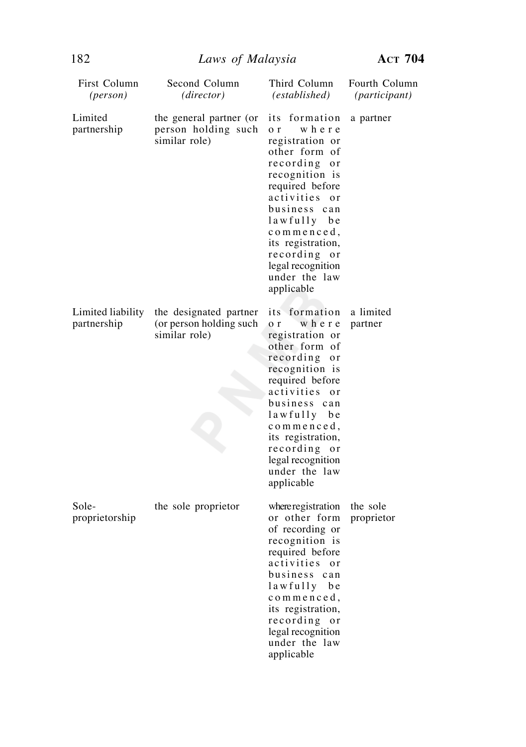| First Column<br>( <i>person</i> ) | Second Column<br>(director)                                        | Third Column<br>(established)                                                                                                                                                                                                                                                                          | Fourth Column<br>( <i>participant</i> ) |
|-----------------------------------|--------------------------------------------------------------------|--------------------------------------------------------------------------------------------------------------------------------------------------------------------------------------------------------------------------------------------------------------------------------------------------------|-----------------------------------------|
| Limited<br>partnership            | the general partner (or<br>person holding such<br>similar role)    | its formation<br>where<br>o <sub>r</sub><br>registration or<br>other form of<br>recording or<br>recognition is<br>required before<br>activities<br><sub>or</sub><br>business can<br>lawfully be<br>commenced,<br>its registration,<br>recording or<br>legal recognition<br>under the law<br>applicable | a partner                               |
| Limited liability<br>partnership  | the designated partner<br>(or person holding such<br>similar role) | its formation<br>where<br>o <sub>r</sub><br>registration or<br>other form of<br>recording<br>o r<br>recognition is<br>required before<br>activities or<br>business can<br>lawfully be<br>$comme$ nced,<br>its registration,<br>recording or<br>legal recognition<br>under the law<br>applicable        | a limited<br>partner                    |
| Sole-<br>proprietorship           | the sole proprietor                                                | where registration<br>or other form<br>of recording or<br>recognition is<br>required before<br>activities<br><sub>or</sub><br>business<br>can<br>lawfully be<br>commenced,<br>its registration,<br>recording<br>or<br>legal recognition<br>under the law<br>applicable                                 | the sole<br>proprietor                  |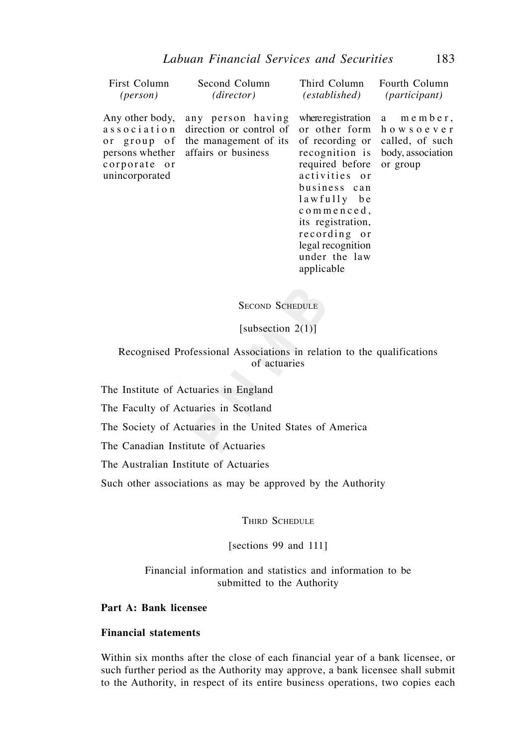| First Column                                      | Second Column                                                                                                                        | Third Column Fourth Column                                                                                                                                             | <i>(participant)</i>                                                                                                                         |
|---------------------------------------------------|--------------------------------------------------------------------------------------------------------------------------------------|------------------------------------------------------------------------------------------------------------------------------------------------------------------------|----------------------------------------------------------------------------------------------------------------------------------------------|
| (person)                                          | (director)                                                                                                                           | (established)                                                                                                                                                          |                                                                                                                                              |
| Any other body,<br>corporate or<br>unincorporated | any person having<br>association direction or control of<br>or group of the management of its<br>persons whether affairs or business | required before<br>activities or<br>business can<br>lawfully be<br>commenced,<br>its registration,<br>recording or<br>legal recognition<br>under the law<br>applicable | where registration $a$ member,<br>or other form howsoever<br>of recording or called, of such<br>recognition is body, association<br>or group |

# SECOND SCHEDULE

[subsection 2(1)]

Recognised Professional Associations in relation to the qualifications of actuaries

The Institute of Actuaries in England

The Faculty of Actuaries in Scotland

The Society of Actuaries in the United States of America

The Canadian Institute of Actuaries

The Australian Institute of Actuaries

Such other associations as may be approved by the Authority

THIRD SCHEDULE

[sections 99 and 111]

Financial information and statistics and information to be submitted to the Authority

**Part A: Bank licensee** 

# **Financial statements**

Within six months after the close of each financial year of a bank licensee, or such further period as the Authority may approve, a bank licensee shall submit to the Authority, in respect of its entire business operations, two copies each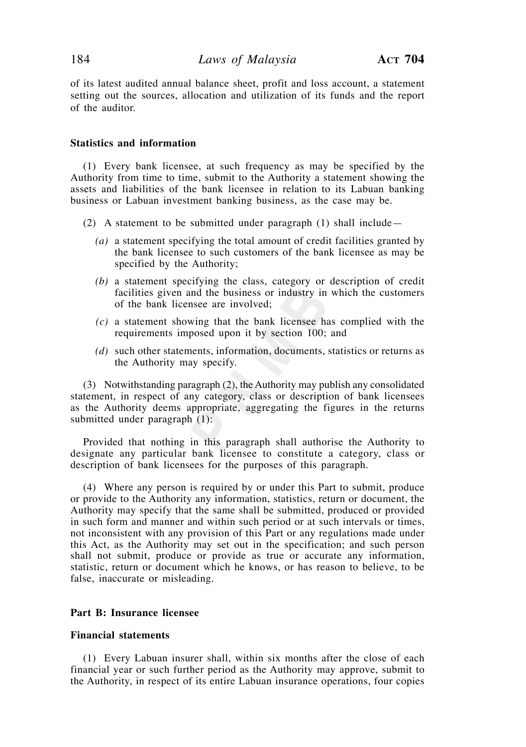of its latest audited annual balance sheet, profit and loss account, a statement setting out the sources, allocation and utilization of its funds and the report of the auditor.

### **Statistics and information**

 (1) Every bank licensee, at such frequency as may be specified by the Authority from time to time, submit to the Authority a statement showing the assets and liabilities of the bank licensee in relation to its Labuan banking business or Labuan investment banking business, as the case may be.

- (2) A statement to be submitted under paragraph (1) shall include—
	- *(a)* a statement specifying the total amount of credit facilities granted by the bank licensee to such customers of the bank licensee as may be specified by the Authority;
	- *(b)* a statement specifying the class, category or description of credit facilities given and the business or industry in which the customers of the bank licensee are involved;
	- *(c)* a statement showing that the bank licensee has complied with the requirements imposed upon it by section 100; and
	- *(d)* such other statements, information, documents, statistics or returns as the Authority may specify.

 (3) Notwithstanding paragraph (2), the Authority may publish any consolidated statement, in respect of any category, class or description of bank licensees as the Authority deems appropriate, aggregating the figures in the returns submitted under paragraph (1):

 Provided that nothing in this paragraph shall authorise the Authority to designate any particular bank licensee to constitute a category, class or description of bank licensees for the purposes of this paragraph.

 (4) Where any person is required by or under this Part to submit, produce or provide to the Authority any information, statistics, return or document, the Authority may specify that the same shall be submitted, produced or provided in such form and manner and within such period or at such intervals or times, not inconsistent with any provision of this Part or any regulations made under this Act, as the Authority may set out in the specification; and such person shall not submit, produce or provide as true or accurate any information, statistic, return or document which he knows, or has reason to believe, to be false, inaccurate or misleading.

### **Part B: Insurance licensee**

### **Financial statements**

 (1) Every Labuan insurer shall, within six months after the close of each financial year or such further period as the Authority may approve, submit to the Authority, in respect of its entire Labuan insurance operations, four copies